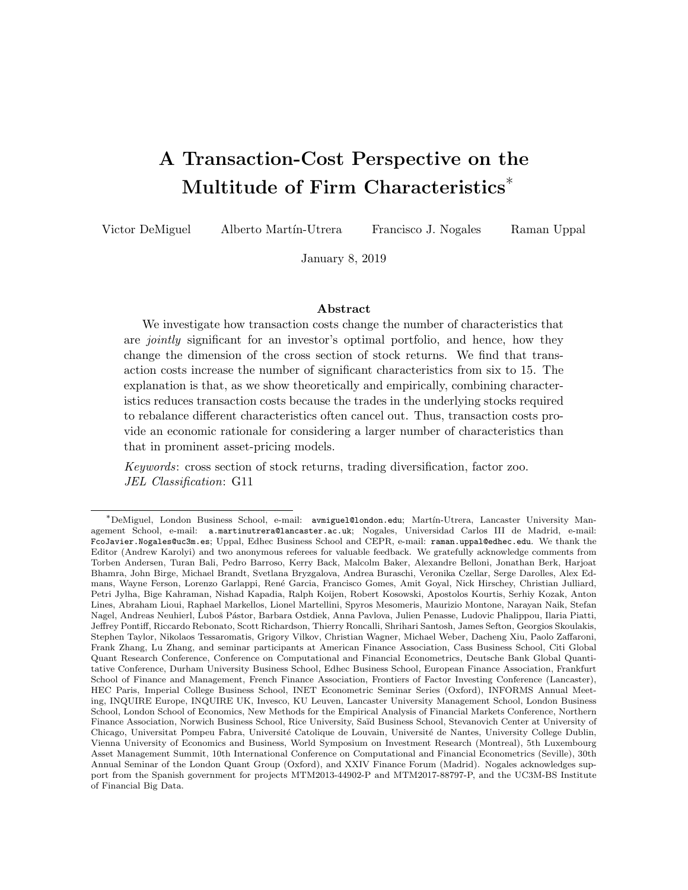# A Transaction-Cost Perspective on the Multitude of Firm Characteristics<sup>\*</sup>

Victor DeMiguel Alberto Mart´ın-Utrera Francisco J. Nogales Raman Uppal

January 8, 2019

#### Abstract

We investigate how transaction costs change the number of characteristics that are jointly significant for an investor's optimal portfolio, and hence, how they change the dimension of the cross section of stock returns. We find that transaction costs increase the number of significant characteristics from six to 15. The explanation is that, as we show theoretically and empirically, combining characteristics reduces transaction costs because the trades in the underlying stocks required to rebalance different characteristics often cancel out. Thus, transaction costs provide an economic rationale for considering a larger number of characteristics than that in prominent asset-pricing models.

Keywords: cross section of stock returns, trading diversification, factor zoo. JEL Classification: G11

<sup>∗</sup>DeMiguel, London Business School, e-mail: avmiguel@london.edu; Mart´ın-Utrera, Lancaster University Management School, e-mail: a.martinutrera@lancaster.ac.uk; Nogales, Universidad Carlos III de Madrid, e-mail: FcoJavier.Nogales@uc3m.es; Uppal, Edhec Business School and CEPR, e-mail: raman.uppal@edhec.edu. We thank the Editor (Andrew Karolyi) and two anonymous referees for valuable feedback. We gratefully acknowledge comments from Torben Andersen, Turan Bali, Pedro Barroso, Kerry Back, Malcolm Baker, Alexandre Belloni, Jonathan Berk, Harjoat Bhamra, John Birge, Michael Brandt, Svetlana Bryzgalova, Andrea Buraschi, Veronika Czellar, Serge Darolles, Alex Edmans, Wayne Ferson, Lorenzo Garlappi, Ren´e Garcia, Francisco Gomes, Amit Goyal, Nick Hirschey, Christian Julliard, Petri Jylha, Bige Kahraman, Nishad Kapadia, Ralph Koijen, Robert Kosowski, Apostolos Kourtis, Serhiy Kozak, Anton Lines, Abraham Lioui, Raphael Markellos, Lionel Martellini, Spyros Mesomeris, Maurizio Montone, Narayan Naik, Stefan Nagel, Andreas Neuhierl, Ľuboš Pástor, Barbara Ostdiek, Anna Pavlova, Julien Penasse, Ludovic Phalippou, Ilaria Piatti, Jeffrey Pontiff, Riccardo Rebonato, Scott Richardson, Thierry Roncalli, Shrihari Santosh, James Sefton, Georgios Skoulakis, Stephen Taylor, Nikolaos Tessaromatis, Grigory Vilkov, Christian Wagner, Michael Weber, Dacheng Xiu, Paolo Zaffaroni, Frank Zhang, Lu Zhang, and seminar participants at American Finance Association, Cass Business School, Citi Global Quant Research Conference, Conference on Computational and Financial Econometrics, Deutsche Bank Global Quantitative Conference, Durham University Business School, Edhec Business School, European Finance Association, Frankfurt School of Finance and Management, French Finance Association, Frontiers of Factor Investing Conference (Lancaster), HEC Paris, Imperial College Business School, INET Econometric Seminar Series (Oxford), INFORMS Annual Meeting, INQUIRE Europe, INQUIRE UK, Invesco, KU Leuven, Lancaster University Management School, London Business School, London School of Economics, New Methods for the Empirical Analysis of Financial Markets Conference, Northern Finance Association, Norwich Business School, Rice University, Saïd Business School, Stevanovich Center at University of Chicago, Universitat Pompeu Fabra, Université Catolique de Louvain, Université de Nantes, University College Dublin, Vienna University of Economics and Business, World Symposium on Investment Research (Montreal), 5th Luxembourg Asset Management Summit, 10th International Conference on Computational and Financial Econometrics (Seville), 30th Annual Seminar of the London Quant Group (Oxford), and XXIV Finance Forum (Madrid). Nogales acknowledges support from the Spanish government for projects MTM2013-44902-P and MTM2017-88797-P, and the UC3M-BS Institute of Financial Big Data.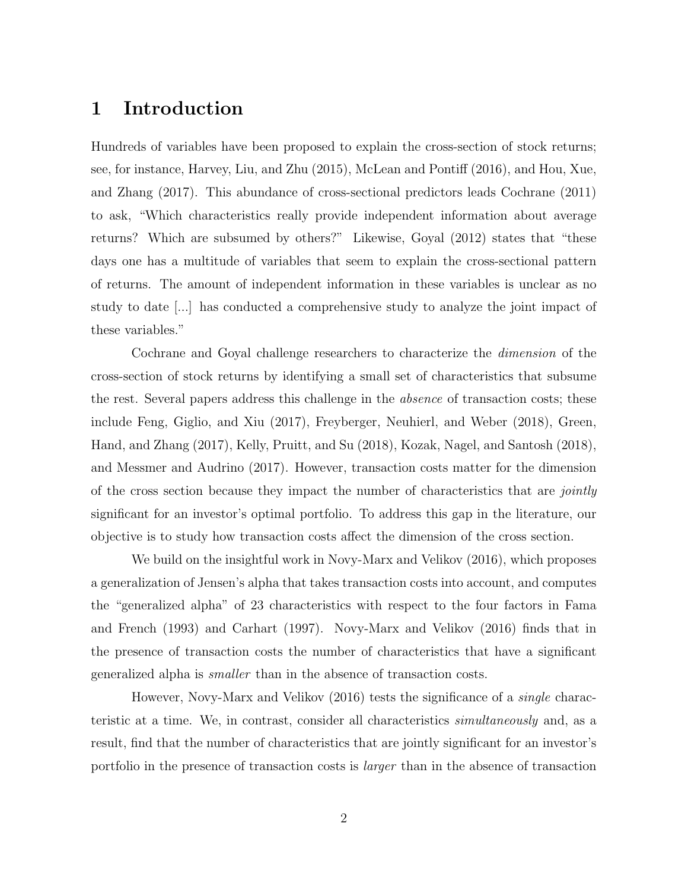# 1 Introduction

Hundreds of variables have been proposed to explain the cross-section of stock returns; see, for instance, Harvey, Liu, and Zhu (2015), McLean and Pontiff (2016), and Hou, Xue, and Zhang (2017). This abundance of cross-sectional predictors leads Cochrane (2011) to ask, "Which characteristics really provide independent information about average returns? Which are subsumed by others?" Likewise, Goyal (2012) states that "these days one has a multitude of variables that seem to explain the cross-sectional pattern of returns. The amount of independent information in these variables is unclear as no study to date [...] has conducted a comprehensive study to analyze the joint impact of these variables."

Cochrane and Goyal challenge researchers to characterize the dimension of the cross-section of stock returns by identifying a small set of characteristics that subsume the rest. Several papers address this challenge in the *absence* of transaction costs; these include Feng, Giglio, and Xiu (2017), Freyberger, Neuhierl, and Weber (2018), Green, Hand, and Zhang (2017), Kelly, Pruitt, and Su (2018), Kozak, Nagel, and Santosh (2018), and Messmer and Audrino (2017). However, transaction costs matter for the dimension of the cross section because they impact the number of characteristics that are *jointly* significant for an investor's optimal portfolio. To address this gap in the literature, our objective is to study how transaction costs affect the dimension of the cross section.

We build on the insightful work in Novy-Marx and Velikov (2016), which proposes a generalization of Jensen's alpha that takes transaction costs into account, and computes the "generalized alpha" of 23 characteristics with respect to the four factors in Fama and French (1993) and Carhart (1997). Novy-Marx and Velikov (2016) finds that in the presence of transaction costs the number of characteristics that have a significant generalized alpha is smaller than in the absence of transaction costs.

However, Novy-Marx and Velikov (2016) tests the significance of a single characteristic at a time. We, in contrast, consider all characteristics simultaneously and, as a result, find that the number of characteristics that are jointly significant for an investor's portfolio in the presence of transaction costs is larger than in the absence of transaction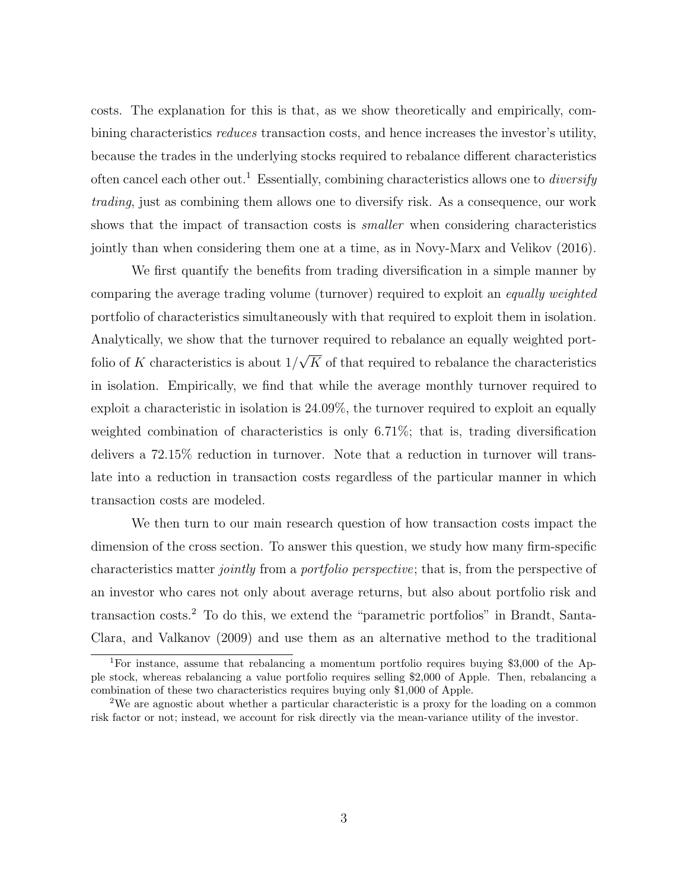costs. The explanation for this is that, as we show theoretically and empirically, combining characteristics *reduces* transaction costs, and hence increases the investor's utility, because the trades in the underlying stocks required to rebalance different characteristics often cancel each other out.<sup>1</sup> Essentially, combining characteristics allows one to *diversify* trading, just as combining them allows one to diversify risk. As a consequence, our work shows that the impact of transaction costs is *smaller* when considering characteristics jointly than when considering them one at a time, as in Novy-Marx and Velikov (2016).

We first quantify the benefits from trading diversification in a simple manner by comparing the average trading volume (turnover) required to exploit an equally weighted portfolio of characteristics simultaneously with that required to exploit them in isolation. Analytically, we show that the turnover required to rebalance an equally weighted portfolio of K characteristics is about  $1/\sqrt{K}$  of that required to rebalance the characteristics in isolation. Empirically, we find that while the average monthly turnover required to exploit a characteristic in isolation is 24.09%, the turnover required to exploit an equally weighted combination of characteristics is only 6.71%; that is, trading diversification delivers a 72.15% reduction in turnover. Note that a reduction in turnover will translate into a reduction in transaction costs regardless of the particular manner in which transaction costs are modeled.

We then turn to our main research question of how transaction costs impact the dimension of the cross section. To answer this question, we study how many firm-specific characteristics matter jointly from a portfolio perspective; that is, from the perspective of an investor who cares not only about average returns, but also about portfolio risk and transaction costs.<sup>2</sup> To do this, we extend the "parametric portfolios" in Brandt, Santa-Clara, and Valkanov (2009) and use them as an alternative method to the traditional

<sup>1</sup>For instance, assume that rebalancing a momentum portfolio requires buying \$3,000 of the Apple stock, whereas rebalancing a value portfolio requires selling \$2,000 of Apple. Then, rebalancing a combination of these two characteristics requires buying only \$1,000 of Apple.

<sup>&</sup>lt;sup>2</sup>We are agnostic about whether a particular characteristic is a proxy for the loading on a common risk factor or not; instead, we account for risk directly via the mean-variance utility of the investor.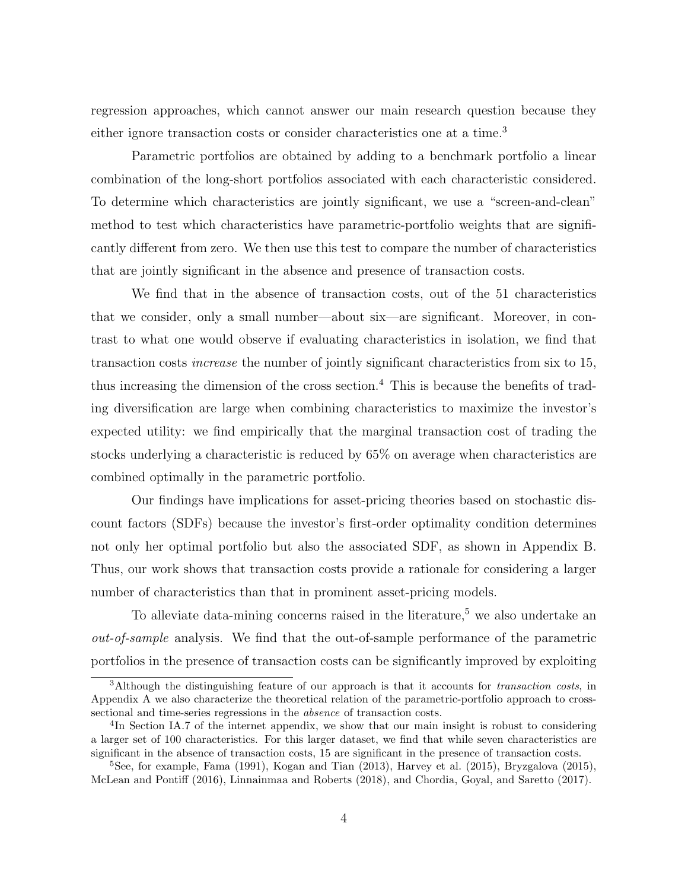regression approaches, which cannot answer our main research question because they either ignore transaction costs or consider characteristics one at a time.<sup>3</sup>

Parametric portfolios are obtained by adding to a benchmark portfolio a linear combination of the long-short portfolios associated with each characteristic considered. To determine which characteristics are jointly significant, we use a "screen-and-clean" method to test which characteristics have parametric-portfolio weights that are significantly different from zero. We then use this test to compare the number of characteristics that are jointly significant in the absence and presence of transaction costs.

We find that in the absence of transaction costs, out of the 51 characteristics that we consider, only a small number—about six—are significant. Moreover, in contrast to what one would observe if evaluating characteristics in isolation, we find that transaction costs increase the number of jointly significant characteristics from six to 15, thus increasing the dimension of the cross section.<sup>4</sup> This is because the benefits of trading diversification are large when combining characteristics to maximize the investor's expected utility: we find empirically that the marginal transaction cost of trading the stocks underlying a characteristic is reduced by 65% on average when characteristics are combined optimally in the parametric portfolio.

Our findings have implications for asset-pricing theories based on stochastic discount factors (SDFs) because the investor's first-order optimality condition determines not only her optimal portfolio but also the associated SDF, as shown in Appendix B. Thus, our work shows that transaction costs provide a rationale for considering a larger number of characteristics than that in prominent asset-pricing models.

To alleviate data-mining concerns raised in the literature,<sup>5</sup> we also undertake an out-of-sample analysis. We find that the out-of-sample performance of the parametric portfolios in the presence of transaction costs can be significantly improved by exploiting

<sup>&</sup>lt;sup>3</sup>Although the distinguishing feature of our approach is that it accounts for *transaction costs*, in Appendix A we also characterize the theoretical relation of the parametric-portfolio approach to crosssectional and time-series regressions in the *absence* of transaction costs.

<sup>&</sup>lt;sup>4</sup>In Section IA.7 of the internet appendix, we show that our main insight is robust to considering a larger set of 100 characteristics. For this larger dataset, we find that while seven characteristics are significant in the absence of transaction costs, 15 are significant in the presence of transaction costs.

 ${}^{5}$ See, for example, Fama (1991), Kogan and Tian (2013), Harvey et al. (2015), Bryzgalova (2015), McLean and Pontiff (2016), Linnainmaa and Roberts (2018), and Chordia, Goyal, and Saretto (2017).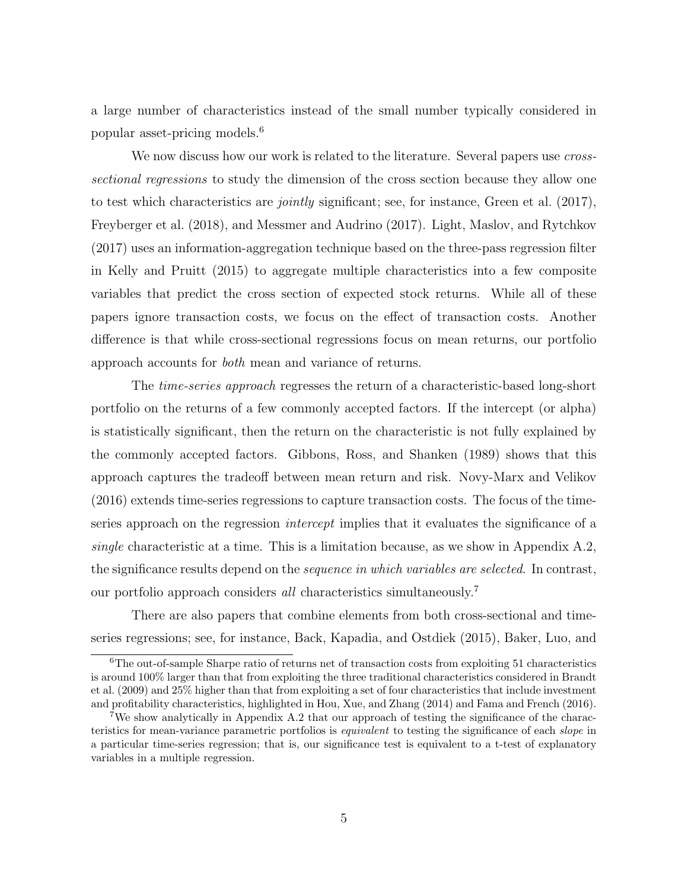a large number of characteristics instead of the small number typically considered in popular asset-pricing models.<sup>6</sup>

We now discuss how our work is related to the literature. Several papers use *cross*sectional regressions to study the dimension of the cross section because they allow one to test which characteristics are *jointly* significant; see, for instance, Green et al.  $(2017)$ , Freyberger et al. (2018), and Messmer and Audrino (2017). Light, Maslov, and Rytchkov (2017) uses an information-aggregation technique based on the three-pass regression filter in Kelly and Pruitt (2015) to aggregate multiple characteristics into a few composite variables that predict the cross section of expected stock returns. While all of these papers ignore transaction costs, we focus on the effect of transaction costs. Another difference is that while cross-sectional regressions focus on mean returns, our portfolio approach accounts for both mean and variance of returns.

The *time-series approach* regresses the return of a characteristic-based long-short portfolio on the returns of a few commonly accepted factors. If the intercept (or alpha) is statistically significant, then the return on the characteristic is not fully explained by the commonly accepted factors. Gibbons, Ross, and Shanken (1989) shows that this approach captures the tradeoff between mean return and risk. Novy-Marx and Velikov (2016) extends time-series regressions to capture transaction costs. The focus of the timeseries approach on the regression intercept implies that it evaluates the significance of a single characteristic at a time. This is a limitation because, as we show in Appendix  $A.2$ , the significance results depend on the *sequence in which variables are selected*. In contrast, our portfolio approach considers all characteristics simultaneously.<sup>7</sup>

There are also papers that combine elements from both cross-sectional and timeseries regressions; see, for instance, Back, Kapadia, and Ostdiek (2015), Baker, Luo, and

<sup>6</sup>The out-of-sample Sharpe ratio of returns net of transaction costs from exploiting 51 characteristics is around 100% larger than that from exploiting the three traditional characteristics considered in Brandt et al. (2009) and 25% higher than that from exploiting a set of four characteristics that include investment and profitability characteristics, highlighted in Hou, Xue, and Zhang (2014) and Fama and French (2016).

<sup>7</sup>We show analytically in Appendix A.2 that our approach of testing the significance of the characteristics for mean-variance parametric portfolios is *equivalent* to testing the significance of each *slope* in a particular time-series regression; that is, our significance test is equivalent to a t-test of explanatory variables in a multiple regression.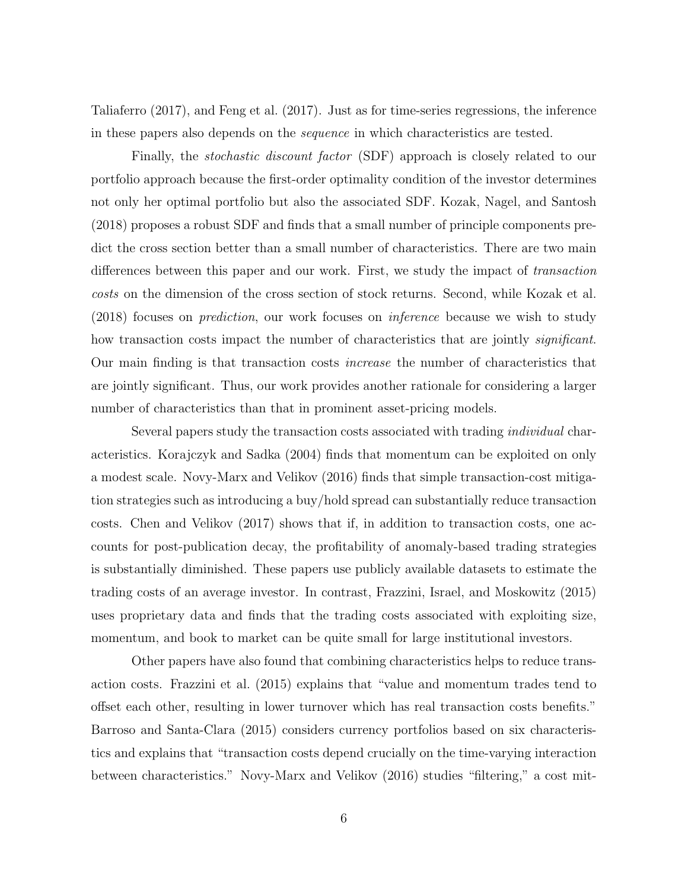Taliaferro (2017), and Feng et al. (2017). Just as for time-series regressions, the inference in these papers also depends on the sequence in which characteristics are tested.

Finally, the *stochastic discount factor* (SDF) approach is closely related to our portfolio approach because the first-order optimality condition of the investor determines not only her optimal portfolio but also the associated SDF. Kozak, Nagel, and Santosh (2018) proposes a robust SDF and finds that a small number of principle components predict the cross section better than a small number of characteristics. There are two main differences between this paper and our work. First, we study the impact of transaction costs on the dimension of the cross section of stock returns. Second, while Kozak et al. (2018) focuses on *prediction*, our work focuses on *inference* because we wish to study how transaction costs impact the number of characteristics that are jointly *significant*. Our main finding is that transaction costs increase the number of characteristics that are jointly significant. Thus, our work provides another rationale for considering a larger number of characteristics than that in prominent asset-pricing models.

Several papers study the transaction costs associated with trading individual characteristics. Korajczyk and Sadka (2004) finds that momentum can be exploited on only a modest scale. Novy-Marx and Velikov (2016) finds that simple transaction-cost mitigation strategies such as introducing a buy/hold spread can substantially reduce transaction costs. Chen and Velikov (2017) shows that if, in addition to transaction costs, one accounts for post-publication decay, the profitability of anomaly-based trading strategies is substantially diminished. These papers use publicly available datasets to estimate the trading costs of an average investor. In contrast, Frazzini, Israel, and Moskowitz (2015) uses proprietary data and finds that the trading costs associated with exploiting size, momentum, and book to market can be quite small for large institutional investors.

Other papers have also found that combining characteristics helps to reduce transaction costs. Frazzini et al. (2015) explains that "value and momentum trades tend to offset each other, resulting in lower turnover which has real transaction costs benefits." Barroso and Santa-Clara (2015) considers currency portfolios based on six characteristics and explains that "transaction costs depend crucially on the time-varying interaction between characteristics." Novy-Marx and Velikov (2016) studies "filtering," a cost mit-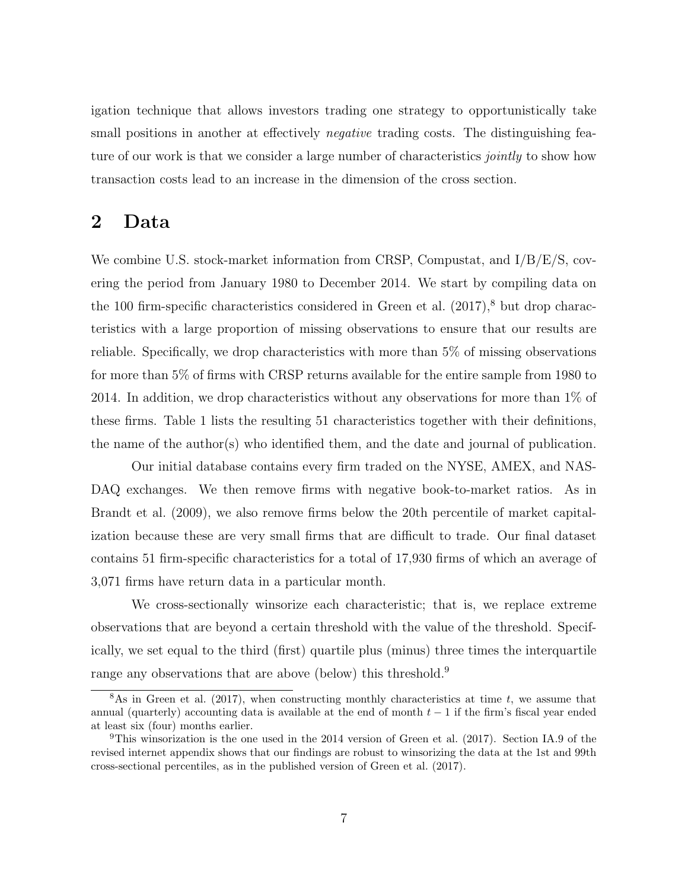igation technique that allows investors trading one strategy to opportunistically take small positions in another at effectively *negative* trading costs. The distinguishing feature of our work is that we consider a large number of characteristics *jointly* to show how transaction costs lead to an increase in the dimension of the cross section.

# 2 Data

We combine U.S. stock-market information from CRSP, Compustat, and  $I/B/E/S$ , covering the period from January 1980 to December 2014. We start by compiling data on the 100 firm-specific characteristics considered in Green et al.  $(2017)$ <sup>8</sup>, but drop characteristics with a large proportion of missing observations to ensure that our results are reliable. Specifically, we drop characteristics with more than 5% of missing observations for more than 5% of firms with CRSP returns available for the entire sample from 1980 to 2014. In addition, we drop characteristics without any observations for more than  $1\%$  of these firms. Table 1 lists the resulting 51 characteristics together with their definitions, the name of the author(s) who identified them, and the date and journal of publication.

Our initial database contains every firm traded on the NYSE, AMEX, and NAS-DAQ exchanges. We then remove firms with negative book-to-market ratios. As in Brandt et al. (2009), we also remove firms below the 20th percentile of market capitalization because these are very small firms that are difficult to trade. Our final dataset contains 51 firm-specific characteristics for a total of 17,930 firms of which an average of 3,071 firms have return data in a particular month.

We cross-sectionally winsorize each characteristic; that is, we replace extreme observations that are beyond a certain threshold with the value of the threshold. Specifically, we set equal to the third (first) quartile plus (minus) three times the interquartile range any observations that are above (below) this threshold.<sup>9</sup>

 $8\text{As}$  in Green et al. (2017), when constructing monthly characteristics at time t, we assume that annual (quarterly) accounting data is available at the end of month  $t-1$  if the firm's fiscal year ended at least six (four) months earlier.

<sup>&</sup>lt;sup>9</sup>This winsorization is the one used in the 2014 version of Green et al. (2017). Section IA.9 of the revised internet appendix shows that our findings are robust to winsorizing the data at the 1st and 99th cross-sectional percentiles, as in the published version of Green et al. (2017).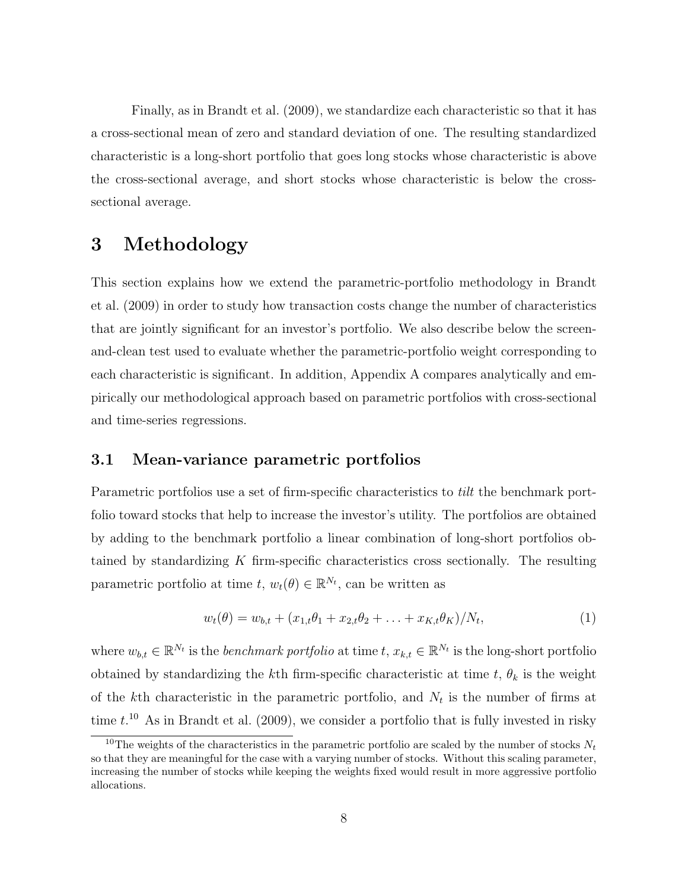Finally, as in Brandt et al. (2009), we standardize each characteristic so that it has a cross-sectional mean of zero and standard deviation of one. The resulting standardized characteristic is a long-short portfolio that goes long stocks whose characteristic is above the cross-sectional average, and short stocks whose characteristic is below the crosssectional average.

# 3 Methodology

This section explains how we extend the parametric-portfolio methodology in Brandt et al. (2009) in order to study how transaction costs change the number of characteristics that are jointly significant for an investor's portfolio. We also describe below the screenand-clean test used to evaluate whether the parametric-portfolio weight corresponding to each characteristic is significant. In addition, Appendix A compares analytically and empirically our methodological approach based on parametric portfolios with cross-sectional and time-series regressions.

### 3.1 Mean-variance parametric portfolios

Parametric portfolios use a set of firm-specific characteristics to *tilt* the benchmark portfolio toward stocks that help to increase the investor's utility. The portfolios are obtained by adding to the benchmark portfolio a linear combination of long-short portfolios obtained by standardizing K firm-specific characteristics cross sectionally. The resulting parametric portfolio at time  $t, w_t(\theta) \in \mathbb{R}^{N_t}$ , can be written as

$$
w_t(\theta) = w_{b,t} + (x_{1,t}\theta_1 + x_{2,t}\theta_2 + \ldots + x_{K,t}\theta_K)/N_t,
$$
\n(1)

where  $w_{b,t} \in \mathbb{R}^{N_t}$  is the *benchmark portfolio* at time  $t, x_{k,t} \in \mathbb{R}^{N_t}$  is the long-short portfolio obtained by standardizing the kth firm-specific characteristic at time t,  $\theta_k$  is the weight of the k<sup>th</sup> characteristic in the parametric portfolio, and  $N_t$  is the number of firms at time  $t^{10}$  As in Brandt et al. (2009), we consider a portfolio that is fully invested in risky

<sup>&</sup>lt;sup>10</sup>The weights of the characteristics in the parametric portfolio are scaled by the number of stocks  $N_t$ so that they are meaningful for the case with a varying number of stocks. Without this scaling parameter, increasing the number of stocks while keeping the weights fixed would result in more aggressive portfolio allocations.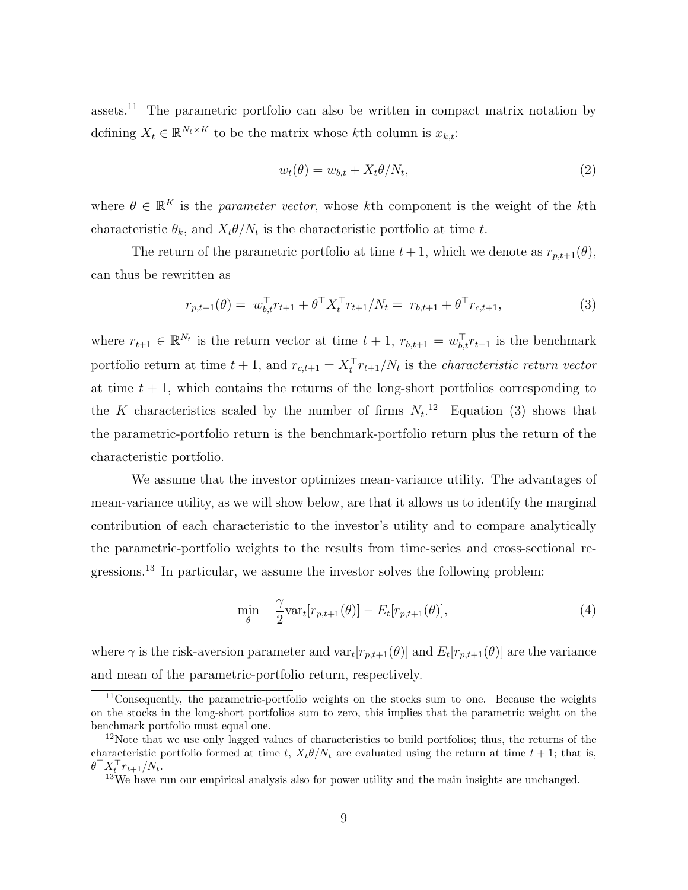assets.<sup>11</sup> The parametric portfolio can also be written in compact matrix notation by defining  $X_t \in \mathbb{R}^{N_t \times K}$  to be the matrix whose kth column is  $x_{k,t}$ :

$$
w_t(\theta) = w_{b,t} + X_t \theta / N_t, \qquad (2)
$$

where  $\theta \in \mathbb{R}^K$  is the *parameter vector*, whose kth component is the weight of the kth characteristic  $\theta_k$ , and  $X_t \theta/N_t$  is the characteristic portfolio at time t.

The return of the parametric portfolio at time  $t + 1$ , which we denote as  $r_{p,t+1}(\theta)$ , can thus be rewritten as

$$
r_{p,t+1}(\theta) = w_{b,t}^{\top} r_{t+1} + \theta^{\top} X_t^{\top} r_{t+1} / N_t = r_{b,t+1} + \theta^{\top} r_{c,t+1},
$$
\n(3)

where  $r_{t+1} \in \mathbb{R}^{N_t}$  is the return vector at time  $t+1$ ,  $r_{b,t+1} = w_{b,t}^{\top} r_{t+1}$  is the benchmark portfolio return at time  $t + 1$ , and  $r_{c,t+1} = X_t^{\dagger} r_{t+1}/N_t$  is the *characteristic return vector* at time  $t + 1$ , which contains the returns of the long-short portfolios corresponding to the K characteristics scaled by the number of firms  $N_t$ <sup>12</sup> Equation (3) shows that the parametric-portfolio return is the benchmark-portfolio return plus the return of the characteristic portfolio.

We assume that the investor optimizes mean-variance utility. The advantages of mean-variance utility, as we will show below, are that it allows us to identify the marginal contribution of each characteristic to the investor's utility and to compare analytically the parametric-portfolio weights to the results from time-series and cross-sectional regressions.<sup>13</sup> In particular, we assume the investor solves the following problem:

$$
\min_{\theta} \quad \frac{\gamma}{2} \text{var}_{t}[r_{p,t+1}(\theta)] - E_{t}[r_{p,t+1}(\theta)], \tag{4}
$$

where  $\gamma$  is the risk-aversion parameter and  $\text{var}_t[r_{p,t+1}(\theta)]$  and  $E_t[r_{p,t+1}(\theta)]$  are the variance and mean of the parametric-portfolio return, respectively.

 $11$ Consequently, the parametric-portfolio weights on the stocks sum to one. Because the weights on the stocks in the long-short portfolios sum to zero, this implies that the parametric weight on the benchmark portfolio must equal one.

 $12$ Note that we use only lagged values of characteristics to build portfolios; thus, the returns of the characteristic portfolio formed at time t,  $X_t \theta/N_t$  are evaluated using the return at time  $t + 1$ ; that is,  $\theta$ <sup> $\mid$ </sup> $X_t^{\perp}$  $r_{t+1}/N_t$ .

<sup>&</sup>lt;sup>13</sup>We have run our empirical analysis also for power utility and the main insights are unchanged.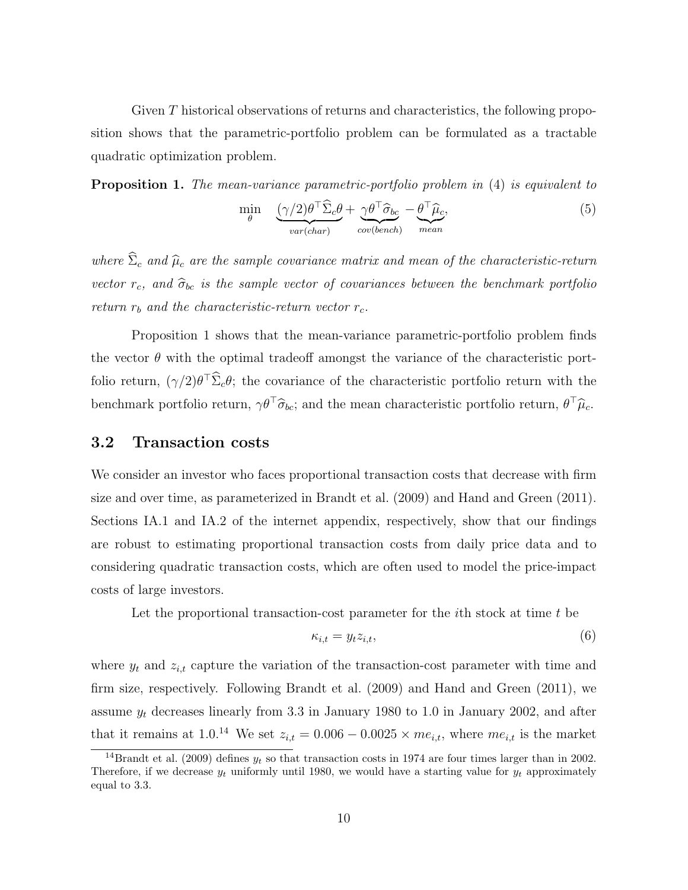Given T historical observations of returns and characteristics, the following proposition shows that the parametric-portfolio problem can be formulated as a tractable quadratic optimization problem.

**Proposition 1.** The mean-variance parametric-portfolio problem in (4) is equivalent to

$$
\min_{\theta} \quad \underbrace{(\gamma/2)\theta^{\top}\widehat{\Sigma}_{c}\theta}_{var(char)} + \underbrace{\gamma\theta^{\top}\widehat{\sigma}_{bc}}_{cov(bench)} - \underbrace{\theta^{\top}\widehat{\mu}_{c}}_{mean},
$$
\n(5)

where  $\widehat{\Sigma}_c$  and  $\widehat{\mu}_c$  are the sample covariance matrix and mean of the characteristic-return vector  $r_c$ , and  $\hat{\sigma}_{bc}$  is the sample vector of covariances between the benchmark portfolio return  $r_b$  and the characteristic-return vector  $r_c$ .

Proposition 1 shows that the mean-variance parametric-portfolio problem finds the vector  $\theta$  with the optimal tradeoff amongst the variance of the characteristic portfolio return,  $(\gamma/2)\theta^{\dagger}\Sigma_c\theta$ ; the covariance of the characteristic portfolio return with the benchmark portfolio return,  $\gamma\theta^{\dagger}\hat{\sigma}_{bc}$ ; and the mean characteristic portfolio return,  $\theta^{\dagger}\hat{\mu}_c$ .

### 3.2 Transaction costs

We consider an investor who faces proportional transaction costs that decrease with firm size and over time, as parameterized in Brandt et al. (2009) and Hand and Green (2011). Sections IA.1 and IA.2 of the internet appendix, respectively, show that our findings are robust to estimating proportional transaction costs from daily price data and to considering quadratic transaction costs, which are often used to model the price-impact costs of large investors.

Let the proportional transaction-cost parameter for the *i*th stock at time t be

$$
\kappa_{i,t} = y_t z_{i,t},\tag{6}
$$

where  $y_t$  and  $z_{i,t}$  capture the variation of the transaction-cost parameter with time and firm size, respectively. Following Brandt et al. (2009) and Hand and Green (2011), we assume  $y_t$  decreases linearly from 3.3 in January 1980 to 1.0 in January 2002, and after that it remains at 1.0.<sup>14</sup> We set  $z_{i,t} = 0.006 - 0.0025 \times me_{i,t}$ , where  $me_{i,t}$  is the market

<sup>&</sup>lt;sup>14</sup>Brandt et al. (2009) defines  $y_t$  so that transaction costs in 1974 are four times larger than in 2002. Therefore, if we decrease  $y_t$  uniformly until 1980, we would have a starting value for  $y_t$  approximately equal to 3.3.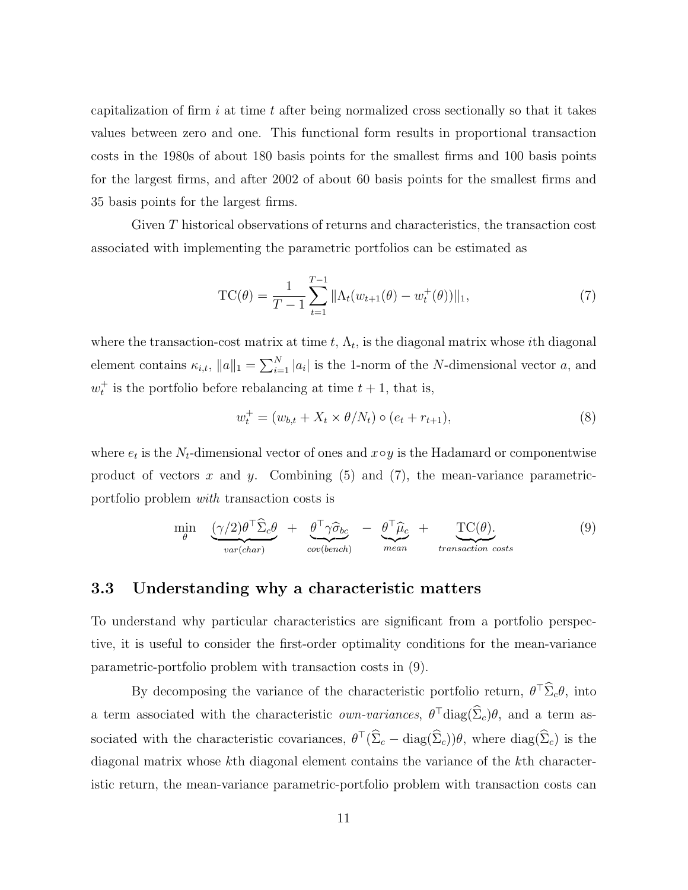capitalization of firm i at time t after being normalized cross sectionally so that it takes values between zero and one. This functional form results in proportional transaction costs in the 1980s of about 180 basis points for the smallest firms and 100 basis points for the largest firms, and after 2002 of about 60 basis points for the smallest firms and 35 basis points for the largest firms.

Given T historical observations of returns and characteristics, the transaction cost associated with implementing the parametric portfolios can be estimated as

$$
TC(\theta) = \frac{1}{T - 1} \sum_{t=1}^{T-1} \|\Lambda_t(w_{t+1}(\theta) - w_t^+(\theta))\|_1,
$$
\n(7)

where the transaction-cost matrix at time  $t$ ,  $\Lambda_t$ , is the diagonal matrix whose *i*th diagonal element contains  $\kappa_{i,t}$ ,  $||a||_1 = \sum_{i=1}^{N} |a_i|$  is the 1-norm of the N-dimensional vector a, and  $w_t^+$  is the portfolio before rebalancing at time  $t + 1$ , that is,

$$
w_t^+ = (w_{b,t} + X_t \times \theta/N_t) \circ (e_t + r_{t+1}),
$$
\n(8)

where  $e_t$  is the  $N_t$ -dimensional vector of ones and  $x \circ y$  is the Hadamard or componentwise product of vectors x and y. Combining  $(5)$  and  $(7)$ , the mean-variance parametricportfolio problem with transaction costs is

$$
\min_{\theta} \quad \underbrace{(\gamma/2)\theta^{\top}\widehat{\Sigma}_{c}\theta}_{var(char)} + \underbrace{\theta^{\top}\gamma\widehat{\sigma}_{bc}}_{cov(bench)} - \underbrace{\theta^{\top}\widehat{\mu}_{c}}_{mean} + \underbrace{\text{TC}(\theta)}_{transaction costs}.
$$
\n(9)

### 3.3 Understanding why a characteristic matters

To understand why particular characteristics are significant from a portfolio perspective, it is useful to consider the first-order optimality conditions for the mean-variance parametric-portfolio problem with transaction costs in (9).

By decomposing the variance of the characteristic portfolio return,  $\theta^{\dagger} \Sigma_c \theta$ , into a term associated with the characteristic *own-variances*,  $\theta$ <sup> $\cdot$ </sup> diag( $\Sigma_c$ ) $\theta$ , and a term associated with the characteristic covariances,  $\theta^{\dagger}(\Sigma_c - \text{diag}(\Sigma_c))\theta$ , where  $\text{diag}(\Sigma_c)$  is the diagonal matrix whose kth diagonal element contains the variance of the kth characteristic return, the mean-variance parametric-portfolio problem with transaction costs can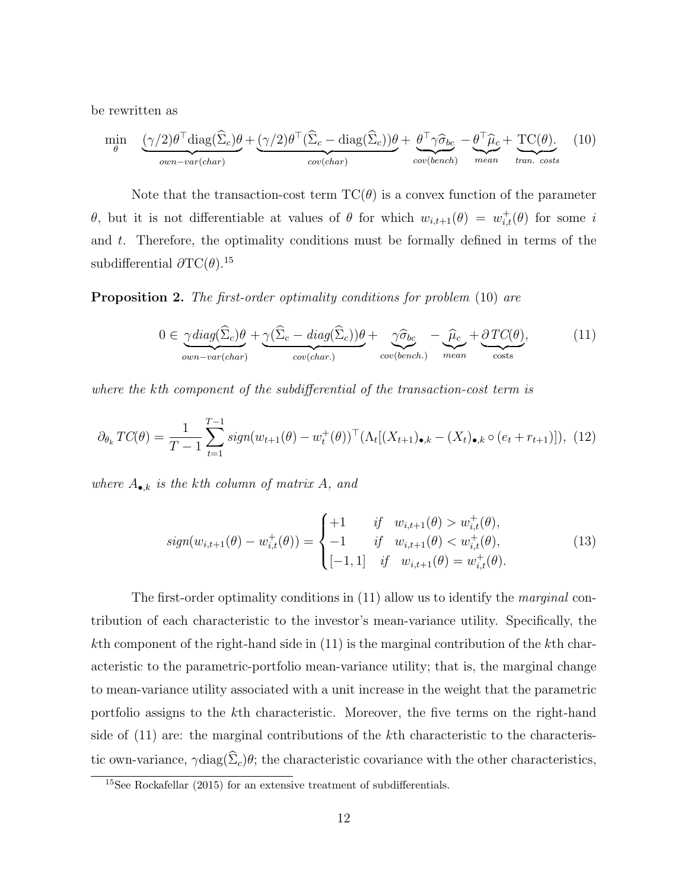be rewritten as

$$
\min_{\theta} \quad \underbrace{(\gamma/2)\theta^{\top} \text{diag}(\hat{\Sigma}_{c})\theta}_{own-var(char)} + \underbrace{(\gamma/2)\theta^{\top}(\hat{\Sigma}_{c} - \text{diag}(\hat{\Sigma}_{c}))\theta}_{cov(char)} + \underbrace{\theta^{\top}\gamma\hat{\sigma}_{bc}}_{cov(bench)} - \underbrace{\theta^{\top}\hat{\mu}_{c}}_{mean} + \underbrace{\text{TC}(\theta)}_{tran. \ costs} \tag{10}
$$

Note that the transaction-cost term  $TC(\theta)$  is a convex function of the parameter θ, but it is not differentiable at values of θ for which  $w_{i,t+1}(\theta) = w_{i,t}^{+}(\theta)$  for some i and t. Therefore, the optimality conditions must be formally defined in terms of the subdifferential  $\partial \text{TC}(\theta)$ .<sup>15</sup>

Proposition 2. The first-order optimality conditions for problem (10) are

$$
0 \in \underbrace{\gamma \operatorname{diag}(\widehat{\Sigma}_c)\theta}_{\operatorname{own-var}(\operatorname{char})} + \underbrace{\gamma(\widehat{\Sigma}_c - \operatorname{diag}(\widehat{\Sigma}_c))\theta}_{\operatorname{cov}(\operatorname{char.})} + \underbrace{\gamma\widehat{\sigma}_{bc}}_{\operatorname{cov}(\operatorname{bench.})} - \underbrace{\widehat{\mu}_c}_{\operatorname{mean}} + \underbrace{\partial \operatorname{TC}(\theta)}_{\operatorname{costs}},\tag{11}
$$

where the kth component of the subdifferential of the transaction-cost term is

$$
\partial_{\theta_k} TC(\theta) = \frac{1}{T-1} \sum_{t=1}^{T-1} sign(w_{t+1}(\theta) - w_t^+(\theta))^{\top} (\Lambda_t[(X_{t+1})_{\bullet,k} - (X_t)_{\bullet,k} \circ (e_t + r_{t+1})]), \tag{12}
$$

where  $A_{\bullet,k}$  is the kth column of matrix A, and

$$
sign(w_{i,t+1}(\theta) - w_{i,t}^+(\theta)) = \begin{cases} +1 & \text{if} \quad w_{i,t+1}(\theta) > w_{i,t}^+(\theta), \\ -1 & \text{if} \quad w_{i,t+1}(\theta) < w_{i,t}^+(\theta), \\ [-1,1] & \text{if} \quad w_{i,t+1}(\theta) = w_{i,t}^+(\theta). \end{cases}
$$
(13)

The first-order optimality conditions in (11) allow us to identify the *marginal* contribution of each characteristic to the investor's mean-variance utility. Specifically, the kth component of the right-hand side in  $(11)$  is the marginal contribution of the kth characteristic to the parametric-portfolio mean-variance utility; that is, the marginal change to mean-variance utility associated with a unit increase in the weight that the parametric portfolio assigns to the kth characteristic. Moreover, the five terms on the right-hand side of  $(11)$  are: the marginal contributions of the k<sup>th</sup> characteristic to the characteristic own-variance,  $\gamma \text{diag}(\hat{\Sigma}_c) \theta$ ; the characteristic covariance with the other characteristics,

 $\frac{15}{15}$ See Rockafellar (2015) for an extensive treatment of subdifferentials.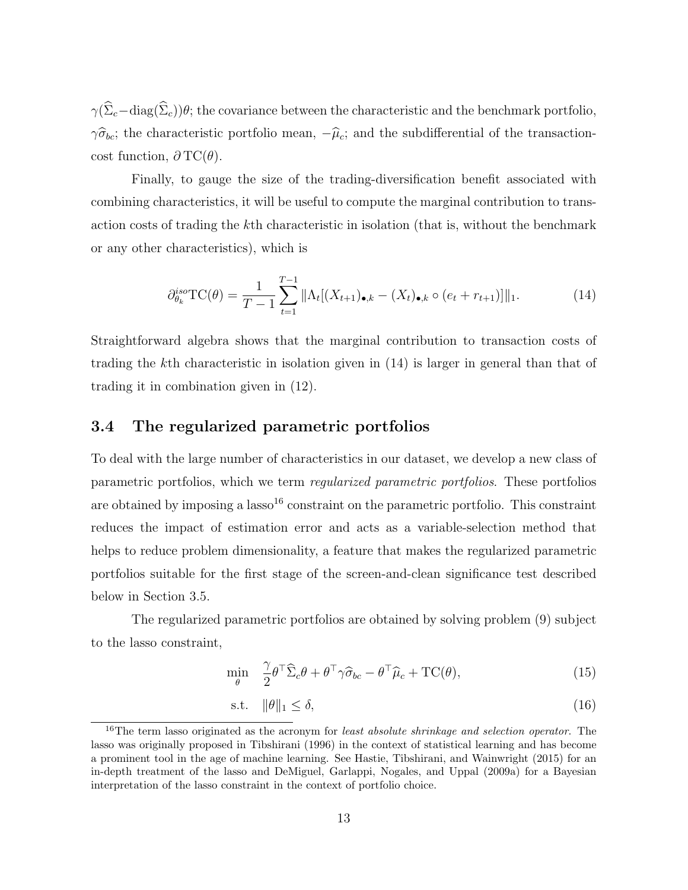$\gamma(\widehat{\Sigma}_c-\text{diag}(\widehat{\Sigma}_c))\theta$ ; the covariance between the characteristic and the benchmark portfolio,  $\gamma \hat{\sigma}_{bc}$ ; the characteristic portfolio mean,  $-\hat{\mu}_c$ ; and the subdifferential of the transactioncost function,  $\partial \text{TC}(\theta)$ .

Finally, to gauge the size of the trading-diversification benefit associated with combining characteristics, it will be useful to compute the marginal contribution to transaction costs of trading the kth characteristic in isolation (that is, without the benchmark or any other characteristics), which is

$$
\partial_{\theta_k}^{iso} \text{TC}(\theta) = \frac{1}{T-1} \sum_{t=1}^{T-1} \|\Lambda_t[(X_{t+1})_{\bullet,k} - (X_t)_{\bullet,k} \circ (e_t + r_{t+1})]\|_1.
$$
 (14)

Straightforward algebra shows that the marginal contribution to transaction costs of trading the kth characteristic in isolation given in (14) is larger in general than that of trading it in combination given in (12).

### 3.4 The regularized parametric portfolios

To deal with the large number of characteristics in our dataset, we develop a new class of parametric portfolios, which we term regularized parametric portfolios. These portfolios are obtained by imposing a lasso<sup>16</sup> constraint on the parametric portfolio. This constraint reduces the impact of estimation error and acts as a variable-selection method that helps to reduce problem dimensionality, a feature that makes the regularized parametric portfolios suitable for the first stage of the screen-and-clean significance test described below in Section 3.5.

The regularized parametric portfolios are obtained by solving problem (9) subject to the lasso constraint,

$$
\min_{\theta} \quad \frac{\gamma}{2} \theta^{\top} \widehat{\Sigma}_c \theta + \theta^{\top} \gamma \widehat{\sigma}_{bc} - \theta^{\top} \widehat{\mu}_c + \text{TC}(\theta), \tag{15}
$$

$$
\text{s.t.} \quad \|\theta\|_1 \le \delta,\tag{16}
$$

 $16$ The term lasso originated as the acronym for least absolute shrinkage and selection operator. The lasso was originally proposed in Tibshirani (1996) in the context of statistical learning and has become a prominent tool in the age of machine learning. See Hastie, Tibshirani, and Wainwright (2015) for an in-depth treatment of the lasso and DeMiguel, Garlappi, Nogales, and Uppal (2009a) for a Bayesian interpretation of the lasso constraint in the context of portfolio choice.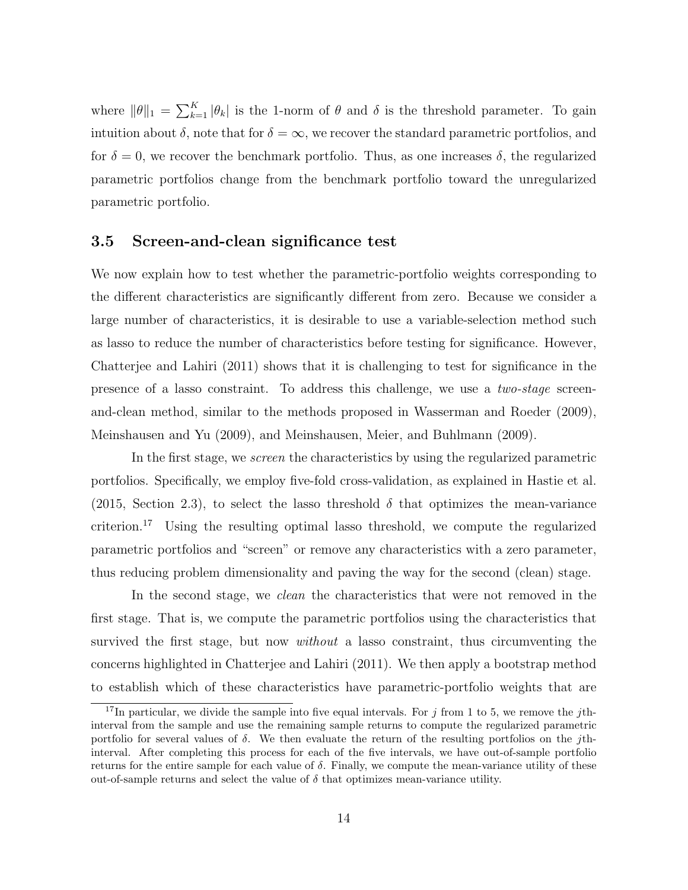where  $\|\theta\|_1 = \sum_{k=1}^K |\theta_k|$  is the 1-norm of  $\theta$  and  $\delta$  is the threshold parameter. To gain intuition about  $\delta$ , note that for  $\delta = \infty$ , we recover the standard parametric portfolios, and for  $\delta = 0$ , we recover the benchmark portfolio. Thus, as one increases  $\delta$ , the regularized parametric portfolios change from the benchmark portfolio toward the unregularized parametric portfolio.

### 3.5 Screen-and-clean significance test

We now explain how to test whether the parametric-portfolio weights corresponding to the different characteristics are significantly different from zero. Because we consider a large number of characteristics, it is desirable to use a variable-selection method such as lasso to reduce the number of characteristics before testing for significance. However, Chatterjee and Lahiri (2011) shows that it is challenging to test for significance in the presence of a lasso constraint. To address this challenge, we use a two-stage screenand-clean method, similar to the methods proposed in Wasserman and Roeder (2009), Meinshausen and Yu (2009), and Meinshausen, Meier, and Buhlmann (2009).

In the first stage, we screen the characteristics by using the regularized parametric portfolios. Specifically, we employ five-fold cross-validation, as explained in Hastie et al. (2015, Section 2.3), to select the lasso threshold  $\delta$  that optimizes the mean-variance criterion.<sup>17</sup> Using the resulting optimal lasso threshold, we compute the regularized parametric portfolios and "screen" or remove any characteristics with a zero parameter, thus reducing problem dimensionality and paving the way for the second (clean) stage.

In the second stage, we clean the characteristics that were not removed in the first stage. That is, we compute the parametric portfolios using the characteristics that survived the first stage, but now *without* a lasso constraint, thus circumventing the concerns highlighted in Chatterjee and Lahiri (2011). We then apply a bootstrap method to establish which of these characteristics have parametric-portfolio weights that are

<sup>&</sup>lt;sup>17</sup>In particular, we divide the sample into five equal intervals. For j from 1 to 5, we remove the jthinterval from the sample and use the remaining sample returns to compute the regularized parametric portfolio for several values of  $\delta$ . We then evaluate the return of the resulting portfolios on the *j*thinterval. After completing this process for each of the five intervals, we have out-of-sample portfolio returns for the entire sample for each value of  $\delta$ . Finally, we compute the mean-variance utility of these out-of-sample returns and select the value of  $\delta$  that optimizes mean-variance utility.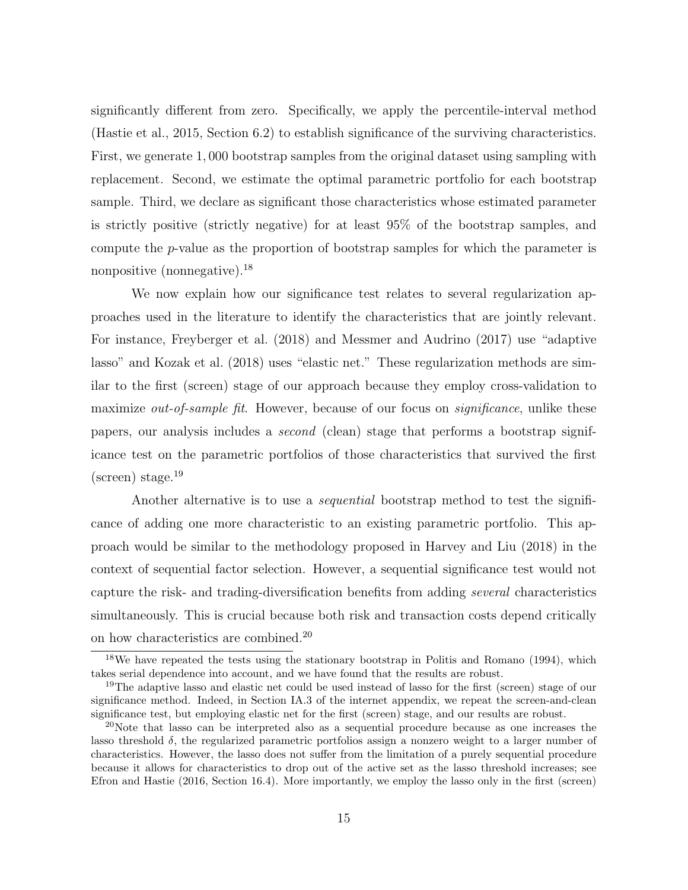significantly different from zero. Specifically, we apply the percentile-interval method (Hastie et al., 2015, Section 6.2) to establish significance of the surviving characteristics. First, we generate 1, 000 bootstrap samples from the original dataset using sampling with replacement. Second, we estimate the optimal parametric portfolio for each bootstrap sample. Third, we declare as significant those characteristics whose estimated parameter is strictly positive (strictly negative) for at least 95% of the bootstrap samples, and compute the p-value as the proportion of bootstrap samples for which the parameter is nonpositive (nonnegative).<sup>18</sup>

We now explain how our significance test relates to several regularization approaches used in the literature to identify the characteristics that are jointly relevant. For instance, Freyberger et al. (2018) and Messmer and Audrino (2017) use "adaptive lasso" and Kozak et al. (2018) uses "elastic net." These regularization methods are similar to the first (screen) stage of our approach because they employ cross-validation to maximize *out-of-sample fit*. However, because of our focus on *significance*, unlike these papers, our analysis includes a second (clean) stage that performs a bootstrap significance test on the parametric portfolios of those characteristics that survived the first (screen) stage.<sup>19</sup>

Another alternative is to use a sequential bootstrap method to test the significance of adding one more characteristic to an existing parametric portfolio. This approach would be similar to the methodology proposed in Harvey and Liu (2018) in the context of sequential factor selection. However, a sequential significance test would not capture the risk- and trading-diversification benefits from adding several characteristics simultaneously. This is crucial because both risk and transaction costs depend critically on how characteristics are combined.<sup>20</sup>

 $18$ We have repeated the tests using the stationary bootstrap in Politis and Romano (1994), which takes serial dependence into account, and we have found that the results are robust.

<sup>&</sup>lt;sup>19</sup>The adaptive lasso and elastic net could be used instead of lasso for the first (screen) stage of our significance method. Indeed, in Section IA.3 of the internet appendix, we repeat the screen-and-clean significance test, but employing elastic net for the first (screen) stage, and our results are robust.

<sup>20</sup>Note that lasso can be interpreted also as a sequential procedure because as one increases the lasso threshold  $\delta$ , the regularized parametric portfolios assign a nonzero weight to a larger number of characteristics. However, the lasso does not suffer from the limitation of a purely sequential procedure because it allows for characteristics to drop out of the active set as the lasso threshold increases; see Efron and Hastie (2016, Section 16.4). More importantly, we employ the lasso only in the first (screen)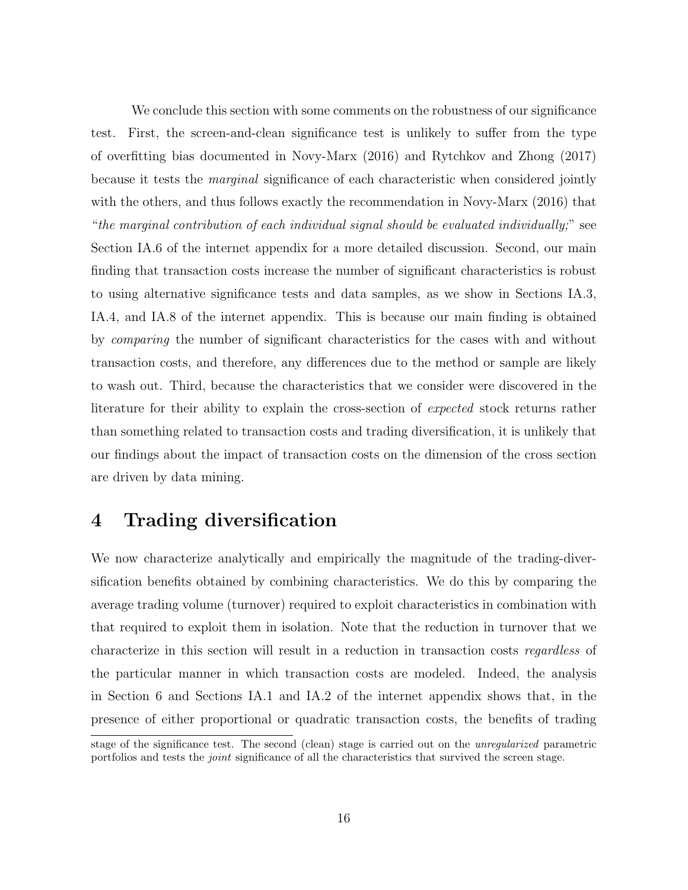We conclude this section with some comments on the robustness of our significance test. First, the screen-and-clean significance test is unlikely to suffer from the type of overfitting bias documented in Novy-Marx (2016) and Rytchkov and Zhong (2017) because it tests the marginal significance of each characteristic when considered jointly with the others, and thus follows exactly the recommendation in Novy-Marx (2016) that "the marginal contribution of each individual signal should be evaluated individually;" see Section IA.6 of the internet appendix for a more detailed discussion. Second, our main finding that transaction costs increase the number of significant characteristics is robust to using alternative significance tests and data samples, as we show in Sections IA.3, IA.4, and IA.8 of the internet appendix. This is because our main finding is obtained by comparing the number of significant characteristics for the cases with and without transaction costs, and therefore, any differences due to the method or sample are likely to wash out. Third, because the characteristics that we consider were discovered in the literature for their ability to explain the cross-section of expected stock returns rather than something related to transaction costs and trading diversification, it is unlikely that our findings about the impact of transaction costs on the dimension of the cross section are driven by data mining.

# 4 Trading diversification

We now characterize analytically and empirically the magnitude of the trading-diversification benefits obtained by combining characteristics. We do this by comparing the average trading volume (turnover) required to exploit characteristics in combination with that required to exploit them in isolation. Note that the reduction in turnover that we characterize in this section will result in a reduction in transaction costs regardless of the particular manner in which transaction costs are modeled. Indeed, the analysis in Section 6 and Sections IA.1 and IA.2 of the internet appendix shows that, in the presence of either proportional or quadratic transaction costs, the benefits of trading

stage of the significance test. The second (clean) stage is carried out on the unregularized parametric portfolios and tests the joint significance of all the characteristics that survived the screen stage.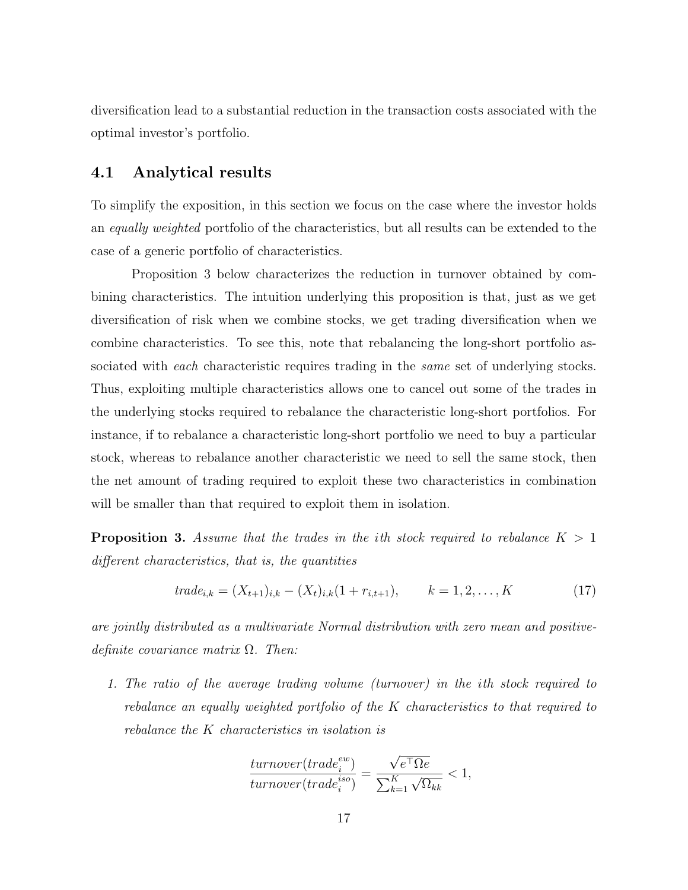diversification lead to a substantial reduction in the transaction costs associated with the optimal investor's portfolio.

### 4.1 Analytical results

To simplify the exposition, in this section we focus on the case where the investor holds an equally weighted portfolio of the characteristics, but all results can be extended to the case of a generic portfolio of characteristics.

Proposition 3 below characterizes the reduction in turnover obtained by combining characteristics. The intuition underlying this proposition is that, just as we get diversification of risk when we combine stocks, we get trading diversification when we combine characteristics. To see this, note that rebalancing the long-short portfolio associated with each characteristic requires trading in the *same* set of underlying stocks. Thus, exploiting multiple characteristics allows one to cancel out some of the trades in the underlying stocks required to rebalance the characteristic long-short portfolios. For instance, if to rebalance a characteristic long-short portfolio we need to buy a particular stock, whereas to rebalance another characteristic we need to sell the same stock, then the net amount of trading required to exploit these two characteristics in combination will be smaller than that required to exploit them in isolation.

**Proposition 3.** Assume that the trades in the ith stock required to rebalance  $K > 1$ different characteristics, that is, the quantities

$$
trade_{i,k} = (X_{t+1})_{i,k} - (X_t)_{i,k}(1 + r_{i,t+1}), \qquad k = 1, 2, \dots, K
$$
\n<sup>(17)</sup>

are jointly distributed as a multivariate Normal distribution with zero mean and positivedefinite covariance matrix  $\Omega$ . Then:

1. The ratio of the average trading volume (turnover) in the ith stock required to rebalance an equally weighted portfolio of the K characteristics to that required to rebalance the K characteristics in isolation is

$$
\frac{turnover(train_e^{ew})}{turnover(train_e^{iso})} = \frac{\sqrt{e^\top \Omega e}}{\sum_{k=1}^K \sqrt{\Omega_{kk}}} < 1,
$$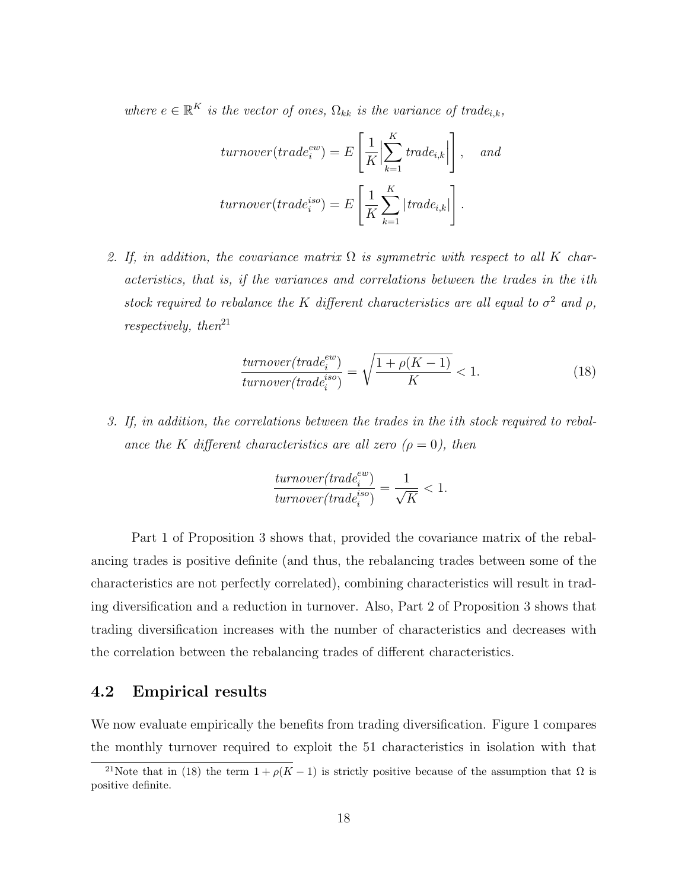where  $e \in \mathbb{R}^K$  is the vector of ones,  $\Omega_{kk}$  is the variance of trade<sub>i,k</sub>,

$$
turnovertrace_i^{ew}) = E\left[\frac{1}{K} \Big| \sum_{k=1}^{K} trade_{i,k} \Big| \right], \quad and
$$

$$
turnovertrace_i^{iso}) = E\left[\frac{1}{K} \sum_{k=1}^{K} | trade_{i,k}| \right].
$$

2. If, in addition, the covariance matrix  $\Omega$  is symmetric with respect to all K characteristics, that is, if the variances and correlations between the trades in the ith stock required to rebalance the K different characteristics are all equal to  $\sigma^2$  and  $\rho$ , respectively, then<sup>21</sup>

$$
\frac{turnover(trainde_i^{ew})}{turnover(trainde_i^{iso})} = \sqrt{\frac{1 + \rho(K - 1)}{K}} < 1.
$$
\n(18)

3. If, in addition, the correlations between the trades in the ith stock required to rebalance the K different characteristics are all zero  $(\rho = 0)$ , then

$$
\frac{turnover(trainde_i^{ew})}{turnover(trainde_i^{iso})} = \frac{1}{\sqrt{K}} < 1.
$$

Part 1 of Proposition 3 shows that, provided the covariance matrix of the rebalancing trades is positive definite (and thus, the rebalancing trades between some of the characteristics are not perfectly correlated), combining characteristics will result in trading diversification and a reduction in turnover. Also, Part 2 of Proposition 3 shows that trading diversification increases with the number of characteristics and decreases with the correlation between the rebalancing trades of different characteristics.

### 4.2 Empirical results

We now evaluate empirically the benefits from trading diversification. Figure 1 compares the monthly turnover required to exploit the 51 characteristics in isolation with that

<sup>&</sup>lt;sup>21</sup>Note that in (18) the term  $1 + \rho(K-1)$  is strictly positive because of the assumption that  $\Omega$  is positive definite.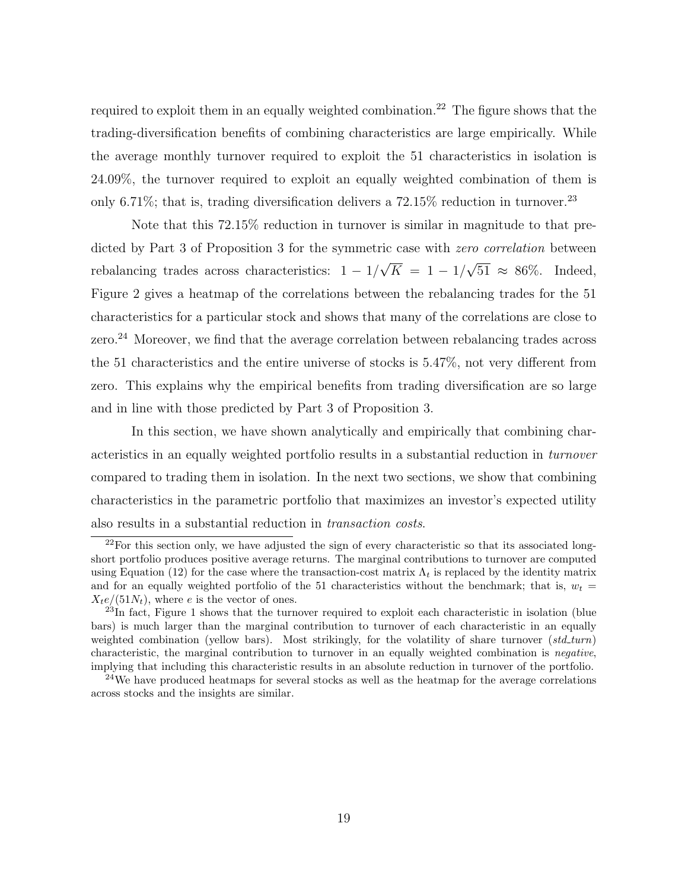required to exploit them in an equally weighted combination.<sup>22</sup> The figure shows that the trading-diversification benefits of combining characteristics are large empirically. While the average monthly turnover required to exploit the 51 characteristics in isolation is 24.09%, the turnover required to exploit an equally weighted combination of them is only 6.71%; that is, trading diversification delivers a  $72.15\%$  reduction in turnover.<sup>23</sup>

Note that this 72.15% reduction in turnover is similar in magnitude to that predicted by Part 3 of Proposition 3 for the symmetric case with *zero correlation* between rebalancing trades across characteristics:  $1 - 1/\sqrt{K} = 1 - 1/\sqrt{51} \approx 86\%$ . Indeed, Figure 2 gives a heatmap of the correlations between the rebalancing trades for the 51 characteristics for a particular stock and shows that many of the correlations are close to zero.<sup>24</sup> Moreover, we find that the average correlation between rebalancing trades across the 51 characteristics and the entire universe of stocks is 5.47%, not very different from zero. This explains why the empirical benefits from trading diversification are so large and in line with those predicted by Part 3 of Proposition 3.

In this section, we have shown analytically and empirically that combining characteristics in an equally weighted portfolio results in a substantial reduction in turnover compared to trading them in isolation. In the next two sections, we show that combining characteristics in the parametric portfolio that maximizes an investor's expected utility also results in a substantial reduction in transaction costs.

<sup>&</sup>lt;sup>22</sup>For this section only, we have adjusted the sign of every characteristic so that its associated longshort portfolio produces positive average returns. The marginal contributions to turnover are computed using Equation (12) for the case where the transaction-cost matrix  $\Lambda_t$  is replaced by the identity matrix and for an equally weighted portfolio of the 51 characteristics without the benchmark; that is,  $w_t =$  $X_t e/(51N_t)$ , where e is the vector of ones.

 $^{23}$ In fact, Figure 1 shows that the turnover required to exploit each characteristic in isolation (blue bars) is much larger than the marginal contribution to turnover of each characteristic in an equally weighted combination (yellow bars). Most strikingly, for the volatility of share turnover  $(std\_turn)$ characteristic, the marginal contribution to turnover in an equally weighted combination is negative, implying that including this characteristic results in an absolute reduction in turnover of the portfolio.

 $24$ We have produced heatmaps for several stocks as well as the heatmap for the average correlations across stocks and the insights are similar.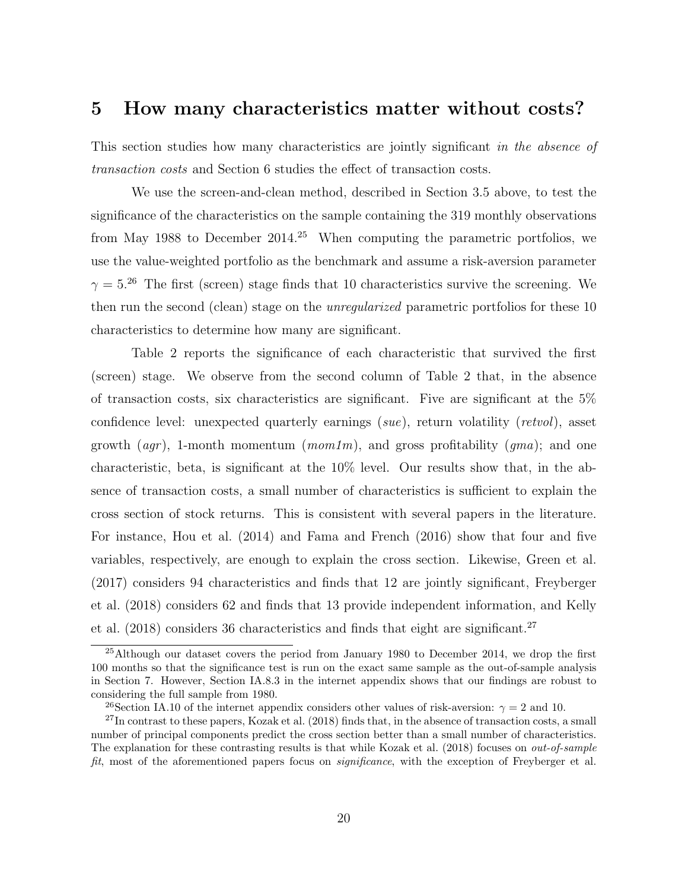### 5 How many characteristics matter without costs?

This section studies how many characteristics are jointly significant in the absence of transaction costs and Section 6 studies the effect of transaction costs.

We use the screen-and-clean method, described in Section 3.5 above, to test the significance of the characteristics on the sample containing the 319 monthly observations from May 1988 to December  $2014.<sup>25</sup>$  When computing the parametric portfolios, we use the value-weighted portfolio as the benchmark and assume a risk-aversion parameter  $\gamma = 5^{26}$  The first (screen) stage finds that 10 characteristics survive the screening. We then run the second (clean) stage on the unregularized parametric portfolios for these 10 characteristics to determine how many are significant.

Table 2 reports the significance of each characteristic that survived the first (screen) stage. We observe from the second column of Table 2 that, in the absence of transaction costs, six characteristics are significant. Five are significant at the 5% confidence level: unexpected quarterly earnings (sue), return volatility (retvol), asset growth  $(agr)$ , 1-month momentum  $(mom1m)$ , and gross profitability  $(gma)$ ; and one characteristic, beta, is significant at the 10% level. Our results show that, in the absence of transaction costs, a small number of characteristics is sufficient to explain the cross section of stock returns. This is consistent with several papers in the literature. For instance, Hou et al. (2014) and Fama and French (2016) show that four and five variables, respectively, are enough to explain the cross section. Likewise, Green et al. (2017) considers 94 characteristics and finds that 12 are jointly significant, Freyberger et al. (2018) considers 62 and finds that 13 provide independent information, and Kelly et al.  $(2018)$  considers 36 characteristics and finds that eight are significant.<sup>27</sup>

 $25$ Although our dataset covers the period from January 1980 to December 2014, we drop the first 100 months so that the significance test is run on the exact same sample as the out-of-sample analysis in Section 7. However, Section IA.8.3 in the internet appendix shows that our findings are robust to considering the full sample from 1980.

<sup>&</sup>lt;sup>26</sup>Section IA.10 of the internet appendix considers other values of risk-aversion:  $\gamma = 2$  and 10.

 $^{27}$ In contrast to these papers, Kozak et al. (2018) finds that, in the absence of transaction costs, a small number of principal components predict the cross section better than a small number of characteristics. The explanation for these contrasting results is that while Kozak et al.  $(2018)$  focuses on *out-of-sample* fit, most of the aforementioned papers focus on significance, with the exception of Freyberger et al.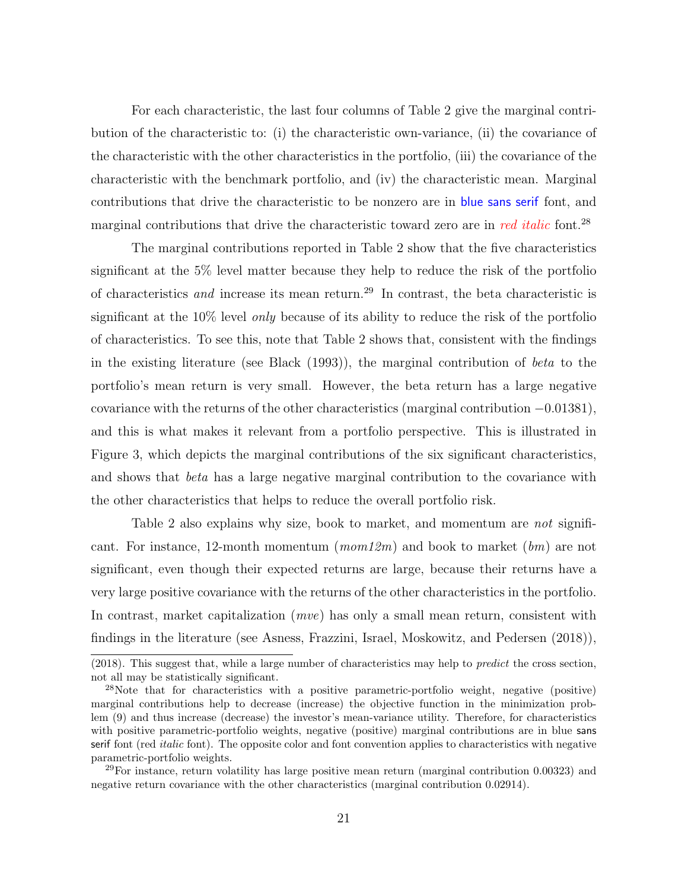For each characteristic, the last four columns of Table 2 give the marginal contribution of the characteristic to: (i) the characteristic own-variance, (ii) the covariance of the characteristic with the other characteristics in the portfolio, (iii) the covariance of the characteristic with the benchmark portfolio, and (iv) the characteristic mean. Marginal contributions that drive the characteristic to be nonzero are in blue sans serif font, and marginal contributions that drive the characteristic toward zero are in *red italic* font.<sup>28</sup>

The marginal contributions reported in Table 2 show that the five characteristics significant at the 5% level matter because they help to reduce the risk of the portfolio of characteristics and increase its mean return.<sup>29</sup> In contrast, the beta characteristic is significant at the  $10\%$  level *only* because of its ability to reduce the risk of the portfolio of characteristics. To see this, note that Table 2 shows that, consistent with the findings in the existing literature (see Black (1993)), the marginal contribution of beta to the portfolio's mean return is very small. However, the beta return has a large negative covariance with the returns of the other characteristics (marginal contribution −0.01381), and this is what makes it relevant from a portfolio perspective. This is illustrated in Figure 3, which depicts the marginal contributions of the six significant characteristics, and shows that *beta* has a large negative marginal contribution to the covariance with the other characteristics that helps to reduce the overall portfolio risk.

Table 2 also explains why size, book to market, and momentum are not significant. For instance, 12-month momentum  $(mom12m)$  and book to market  $(bm)$  are not significant, even though their expected returns are large, because their returns have a very large positive covariance with the returns of the other characteristics in the portfolio. In contrast, market capitalization (mve) has only a small mean return, consistent with findings in the literature (see Asness, Frazzini, Israel, Moskowitz, and Pedersen (2018)),

<sup>29</sup>For instance, return volatility has large positive mean return (marginal contribution 0.00323) and negative return covariance with the other characteristics (marginal contribution 0.02914).

<sup>(2018).</sup> This suggest that, while a large number of characteristics may help to *predict* the cross section, not all may be statistically significant.

<sup>28</sup>Note that for characteristics with a positive parametric-portfolio weight, negative (positive) marginal contributions help to decrease (increase) the objective function in the minimization problem (9) and thus increase (decrease) the investor's mean-variance utility. Therefore, for characteristics with positive parametric-portfolio weights, negative (positive) marginal contributions are in blue sans serif font (red *italic* font). The opposite color and font convention applies to characteristics with negative parametric-portfolio weights.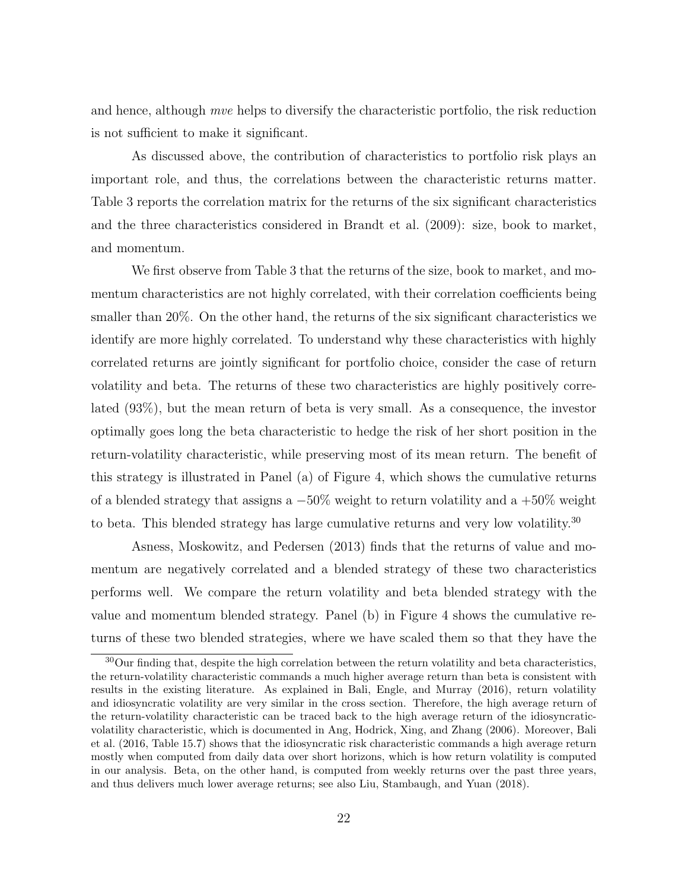and hence, although mve helps to diversify the characteristic portfolio, the risk reduction is not sufficient to make it significant.

As discussed above, the contribution of characteristics to portfolio risk plays an important role, and thus, the correlations between the characteristic returns matter. Table 3 reports the correlation matrix for the returns of the six significant characteristics and the three characteristics considered in Brandt et al. (2009): size, book to market, and momentum.

We first observe from Table 3 that the returns of the size, book to market, and momentum characteristics are not highly correlated, with their correlation coefficients being smaller than 20%. On the other hand, the returns of the six significant characteristics we identify are more highly correlated. To understand why these characteristics with highly correlated returns are jointly significant for portfolio choice, consider the case of return volatility and beta. The returns of these two characteristics are highly positively correlated (93%), but the mean return of beta is very small. As a consequence, the investor optimally goes long the beta characteristic to hedge the risk of her short position in the return-volatility characteristic, while preserving most of its mean return. The benefit of this strategy is illustrated in Panel (a) of Figure 4, which shows the cumulative returns of a blended strategy that assigns a  $-50\%$  weight to return volatility and a  $+50\%$  weight to beta. This blended strategy has large cumulative returns and very low volatility.<sup>30</sup>

Asness, Moskowitz, and Pedersen (2013) finds that the returns of value and momentum are negatively correlated and a blended strategy of these two characteristics performs well. We compare the return volatility and beta blended strategy with the value and momentum blended strategy. Panel (b) in Figure 4 shows the cumulative returns of these two blended strategies, where we have scaled them so that they have the

 $30$ Our finding that, despite the high correlation between the return volatility and beta characteristics, the return-volatility characteristic commands a much higher average return than beta is consistent with results in the existing literature. As explained in Bali, Engle, and Murray (2016), return volatility and idiosyncratic volatility are very similar in the cross section. Therefore, the high average return of the return-volatility characteristic can be traced back to the high average return of the idiosyncraticvolatility characteristic, which is documented in Ang, Hodrick, Xing, and Zhang (2006). Moreover, Bali et al. (2016, Table 15.7) shows that the idiosyncratic risk characteristic commands a high average return mostly when computed from daily data over short horizons, which is how return volatility is computed in our analysis. Beta, on the other hand, is computed from weekly returns over the past three years, and thus delivers much lower average returns; see also Liu, Stambaugh, and Yuan (2018).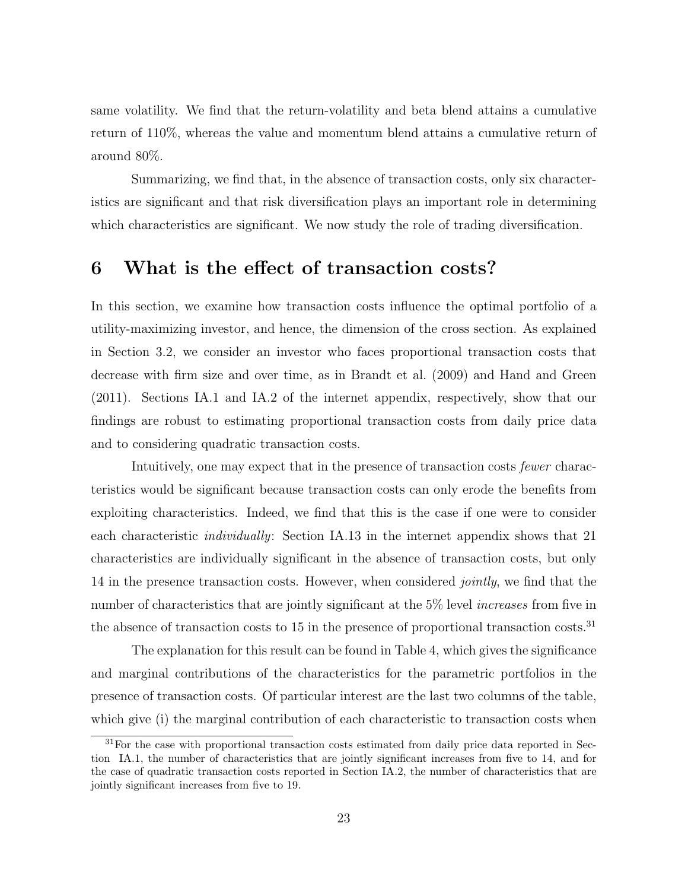same volatility. We find that the return-volatility and beta blend attains a cumulative return of 110%, whereas the value and momentum blend attains a cumulative return of around 80%.

Summarizing, we find that, in the absence of transaction costs, only six characteristics are significant and that risk diversification plays an important role in determining which characteristics are significant. We now study the role of trading diversification.

# 6 What is the effect of transaction costs?

In this section, we examine how transaction costs influence the optimal portfolio of a utility-maximizing investor, and hence, the dimension of the cross section. As explained in Section 3.2, we consider an investor who faces proportional transaction costs that decrease with firm size and over time, as in Brandt et al. (2009) and Hand and Green (2011). Sections IA.1 and IA.2 of the internet appendix, respectively, show that our findings are robust to estimating proportional transaction costs from daily price data and to considering quadratic transaction costs.

Intuitively, one may expect that in the presence of transaction costs fewer characteristics would be significant because transaction costs can only erode the benefits from exploiting characteristics. Indeed, we find that this is the case if one were to consider each characteristic *individually*: Section IA.13 in the internet appendix shows that 21 characteristics are individually significant in the absence of transaction costs, but only 14 in the presence transaction costs. However, when considered *jointly*, we find that the number of characteristics that are jointly significant at the 5% level increases from five in the absence of transaction costs to 15 in the presence of proportional transaction costs.<sup>31</sup>

The explanation for this result can be found in Table 4, which gives the significance and marginal contributions of the characteristics for the parametric portfolios in the presence of transaction costs. Of particular interest are the last two columns of the table, which give (i) the marginal contribution of each characteristic to transaction costs when

<sup>&</sup>lt;sup>31</sup>For the case with proportional transaction costs estimated from daily price data reported in Section IA.1, the number of characteristics that are jointly significant increases from five to 14, and for the case of quadratic transaction costs reported in Section IA.2, the number of characteristics that are jointly significant increases from five to 19.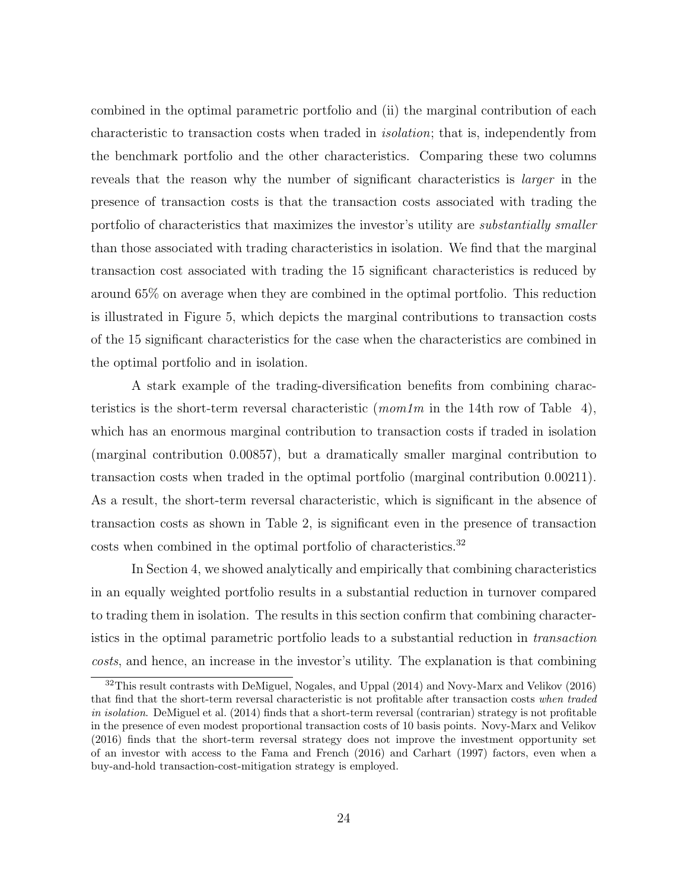combined in the optimal parametric portfolio and (ii) the marginal contribution of each characteristic to transaction costs when traded in isolation; that is, independently from the benchmark portfolio and the other characteristics. Comparing these two columns reveals that the reason why the number of significant characteristics is larger in the presence of transaction costs is that the transaction costs associated with trading the portfolio of characteristics that maximizes the investor's utility are substantially smaller than those associated with trading characteristics in isolation. We find that the marginal transaction cost associated with trading the 15 significant characteristics is reduced by around 65% on average when they are combined in the optimal portfolio. This reduction is illustrated in Figure 5, which depicts the marginal contributions to transaction costs of the 15 significant characteristics for the case when the characteristics are combined in the optimal portfolio and in isolation.

A stark example of the trading-diversification benefits from combining characteristics is the short-term reversal characteristic (mom $1m$  in the 14th row of Table 4), which has an enormous marginal contribution to transaction costs if traded in isolation (marginal contribution 0.00857), but a dramatically smaller marginal contribution to transaction costs when traded in the optimal portfolio (marginal contribution 0.00211). As a result, the short-term reversal characteristic, which is significant in the absence of transaction costs as shown in Table 2, is significant even in the presence of transaction costs when combined in the optimal portfolio of characteristics.<sup>32</sup>

In Section 4, we showed analytically and empirically that combining characteristics in an equally weighted portfolio results in a substantial reduction in turnover compared to trading them in isolation. The results in this section confirm that combining characteristics in the optimal parametric portfolio leads to a substantial reduction in transaction costs, and hence, an increase in the investor's utility. The explanation is that combining

<sup>32</sup>This result contrasts with DeMiguel, Nogales, and Uppal (2014) and Novy-Marx and Velikov (2016) that find that the short-term reversal characteristic is not profitable after transaction costs when traded in isolation. DeMiguel et al. (2014) finds that a short-term reversal (contrarian) strategy is not profitable in the presence of even modest proportional transaction costs of 10 basis points. Novy-Marx and Velikov (2016) finds that the short-term reversal strategy does not improve the investment opportunity set of an investor with access to the Fama and French (2016) and Carhart (1997) factors, even when a buy-and-hold transaction-cost-mitigation strategy is employed.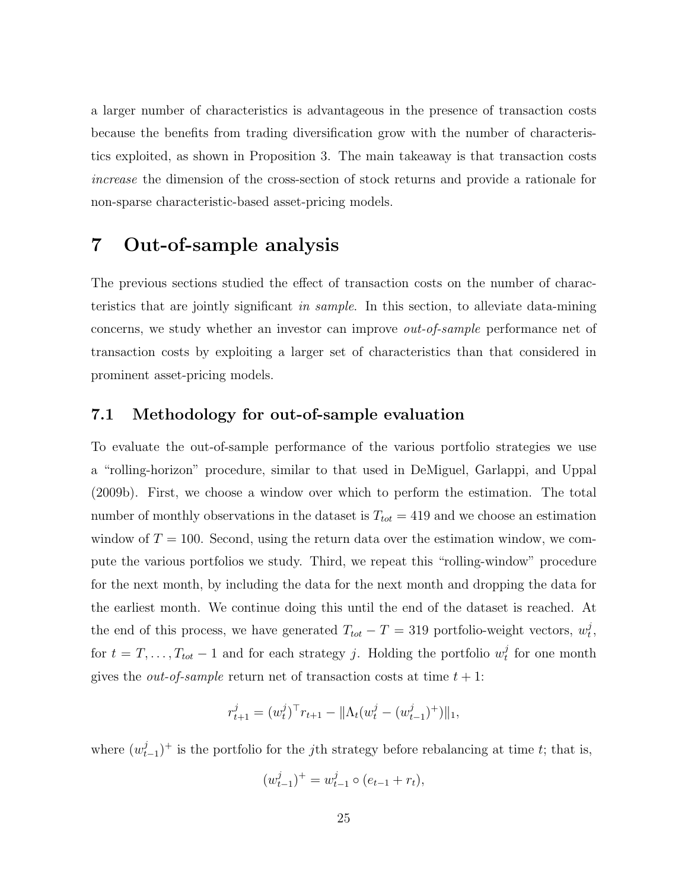a larger number of characteristics is advantageous in the presence of transaction costs because the benefits from trading diversification grow with the number of characteristics exploited, as shown in Proposition 3. The main takeaway is that transaction costs increase the dimension of the cross-section of stock returns and provide a rationale for non-sparse characteristic-based asset-pricing models.

# 7 Out-of-sample analysis

The previous sections studied the effect of transaction costs on the number of characteristics that are jointly significant in sample. In this section, to alleviate data-mining concerns, we study whether an investor can improve out-of-sample performance net of transaction costs by exploiting a larger set of characteristics than that considered in prominent asset-pricing models.

### 7.1 Methodology for out-of-sample evaluation

To evaluate the out-of-sample performance of the various portfolio strategies we use a "rolling-horizon" procedure, similar to that used in DeMiguel, Garlappi, and Uppal (2009b). First, we choose a window over which to perform the estimation. The total number of monthly observations in the dataset is  $T_{tot} = 419$  and we choose an estimation window of  $T = 100$ . Second, using the return data over the estimation window, we compute the various portfolios we study. Third, we repeat this "rolling-window" procedure for the next month, by including the data for the next month and dropping the data for the earliest month. We continue doing this until the end of the dataset is reached. At the end of this process, we have generated  $T_{tot} - T = 319$  portfolio-weight vectors,  $w_t^j$  $_t^j,$ for  $t = T, \ldots, T_{tot} - 1$  and for each strategy j. Holding the portfolio  $w_t^j$  $t \text{ for one month}$ gives the *out-of-sample* return net of transaction costs at time  $t + 1$ :

$$
r_{t+1}^j = (w_t^j)^\top r_{t+1} - \|\Lambda_t(w_t^j - (w_{t-1}^j)^\top)\|_1,
$$

where  $(w_t^j)$  $(t_{t-1})^+$  is the portfolio for the *j*th strategy before rebalancing at time t; that is,

$$
(w_{t-1}^j)^+ = w_{t-1}^j \circ (e_{t-1} + r_t),
$$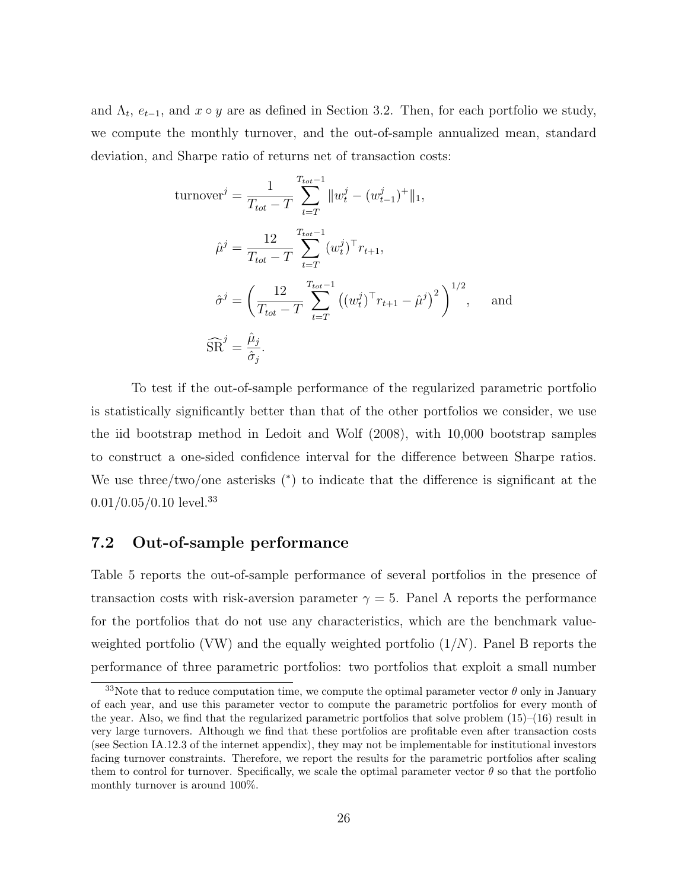and  $\Lambda_t$ ,  $e_{t-1}$ , and  $x \circ y$  are as defined in Section 3.2. Then, for each portfolio we study, we compute the monthly turnover, and the out-of-sample annualized mean, standard deviation, and Sharpe ratio of returns net of transaction costs:

turnover<sup>*j*</sup> = 
$$
\frac{1}{T_{tot} - T} \sum_{t=T}^{T_{tot} - 1} ||w_t^j - (w_{t-1}^j)^+||_1,
$$
  
\n
$$
\hat{\mu}^j = \frac{12}{T_{tot} - T} \sum_{t=T}^{T_{tot} - 1} (w_t^j)^T r_{t+1},
$$
\n
$$
\hat{\sigma}^j = \left(\frac{12}{T_{tot} - T} \sum_{t=T}^{T_{tot} - 1} ((w_t^j)^T r_{t+1} - \hat{\mu}^j)^2\right)^{1/2}, \text{ and}
$$
\n
$$
\widehat{\text{SR}}^j = \frac{\hat{\mu}_j}{\hat{\sigma}_j}.
$$

To test if the out-of-sample performance of the regularized parametric portfolio is statistically significantly better than that of the other portfolios we consider, we use the iid bootstrap method in Ledoit and Wolf (2008), with 10,000 bootstrap samples to construct a one-sided confidence interval for the difference between Sharpe ratios. We use three/two/one asterisks (<sup>∗</sup> ) to indicate that the difference is significant at the  $0.01/0.05/0.10$  level.<sup>33</sup>

### 7.2 Out-of-sample performance

Table 5 reports the out-of-sample performance of several portfolios in the presence of transaction costs with risk-aversion parameter  $\gamma = 5$ . Panel A reports the performance for the portfolios that do not use any characteristics, which are the benchmark valueweighted portfolio (VW) and the equally weighted portfolio  $(1/N)$ . Panel B reports the performance of three parametric portfolios: two portfolios that exploit a small number

<sup>&</sup>lt;sup>33</sup>Note that to reduce computation time, we compute the optimal parameter vector  $\theta$  only in January of each year, and use this parameter vector to compute the parametric portfolios for every month of the year. Also, we find that the regularized parametric portfolios that solve problem (15)–(16) result in very large turnovers. Although we find that these portfolios are profitable even after transaction costs (see Section IA.12.3 of the internet appendix), they may not be implementable for institutional investors facing turnover constraints. Therefore, we report the results for the parametric portfolios after scaling them to control for turnover. Specifically, we scale the optimal parameter vector  $\theta$  so that the portfolio monthly turnover is around 100%.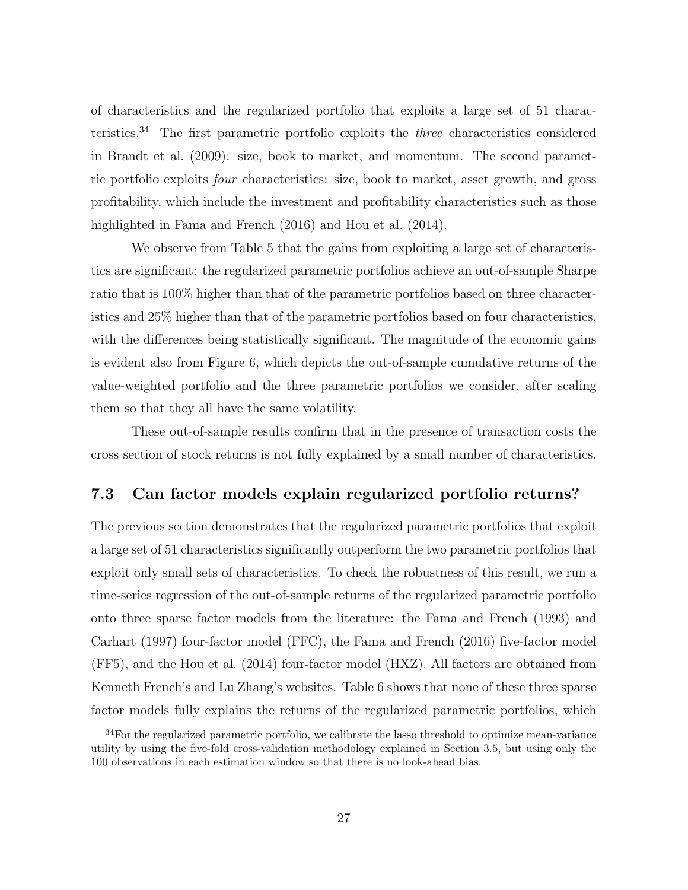of characteristics and the regularized portfolio that exploits a large set of 51 characteristics.<sup>34</sup> The first parametric portfolio exploits the three characteristics considered in Brandt et al. (2009): size, book to market, and momentum. The second parametric portfolio exploits four characteristics: size, book to market, asset growth, and gross profitability, which include the investment and profitability characteristics such as those highlighted in Fama and French (2016) and Hou et al. (2014).

We observe from Table 5 that the gains from exploiting a large set of characteristics are significant: the regularized parametric portfolios achieve an out-of-sample Sharpe ratio that is 100% higher than that of the parametric portfolios based on three characteristics and 25% higher than that of the parametric portfolios based on four characteristics, with the differences being statistically significant. The magnitude of the economic gains is evident also from Figure 6, which depicts the out-of-sample cumulative returns of the value-weighted portfolio and the three parametric portfolios we consider, after scaling them so that they all have the same volatility.

These out-of-sample results confirm that in the presence of transaction costs the cross section of stock returns is not fully explained by a small number of characteristics.

### 7.3 Can factor models explain regularized portfolio returns?

The previous section demonstrates that the regularized parametric portfolios that exploit a large set of 51 characteristics significantly outperform the two parametric portfolios that exploit only small sets of characteristics. To check the robustness of this result, we run a time-series regression of the out-of-sample returns of the regularized parametric portfolio onto three sparse factor models from the literature: the Fama and French (1993) and Carhart (1997) four-factor model (FFC), the Fama and French (2016) five-factor model (FF5), and the Hou et al. (2014) four-factor model (HXZ). All factors are obtained from Kenneth French's and Lu Zhang's websites. Table 6 shows that none of these three sparse factor models fully explains the returns of the regularized parametric portfolios, which

<sup>&</sup>lt;sup>34</sup>For the regularized parametric portfolio, we calibrate the lasso threshold to optimize mean-variance utility by using the five-fold cross-validation methodology explained in Section 3.5, but using only the 100 observations in each estimation window so that there is no look-ahead bias.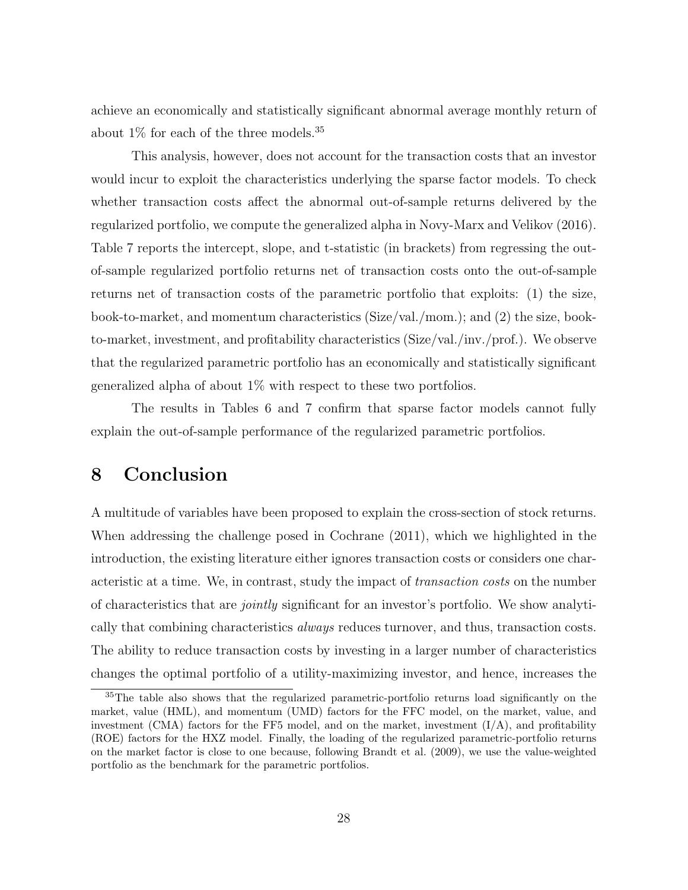achieve an economically and statistically significant abnormal average monthly return of about  $1\%$  for each of the three models.<sup>35</sup>

This analysis, however, does not account for the transaction costs that an investor would incur to exploit the characteristics underlying the sparse factor models. To check whether transaction costs affect the abnormal out-of-sample returns delivered by the regularized portfolio, we compute the generalized alpha in Novy-Marx and Velikov (2016). Table 7 reports the intercept, slope, and t-statistic (in brackets) from regressing the outof-sample regularized portfolio returns net of transaction costs onto the out-of-sample returns net of transaction costs of the parametric portfolio that exploits: (1) the size, book-to-market, and momentum characteristics (Size/val./mom.); and (2) the size, bookto-market, investment, and profitability characteristics (Size/val./inv./prof.). We observe that the regularized parametric portfolio has an economically and statistically significant generalized alpha of about 1% with respect to these two portfolios.

The results in Tables 6 and 7 confirm that sparse factor models cannot fully explain the out-of-sample performance of the regularized parametric portfolios.

# 8 Conclusion

A multitude of variables have been proposed to explain the cross-section of stock returns. When addressing the challenge posed in Cochrane (2011), which we highlighted in the introduction, the existing literature either ignores transaction costs or considers one characteristic at a time. We, in contrast, study the impact of transaction costs on the number of characteristics that are jointly significant for an investor's portfolio. We show analytically that combining characteristics always reduces turnover, and thus, transaction costs. The ability to reduce transaction costs by investing in a larger number of characteristics changes the optimal portfolio of a utility-maximizing investor, and hence, increases the

<sup>&</sup>lt;sup>35</sup>The table also shows that the regularized parametric-portfolio returns load significantly on the market, value (HML), and momentum (UMD) factors for the FFC model, on the market, value, and investment (CMA) factors for the FF5 model, and on the market, investment  $(I/A)$ , and profitability (ROE) factors for the HXZ model. Finally, the loading of the regularized parametric-portfolio returns on the market factor is close to one because, following Brandt et al. (2009), we use the value-weighted portfolio as the benchmark for the parametric portfolios.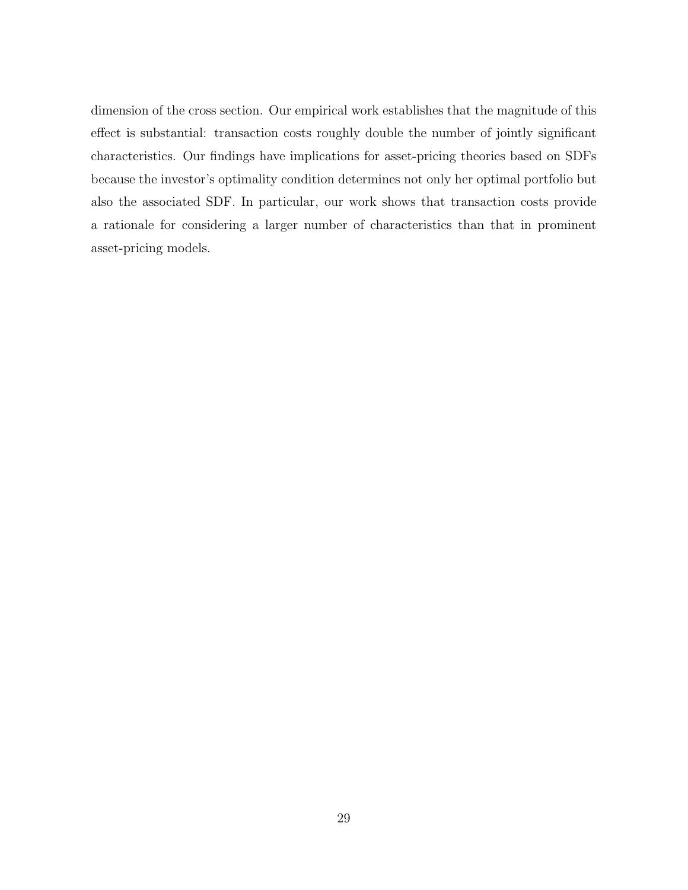dimension of the cross section. Our empirical work establishes that the magnitude of this effect is substantial: transaction costs roughly double the number of jointly significant characteristics. Our findings have implications for asset-pricing theories based on SDFs because the investor's optimality condition determines not only her optimal portfolio but also the associated SDF. In particular, our work shows that transaction costs provide a rationale for considering a larger number of characteristics than that in prominent asset-pricing models.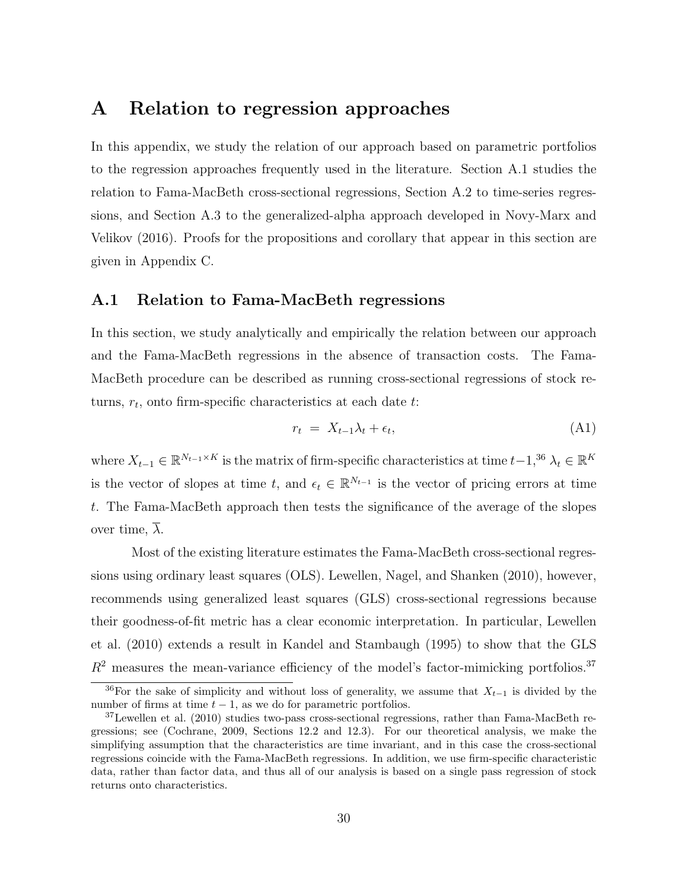# A Relation to regression approaches

In this appendix, we study the relation of our approach based on parametric portfolios to the regression approaches frequently used in the literature. Section A.1 studies the relation to Fama-MacBeth cross-sectional regressions, Section A.2 to time-series regressions, and Section A.3 to the generalized-alpha approach developed in Novy-Marx and Velikov (2016). Proofs for the propositions and corollary that appear in this section are given in Appendix C.

### A.1 Relation to Fama-MacBeth regressions

In this section, we study analytically and empirically the relation between our approach and the Fama-MacBeth regressions in the absence of transaction costs. The Fama-MacBeth procedure can be described as running cross-sectional regressions of stock returns,  $r_t$ , onto firm-specific characteristics at each date  $t$ :

$$
r_t = X_{t-1}\lambda_t + \epsilon_t, \tag{A1}
$$

where  $X_{t-1} \in \mathbb{R}^{N_{t-1} \times K}$  is the matrix of firm-specific characteristics at time  $t-1, ^{36} \lambda_t \in \mathbb{R}^{K}$ is the vector of slopes at time  $t$ , and  $\epsilon_t \in \mathbb{R}^{N_{t-1}}$  is the vector of pricing errors at time t. The Fama-MacBeth approach then tests the significance of the average of the slopes over time,  $\lambda$ .

Most of the existing literature estimates the Fama-MacBeth cross-sectional regressions using ordinary least squares (OLS). Lewellen, Nagel, and Shanken (2010), however, recommends using generalized least squares (GLS) cross-sectional regressions because their goodness-of-fit metric has a clear economic interpretation. In particular, Lewellen et al. (2010) extends a result in Kandel and Stambaugh (1995) to show that the GLS  $R<sup>2</sup>$  measures the mean-variance efficiency of the model's factor-mimicking portfolios.<sup>37</sup>

<sup>&</sup>lt;sup>36</sup>For the sake of simplicity and without loss of generality, we assume that  $X_{t-1}$  is divided by the number of firms at time  $t - 1$ , as we do for parametric portfolios.

<sup>&</sup>lt;sup>37</sup>Lewellen et al. (2010) studies two-pass cross-sectional regressions, rather than Fama-MacBeth regressions; see (Cochrane, 2009, Sections 12.2 and 12.3). For our theoretical analysis, we make the simplifying assumption that the characteristics are time invariant, and in this case the cross-sectional regressions coincide with the Fama-MacBeth regressions. In addition, we use firm-specific characteristic data, rather than factor data, and thus all of our analysis is based on a single pass regression of stock returns onto characteristics.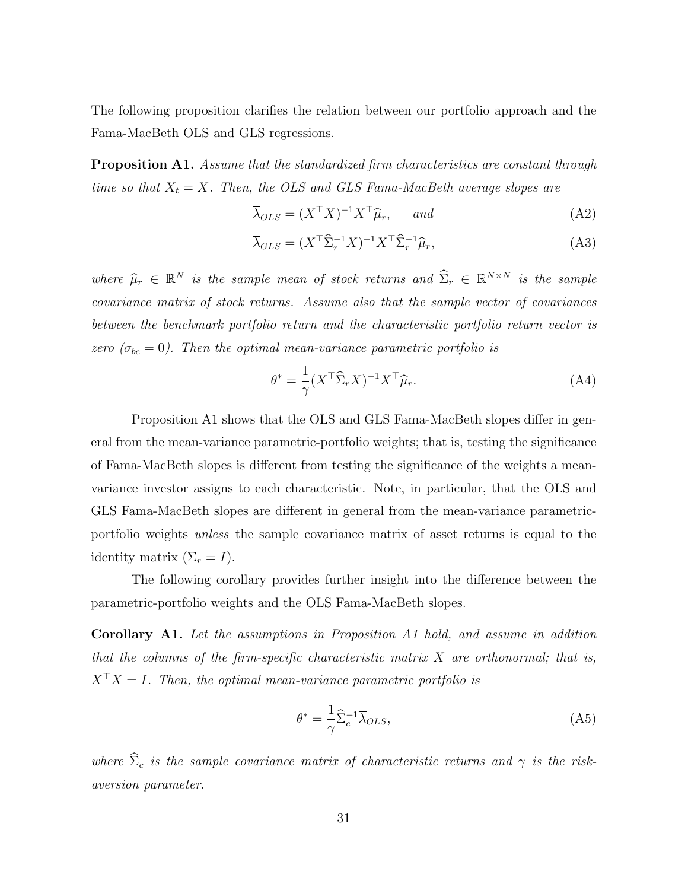The following proposition clarifies the relation between our portfolio approach and the Fama-MacBeth OLS and GLS regressions.

**Proposition A1.** Assume that the standardized firm characteristics are constant through time so that  $X_t = X$ . Then, the OLS and GLS Fama-MacBeth average slopes are

$$
\overline{\lambda}_{OLS} = (X^{\top} X)^{-1} X^{\top} \widehat{\mu}_r, \qquad and \tag{A2}
$$

$$
\overline{\lambda}_{GLS} = (X^{\top} \widehat{\Sigma}_r^{-1} X)^{-1} X^{\top} \widehat{\Sigma}_r^{-1} \widehat{\mu}_r,\tag{A3}
$$

where  $\widehat{\mu}_r \in \mathbb{R}^N$  is the sample mean of stock returns and  $\widehat{\Sigma}_r \in \mathbb{R}^{N \times N}$  is the sample covariance matrix of stock returns. Assume also that the sample vector of covariances between the benchmark portfolio return and the characteristic portfolio return vector is zero  $(\sigma_{bc} = 0)$ . Then the optimal mean-variance parametric portfolio is

$$
\theta^* = \frac{1}{\gamma} (X^\top \widehat{\Sigma}_r X)^{-1} X^\top \widehat{\mu}_r. \tag{A4}
$$

Proposition A1 shows that the OLS and GLS Fama-MacBeth slopes differ in general from the mean-variance parametric-portfolio weights; that is, testing the significance of Fama-MacBeth slopes is different from testing the significance of the weights a meanvariance investor assigns to each characteristic. Note, in particular, that the OLS and GLS Fama-MacBeth slopes are different in general from the mean-variance parametricportfolio weights unless the sample covariance matrix of asset returns is equal to the identity matrix  $(\Sigma_r = I)$ .

The following corollary provides further insight into the difference between the parametric-portfolio weights and the OLS Fama-MacBeth slopes.

Corollary A1. Let the assumptions in Proposition A1 hold, and assume in addition that the columns of the firm-specific characteristic matrix  $X$  are orthonormal; that is,  $X^{\top}X = I$ . Then, the optimal mean-variance parametric portfolio is

$$
\theta^* = \frac{1}{\gamma} \widehat{\Sigma}_c^{-1} \overline{\lambda}_{OLS},\tag{A5}
$$

where  $\widehat{\Sigma}_c$  is the sample covariance matrix of characteristic returns and  $\gamma$  is the riskaversion parameter.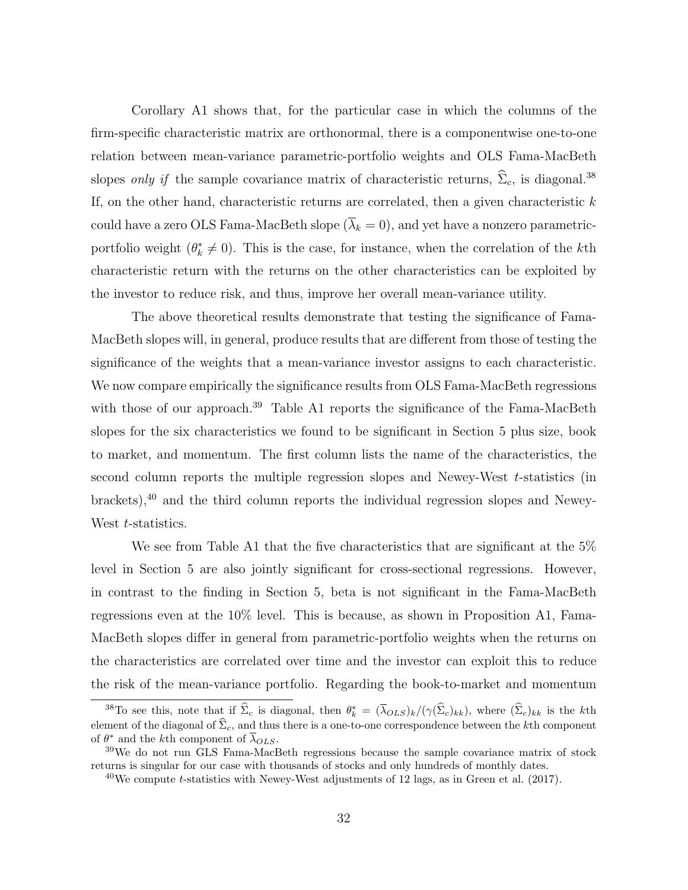Corollary A1 shows that, for the particular case in which the columns of the firm-specific characteristic matrix are orthonormal, there is a componentwise one-to-one relation between mean-variance parametric-portfolio weights and OLS Fama-MacBeth slopes *only if* the sample covariance matrix of characteristic returns,  $\hat{\Sigma}_c$ , is diagonal.<sup>38</sup> If, on the other hand, characteristic returns are correlated, then a given characteristic  $k$ could have a zero OLS Fama-MacBeth slope  $(\overline{\lambda}_k = 0)$ , and yet have a nonzero parametricportfolio weight  $(\theta_k^* \neq 0)$ . This is the case, for instance, when the correlation of the kth characteristic return with the returns on the other characteristics can be exploited by the investor to reduce risk, and thus, improve her overall mean-variance utility.

The above theoretical results demonstrate that testing the significance of Fama-MacBeth slopes will, in general, produce results that are different from those of testing the significance of the weights that a mean-variance investor assigns to each characteristic. We now compare empirically the significance results from OLS Fama-MacBeth regressions with those of our approach.<sup>39</sup> Table A1 reports the significance of the Fama-MacBeth slopes for the six characteristics we found to be significant in Section 5 plus size, book to market, and momentum. The first column lists the name of the characteristics, the second column reports the multiple regression slopes and Newey-West t-statistics (in brackets),<sup>40</sup> and the third column reports the individual regression slopes and Newey-West *t*-statistics.

We see from Table A1 that the five characteristics that are significant at the 5% level in Section 5 are also jointly significant for cross-sectional regressions. However, in contrast to the finding in Section 5, beta is not significant in the Fama-MacBeth regressions even at the 10% level. This is because, as shown in Proposition A1, Fama-MacBeth slopes differ in general from parametric-portfolio weights when the returns on the characteristics are correlated over time and the investor can exploit this to reduce the risk of the mean-variance portfolio. Regarding the book-to-market and momentum

<sup>&</sup>lt;sup>38</sup>To see this, note that if  $\hat{\Sigma}_c$  is diagonal, then  $\theta_k^* = (\bar{\lambda}_{OLS})_k/(\gamma(\hat{\Sigma}_c)_{kk})$ , where  $(\hat{\Sigma}_c)_{kk}$  is the kth element of the diagonal of  $\hat{\Sigma}_c$ , and thus there is a one-to-one correspondence between the kth component of  $\theta^*$  and the k<sup>th</sup> component of  $\lambda_{OLS}$ .

<sup>&</sup>lt;sup>39</sup>We do not run GLS Fama-MacBeth regressions because the sample covariance matrix of stock returns is singular for our case with thousands of stocks and only hundreds of monthly dates.

<sup>&</sup>lt;sup>40</sup>We compute t-statistics with Newey-West adjustments of 12 lags, as in Green et al. (2017).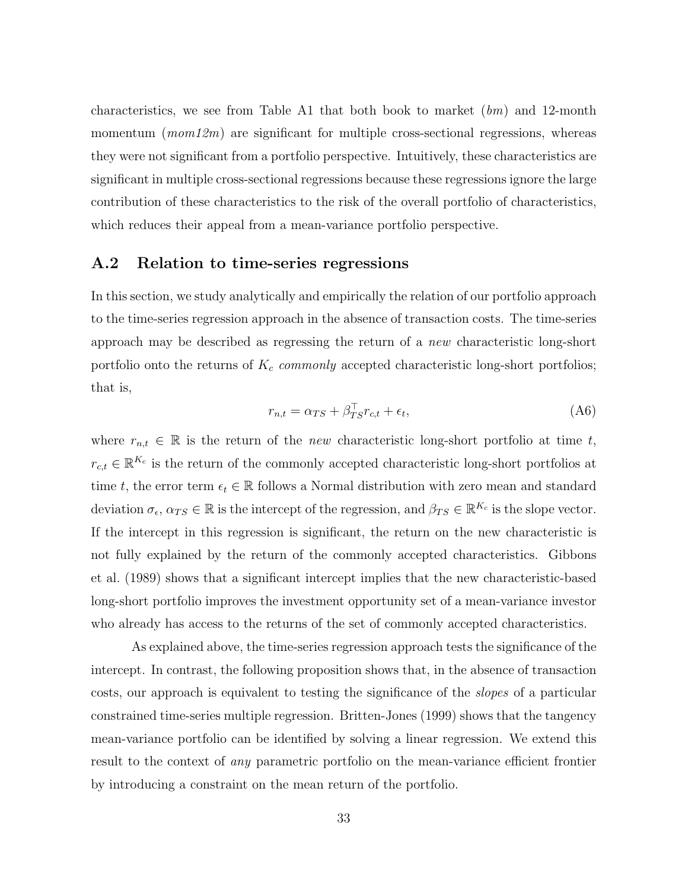characteristics, we see from Table A1 that both book to market  $(bm)$  and 12-month momentum ( $mom12m$ ) are significant for multiple cross-sectional regressions, whereas they were not significant from a portfolio perspective. Intuitively, these characteristics are significant in multiple cross-sectional regressions because these regressions ignore the large contribution of these characteristics to the risk of the overall portfolio of characteristics, which reduces their appeal from a mean-variance portfolio perspective.

### A.2 Relation to time-series regressions

In this section, we study analytically and empirically the relation of our portfolio approach to the time-series regression approach in the absence of transaction costs. The time-series approach may be described as regressing the return of a new characteristic long-short portfolio onto the returns of  $K_c$  commonly accepted characteristic long-short portfolios; that is,

$$
r_{n,t} = \alpha_{TS} + \beta_{TS}^{\top} r_{c,t} + \epsilon_t, \tag{A6}
$$

where  $r_{n,t} \in \mathbb{R}$  is the return of the new characteristic long-short portfolio at time t,  $r_{c,t} \in \mathbb{R}^{K_c}$  is the return of the commonly accepted characteristic long-short portfolios at time t, the error term  $\epsilon_t \in \mathbb{R}$  follows a Normal distribution with zero mean and standard deviation  $\sigma_{\epsilon}$ ,  $\alpha_{TS} \in \mathbb{R}$  is the intercept of the regression, and  $\beta_{TS} \in \mathbb{R}^{K_c}$  is the slope vector. If the intercept in this regression is significant, the return on the new characteristic is not fully explained by the return of the commonly accepted characteristics. Gibbons et al. (1989) shows that a significant intercept implies that the new characteristic-based long-short portfolio improves the investment opportunity set of a mean-variance investor who already has access to the returns of the set of commonly accepted characteristics.

As explained above, the time-series regression approach tests the significance of the intercept. In contrast, the following proposition shows that, in the absence of transaction costs, our approach is equivalent to testing the significance of the slopes of a particular constrained time-series multiple regression. Britten-Jones (1999) shows that the tangency mean-variance portfolio can be identified by solving a linear regression. We extend this result to the context of any parametric portfolio on the mean-variance efficient frontier by introducing a constraint on the mean return of the portfolio.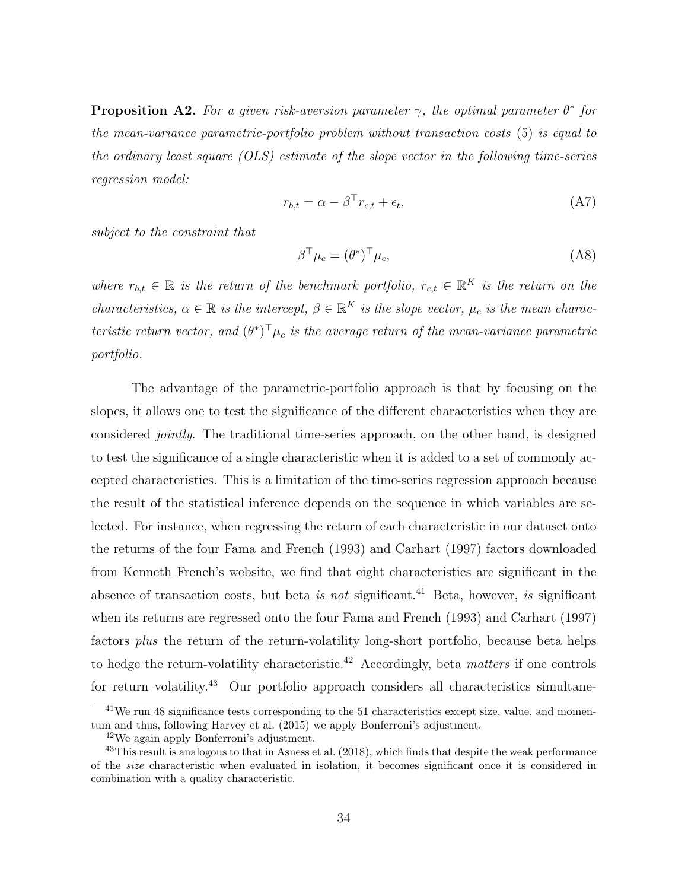**Proposition A2.** For a given risk-aversion parameter  $\gamma$ , the optimal parameter  $\theta^*$  for the mean-variance parametric-portfolio problem without transaction costs (5) is equal to the ordinary least square (OLS) estimate of the slope vector in the following time-series regression model:

$$
r_{b,t} = \alpha - \beta^{\top} r_{c,t} + \epsilon_t, \qquad (A7)
$$

subject to the constraint that

$$
\beta^{\top} \mu_c = (\theta^*)^{\top} \mu_c,\tag{A8}
$$

where  $r_{b,t} \in \mathbb{R}$  is the return of the benchmark portfolio,  $r_{c,t} \in \mathbb{R}^K$  is the return on the characteristics,  $\alpha \in \mathbb{R}$  is the intercept,  $\beta \in \mathbb{R}^K$  is the slope vector,  $\mu_c$  is the mean characteristic return vector, and  $(\theta^*)^{\top} \mu_c$  is the average return of the mean-variance parametric portfolio.

The advantage of the parametric-portfolio approach is that by focusing on the slopes, it allows one to test the significance of the different characteristics when they are considered jointly. The traditional time-series approach, on the other hand, is designed to test the significance of a single characteristic when it is added to a set of commonly accepted characteristics. This is a limitation of the time-series regression approach because the result of the statistical inference depends on the sequence in which variables are selected. For instance, when regressing the return of each characteristic in our dataset onto the returns of the four Fama and French (1993) and Carhart (1997) factors downloaded from Kenneth French's website, we find that eight characteristics are significant in the absence of transaction costs, but beta is not significant.<sup>41</sup> Beta, however, is significant when its returns are regressed onto the four Fama and French (1993) and Carhart (1997) factors *plus* the return of the return-volatility long-short portfolio, because beta helps to hedge the return-volatility characteristic.<sup>42</sup> Accordingly, beta matters if one controls for return volatility.<sup>43</sup> Our portfolio approach considers all characteristics simultane-

<sup>41</sup>We run 48 significance tests corresponding to the 51 characteristics except size, value, and momentum and thus, following Harvey et al. (2015) we apply Bonferroni's adjustment.

<sup>42</sup>We again apply Bonferroni's adjustment.

<sup>&</sup>lt;sup>43</sup>This result is analogous to that in Asness et al. (2018), which finds that despite the weak performance of the size characteristic when evaluated in isolation, it becomes significant once it is considered in combination with a quality characteristic.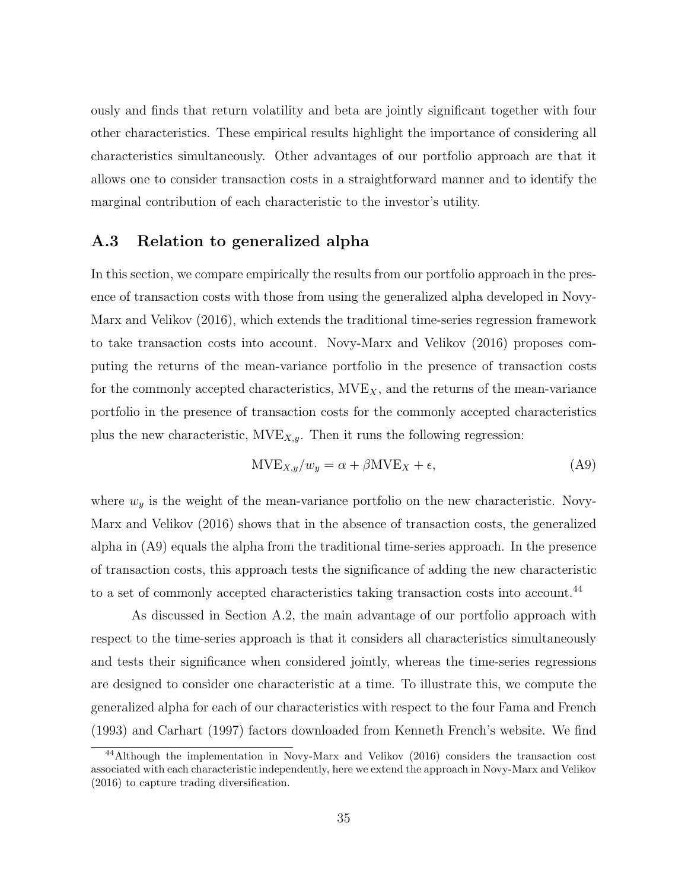ously and finds that return volatility and beta are jointly significant together with four other characteristics. These empirical results highlight the importance of considering all characteristics simultaneously. Other advantages of our portfolio approach are that it allows one to consider transaction costs in a straightforward manner and to identify the marginal contribution of each characteristic to the investor's utility.

### A.3 Relation to generalized alpha

In this section, we compare empirically the results from our portfolio approach in the presence of transaction costs with those from using the generalized alpha developed in Novy-Marx and Velikov (2016), which extends the traditional time-series regression framework to take transaction costs into account. Novy-Marx and Velikov (2016) proposes computing the returns of the mean-variance portfolio in the presence of transaction costs for the commonly accepted characteristics,  $MVE<sub>X</sub>$ , and the returns of the mean-variance portfolio in the presence of transaction costs for the commonly accepted characteristics plus the new characteristic,  $MVE_{X,y}$ . Then it runs the following regression:

$$
MVE_{X,y}/w_y = \alpha + \beta MVE_X + \epsilon,\tag{A9}
$$

where  $w_y$  is the weight of the mean-variance portfolio on the new characteristic. Novy-Marx and Velikov (2016) shows that in the absence of transaction costs, the generalized alpha in (A9) equals the alpha from the traditional time-series approach. In the presence of transaction costs, this approach tests the significance of adding the new characteristic to a set of commonly accepted characteristics taking transaction costs into account.<sup>44</sup>

As discussed in Section A.2, the main advantage of our portfolio approach with respect to the time-series approach is that it considers all characteristics simultaneously and tests their significance when considered jointly, whereas the time-series regressions are designed to consider one characteristic at a time. To illustrate this, we compute the generalized alpha for each of our characteristics with respect to the four Fama and French (1993) and Carhart (1997) factors downloaded from Kenneth French's website. We find

<sup>44</sup>Although the implementation in Novy-Marx and Velikov (2016) considers the transaction cost associated with each characteristic independently, here we extend the approach in Novy-Marx and Velikov (2016) to capture trading diversification.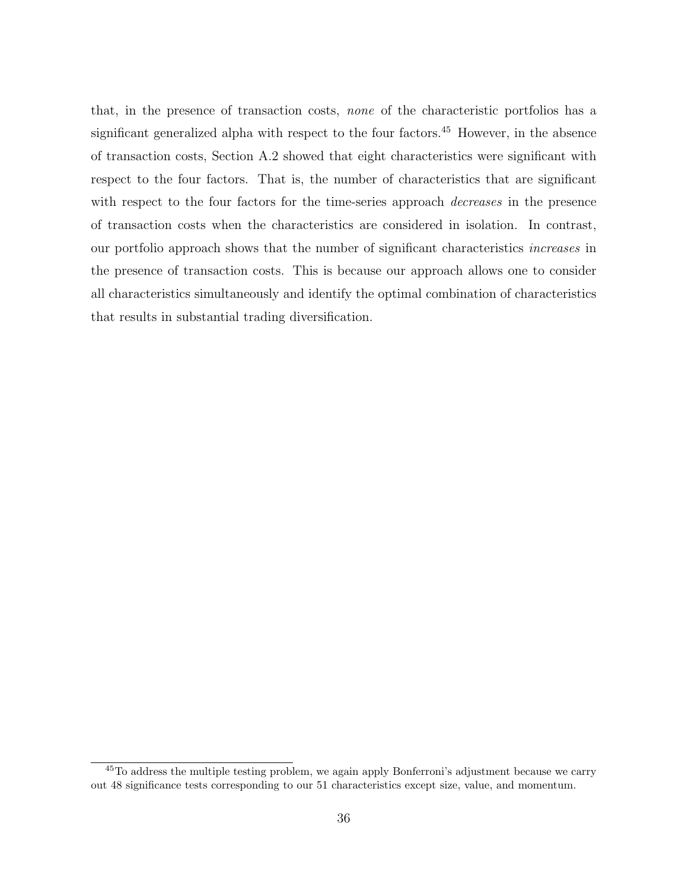that, in the presence of transaction costs, none of the characteristic portfolios has a significant generalized alpha with respect to the four factors.<sup>45</sup> However, in the absence of transaction costs, Section A.2 showed that eight characteristics were significant with respect to the four factors. That is, the number of characteristics that are significant with respect to the four factors for the time-series approach *decreases* in the presence of transaction costs when the characteristics are considered in isolation. In contrast, our portfolio approach shows that the number of significant characteristics increases in the presence of transaction costs. This is because our approach allows one to consider all characteristics simultaneously and identify the optimal combination of characteristics that results in substantial trading diversification.

<sup>&</sup>lt;sup>45</sup>To address the multiple testing problem, we again apply Bonferroni's adjustment because we carry out 48 significance tests corresponding to our 51 characteristics except size, value, and momentum.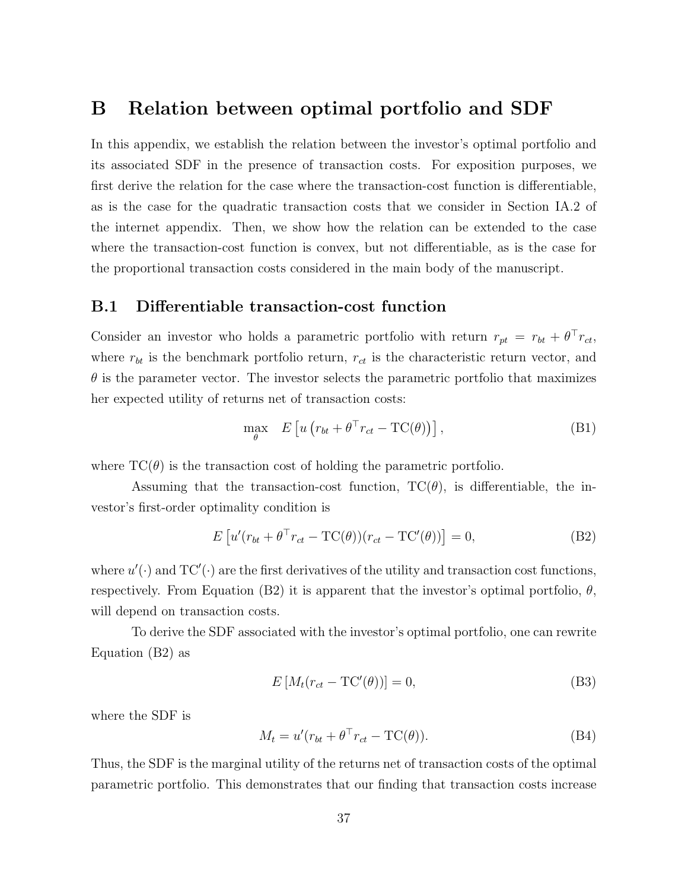# B Relation between optimal portfolio and SDF

In this appendix, we establish the relation between the investor's optimal portfolio and its associated SDF in the presence of transaction costs. For exposition purposes, we first derive the relation for the case where the transaction-cost function is differentiable, as is the case for the quadratic transaction costs that we consider in Section IA.2 of the internet appendix. Then, we show how the relation can be extended to the case where the transaction-cost function is convex, but not differentiable, as is the case for the proportional transaction costs considered in the main body of the manuscript.

## B.1 Differentiable transaction-cost function

Consider an investor who holds a parametric portfolio with return  $r_{pt} = r_{bt} + \theta^{\dagger} r_{ct}$ , where  $r_{bt}$  is the benchmark portfolio return,  $r_{ct}$  is the characteristic return vector, and  $\theta$  is the parameter vector. The investor selects the parametric portfolio that maximizes her expected utility of returns net of transaction costs:

$$
\max_{\theta} E \left[ u \left( r_{bt} + \theta^{\top} r_{ct} - \text{TC}(\theta) \right) \right], \tag{B1}
$$

where  $TC(\theta)$  is the transaction cost of holding the parametric portfolio.

Assuming that the transaction-cost function,  $TC(\theta)$ , is differentiable, the investor's first-order optimality condition is

$$
E\left[u'(r_{bt} + \theta^{\top}r_{ct} - \text{TC}(\theta))(r_{ct} - \text{TC}'(\theta))\right] = 0,
$$
\n(B2)

where  $u'(\cdot)$  and  $TC'(\cdot)$  are the first derivatives of the utility and transaction cost functions, respectively. From Equation (B2) it is apparent that the investor's optimal portfolio,  $\theta$ , will depend on transaction costs.

To derive the SDF associated with the investor's optimal portfolio, one can rewrite Equation (B2) as

$$
E\left[M_t(r_{ct} - \text{TC}'(\theta))\right] = 0,\tag{B3}
$$

where the SDF is

$$
M_t = u'(r_{bt} + \theta^\top r_{ct} - \text{TC}(\theta)).
$$
 (B4)

Thus, the SDF is the marginal utility of the returns net of transaction costs of the optimal parametric portfolio. This demonstrates that our finding that transaction costs increase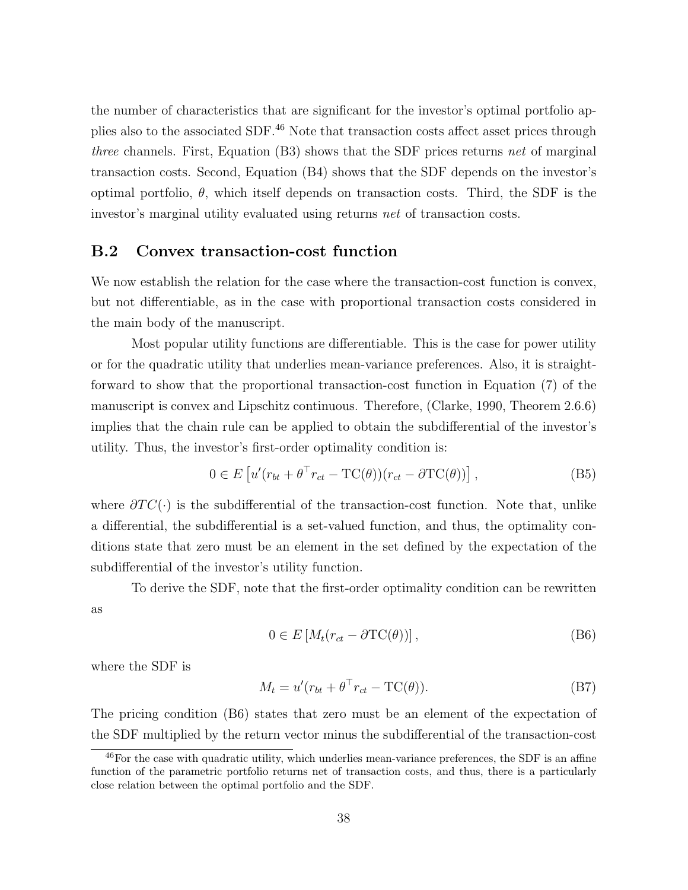the number of characteristics that are significant for the investor's optimal portfolio applies also to the associated SDF.<sup>46</sup> Note that transaction costs affect asset prices through three channels. First, Equation (B3) shows that the SDF prices returns net of marginal transaction costs. Second, Equation (B4) shows that the SDF depends on the investor's optimal portfolio,  $\theta$ , which itself depends on transaction costs. Third, the SDF is the investor's marginal utility evaluated using returns net of transaction costs.

## B.2 Convex transaction-cost function

We now establish the relation for the case where the transaction-cost function is convex, but not differentiable, as in the case with proportional transaction costs considered in the main body of the manuscript.

Most popular utility functions are differentiable. This is the case for power utility or for the quadratic utility that underlies mean-variance preferences. Also, it is straightforward to show that the proportional transaction-cost function in Equation (7) of the manuscript is convex and Lipschitz continuous. Therefore, (Clarke, 1990, Theorem 2.6.6) implies that the chain rule can be applied to obtain the subdifferential of the investor's utility. Thus, the investor's first-order optimality condition is:

$$
0 \in E\left[u'(r_{bt} + \theta^{\top}r_{ct} - \text{TC}(\theta))(r_{ct} - \partial \text{TC}(\theta))\right],\tag{B5}
$$

where  $\partial TC(\cdot)$  is the subdifferential of the transaction-cost function. Note that, unlike a differential, the subdifferential is a set-valued function, and thus, the optimality conditions state that zero must be an element in the set defined by the expectation of the subdifferential of the investor's utility function.

To derive the SDF, note that the first-order optimality condition can be rewritten as

$$
0 \in E\left[M_t(r_{ct} - \partial \mathrm{TC}(\theta))\right],\tag{B6}
$$

where the SDF is

$$
M_t = u'(r_{bt} + \theta^\top r_{ct} - \text{TC}(\theta)).
$$
 (B7)

The pricing condition (B6) states that zero must be an element of the expectation of the SDF multiplied by the return vector minus the subdifferential of the transaction-cost

<sup>46</sup>For the case with quadratic utility, which underlies mean-variance preferences, the SDF is an affine function of the parametric portfolio returns net of transaction costs, and thus, there is a particularly close relation between the optimal portfolio and the SDF.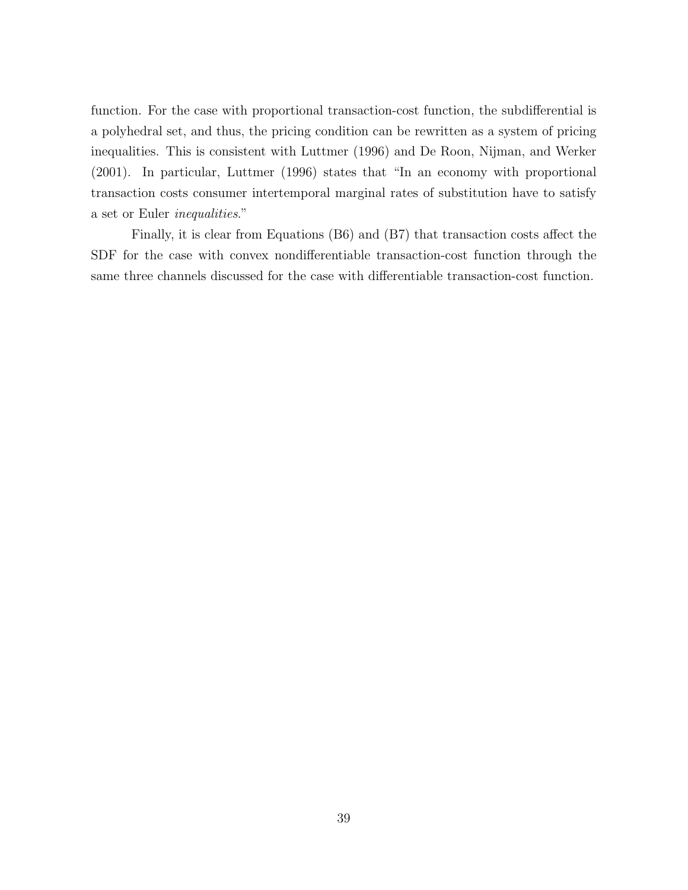function. For the case with proportional transaction-cost function, the subdifferential is a polyhedral set, and thus, the pricing condition can be rewritten as a system of pricing inequalities. This is consistent with Luttmer (1996) and De Roon, Nijman, and Werker (2001). In particular, Luttmer (1996) states that "In an economy with proportional transaction costs consumer intertemporal marginal rates of substitution have to satisfy a set or Euler inequalities."

Finally, it is clear from Equations (B6) and (B7) that transaction costs affect the SDF for the case with convex nondifferentiable transaction-cost function through the same three channels discussed for the case with differentiable transaction-cost function.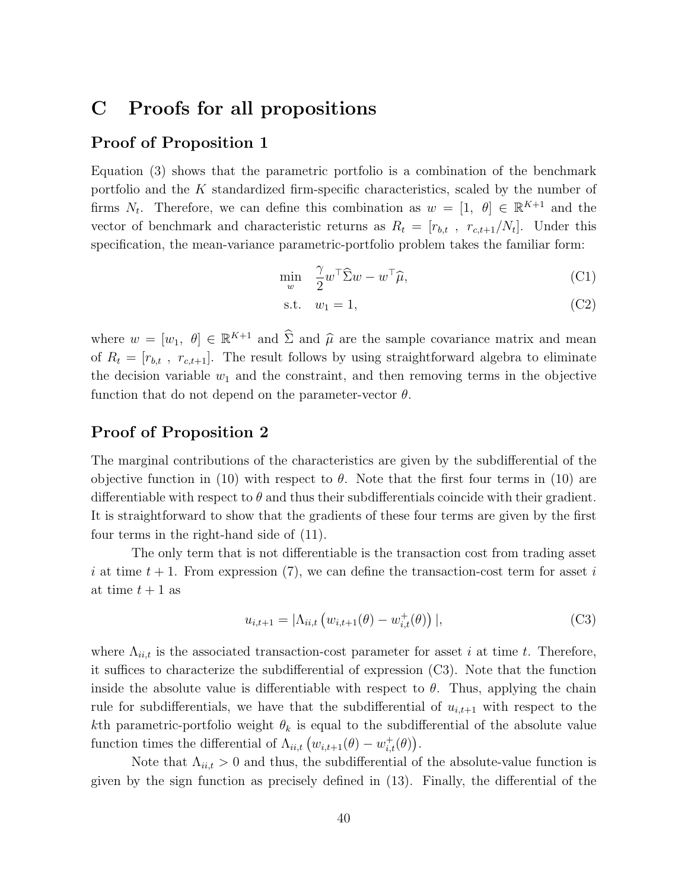# C Proofs for all propositions

## Proof of Proposition 1

Equation (3) shows that the parametric portfolio is a combination of the benchmark portfolio and the K standardized firm-specific characteristics, scaled by the number of firms  $N_t$ . Therefore, we can define this combination as  $w = [1, \theta] \in \mathbb{R}^{K+1}$  and the vector of benchmark and characteristic returns as  $R_t = [r_{b,t}, r_{c,t+1}/N_t]$ . Under this specification, the mean-variance parametric-portfolio problem takes the familiar form:

$$
\min_{w} \quad \frac{\gamma}{2} w^{\top} \widehat{\Sigma} w - w^{\top} \widehat{\mu}, \tag{C1}
$$

$$
s.t. \t w_1 = 1,
$$
\t(C2)

where  $w = [w_1, \theta] \in \mathbb{R}^{K+1}$  and  $\hat{\Sigma}$  and  $\hat{\mu}$  are the sample covariance matrix and mean of  $R_t = [r_{b,t}, r_{c,t+1}]$ . The result follows by using straightforward algebra to eliminate the decision variable  $w_1$  and the constraint, and then removing terms in the objective function that do not depend on the parameter-vector  $\theta$ .

## Proof of Proposition 2

The marginal contributions of the characteristics are given by the subdifferential of the objective function in (10) with respect to  $\theta$ . Note that the first four terms in (10) are differentiable with respect to  $\theta$  and thus their subdifferentials coincide with their gradient. It is straightforward to show that the gradients of these four terms are given by the first four terms in the right-hand side of (11).

The only term that is not differentiable is the transaction cost from trading asset i at time  $t + 1$ . From expression (7), we can define the transaction-cost term for asset i at time  $t + 1$  as

$$
u_{i,t+1} = |\Lambda_{ii,t} (w_{i,t+1}(\theta) - w_{i,t}^+(\theta))|,
$$
\n(C3)

where  $\Lambda_{ii,t}$  is the associated transaction-cost parameter for asset i at time t. Therefore, it suffices to characterize the subdifferential of expression (C3). Note that the function inside the absolute value is differentiable with respect to  $\theta$ . Thus, applying the chain rule for subdifferentials, we have that the subdifferential of  $u_{i,t+1}$  with respect to the kth parametric-portfolio weight  $\theta_k$  is equal to the subdifferential of the absolute value function times the differential of  $\Lambda_{ii,t}\left(w_{i,t+1}(\theta)-w_{i,t}^{+}(\theta)\right)$ .

Note that  $\Lambda_{ii,t} > 0$  and thus, the subdifferential of the absolute-value function is given by the sign function as precisely defined in (13). Finally, the differential of the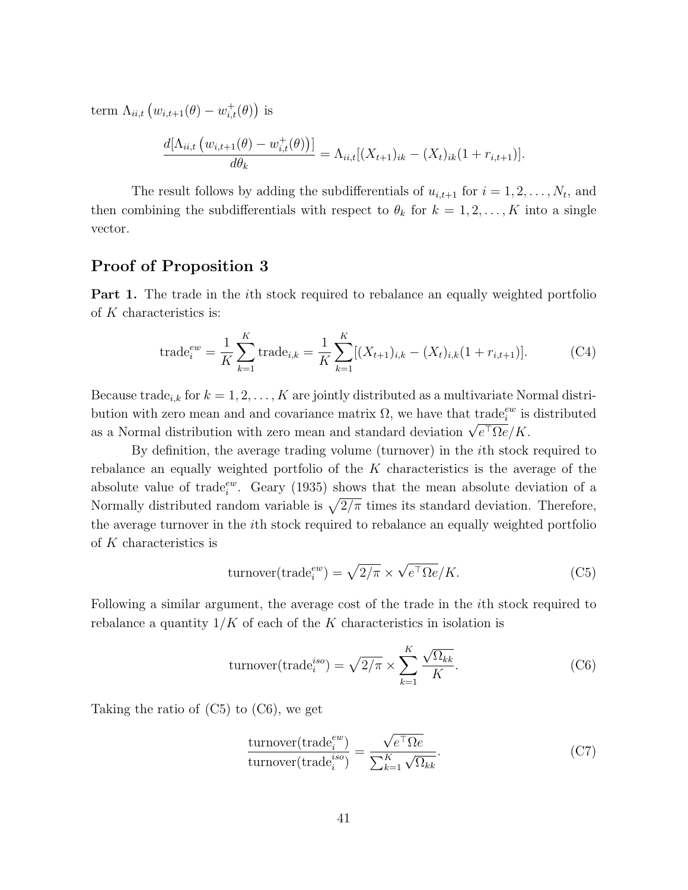term  $\Lambda_{ii,t}\left(w_{i,t+1}(\theta)-w_{i,t}^{+}(\theta)\right)$  is

$$
\frac{d[\Lambda_{ii,t} (w_{i,t+1}(\theta) - w_{i,t}^+(\theta))]}{d\theta_k} = \Lambda_{ii,t} [(X_{t+1})_{ik} - (X_t)_{ik} (1 + r_{i,t+1})].
$$

The result follows by adding the subdifferentials of  $u_{i,t+1}$  for  $i = 1, 2, \ldots, N_t$ , and then combining the subdifferentials with respect to  $\theta_k$  for  $k = 1, 2, ..., K$  into a single vector.

## Proof of Proposition 3

**Part 1.** The trade in the *i*th stock required to rebalance an equally weighted portfolio of  $K$  characteristics is:

$$
\text{trade}_{i}^{ew} = \frac{1}{K} \sum_{k=1}^{K} \text{trade}_{i,k} = \frac{1}{K} \sum_{k=1}^{K} [(X_{t+1})_{i,k} - (X_{t})_{i,k}(1 + r_{i,t+1})]. \tag{C4}
$$

Because trade<sub>i,k</sub> for  $k = 1, 2, ..., K$  are jointly distributed as a multivariate Normal distribution with zero mean and and covariance matrix  $\Omega$ , we have that trade<sup>*ew*</sup> is distributed as a Normal distribution with zero mean and standard deviation  $\sqrt{e^{\top} \Omega e}/K$ .

By definition, the average trading volume (turnover) in the ith stock required to rebalance an equally weighted portfolio of the  $K$  characteristics is the average of the absolute value of trade<sub>i</sub><sup>em</sup>. Geary (1935) shows that the mean absolute deviation of a Normally distributed random variable is  $\sqrt{2/\pi}$  times its standard deviation. Therefore, the average turnover in the ith stock required to rebalance an equally weighted portfolio of K characteristics is

$$
\text{turnover}(\text{trade}_i^{ew}) = \sqrt{2/\pi} \times \sqrt{e^{\top} \Omega e} / K. \tag{C5}
$$

Following a similar argument, the average cost of the trade in the ith stock required to rebalance a quantity  $1/K$  of each of the K characteristics in isolation is

$$
\text{turnover}(\text{trade}_i^{iso}) = \sqrt{2/\pi} \times \sum_{k=1}^{K} \frac{\sqrt{\Omega_{kk}}}{K}.\tag{C6}
$$

Taking the ratio of (C5) to (C6), we get

$$
\frac{\text{turnover}(\text{trade}_i^{ew})}{\text{turnover}(\text{trade}_i^{iso})} = \frac{\sqrt{e^\top \Omega e}}{\sum_{k=1}^K \sqrt{\Omega_{kk}}}.\tag{C7}
$$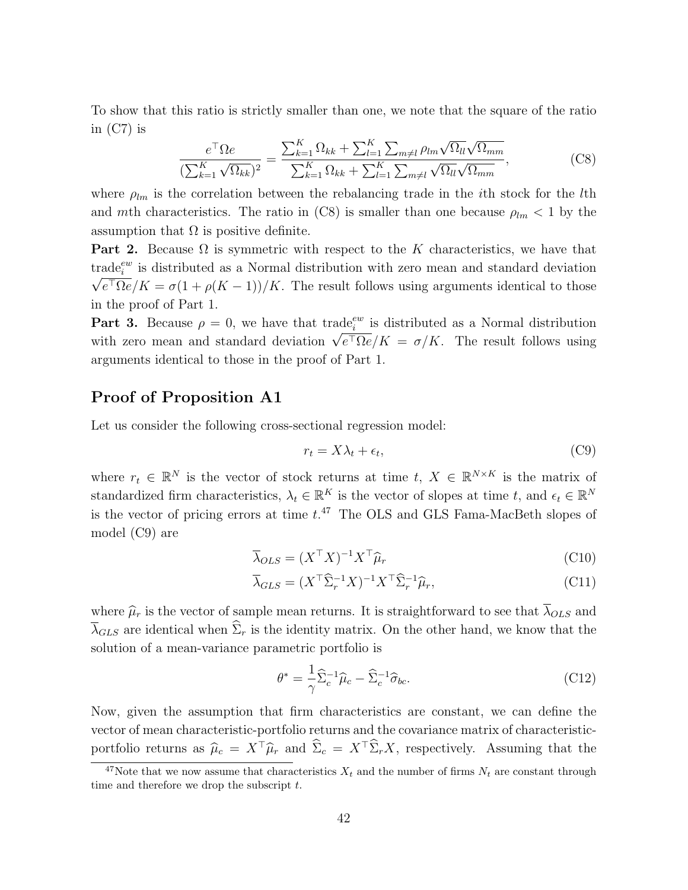To show that this ratio is strictly smaller than one, we note that the square of the ratio in  $(C7)$  is

$$
\frac{e^{\top}\Omega e}{(\sum_{k=1}^{K}\sqrt{\Omega_{kk}})^{2}} = \frac{\sum_{k=1}^{K}\Omega_{kk} + \sum_{l=1}^{K}\sum_{m\neq l}\rho_{lm}\sqrt{\Omega_{ll}}\sqrt{\Omega_{mm}}}{\sum_{k=1}^{K}\Omega_{kk} + \sum_{l=1}^{K}\sum_{m\neq l}\sqrt{\Omega_{ll}}\sqrt{\Omega_{mm}}},
$$
(C8)

where  $\rho_{lm}$  is the correlation between the rebalancing trade in the *i*th stock for the *l*th and mth characteristics. The ratio in (C8) is smaller than one because  $\rho_{lm}$  < 1 by the assumption that  $\Omega$  is positive definite.

**Part 2.** Because  $\Omega$  is symmetric with respect to the K characteristics, we have that trade<sup>*ew*</sup> is distributed as a Normal distribution with zero mean and standard deviation  $\sqrt{e^{\top} \Omega e}/K = \sigma(1 + \rho(K - 1))/K$ . The result follows using arguments identical to those in the proof of Part 1.

**Part 3.** Because  $\rho = 0$ , we have that trade<sup>ew</sup> is distributed as a Normal distribution with zero mean and standard deviation  $\sqrt{e^{\dagger} \Omega e}/K = \sigma/K$ . The result follows using arguments identical to those in the proof of Part 1.

## Proof of Proposition A1

Let us consider the following cross-sectional regression model:

$$
r_t = X\lambda_t + \epsilon_t,\tag{C9}
$$

where  $r_t \in \mathbb{R}^N$  is the vector of stock returns at time  $t, X \in \mathbb{R}^{N \times K}$  is the matrix of standardized firm characteristics,  $\lambda_t \in \mathbb{R}^K$  is the vector of slopes at time t, and  $\epsilon_t \in \mathbb{R}^N$ is the vector of pricing errors at time  $t^{47}$  The OLS and GLS Fama-MacBeth slopes of model (C9) are

$$
\overline{\lambda}_{OLS} = (X^{\top} X)^{-1} X^{\top} \widehat{\mu}_r \tag{C10}
$$

$$
\overline{\lambda}_{GLS} = (X^{\top} \widehat{\Sigma}_r^{-1} X)^{-1} X^{\top} \widehat{\Sigma}_r^{-1} \widehat{\mu}_r, \tag{C11}
$$

where  $\widehat{\mu}_r$  is the vector of sample mean returns. It is straightforward to see that  $\overline{\lambda}_{OLS}$  and  $\overline{\lambda}_{GLS}$  are identical when  $\hat{\Sigma}_r$  is the identity matrix. On the other hand, we know that the solution of a mean-variance parametric portfolio is

$$
\theta^* = \frac{1}{\gamma} \widehat{\Sigma}_c^{-1} \widehat{\mu}_c - \widehat{\Sigma}_c^{-1} \widehat{\sigma}_{bc}.
$$
 (C12)

Now, given the assumption that firm characteristics are constant, we can define the vector of mean characteristic-portfolio returns and the covariance matrix of characteristicportfolio returns as  $\hat{\mu}_c = X^\top \hat{\mu}_r$  and  $\hat{\Sigma}_c = X^\top \hat{\Sigma}_r X$ , respectively. Assuming that the

<sup>&</sup>lt;sup>47</sup>Note that we now assume that characteristics  $X_t$  and the number of firms  $N_t$  are constant through time and therefore we drop the subscript  $t$ .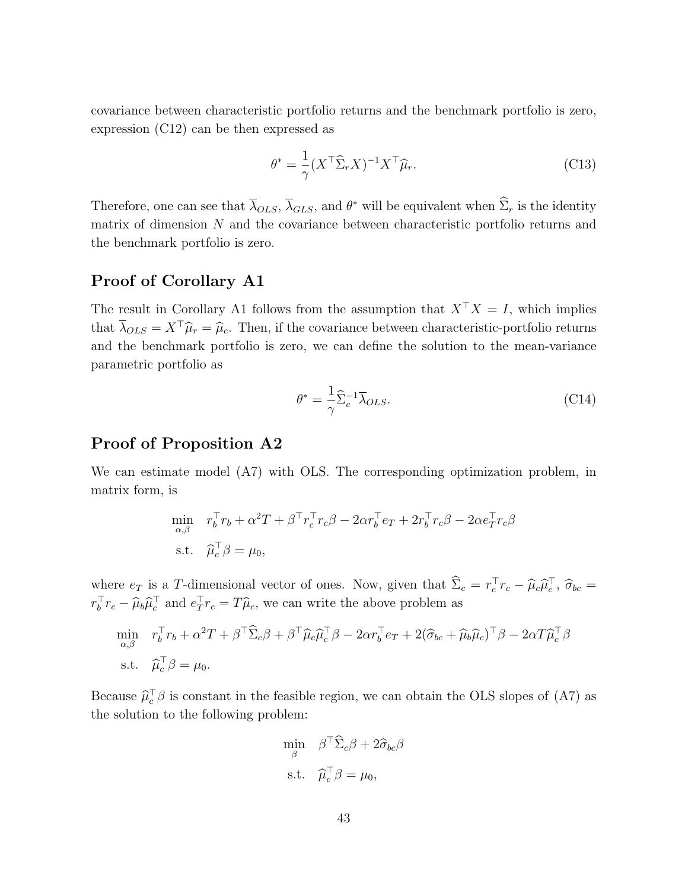covariance between characteristic portfolio returns and the benchmark portfolio is zero, expression (C12) can be then expressed as

$$
\theta^* = \frac{1}{\gamma} (X^\top \widehat{\Sigma}_r X)^{-1} X^\top \widehat{\mu}_r.
$$
 (C13)

Therefore, one can see that  $\lambda_{OLS}$ ,  $\lambda_{GLS}$ , and  $\theta^*$  will be equivalent when  $\Sigma_r$  is the identity matrix of dimension N and the covariance between characteristic portfolio returns and the benchmark portfolio is zero.

## Proof of Corollary A1

The result in Corollary A1 follows from the assumption that  $X^{\top}X = I$ , which implies that  $\overline{\lambda}_{OLS} = X^{\top} \widehat{\mu}_r = \widehat{\mu}_c$ . Then, if the covariance between characteristic-portfolio returns and the benchmark portfolio is zero, we can define the solution to the mean-variance parametric portfolio as

$$
\theta^* = \frac{1}{\gamma} \widehat{\Sigma}_c^{-1} \overline{\lambda}_{OLS}.
$$
\n(C14)

## Proof of Proposition A2

We can estimate model (A7) with OLS. The corresponding optimization problem, in matrix form, is

$$
\min_{\alpha,\beta} \quad r_b^{\top} r_b + \alpha^2 T + \beta^{\top} r_c^{\top} r_c \beta - 2\alpha r_b^{\top} e_T + 2r_b^{\top} r_c \beta - 2\alpha e_T^{\top} r_c \beta
$$
\ns.t. 
$$
\widehat{\mu}_c^{\top} \beta = \mu_0,
$$

where  $e_T$  is a T-dimensional vector of ones. Now, given that  $\Sigma_c = r_c^{\dagger} r_c - \hat{\mu}_c \hat{\mu}_c^{\dagger}$ ,  $\hat{\sigma}_{bc} =$  $r_b^{\dagger} r_c - \widehat{\mu}_b \widehat{\mu}_c^{\dagger}$  and  $e_T^{\dagger} r_c = T \widehat{\mu}_c$ , we can write the above problem as

$$
\min_{\alpha,\beta} \quad r_b^{\top} r_b + \alpha^2 T + \beta^{\top} \widehat{\Sigma}_c \beta + \beta^{\top} \widehat{\mu}_c \widehat{\mu}_c^{\top} \beta - 2\alpha r_b^{\top} e_T + 2(\widehat{\sigma}_{bc} + \widehat{\mu}_b \widehat{\mu}_c)^{\top} \beta - 2\alpha T \widehat{\mu}_c^{\top} \beta
$$
  
s.t.  $\widehat{\mu}_c^{\top} \beta = \mu_0$ .

Because  $\hat{\mu}_c^{\dagger} \beta$  is constant in the feasible region, we can obtain the OLS slopes of (A7) as the solution to the following problem:

$$
\min_{\beta} \quad \beta^{\top} \widehat{\Sigma}_{c} \beta + 2 \widehat{\sigma}_{bc} \beta
$$
  
s.t.  $\widehat{\mu}_{c}^{\top} \beta = \mu_{0},$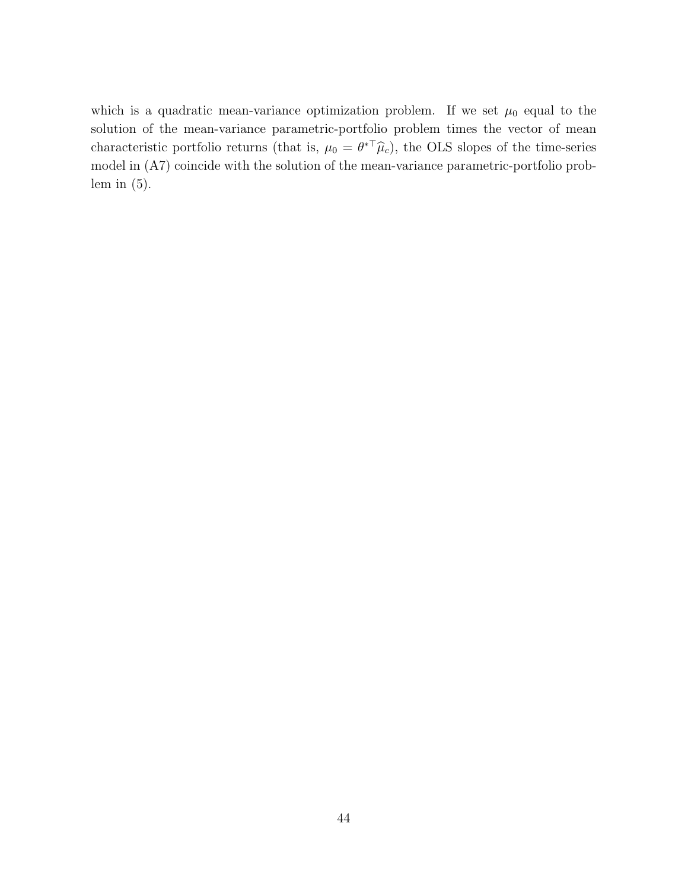which is a quadratic mean-variance optimization problem. If we set  $\mu_0$  equal to the solution of the mean-variance parametric-portfolio problem times the vector of mean characteristic portfolio returns (that is,  $\mu_0 = \theta^{*T} \hat{\mu}_c$ ), the OLS slopes of the time-series model in (A7) coincide with the solution of the mean-variance parametric-portfolio problem in  $(5)$ .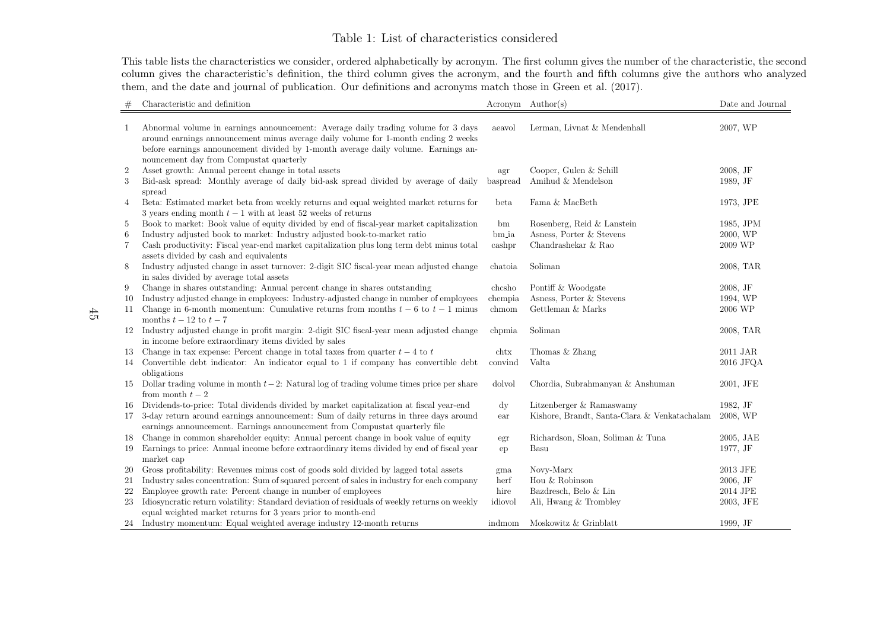### Table 1: List of characteristics considered

This table lists the characteristics we consider, ordered alphabetically by acronym. The first column gives the number of the characteristic, the second column gives the characteristic's definition, the third column gives the acronym, and the fourth and fifth columns give the authors who analyzed them, and the date and journal of publication. Our definitions and acronyms match those in Green et al. (2017).

|                | Characteristic and definition                                                                                                                                                                                                                                 |                        | $Acronym - Author(s)$                        | Date and Journal |
|----------------|---------------------------------------------------------------------------------------------------------------------------------------------------------------------------------------------------------------------------------------------------------------|------------------------|----------------------------------------------|------------------|
| 1              | Abnormal volume in earnings announcement: Average daily trading volume for 3 days<br>around earnings announcement minus average daily volume for 1-month ending 2 weeks<br>before earnings announcement divided by 1-month average daily volume. Earnings an- | aeavol                 | Lerman, Livnat & Mendenhall                  | 2007, WP         |
| $\overline{2}$ | nouncement day from Compustat quarterly<br>Asset growth: Annual percent change in total assets                                                                                                                                                                |                        | Cooper, Gulen & Schill                       | 2008, JF         |
| 3              | Bid-ask spread: Monthly average of daily bid-ask spread divided by average of daily                                                                                                                                                                           | agr<br>baspread        | Amihud & Mendelson                           | 1989, JF         |
|                | spread                                                                                                                                                                                                                                                        |                        |                                              |                  |
| 4              | Beta: Estimated market beta from weekly returns and equal weighted market returns for                                                                                                                                                                         | beta                   | Fama & MacBeth                               | 1973, JPE        |
|                | 3 years ending month $t-1$ with at least 52 weeks of returns                                                                                                                                                                                                  |                        |                                              |                  |
| 5              | Book to market: Book value of equity divided by end of fiscal-year market capitalization                                                                                                                                                                      | $_{\text{bm}}$         | Rosenberg, Reid & Lanstein                   | 1985, JPM        |
| 6              | Industry adjusted book to market: Industry adjusted book-to-market ratio                                                                                                                                                                                      | bm_ia                  | Asness, Porter & Stevens                     | 2000, WP         |
| $\overline{7}$ | Cash productivity: Fiscal year-end market capitalization plus long term debt minus total<br>assets divided by cash and equivalents                                                                                                                            | cashpr                 | Chandrashekar & Rao                          | 2009 WP          |
| 8              | Industry adjusted change in asset turnover: 2-digit SIC fiscal-year mean adjusted change                                                                                                                                                                      | chatoia                | Soliman                                      | 2008, TAR        |
|                | in sales divided by average total assets                                                                                                                                                                                                                      |                        |                                              |                  |
| 9              | Change in shares outstanding: Annual percent change in shares outstanding                                                                                                                                                                                     | chcsho                 | Pontiff & Woodgate                           | 2008. JF         |
| 10             | Industry adjusted change in employees: Industry-adjusted change in number of employees                                                                                                                                                                        | chempia                | Asness, Porter & Stevens                     | 1994, WP         |
| 11             | Change in 6-month momentum: Cumulative returns from months $t-6$ to $t-1$ minus<br>months $t-12$ to $t-7$                                                                                                                                                     | chmom                  | Gettleman & Marks                            | 2006 WP          |
| 12             | Industry adjusted change in profit margin: 2-digit SIC fiscal-year mean adjusted change<br>in income before extraordinary items divided by sales                                                                                                              | chpmia                 | Soliman                                      | 2008, TAR        |
| 13             | Change in tax expense: Percent change in total taxes from quarter $t-4$ to t                                                                                                                                                                                  | chtx                   | Thomas & Zhang                               | 2011 JAR         |
| 14             | Convertible debt indicator: An indicator equal to 1 if company has convertible debt<br>obligations                                                                                                                                                            | convind                | Valta                                        | 2016 JFQA        |
| 15             | Dollar trading volume in month $t-2$ : Natural log of trading volume times price per share<br>from month $t-2$                                                                                                                                                | dolvol                 | Chordia, Subrahmanyan & Anshuman             | 2001, JFE        |
| 16             | Dividends-to-price: Total dividends divided by market capitalization at fiscal year-end                                                                                                                                                                       | $\mathrm{d}\mathrm{y}$ | Litzenberger & Ramaswamy                     | 1982, JF         |
| 17             | 3-day return around earnings announcement: Sum of daily returns in three days around<br>earnings announcement. Earnings announcement from Compustat quarterly file                                                                                            | ear                    | Kishore, Brandt, Santa-Clara & Venkatachalam | 2008, WP         |
| 18             | Change in common shareholder equity: Annual percent change in book value of equity                                                                                                                                                                            | egr                    | Richardson, Sloan, Soliman & Tuna            | 2005, JAE        |
| 19             | Earnings to price: Annual income before extraordinary items divided by end of fiscal year                                                                                                                                                                     | ep                     | Basu                                         | 1977, JF         |
|                | market cap                                                                                                                                                                                                                                                    |                        |                                              |                  |
| 20             | Gross profitability: Revenues minus cost of goods sold divided by lagged total assets                                                                                                                                                                         | gma                    | Novy-Marx                                    | 2013 JFE         |
| 21             | Industry sales concentration: Sum of squared percent of sales in industry for each company                                                                                                                                                                    | herf                   | Hou & Robinson                               | 2006, JF         |
| 22             | Employee growth rate: Percent change in number of employees                                                                                                                                                                                                   | hire                   | Bazdresch, Belo & Lin                        | 2014 JPE         |
| 23             | Idiosyncratic return volatility: Standard deviation of residuals of weekly returns on weekly                                                                                                                                                                  | idiovol                | Ali, Hwang & Trombley                        | 2003, JFE        |
|                | equal weighted market returns for 3 years prior to month-end                                                                                                                                                                                                  |                        |                                              |                  |
|                | 24 Industry momentum: Equal weighted average industry 12-month returns                                                                                                                                                                                        | indmom                 | Moskowitz & Grinblatt                        | 1999, JF         |

 $45\,$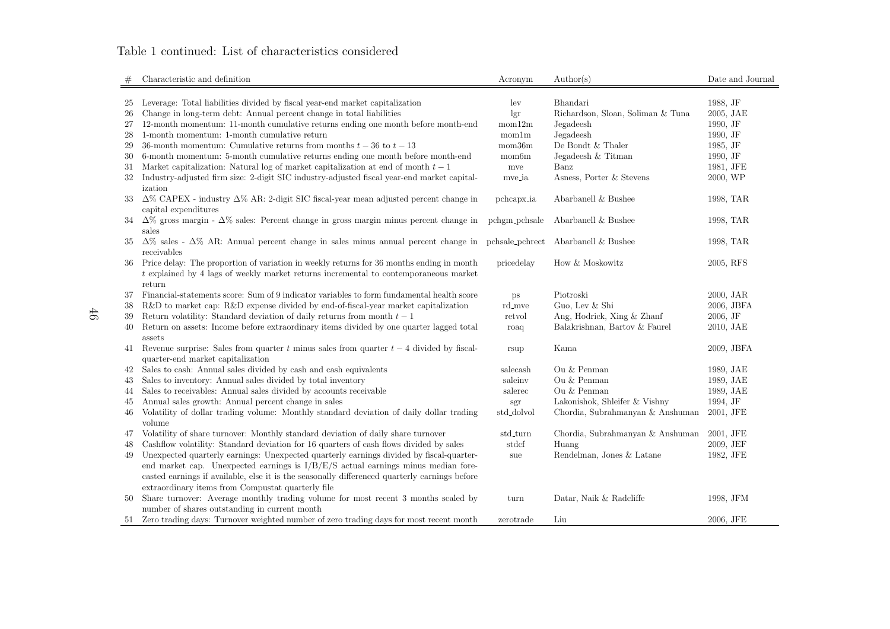## Table 1 continued: List of characteristics considered

|    | Characteristic and definition                                                                                                                                                                                                                                                                                                        | Acronym                    | $\text{Author}(s)$                | Date and Journal |
|----|--------------------------------------------------------------------------------------------------------------------------------------------------------------------------------------------------------------------------------------------------------------------------------------------------------------------------------------|----------------------------|-----------------------------------|------------------|
| 25 | Leverage: Total liabilities divided by fiscal year-end market capitalization                                                                                                                                                                                                                                                         | lev                        | Bhandari                          | 1988. JF         |
| 26 | Change in long-term debt: Annual percent change in total liabilities                                                                                                                                                                                                                                                                 | lgr                        | Richardson, Sloan, Soliman & Tuna | 2005, JAE        |
| 27 | 12-month momentum: 11-month cumulative returns ending one month before month-end                                                                                                                                                                                                                                                     | $\mathrm{mom}12\mathrm{m}$ | Jegadeesh                         | 1990, JF         |
| 28 | 1-month momentum: 1-month cumulative return                                                                                                                                                                                                                                                                                          | mom1m                      | Jegadeesh                         | 1990, JF         |
| 29 | 36-month momentum: Cumulative returns from months $t-36$ to $t-13$                                                                                                                                                                                                                                                                   | mom36m                     | De Bondt $\&$ Thaler              | 1985, JF         |
| 30 | 6-month momentum: 5-month cumulative returns ending one month before month-end                                                                                                                                                                                                                                                       | $\rm{mom}6m$               | Jegadeesh & Titman                | 1990, JF         |
| 31 | Market capitalization: Natural log of market capitalization at end of month $t-1$                                                                                                                                                                                                                                                    | $\operatorname{mve}$       | Banz                              | 1981, JFE        |
| 32 | Industry-adjusted firm size: 2-digit SIC industry-adjusted fiscal year-end market capital-<br>ization                                                                                                                                                                                                                                | mve_ia                     | Asness, Porter & Stevens          | 2000, WP         |
| 33 | $\Delta\%$ CAPEX - industry $\Delta\%$ AR: 2-digit SIC fiscal-year mean adjusted percent change in<br>capital expenditures                                                                                                                                                                                                           | pchcapx_ia                 | Abarbanell & Bushee               | 1998, TAR        |
| 34 | $\Delta\%$ gross margin - $\Delta\%$ sales: Percent change in gross margin minus percent change in<br>sales                                                                                                                                                                                                                          | pchgm_pchsale              | Abarbanell & Bushee               | 1998, TAR        |
| 35 | $\Delta\%$ sales - $\Delta\%$ AR: Annual percent change in sales minus annual percent change in pchsale_pchrect<br>$\operatorname{receivables}$                                                                                                                                                                                      |                            | Abarbanell & Bushee               | 1998, TAR        |
| 36 | Price delay: The proportion of variation in weekly returns for 36 months ending in month<br>$t$ explained by 4 lags of weekly market returns incremental to contemporaneous market<br>return                                                                                                                                         | pricedelay                 | How & Moskowitz                   | 2005, RFS        |
| 37 | Financial-statements score: Sum of 9 indicator variables to form fundamental health score                                                                                                                                                                                                                                            | ps                         | Piotroski                         | 2000, JAR        |
| 38 | R&D to market cap: R&D expense divided by end-of-fiscal-year market capitalization                                                                                                                                                                                                                                                   | rd_mve                     | Guo, Lev & Shi                    | 2006, JBFA       |
| 39 | Return volatility: Standard deviation of daily returns from month $t-1$                                                                                                                                                                                                                                                              | retvol                     | Ang, Hodrick, Xing & Zhanf        | 2006, JF         |
| 40 | Return on assets: Income before extraordinary items divided by one quarter lagged total<br>assets                                                                                                                                                                                                                                    | roaq                       | Balakrishnan, Bartov & Faurel     | 2010, JAE        |
| 41 | Revenue surprise: Sales from quarter t minus sales from quarter $t-4$ divided by fiscal-<br>quarter-end market capitalization                                                                                                                                                                                                        | rsup                       | Kama                              | 2009. JBFA       |
| 42 | Sales to cash: Annual sales divided by cash and cash equivalents                                                                                                                                                                                                                                                                     | salecash                   | Ou & Penman                       | 1989, JAE        |
| 43 | Sales to inventory: Annual sales divided by total inventory                                                                                                                                                                                                                                                                          | saleiny                    | Ou & Penman                       | 1989, JAE        |
| 44 | Sales to receivables: Annual sales divided by accounts receivable                                                                                                                                                                                                                                                                    | salerec                    | Ou & Penman                       | 1989, JAE        |
| 45 | Annual sales growth: Annual percent change in sales                                                                                                                                                                                                                                                                                  | sgr                        | Lakonishok, Shleifer & Vishny     | 1994. JF         |
| 46 | Volatility of dollar trading volume: Monthly standard deviation of daily dollar trading<br>volume                                                                                                                                                                                                                                    | std_dolvol                 | Chordia, Subrahmanyan & Anshuman  | 2001, JFE        |
| 47 | Volatility of share turnover: Monthly standard deviation of daily share turnover                                                                                                                                                                                                                                                     | std_turn                   | Chordia, Subrahmanyan & Anshuman  | 2001, JFE        |
| 48 | Cashflow volatility: Standard deviation for 16 quarters of cash flows divided by sales                                                                                                                                                                                                                                               | stdcf                      | Huang                             | 2009, JEF        |
| 49 | Unexpected quarterly earnings: Unexpected quarterly earnings divided by fiscal-quarter-<br>end market cap. Unexpected earnings is $I/B/E/S$ actual earnings minus median fore-<br>casted earnings if available, else it is the seasonally differenced quarterly earnings before<br>extraordinary items from Compustat quarterly file | sue                        | Rendelman, Jones & Latane         | 1982, JFE        |
| 50 | Share turnover: Average monthly trading volume for most recent 3 months scaled by<br>number of shares outstanding in current month                                                                                                                                                                                                   | turn                       | Datar, Naik & Radcliffe           | 1998, JFM        |
| 51 | Zero trading days: Turnover weighted number of zero trading days for most recent month                                                                                                                                                                                                                                               | zerotrade                  | Liu                               | 2006, JFE        |

46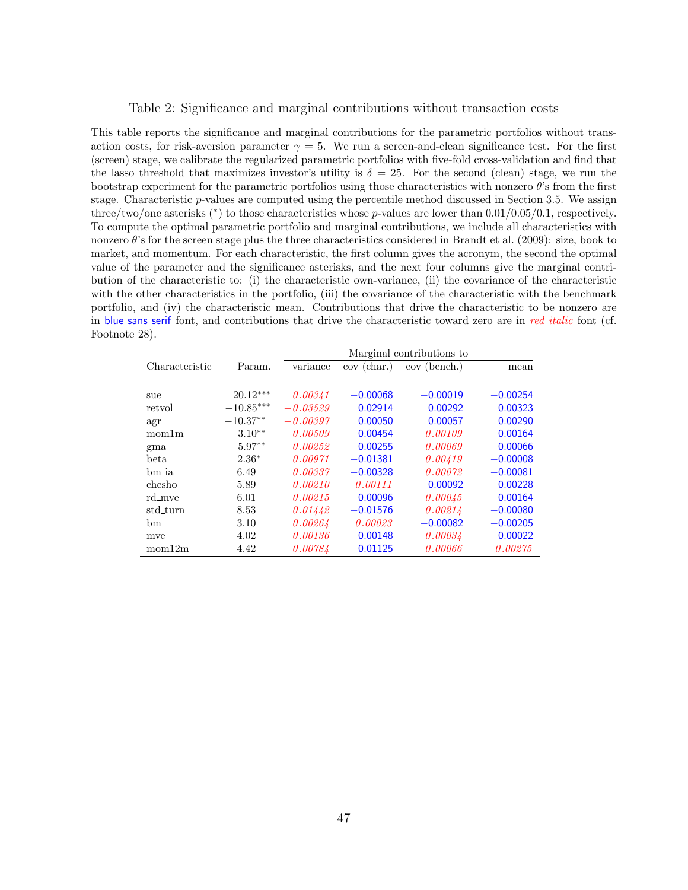#### Table 2: Significance and marginal contributions without transaction costs

This table reports the significance and marginal contributions for the parametric portfolios without transaction costs, for risk-aversion parameter  $\gamma = 5$ . We run a screen-and-clean significance test. For the first (screen) stage, we calibrate the regularized parametric portfolios with five-fold cross-validation and find that the lasso threshold that maximizes investor's utility is  $\delta = 25$ . For the second (clean) stage, we run the bootstrap experiment for the parametric portfolios using those characteristics with nonzero  $\theta$ 's from the first stage. Characteristic  $p$ -values are computed using the percentile method discussed in Section 3.5. We assign three/two/one asterisks (\*) to those characteristics whose p-values are lower than  $0.01/0.05/0.1$ , respectively. To compute the optimal parametric portfolio and marginal contributions, we include all characteristics with nonzero  $\theta$ 's for the screen stage plus the three characteristics considered in Brandt et al. (2009): size, book to market, and momentum. For each characteristic, the first column gives the acronym, the second the optimal value of the parameter and the significance asterisks, and the next four columns give the marginal contribution of the characteristic to: (i) the characteristic own-variance, (ii) the covariance of the characteristic with the other characteristics in the portfolio, (iii) the covariance of the characteristic with the benchmark portfolio, and (iv) the characteristic mean. Contributions that drive the characteristic to be nonzero are in blue sans serif font, and contributions that drive the characteristic toward zero are in red italic font (cf. Footnote 28).

|                |             | Marginal contributions to |             |              |            |
|----------------|-------------|---------------------------|-------------|--------------|------------|
| Characteristic | Param.      | variance                  | cov (char.) | cov (bench.) | mean       |
|                |             |                           |             |              |            |
| sue            | $20.12***$  | 0.00341                   | $-0.00068$  | $-0.00019$   | $-0.00254$ |
| retvol         | $-10.85***$ | $-0.03529$                | 0.02914     | 0.00292      | 0.00323    |
| agr            | $-10.37**$  | $-0.00397$                | 0.00050     | 0.00057      | 0.00290    |
| mom1m          | $-3.10**$   | $-0.00509$                | 0.00454     | $-0.00109$   | 0.00164    |
| gma            | $5.97**$    | 0.00252                   | $-0.00255$  | 0.00069      | $-0.00066$ |
| beta           | $2.36*$     | 0.00971                   | $-0.01381$  | 0.00419      | $-0.00008$ |
| bm_ia          | 6.49        | 0.00337                   | $-0.00328$  | 0.00072      | $-0.00081$ |
| chcsho         | $-5.89$     | $-0.00210$                | $-0.00111$  | 0.00092      | 0.00228    |
| rd_mve         | 6.01        | 0.00215                   | $-0.00096$  | 0.00045      | $-0.00164$ |
| std_turn       | 8.53        | 0.01442                   | $-0.01576$  | 0.00214      | $-0.00080$ |
| bm.            | 3.10        | 0.00264                   | 0.00023     | $-0.00082$   | $-0.00205$ |
| mve            | $-4.02$     | $-0.00136$                | 0.00148     | $-0.00034$   | 0.00022    |
| mom12m         | $-4.42$     | $-0.00784$                | 0.01125     | $-0.00066$   | $-0.00275$ |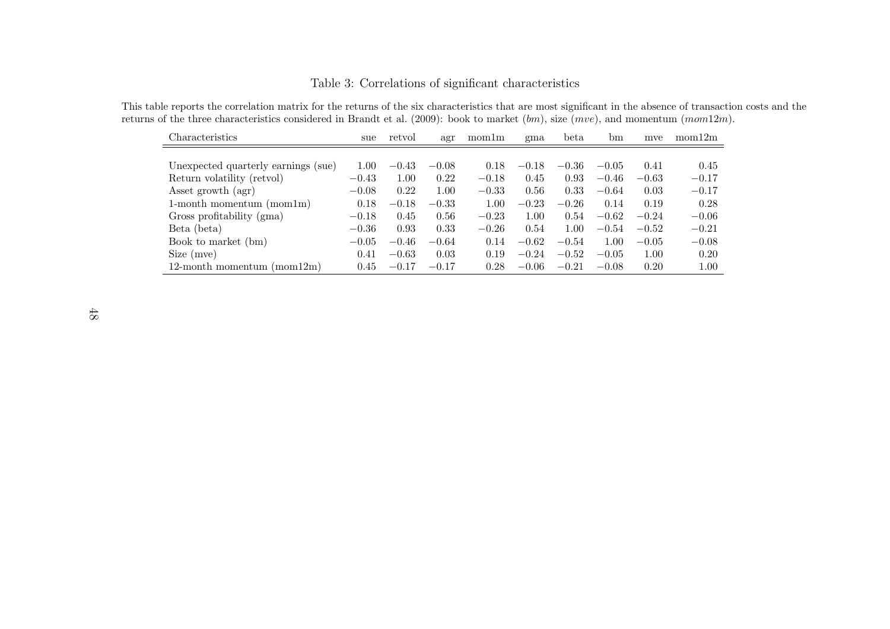## Table 3: Correlations of significant characteristics

This table reports the correlation matrix for the returns of the six characteristics that are most significant in the absence of transaction costs and the returns of the three characteristics considered in Brandt et al. (2009): book to market (bm), size (mve), and momentum (mom12m).

| Characteristics                     | sue     | retvol  | agr     | momlm   | gma     | beta    | bm      | mve     | mom12m  |
|-------------------------------------|---------|---------|---------|---------|---------|---------|---------|---------|---------|
|                                     |         |         |         |         |         |         |         |         |         |
| Unexpected quarterly earnings (sue) | 1.00    | $-0.43$ | $-0.08$ | 0.18    | $-0.18$ | $-0.36$ | $-0.05$ | 0.41    | 0.45    |
| Return volatility (retvol)          | $-0.43$ | 1.00    | 0.22    | $-0.18$ | 0.45    | 0.93    | $-0.46$ | $-0.63$ | $-0.17$ |
| Asset growth (agr)                  | $-0.08$ | 0.22    | 1.00    | $-0.33$ | 0.56    | 0.33    | $-0.64$ | 0.03    | $-0.17$ |
| 1-month momentum $(\text{mom1m})$   | 0.18    | $-0.18$ | $-0.33$ | 1.00    | $-0.23$ | $-0.26$ | 0.14    | 0.19    | 0.28    |
| Gross profitability (gma)           | $-0.18$ | 0.45    | 0.56    | $-0.23$ | 1.00    | 0.54    | $-0.62$ | $-0.24$ | $-0.06$ |
| Beta (beta)                         | $-0.36$ | 0.93    | 0.33    | $-0.26$ | 0.54    | 1.00    | $-0.54$ | $-0.52$ | $-0.21$ |
| Book to market (bm)                 | $-0.05$ | $-0.46$ | $-0.64$ | 0.14    | $-0.62$ | $-0.54$ | 1.00    | $-0.05$ | $-0.08$ |
| Size (mve)                          | 0.41    | $-0.63$ | 0.03    | 0.19    | $-0.24$ | $-0.52$ | $-0.05$ | 1.00    | 0.20    |
| $12$ -month momentum (<br>(mom12m)  | 0.45    | $-0.17$ | $-0.17$ | 0.28    | $-0.06$ | $-0.21$ | $-0.08$ | 0.20    | 1.00    |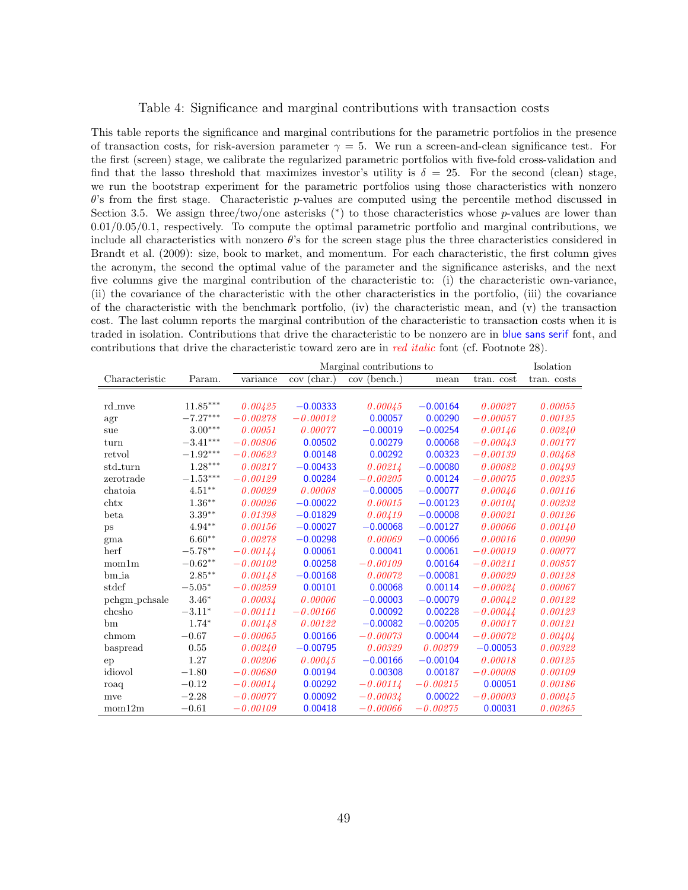#### Table 4: Significance and marginal contributions with transaction costs

This table reports the significance and marginal contributions for the parametric portfolios in the presence of transaction costs, for risk-aversion parameter  $\gamma = 5$ . We run a screen-and-clean significance test. For the first (screen) stage, we calibrate the regularized parametric portfolios with five-fold cross-validation and find that the lasso threshold that maximizes investor's utility is  $\delta = 25$ . For the second (clean) stage, we run the bootstrap experiment for the parametric portfolios using those characteristics with nonzero  $\theta$ 's from the first stage. Characteristic p-values are computed using the percentile method discussed in Section 3.5. We assign three/two/one asterisks  $(*)$  to those characteristics whose p-values are lower than  $0.01/0.05/0.1$ , respectively. To compute the optimal parametric portfolio and marginal contributions, we include all characteristics with nonzero θ's for the screen stage plus the three characteristics considered in Brandt et al. (2009): size, book to market, and momentum. For each characteristic, the first column gives the acronym, the second the optimal value of the parameter and the significance asterisks, and the next five columns give the marginal contribution of the characteristic to: (i) the characteristic own-variance, (ii) the covariance of the characteristic with the other characteristics in the portfolio, (iii) the covariance of the characteristic with the benchmark portfolio, (iv) the characteristic mean, and (v) the transaction cost. The last column reports the marginal contribution of the characteristic to transaction costs when it is traded in isolation. Contributions that drive the characteristic to be nonzero are in blue sans serif font, and contributions that drive the characteristic toward zero are in *red italic* font (cf. Footnote 28).

|                |                        | Marginal contributions to |               |              |            |            | Isolation   |
|----------------|------------------------|---------------------------|---------------|--------------|------------|------------|-------------|
| Characteristic | Param.                 | variance                  | $cov$ (char.) | cov (bench.) | mean       | tran. cost | tran. costs |
|                |                        |                           |               |              |            |            |             |
| rd_mve         | $11.85***$             | 0.00425                   | $-0.00333$    | 0.00045      | $-0.00164$ | 0.00027    | 0.00055     |
| agr            | $-7.27***$             | $-0.00278$                | $-0.00012$    | 0.00057      | 0.00290    | $-0.00057$ | 0.00125     |
| sue            | $3.00***$              | 0.00051                   | 0.00077       | $-0.00019$   | $-0.00254$ | 0.00146    | 0.00240     |
| turn           | $-3.41***$             | $-0.00806$                | 0.00502       | 0.00279      | 0.00068    | $-0.00043$ | 0.00177     |
| retvol         | $-1.92***$             | $-0.00623$                | 0.00148       | 0.00292      | 0.00323    | $-0.00139$ | 0.00468     |
| std_turn       | $1.28***$              | 0.00217                   | $-0.00433$    | 0.00214      | $-0.00080$ | 0.00082    | 0.00493     |
| zerotrade      | $-1.53^{\ast\ast\ast}$ | $-0.00129$                | 0.00284       | $-0.00205$   | 0.00124    | $-0.00075$ | 0.00235     |
| chatoia        | $4.51***$              | 0.00029                   | 0.00008       | $-0.00005$   | $-0.00077$ | 0.00046    | 0.00116     |
| $\text{chtx}$  | $1.36**$               | 0.00026                   | $-0.00022$    | 0.00015      | $-0.00123$ | 0.00104    | 0.00232     |
| beta           | $3.39**$               | 0.01398                   | $-0.01829$    | 0.00419      | $-0.00008$ | 0.00021    | 0.00126     |
| $_{\rm ps}$    | $4.94**$               | 0.00156                   | $-0.00027$    | $-0.00068$   | $-0.00127$ | 0.00066    | 0.00140     |
| gma            | $6.60**$               | 0.00278                   | $-0.00298$    | 0.00069      | $-0.00066$ | 0.00016    | 0.00090     |
| herf           | $-5.78**$              | $-0.00144$                | 0.00061       | 0.00041      | 0.00061    | $-0.00019$ | 0.00077     |
| mom1m          | $-0.62**$              | $-0.00102$                | 0.00258       | $-0.00109$   | 0.00164    | $-0.00211$ | 0.00857     |
| bm_ia          | $2.85***$              | 0.00148                   | $-0.00168$    | 0.00072      | $-0.00081$ | 0.00029    | 0.00128     |
| stdcf          | $-5.05*$               | $-0.00259$                | 0.00101       | 0.00068      | 0.00114    | $-0.00024$ | 0.00067     |
| pchgm_pchsale  | $3.46*$                | 0.00034                   | 0.00006       | $-0.00003$   | $-0.00079$ | 0.00042    | 0.00122     |
| chcsho         | $-3.11*$               | $-0.00111$                | $-0.00166$    | 0.00092      | 0.00228    | $-0.00044$ | 0.00123     |
| $_{\text{bm}}$ | $1.74*$                | 0.00148                   | 0.00122       | $-0.00082$   | $-0.00205$ | 0.00017    | 0.00121     |
| chmom          | $-0.67$                | $-0.00065$                | 0.00166       | $-0.00073$   | 0.00044    | $-0.00072$ | 0.00404     |
| baspread       | 0.55                   | 0.00240                   | $-0.00795$    | 0.00329      | 0.00279    | $-0.00053$ | 0.00322     |
| ep             | 1.27                   | 0.00206                   | 0.00045       | $-0.00166$   | $-0.00104$ | 0.00018    | 0.00125     |
| idiovol        | $-1.80$                | $-0.00680$                | 0.00194       | 0.00308      | 0.00187    | $-0.00008$ | 0.00109     |
| roaq           | $-0.12$                | $-0.00014$                | 0.00292       | $-0.00114$   | $-0.00215$ | 0.00051    | 0.00186     |
| mve            | $-2.28$                | $-0.00077$                | 0.00092       | $-0.00034$   | 0.00022    | $-0.00003$ | 0.00045     |
| mom12m         | $-0.61$                | $-0.00109$                | 0.00418       | $-0.00066$   | $-0.00275$ | 0.00031    | 0.00265     |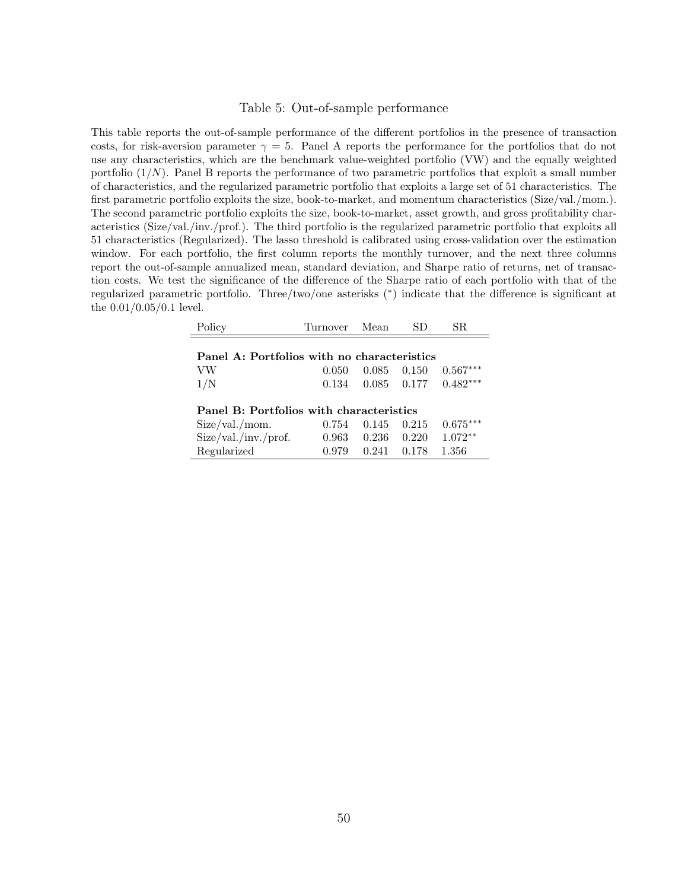#### Table 5: Out-of-sample performance

This table reports the out-of-sample performance of the different portfolios in the presence of transaction costs, for risk-aversion parameter  $\gamma = 5$ . Panel A reports the performance for the portfolios that do not use any characteristics, which are the benchmark value-weighted portfolio (VW) and the equally weighted portfolio  $(1/N)$ . Panel B reports the performance of two parametric portfolios that exploit a small number of characteristics, and the regularized parametric portfolio that exploits a large set of 51 characteristics. The first parametric portfolio exploits the size, book-to-market, and momentum characteristics (Size/val./mom.). The second parametric portfolio exploits the size, book-to-market, asset growth, and gross profitability characteristics (Size/val./inv./prof.). The third portfolio is the regularized parametric portfolio that exploits all 51 characteristics (Regularized). The lasso threshold is calibrated using cross-validation over the estimation window. For each portfolio, the first column reports the monthly turnover, and the next three columns report the out-of-sample annualized mean, standard deviation, and Sharpe ratio of returns, net of transaction costs. We test the significance of the difference of the Sharpe ratio of each portfolio with that of the regularized parametric portfolio. Three/two/one asterisks (∗ ) indicate that the difference is significant at the 0.01/0.05/0.1 level.

| Policy                                      | Turnover | Mean  | SD    | SR.        |
|---------------------------------------------|----------|-------|-------|------------|
|                                             |          |       |       |            |
| Panel A: Portfolios with no characteristics |          |       |       |            |
| VW                                          | 0.050    | 0.085 | 0.150 | $0.567***$ |
| 1/N                                         | 0.134    | 0.085 | 0.177 | $0.482***$ |
|                                             |          |       |       |            |
| Panel B: Portfolios with characteristics    |          |       |       |            |
| Size/val./mom.                              | 0.754    | 0.145 | 0.215 | $0.675***$ |
| Size/val./inv./prof.                        | 0.963    | 0.236 | 0.220 | $1.072**$  |
| Regularized                                 | 0.979    | 0.241 | በ 178 | 1.356      |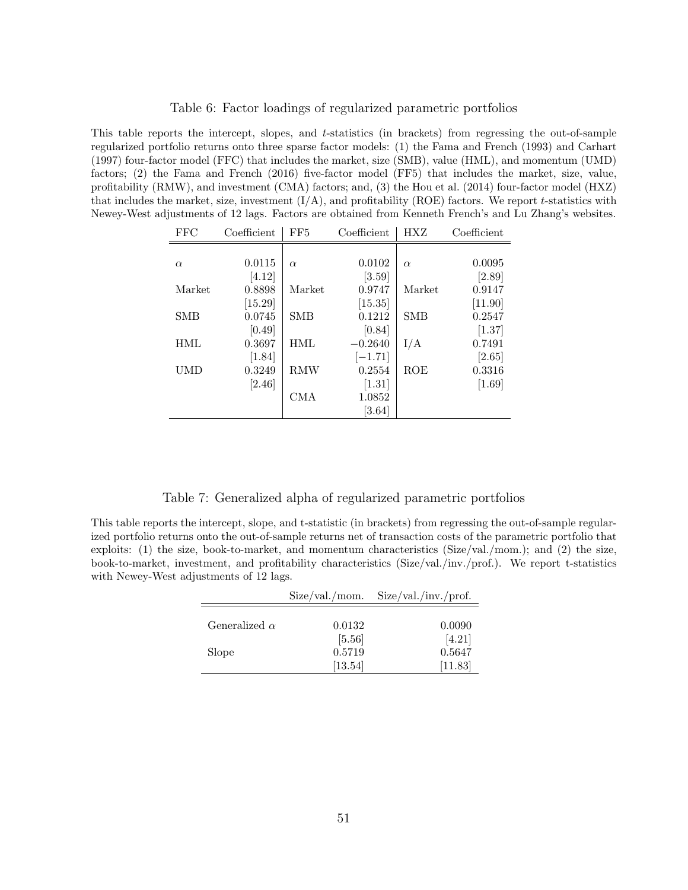Table 6: Factor loadings of regularized parametric portfolios

This table reports the intercept, slopes, and t-statistics (in brackets) from regressing the out-of-sample regularized portfolio returns onto three sparse factor models: (1) the Fama and French (1993) and Carhart (1997) four-factor model (FFC) that includes the market, size (SMB), value (HML), and momentum (UMD) factors; (2) the Fama and French (2016) five-factor model (FF5) that includes the market, size, value, profitability (RMW), and investment (CMA) factors; and, (3) the Hou et al. (2014) four-factor model (HXZ) that includes the market, size, investment  $(I/A)$ , and profitability (ROE) factors. We report t-statistics with Newey-West adjustments of 12 lags. Factors are obtained from Kenneth French's and Lu Zhang's websites.

| $_{\rm FFC}$ | Coefficient | FF <sub>5</sub> | Coefficient | <b>HXZ</b> | Coefficient |
|--------------|-------------|-----------------|-------------|------------|-------------|
|              |             |                 |             |            |             |
| $\alpha$     | 0.0115      | $\alpha$        | 0.0102      | $\alpha$   | 0.0095      |
|              | [4.12]      |                 | $[3.59]$    |            | $[2.89]$    |
| Market       | 0.8898      | Market          | 0.9747      | Market     | 0.9147      |
|              | $[15.29]$   |                 | $[15.35]$   |            | [11.90]     |
| <b>SMB</b>   | 0.0745      | <b>SMB</b>      | 0.1212      | <b>SMB</b> | 0.2547      |
|              | [0.49]      |                 | [0.84]      |            | $[1.37]$    |
| <b>HML</b>   | 0.3697      | HML             | $-0.2640$   | I/A        | 0.7491      |
|              | $[1.84]$    |                 | $[-1.71]$   |            | $[2.65]$    |
| UMD          | 0.3249      | <b>RMW</b>      | 0.2554      | ROE        | 0.3316      |
|              | [2.46]      |                 | $[1.31]$    |            | $[1.69]$    |
|              |             | <b>CMA</b>      | 1.0852      |            |             |
|              |             |                 | [3.64]      |            |             |

#### Table 7: Generalized alpha of regularized parametric portfolios

This table reports the intercept, slope, and t-statistic (in brackets) from regressing the out-of-sample regularized portfolio returns onto the out-of-sample returns net of transaction costs of the parametric portfolio that exploits: (1) the size, book-to-market, and momentum characteristics (Size/val./mom.); and (2) the size, book-to-market, investment, and profitability characteristics (Size/val./inv./prof.). We report t-statistics with Newey-West adjustments of 12 lags.

|                      |         | $Size/val./mom.$ Size/val./inv./prof. |
|----------------------|---------|---------------------------------------|
| Generalized $\alpha$ | 0.0132  | 0.0090                                |
|                      | [5.56]  | [4.21]                                |
| Slope                | 0.5719  | 0.5647                                |
|                      | [13.54] | [11.83]                               |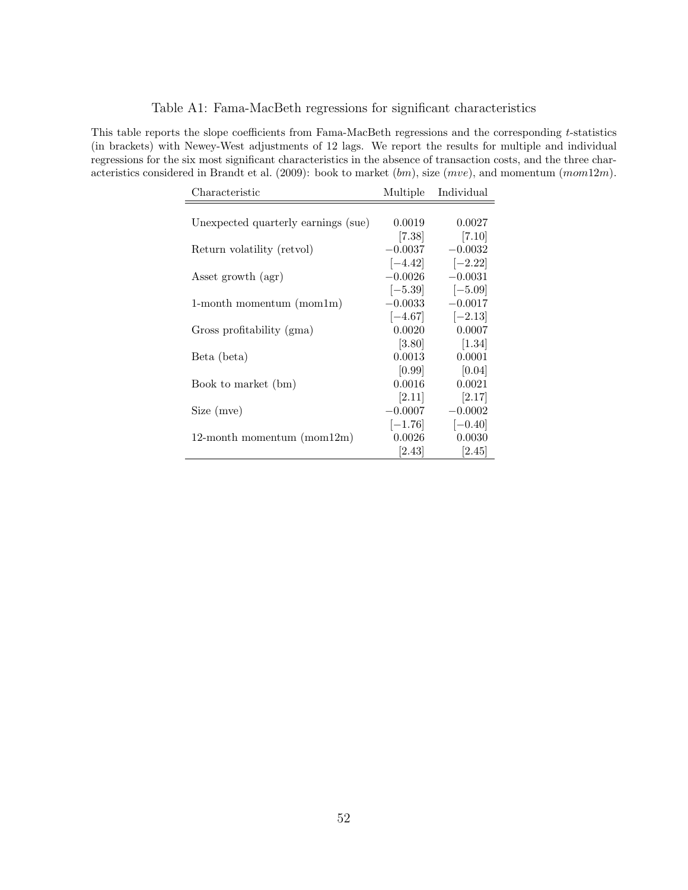#### Table A1: Fama-MacBeth regressions for significant characteristics

This table reports the slope coefficients from Fama-MacBeth regressions and the corresponding t-statistics (in brackets) with Newey-West adjustments of 12 lags. We report the results for multiple and individual regressions for the six most significant characteristics in the absence of transaction costs, and the three characteristics considered in Brandt et al. (2009): book to market  $(bm)$ , size  $(mve)$ , and momentum  $(mom12m)$ .

| Characteristic                      | Multiple             | Individual           |
|-------------------------------------|----------------------|----------------------|
|                                     |                      |                      |
| Unexpected quarterly earnings (sue) | 0.0019               | 0.0027               |
|                                     | [7.38]               | [7.10]               |
| Return volatility (retvol)          | $-0.0037$            | $-0.0032$            |
|                                     | $[-4.42]$            | $[-2.22]$            |
| Asset growth (agr)                  | $-0.0026$            | $-0.0031$            |
|                                     | $[-5.39]$            | $[-5.09]$            |
| $1$ -month momentum (mom $1m$ )     | $-0.0033$            | $-0.0017$            |
|                                     | $[-4.67]$            | $[-2.13]$            |
| Gross profitability (gma)           | 0.0020               | 0.0007               |
|                                     | [3.80]               | $[1.34]$             |
| Beta (beta)                         | 0.0013               | 0.0001               |
|                                     | [0.99]               | [0.04]               |
| Book to market (bm)                 | 0.0016               | 0.0021               |
|                                     | [2.11]               | [2.17]               |
| Size (mve)                          | $-0.0007$            | $-0.0002$            |
|                                     | $[-1.76]$            | $[-0.40]$            |
| 12-month momentum $(\text{mom12m})$ | 0.0026               | 0.0030               |
|                                     | $\left[ 2.43\right]$ | $\left[ 2.45\right]$ |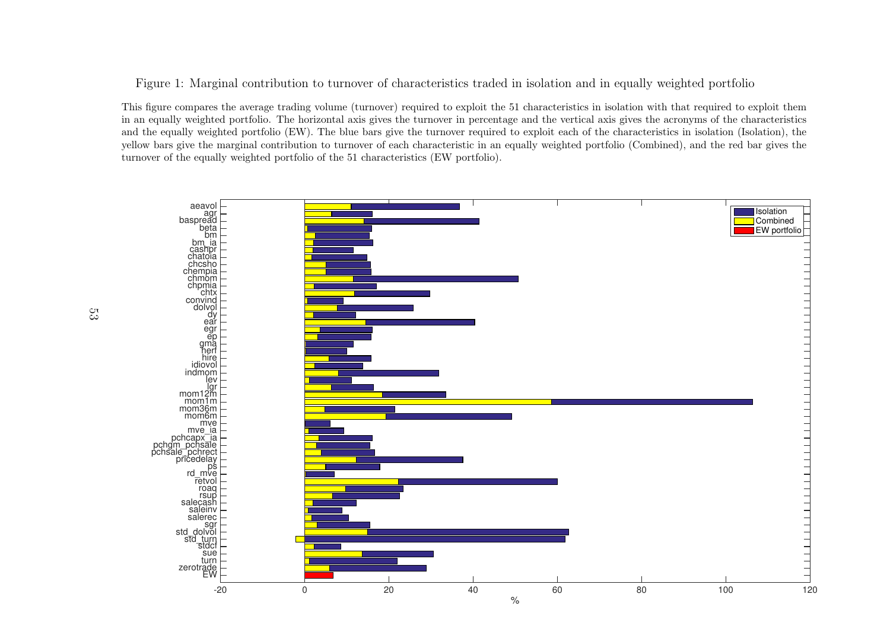Figure 1: Marginal contribution to turnover of characteristics traded in isolation and in equally weighted portfolio

This figure compares the average trading volume (turnover) required to exploit the 51 characteristics in isolation with that required to exploit them in an equally weighted portfolio. The horizontal axis gives the turnover in percentage and the vertical axis gives the acronyms of the characteristics and the equally weighted portfolio (EW). The blue bars give the turnover required to exploit each of the characteristics in isolation (Isolation), the yellow bars give the marginal contribution to turnover of each characteristic in an equally weighted portfolio (Combined), and the red bar gives the turnover of the equally weighted portfolio of the 51 characteristics (EW portfolio).

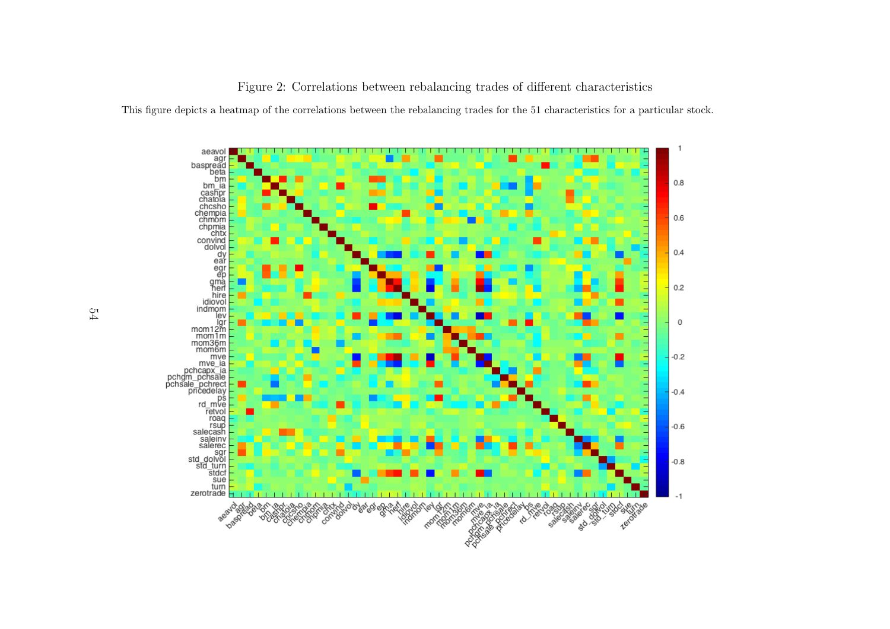## Figure 2: Correlations between rebalancing trades of different characteristics

This figure depicts a heatmap of the correlations between the rebalancing trades for the 51 characteristics for a particular stock.

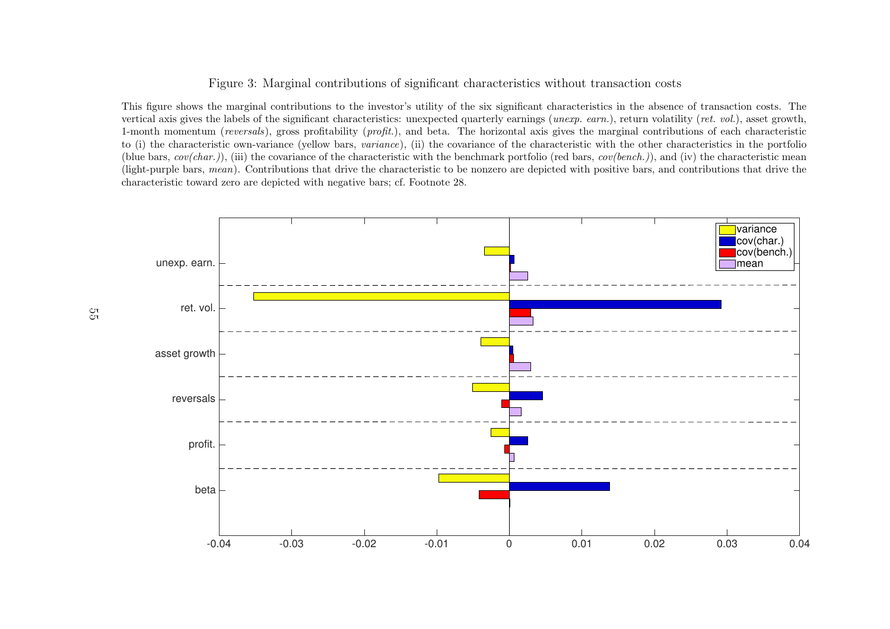#### Figure 3: Marginal contributions of significant characteristics without transaction costs

This figure shows the marginal contributions to the investor's utility of the six significant characteristics in the absence of transaction costs. The vertical axis gives the labels of the significant characteristics: unexpected quarterly earnings (unexp. earn.), return volatility (ret. vol.), asset growth, 1-month momentum (reversals), gross profitability (profit.), and beta. The horizontal axis gives the marginal contributions of each characteristic to (i) the characteristic own-variance (yellow bars, variance), (ii) the covariance of the characteristic with the other characteristics in the portfolio (blue bars,  $cov(char.)$ ), (iii) the covariance of the characteristic with the benchmark portfolio (red bars,  $cov(bench.)$ ), and (iv) the characteristic mean (light-purple bars, *mean*). Contributions that drive the characteristic to be nonzero are depicted with positive bars, and contributions that drive the characteristic toward zero are depicted with negative bars; cf. Footnote 28.

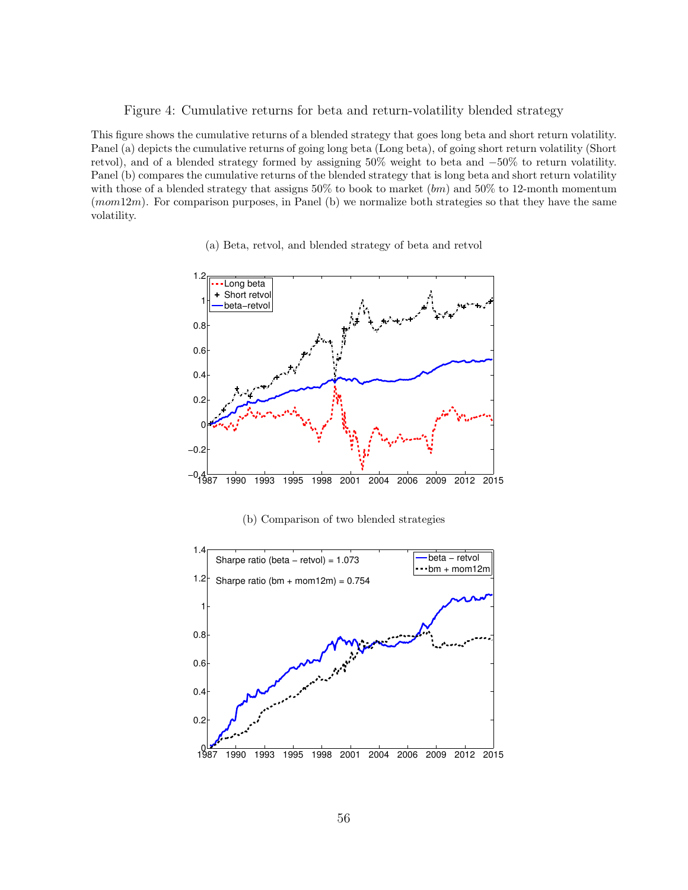#### Figure 4: Cumulative returns for beta and return-volatility blended strategy

This figure shows the cumulative returns of a blended strategy that goes long beta and short return volatility. Panel (a) depicts the cumulative returns of going long beta (Long beta), of going short return volatility (Short retvol), and of a blended strategy formed by assigning 50% weight to beta and −50% to return volatility. Panel (b) compares the cumulative returns of the blended strategy that is long beta and short return volatility with those of a blended strategy that assigns  $50\%$  to book to market  $(bm)$  and  $50\%$  to 12-month momentum  $(mom12m)$ . For comparison purposes, in Panel (b) we normalize both strategies so that they have the same volatility.



(a) Beta, retvol, and blended strategy of beta and retvol

(b) Comparison of two blended strategies

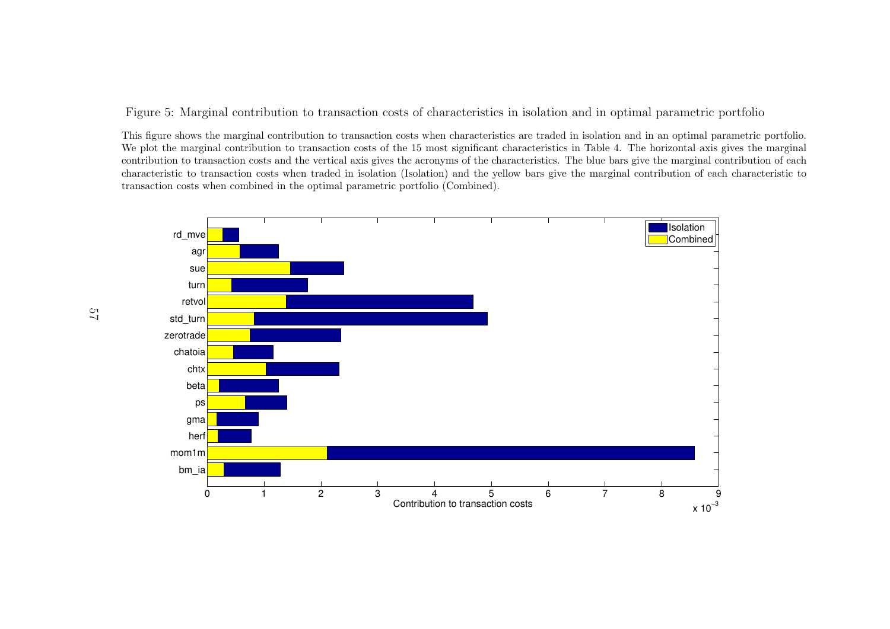Figure 5: Marginal contribution to transaction costs of characteristics in isolation and in optimal parametric portfolio

This figure shows the marginal contribution to transaction costs when characteristics are traded in isolation and in an optimal parametric portfolio. We plot the marginal contribution to transaction costs of the 15 most significant characteristics in Table 4. The horizontal axis gives the marginal contribution to transaction costs and the vertical axis gives the acronyms of the characteristics. The blue bars give the marginal contribution of each characteristic to transaction costs when traded in isolation (Isolation) and the yellow bars give the marginal contribution of each characteristic to transaction costs when combined in the optimal parametric portfolio (Combined).



 $\tilde{c}_1$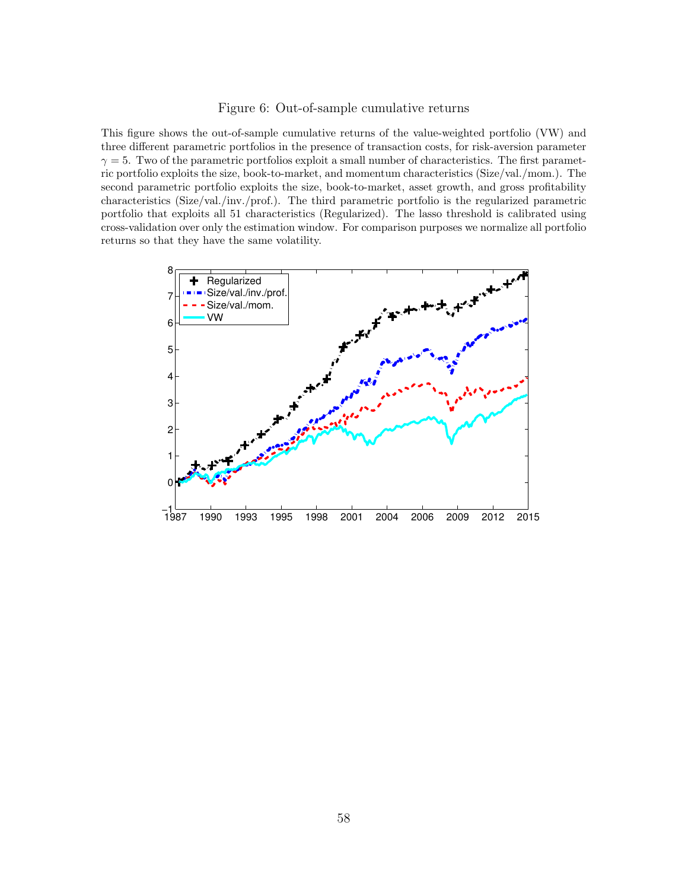#### Figure 6: Out-of-sample cumulative returns

This figure shows the out-of-sample cumulative returns of the value-weighted portfolio (VW) and three different parametric portfolios in the presence of transaction costs, for risk-aversion parameter  $\gamma = 5$ . Two of the parametric portfolios exploit a small number of characteristics. The first parametric portfolio exploits the size, book-to-market, and momentum characteristics (Size/val./mom.). The second parametric portfolio exploits the size, book-to-market, asset growth, and gross profitability characteristics (Size/val./inv./prof.). The third parametric portfolio is the regularized parametric portfolio that exploits all 51 characteristics (Regularized). The lasso threshold is calibrated using cross-validation over only the estimation window. For comparison purposes we normalize all portfolio returns so that they have the same volatility.

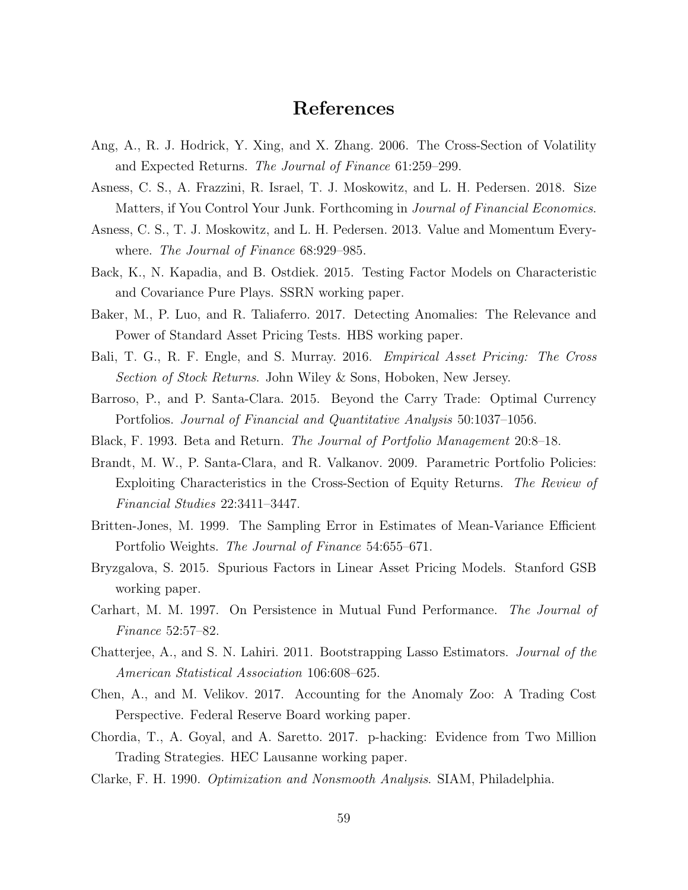# References

- Ang, A., R. J. Hodrick, Y. Xing, and X. Zhang. 2006. The Cross-Section of Volatility and Expected Returns. The Journal of Finance 61:259–299.
- Asness, C. S., A. Frazzini, R. Israel, T. J. Moskowitz, and L. H. Pedersen. 2018. Size Matters, if You Control Your Junk. Forthcoming in Journal of Financial Economics.
- Asness, C. S., T. J. Moskowitz, and L. H. Pedersen. 2013. Value and Momentum Everywhere. The Journal of Finance 68:929–985.
- Back, K., N. Kapadia, and B. Ostdiek. 2015. Testing Factor Models on Characteristic and Covariance Pure Plays. SSRN working paper.
- Baker, M., P. Luo, and R. Taliaferro. 2017. Detecting Anomalies: The Relevance and Power of Standard Asset Pricing Tests. HBS working paper.
- Bali, T. G., R. F. Engle, and S. Murray. 2016. *Empirical Asset Pricing: The Cross* Section of Stock Returns. John Wiley & Sons, Hoboken, New Jersey.
- Barroso, P., and P. Santa-Clara. 2015. Beyond the Carry Trade: Optimal Currency Portfolios. Journal of Financial and Quantitative Analysis 50:1037–1056.
- Black, F. 1993. Beta and Return. The Journal of Portfolio Management 20:8–18.
- Brandt, M. W., P. Santa-Clara, and R. Valkanov. 2009. Parametric Portfolio Policies: Exploiting Characteristics in the Cross-Section of Equity Returns. The Review of Financial Studies 22:3411–3447.
- Britten-Jones, M. 1999. The Sampling Error in Estimates of Mean-Variance Efficient Portfolio Weights. The Journal of Finance 54:655–671.
- Bryzgalova, S. 2015. Spurious Factors in Linear Asset Pricing Models. Stanford GSB working paper.
- Carhart, M. M. 1997. On Persistence in Mutual Fund Performance. The Journal of Finance 52:57–82.
- Chatterjee, A., and S. N. Lahiri. 2011. Bootstrapping Lasso Estimators. Journal of the American Statistical Association 106:608–625.
- Chen, A., and M. Velikov. 2017. Accounting for the Anomaly Zoo: A Trading Cost Perspective. Federal Reserve Board working paper.
- Chordia, T., A. Goyal, and A. Saretto. 2017. p-hacking: Evidence from Two Million Trading Strategies. HEC Lausanne working paper.
- Clarke, F. H. 1990. Optimization and Nonsmooth Analysis. SIAM, Philadelphia.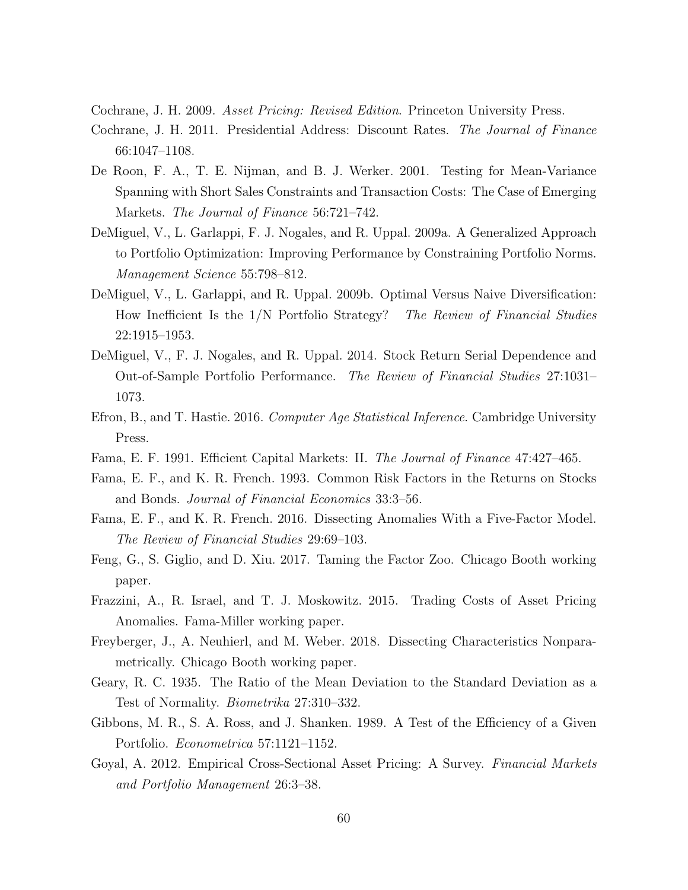Cochrane, J. H. 2009. Asset Pricing: Revised Edition. Princeton University Press.

- Cochrane, J. H. 2011. Presidential Address: Discount Rates. The Journal of Finance 66:1047–1108.
- De Roon, F. A., T. E. Nijman, and B. J. Werker. 2001. Testing for Mean-Variance Spanning with Short Sales Constraints and Transaction Costs: The Case of Emerging Markets. The Journal of Finance 56:721–742.
- DeMiguel, V., L. Garlappi, F. J. Nogales, and R. Uppal. 2009a. A Generalized Approach to Portfolio Optimization: Improving Performance by Constraining Portfolio Norms. Management Science 55:798–812.
- DeMiguel, V., L. Garlappi, and R. Uppal. 2009b. Optimal Versus Naive Diversification: How Inefficient Is the 1/N Portfolio Strategy? The Review of Financial Studies 22:1915–1953.
- DeMiguel, V., F. J. Nogales, and R. Uppal. 2014. Stock Return Serial Dependence and Out-of-Sample Portfolio Performance. The Review of Financial Studies 27:1031– 1073.
- Efron, B., and T. Hastie. 2016. Computer Age Statistical Inference. Cambridge University Press.
- Fama, E. F. 1991. Efficient Capital Markets: II. The Journal of Finance 47:427–465.
- Fama, E. F., and K. R. French. 1993. Common Risk Factors in the Returns on Stocks and Bonds. Journal of Financial Economics 33:3–56.
- Fama, E. F., and K. R. French. 2016. Dissecting Anomalies With a Five-Factor Model. The Review of Financial Studies 29:69–103.
- Feng, G., S. Giglio, and D. Xiu. 2017. Taming the Factor Zoo. Chicago Booth working paper.
- Frazzini, A., R. Israel, and T. J. Moskowitz. 2015. Trading Costs of Asset Pricing Anomalies. Fama-Miller working paper.
- Freyberger, J., A. Neuhierl, and M. Weber. 2018. Dissecting Characteristics Nonparametrically. Chicago Booth working paper.
- Geary, R. C. 1935. The Ratio of the Mean Deviation to the Standard Deviation as a Test of Normality. Biometrika 27:310–332.
- Gibbons, M. R., S. A. Ross, and J. Shanken. 1989. A Test of the Efficiency of a Given Portfolio. Econometrica 57:1121–1152.
- Goyal, A. 2012. Empirical Cross-Sectional Asset Pricing: A Survey. Financial Markets and Portfolio Management 26:3–38.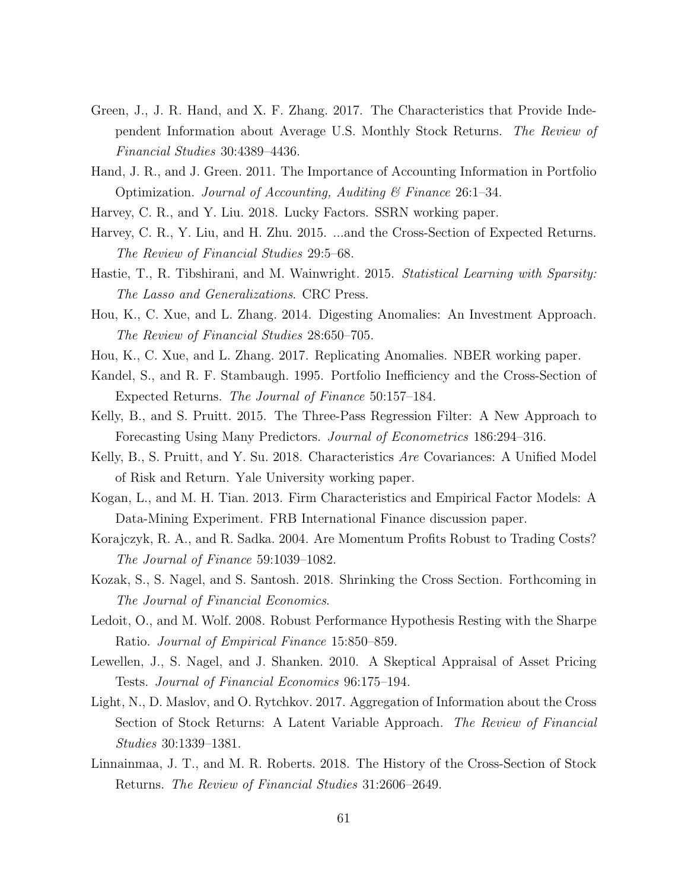- Green, J., J. R. Hand, and X. F. Zhang. 2017. The Characteristics that Provide Independent Information about Average U.S. Monthly Stock Returns. The Review of Financial Studies 30:4389–4436.
- Hand, J. R., and J. Green. 2011. The Importance of Accounting Information in Portfolio Optimization. Journal of Accounting, Auditing  $\mathcal C$  Finance 26:1–34.
- Harvey, C. R., and Y. Liu. 2018. Lucky Factors. SSRN working paper.
- Harvey, C. R., Y. Liu, and H. Zhu. 2015. ...and the Cross-Section of Expected Returns. The Review of Financial Studies 29:5–68.
- Hastie, T., R. Tibshirani, and M. Wainwright. 2015. Statistical Learning with Sparsity: The Lasso and Generalizations. CRC Press.
- Hou, K., C. Xue, and L. Zhang. 2014. Digesting Anomalies: An Investment Approach. The Review of Financial Studies 28:650–705.
- Hou, K., C. Xue, and L. Zhang. 2017. Replicating Anomalies. NBER working paper.
- Kandel, S., and R. F. Stambaugh. 1995. Portfolio Inefficiency and the Cross-Section of Expected Returns. The Journal of Finance 50:157–184.
- Kelly, B., and S. Pruitt. 2015. The Three-Pass Regression Filter: A New Approach to Forecasting Using Many Predictors. Journal of Econometrics 186:294–316.
- Kelly, B., S. Pruitt, and Y. Su. 2018. Characteristics Are Covariances: A Unified Model of Risk and Return. Yale University working paper.
- Kogan, L., and M. H. Tian. 2013. Firm Characteristics and Empirical Factor Models: A Data-Mining Experiment. FRB International Finance discussion paper.
- Korajczyk, R. A., and R. Sadka. 2004. Are Momentum Profits Robust to Trading Costs? The Journal of Finance 59:1039–1082.
- Kozak, S., S. Nagel, and S. Santosh. 2018. Shrinking the Cross Section. Forthcoming in The Journal of Financial Economics.
- Ledoit, O., and M. Wolf. 2008. Robust Performance Hypothesis Resting with the Sharpe Ratio. Journal of Empirical Finance 15:850–859.
- Lewellen, J., S. Nagel, and J. Shanken. 2010. A Skeptical Appraisal of Asset Pricing Tests. Journal of Financial Economics 96:175–194.
- Light, N., D. Maslov, and O. Rytchkov. 2017. Aggregation of Information about the Cross Section of Stock Returns: A Latent Variable Approach. The Review of Financial Studies 30:1339–1381.
- Linnainmaa, J. T., and M. R. Roberts. 2018. The History of the Cross-Section of Stock Returns. The Review of Financial Studies 31:2606–2649.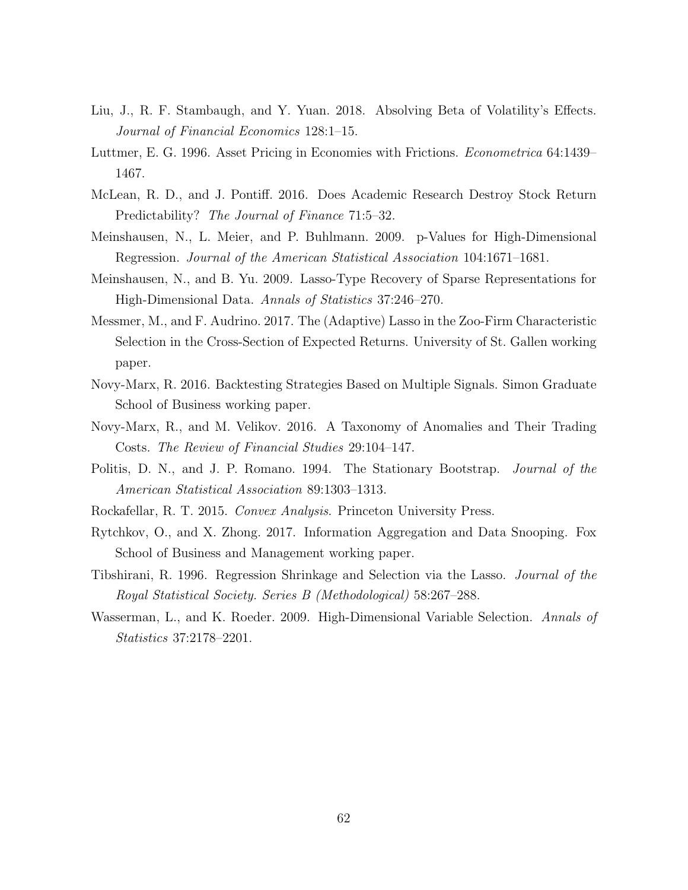- Liu, J., R. F. Stambaugh, and Y. Yuan. 2018. Absolving Beta of Volatility's Effects. Journal of Financial Economics 128:1–15.
- Luttmer, E. G. 1996. Asset Pricing in Economies with Frictions. *Econometrica* 64:1439– 1467.
- McLean, R. D., and J. Pontiff. 2016. Does Academic Research Destroy Stock Return Predictability? The Journal of Finance 71:5–32.
- Meinshausen, N., L. Meier, and P. Buhlmann. 2009. p-Values for High-Dimensional Regression. Journal of the American Statistical Association 104:1671–1681.
- Meinshausen, N., and B. Yu. 2009. Lasso-Type Recovery of Sparse Representations for High-Dimensional Data. Annals of Statistics 37:246–270.
- Messmer, M., and F. Audrino. 2017. The (Adaptive) Lasso in the Zoo-Firm Characteristic Selection in the Cross-Section of Expected Returns. University of St. Gallen working paper.
- Novy-Marx, R. 2016. Backtesting Strategies Based on Multiple Signals. Simon Graduate School of Business working paper.
- Novy-Marx, R., and M. Velikov. 2016. A Taxonomy of Anomalies and Their Trading Costs. The Review of Financial Studies 29:104–147.
- Politis, D. N., and J. P. Romano. 1994. The Stationary Bootstrap. *Journal of the* American Statistical Association 89:1303–1313.
- Rockafellar, R. T. 2015. Convex Analysis. Princeton University Press.
- Rytchkov, O., and X. Zhong. 2017. Information Aggregation and Data Snooping. Fox School of Business and Management working paper.
- Tibshirani, R. 1996. Regression Shrinkage and Selection via the Lasso. Journal of the Royal Statistical Society. Series B (Methodological) 58:267–288.
- Wasserman, L., and K. Roeder. 2009. High-Dimensional Variable Selection. Annals of Statistics 37:2178–2201.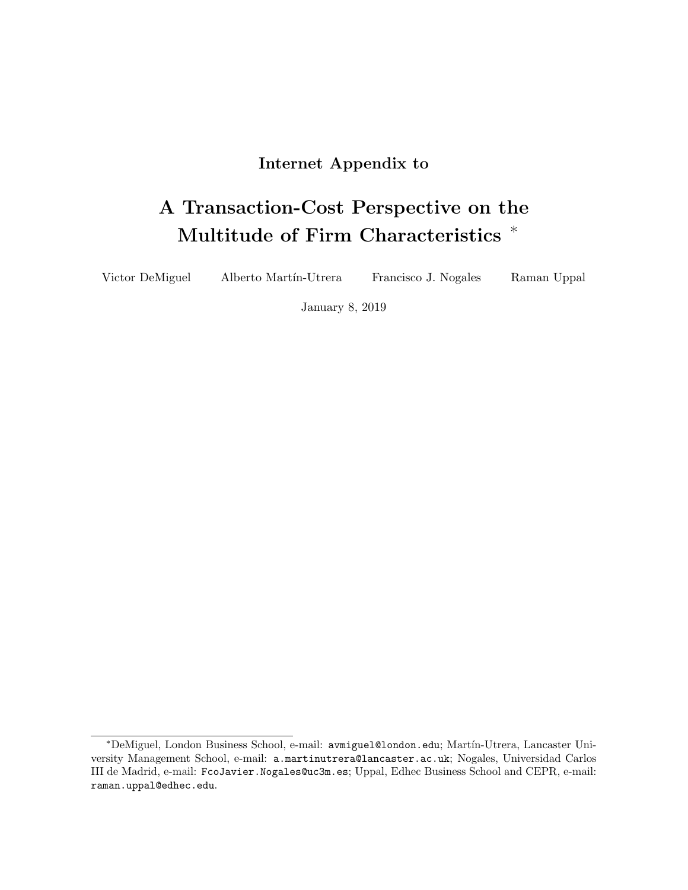# Internet Appendix to

# A Transaction-Cost Perspective on the Multitude of Firm Characteristics <sup>∗</sup>

Victor DeMiguel Alberto Martín-Utrera Francisco J. Nogales Raman Uppal

January 8, 2019

<sup>∗</sup>DeMiguel, London Business School, e-mail: avmiguel@london.edu; Mart´ın-Utrera, Lancaster University Management School, e-mail: a.martinutrera@lancaster.ac.uk; Nogales, Universidad Carlos III de Madrid, e-mail: FcoJavier.Nogales@uc3m.es; Uppal, Edhec Business School and CEPR, e-mail: raman.uppal@edhec.edu.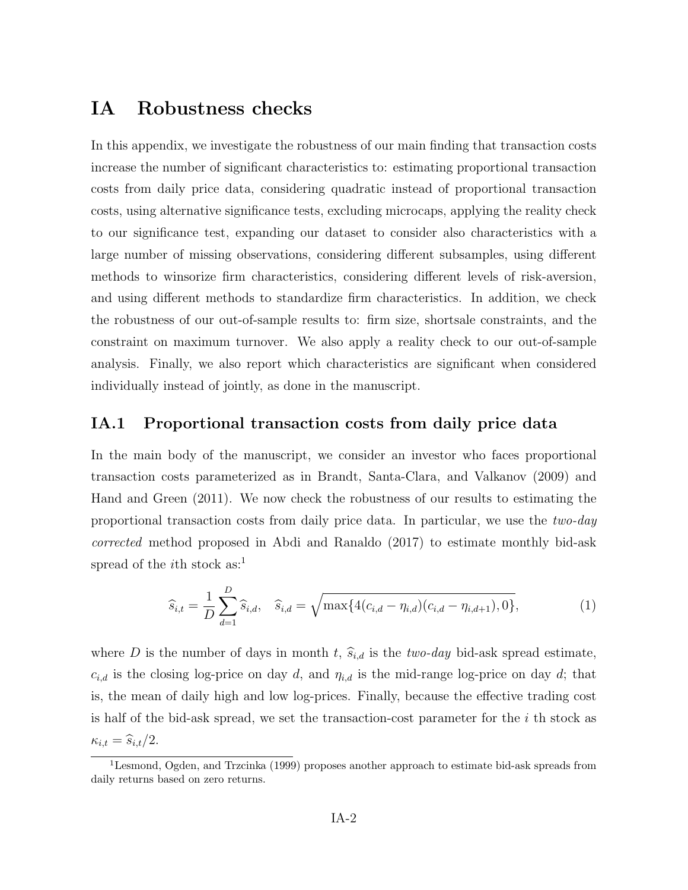# IA Robustness checks

In this appendix, we investigate the robustness of our main finding that transaction costs increase the number of significant characteristics to: estimating proportional transaction costs from daily price data, considering quadratic instead of proportional transaction costs, using alternative significance tests, excluding microcaps, applying the reality check to our significance test, expanding our dataset to consider also characteristics with a large number of missing observations, considering different subsamples, using different methods to winsorize firm characteristics, considering different levels of risk-aversion, and using different methods to standardize firm characteristics. In addition, we check the robustness of our out-of-sample results to: firm size, shortsale constraints, and the constraint on maximum turnover. We also apply a reality check to our out-of-sample analysis. Finally, we also report which characteristics are significant when considered individually instead of jointly, as done in the manuscript.

## IA.1 Proportional transaction costs from daily price data

In the main body of the manuscript, we consider an investor who faces proportional transaction costs parameterized as in Brandt, Santa-Clara, and Valkanov (2009) and Hand and Green (2011). We now check the robustness of our results to estimating the proportional transaction costs from daily price data. In particular, we use the two-day corrected method proposed in Abdi and Ranaldo (2017) to estimate monthly bid-ask spread of the *i*<sup>th</sup> stock as:<sup>1</sup>

$$
\widehat{s}_{i,t} = \frac{1}{D} \sum_{d=1}^{D} \widehat{s}_{i,d}, \quad \widehat{s}_{i,d} = \sqrt{\max\{4(c_{i,d} - \eta_{i,d})(c_{i,d} - \eta_{i,d+1}), 0\}},
$$
(1)

where D is the number of days in month t,  $\widehat{s}_{i,d}$  is the two-day bid-ask spread estimate,  $c_{i,d}$  is the closing log-price on day d, and  $\eta_{i,d}$  is the mid-range log-price on day d; that is, the mean of daily high and low log-prices. Finally, because the effective trading cost is half of the bid-ask spread, we set the transaction-cost parameter for the  $i$  th stock as  $\kappa_{i,t} = \widehat{s}_{i,t}/2.$ 

<sup>&</sup>lt;sup>1</sup>Lesmond, Ogden, and Trzcinka (1999) proposes another approach to estimate bid-ask spreads from daily returns based on zero returns.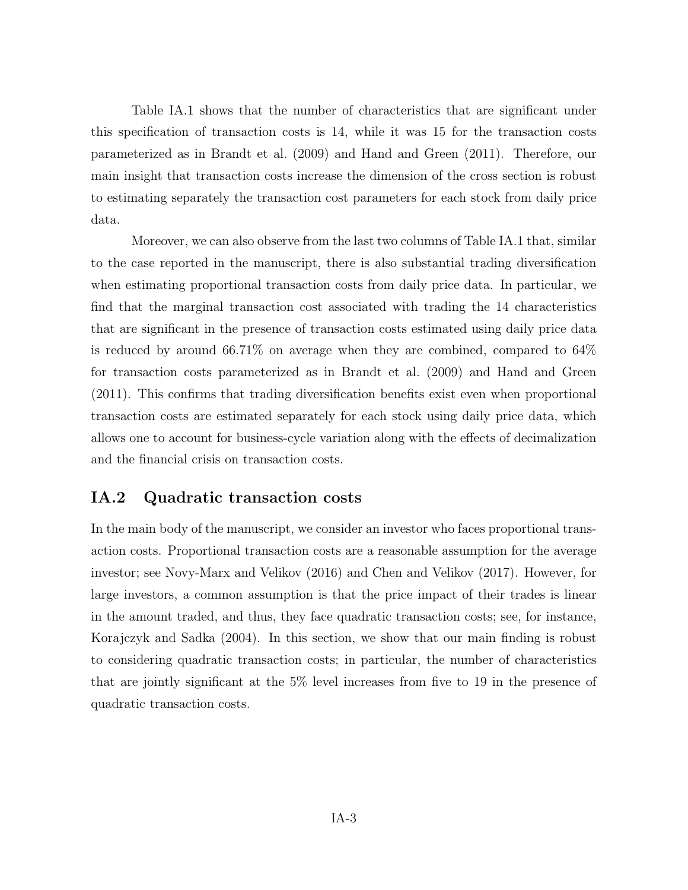Table IA.1 shows that the number of characteristics that are significant under this specification of transaction costs is 14, while it was 15 for the transaction costs parameterized as in Brandt et al. (2009) and Hand and Green (2011). Therefore, our main insight that transaction costs increase the dimension of the cross section is robust to estimating separately the transaction cost parameters for each stock from daily price data.

Moreover, we can also observe from the last two columns of Table IA.1 that, similar to the case reported in the manuscript, there is also substantial trading diversification when estimating proportional transaction costs from daily price data. In particular, we find that the marginal transaction cost associated with trading the 14 characteristics that are significant in the presence of transaction costs estimated using daily price data is reduced by around 66.71% on average when they are combined, compared to 64% for transaction costs parameterized as in Brandt et al. (2009) and Hand and Green (2011). This confirms that trading diversification benefits exist even when proportional transaction costs are estimated separately for each stock using daily price data, which allows one to account for business-cycle variation along with the effects of decimalization and the financial crisis on transaction costs.

## IA.2 Quadratic transaction costs

In the main body of the manuscript, we consider an investor who faces proportional transaction costs. Proportional transaction costs are a reasonable assumption for the average investor; see Novy-Marx and Velikov (2016) and Chen and Velikov (2017). However, for large investors, a common assumption is that the price impact of their trades is linear in the amount traded, and thus, they face quadratic transaction costs; see, for instance, Korajczyk and Sadka (2004). In this section, we show that our main finding is robust to considering quadratic transaction costs; in particular, the number of characteristics that are jointly significant at the 5% level increases from five to 19 in the presence of quadratic transaction costs.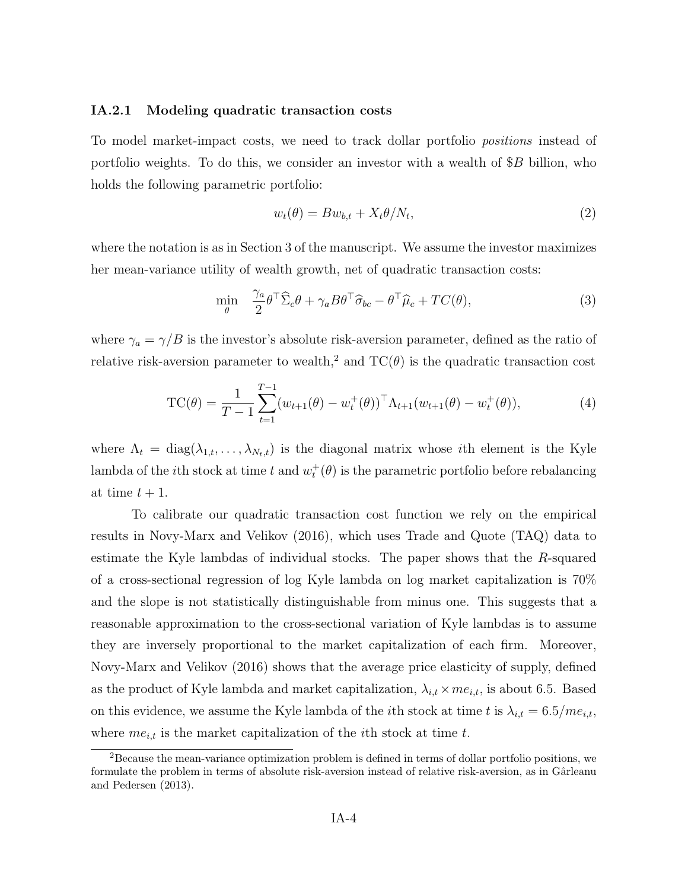#### IA.2.1 Modeling quadratic transaction costs

To model market-impact costs, we need to track dollar portfolio positions instead of portfolio weights. To do this, we consider an investor with a wealth of \$B billion, who holds the following parametric portfolio:

$$
w_t(\theta) = Bw_{b,t} + X_t \theta / N_t, \qquad (2)
$$

where the notation is as in Section 3 of the manuscript. We assume the investor maximizes her mean-variance utility of wealth growth, net of quadratic transaction costs:

$$
\min_{\theta} \quad \frac{\gamma_a}{2} \theta^{\top} \widehat{\Sigma}_c \theta + \gamma_a B \theta^{\top} \widehat{\sigma}_{bc} - \theta^{\top} \widehat{\mu}_c + TC(\theta), \tag{3}
$$

where  $\gamma_a = \gamma/B$  is the investor's absolute risk-aversion parameter, defined as the ratio of relative risk-aversion parameter to wealth,<sup>2</sup> and  $TC(\theta)$  is the quadratic transaction cost

$$
TC(\theta) = \frac{1}{T - 1} \sum_{t=1}^{T-1} (w_{t+1}(\theta) - w_t^+(\theta))^T \Lambda_{t+1}(w_{t+1}(\theta) - w_t^+(\theta)),
$$
\n(4)

where  $\Lambda_t = \text{diag}(\lambda_{1,t}, \dots, \lambda_{N_t,t})$  is the diagonal matrix whose *i*th element is the Kyle lambda of the *i*th stock at time  $t$  and  $w_t^+(\theta)$  is the parametric portfolio before rebalancing at time  $t + 1$ .

To calibrate our quadratic transaction cost function we rely on the empirical results in Novy-Marx and Velikov (2016), which uses Trade and Quote (TAQ) data to estimate the Kyle lambdas of individual stocks. The paper shows that the R-squared of a cross-sectional regression of log Kyle lambda on log market capitalization is 70% and the slope is not statistically distinguishable from minus one. This suggests that a reasonable approximation to the cross-sectional variation of Kyle lambdas is to assume they are inversely proportional to the market capitalization of each firm. Moreover, Novy-Marx and Velikov (2016) shows that the average price elasticity of supply, defined as the product of Kyle lambda and market capitalization,  $\lambda_{i,t} \times me_{i,t}$ , is about 6.5. Based on this evidence, we assume the Kyle lambda of the *i*th stock at time t is  $\lambda_{i,t} = 6.5/m_{i,t}$ , where  $me_{i,t}$  is the market capitalization of the *i*th stock at time *t*.

 ${}^{2}$ Because the mean-variance optimization problem is defined in terms of dollar portfolio positions, we formulate the problem in terms of absolute risk-aversion instead of relative risk-aversion, as in Gârleanu and Pedersen (2013).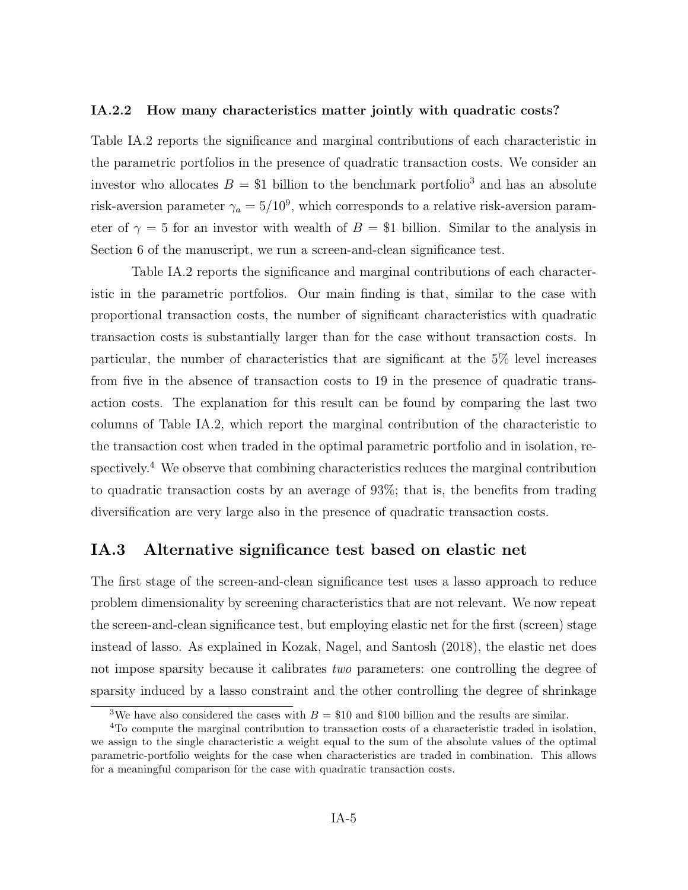#### IA.2.2 How many characteristics matter jointly with quadratic costs?

Table IA.2 reports the significance and marginal contributions of each characteristic in the parametric portfolios in the presence of quadratic transaction costs. We consider an investor who allocates  $B = $1$  billion to the benchmark portfolio<sup>3</sup> and has an absolute risk-aversion parameter  $\gamma_a = 5/10^9$ , which corresponds to a relative risk-aversion parameter of  $\gamma = 5$  for an investor with wealth of  $B = $1$  billion. Similar to the analysis in Section 6 of the manuscript, we run a screen-and-clean significance test.

Table IA.2 reports the significance and marginal contributions of each characteristic in the parametric portfolios. Our main finding is that, similar to the case with proportional transaction costs, the number of significant characteristics with quadratic transaction costs is substantially larger than for the case without transaction costs. In particular, the number of characteristics that are significant at the 5% level increases from five in the absence of transaction costs to 19 in the presence of quadratic transaction costs. The explanation for this result can be found by comparing the last two columns of Table IA.2, which report the marginal contribution of the characteristic to the transaction cost when traded in the optimal parametric portfolio and in isolation, respectively.<sup>4</sup> We observe that combining characteristics reduces the marginal contribution to quadratic transaction costs by an average of 93%; that is, the benefits from trading diversification are very large also in the presence of quadratic transaction costs.

## IA.3 Alternative significance test based on elastic net

The first stage of the screen-and-clean significance test uses a lasso approach to reduce problem dimensionality by screening characteristics that are not relevant. We now repeat the screen-and-clean significance test, but employing elastic net for the first (screen) stage instead of lasso. As explained in Kozak, Nagel, and Santosh (2018), the elastic net does not impose sparsity because it calibrates two parameters: one controlling the degree of sparsity induced by a lasso constraint and the other controlling the degree of shrinkage

<sup>&</sup>lt;sup>3</sup>We have also considered the cases with  $B = $10$  and \$100 billion and the results are similar.

<sup>4</sup>To compute the marginal contribution to transaction costs of a characteristic traded in isolation, we assign to the single characteristic a weight equal to the sum of the absolute values of the optimal parametric-portfolio weights for the case when characteristics are traded in combination. This allows for a meaningful comparison for the case with quadratic transaction costs.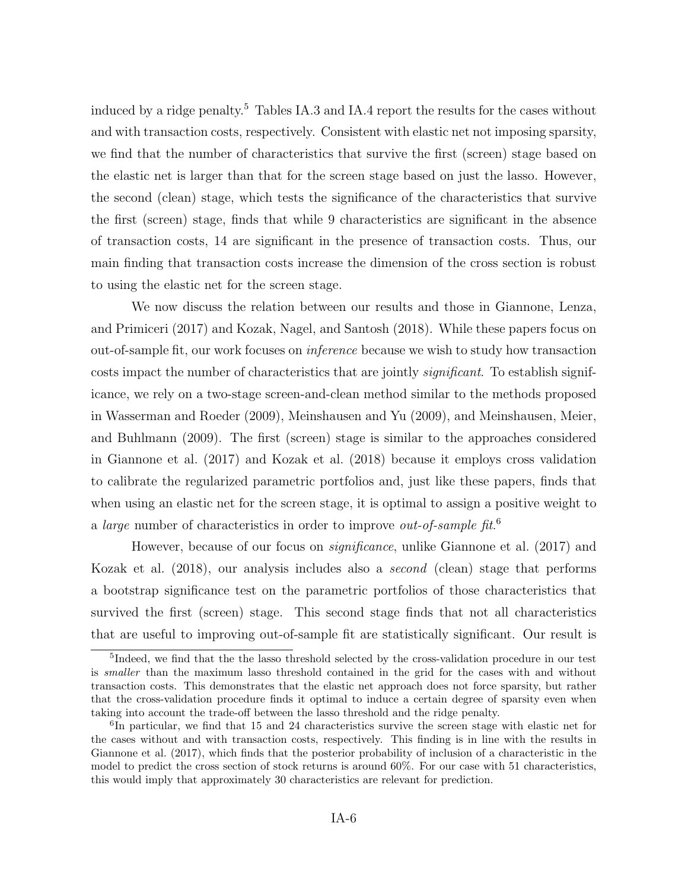induced by a ridge penalty.<sup>5</sup> Tables IA.3 and IA.4 report the results for the cases without and with transaction costs, respectively. Consistent with elastic net not imposing sparsity, we find that the number of characteristics that survive the first (screen) stage based on the elastic net is larger than that for the screen stage based on just the lasso. However, the second (clean) stage, which tests the significance of the characteristics that survive the first (screen) stage, finds that while 9 characteristics are significant in the absence of transaction costs, 14 are significant in the presence of transaction costs. Thus, our main finding that transaction costs increase the dimension of the cross section is robust to using the elastic net for the screen stage.

We now discuss the relation between our results and those in Giannone, Lenza, and Primiceri (2017) and Kozak, Nagel, and Santosh (2018). While these papers focus on out-of-sample fit, our work focuses on inference because we wish to study how transaction costs impact the number of characteristics that are jointly significant. To establish significance, we rely on a two-stage screen-and-clean method similar to the methods proposed in Wasserman and Roeder (2009), Meinshausen and Yu (2009), and Meinshausen, Meier, and Buhlmann (2009). The first (screen) stage is similar to the approaches considered in Giannone et al. (2017) and Kozak et al. (2018) because it employs cross validation to calibrate the regularized parametric portfolios and, just like these papers, finds that when using an elastic net for the screen stage, it is optimal to assign a positive weight to a *large* number of characteristics in order to improve *out-of-sample* fit.<sup>6</sup>

However, because of our focus on *significance*, unlike Giannone et al. (2017) and Kozak et al. (2018), our analysis includes also a second (clean) stage that performs a bootstrap significance test on the parametric portfolios of those characteristics that survived the first (screen) stage. This second stage finds that not all characteristics that are useful to improving out-of-sample fit are statistically significant. Our result is

<sup>&</sup>lt;sup>5</sup>Indeed, we find that the the lasso threshold selected by the cross-validation procedure in our test is smaller than the maximum lasso threshold contained in the grid for the cases with and without transaction costs. This demonstrates that the elastic net approach does not force sparsity, but rather that the cross-validation procedure finds it optimal to induce a certain degree of sparsity even when taking into account the trade-off between the lasso threshold and the ridge penalty.

<sup>&</sup>lt;sup>6</sup>In particular, we find that 15 and 24 characteristics survive the screen stage with elastic net for the cases without and with transaction costs, respectively. This finding is in line with the results in Giannone et al. (2017), which finds that the posterior probability of inclusion of a characteristic in the model to predict the cross section of stock returns is around 60%. For our case with 51 characteristics, this would imply that approximately 30 characteristics are relevant for prediction.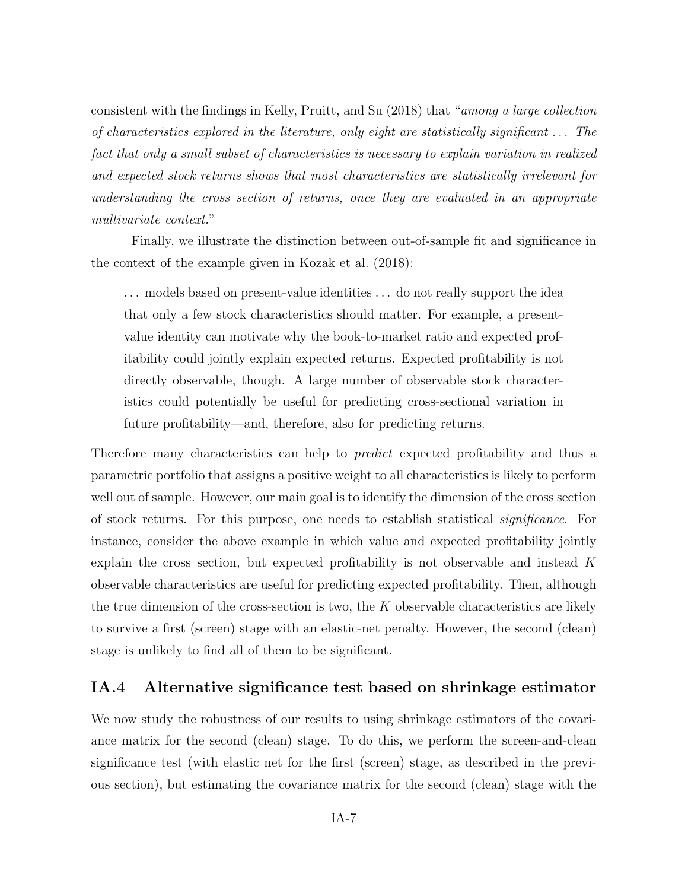consistent with the findings in Kelly, Pruitt, and Su (2018) that "among a large collection of characteristics explored in the literature, only eight are statistically significant . . . The fact that only a small subset of characteristics is necessary to explain variation in realized and expected stock returns shows that most characteristics are statistically irrelevant for understanding the cross section of returns, once they are evaluated in an appropriate multivariate context."

Finally, we illustrate the distinction between out-of-sample fit and significance in the context of the example given in Kozak et al. (2018):

. . . models based on present-value identities . . . do not really support the idea that only a few stock characteristics should matter. For example, a presentvalue identity can motivate why the book-to-market ratio and expected profitability could jointly explain expected returns. Expected profitability is not directly observable, though. A large number of observable stock characteristics could potentially be useful for predicting cross-sectional variation in future profitability—and, therefore, also for predicting returns.

Therefore many characteristics can help to predict expected profitability and thus a parametric portfolio that assigns a positive weight to all characteristics is likely to perform well out of sample. However, our main goal is to identify the dimension of the cross section of stock returns. For this purpose, one needs to establish statistical significance. For instance, consider the above example in which value and expected profitability jointly explain the cross section, but expected profitability is not observable and instead K observable characteristics are useful for predicting expected profitability. Then, although the true dimension of the cross-section is two, the  $K$  observable characteristics are likely to survive a first (screen) stage with an elastic-net penalty. However, the second (clean) stage is unlikely to find all of them to be significant.

## IA.4 Alternative significance test based on shrinkage estimator

We now study the robustness of our results to using shrinkage estimators of the covariance matrix for the second (clean) stage. To do this, we perform the screen-and-clean significance test (with elastic net for the first (screen) stage, as described in the previous section), but estimating the covariance matrix for the second (clean) stage with the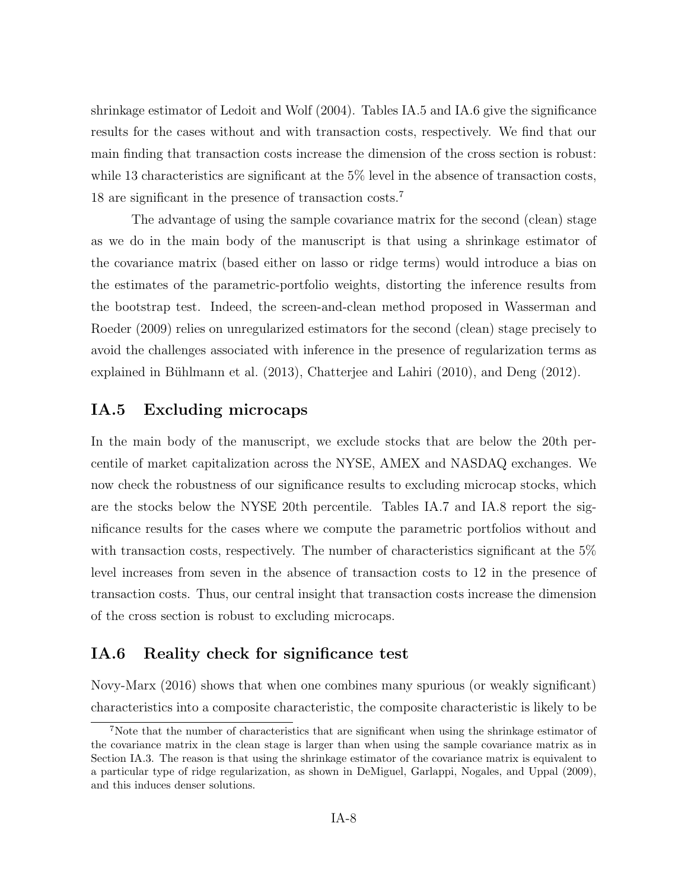shrinkage estimator of Ledoit and Wolf (2004). Tables IA.5 and IA.6 give the significance results for the cases without and with transaction costs, respectively. We find that our main finding that transaction costs increase the dimension of the cross section is robust: while 13 characteristics are significant at the 5% level in the absence of transaction costs, 18 are significant in the presence of transaction costs.<sup>7</sup>

The advantage of using the sample covariance matrix for the second (clean) stage as we do in the main body of the manuscript is that using a shrinkage estimator of the covariance matrix (based either on lasso or ridge terms) would introduce a bias on the estimates of the parametric-portfolio weights, distorting the inference results from the bootstrap test. Indeed, the screen-and-clean method proposed in Wasserman and Roeder (2009) relies on unregularized estimators for the second (clean) stage precisely to avoid the challenges associated with inference in the presence of regularization terms as explained in Bühlmann et al.  $(2013)$ , Chatterjee and Lahiri  $(2010)$ , and Deng  $(2012)$ .

## IA.5 Excluding microcaps

In the main body of the manuscript, we exclude stocks that are below the 20th percentile of market capitalization across the NYSE, AMEX and NASDAQ exchanges. We now check the robustness of our significance results to excluding microcap stocks, which are the stocks below the NYSE 20th percentile. Tables IA.7 and IA.8 report the significance results for the cases where we compute the parametric portfolios without and with transaction costs, respectively. The number of characteristics significant at the 5% level increases from seven in the absence of transaction costs to 12 in the presence of transaction costs. Thus, our central insight that transaction costs increase the dimension of the cross section is robust to excluding microcaps.

## IA.6 Reality check for significance test

Novy-Marx (2016) shows that when one combines many spurious (or weakly significant) characteristics into a composite characteristic, the composite characteristic is likely to be

<sup>7</sup>Note that the number of characteristics that are significant when using the shrinkage estimator of the covariance matrix in the clean stage is larger than when using the sample covariance matrix as in Section IA.3. The reason is that using the shrinkage estimator of the covariance matrix is equivalent to a particular type of ridge regularization, as shown in DeMiguel, Garlappi, Nogales, and Uppal (2009), and this induces denser solutions.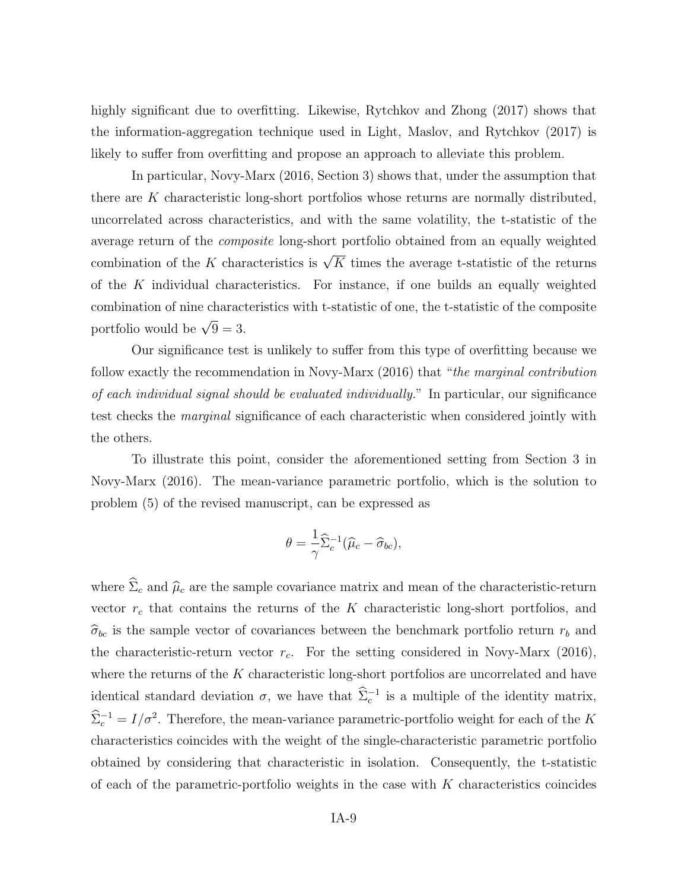highly significant due to overfitting. Likewise, Rytchkov and Zhong (2017) shows that the information-aggregation technique used in Light, Maslov, and Rytchkov (2017) is likely to suffer from overfitting and propose an approach to alleviate this problem.

In particular, Novy-Marx (2016, Section 3) shows that, under the assumption that there are K characteristic long-short portfolios whose returns are normally distributed, uncorrelated across characteristics, and with the same volatility, the t-statistic of the average return of the composite long-short portfolio obtained from an equally weighted combination of the K characteristics is  $\sqrt{K}$  times the average t-statistic of the returns of the K individual characteristics. For instance, if one builds an equally weighted combination of nine characteristics with t-statistic of one, the t-statistic of the composite portfolio would be  $\sqrt{9} = 3$ .

Our significance test is unlikely to suffer from this type of overfitting because we follow exactly the recommendation in Novy-Marx (2016) that "*the marginal contribution* of each individual signal should be evaluated individually." In particular, our significance test checks the marginal significance of each characteristic when considered jointly with the others.

To illustrate this point, consider the aforementioned setting from Section 3 in Novy-Marx (2016). The mean-variance parametric portfolio, which is the solution to problem (5) of the revised manuscript, can be expressed as

$$
\theta = \frac{1}{\gamma} \widehat{\Sigma}_c^{-1} (\widehat{\mu}_c - \widehat{\sigma}_{bc}),
$$

where  $\hat{\Sigma}_c$  and  $\hat{\mu}_c$  are the sample covariance matrix and mean of the characteristic-return vector  $r_c$  that contains the returns of the K characteristic long-short portfolios, and  $\widehat{\sigma}_{bc}$  is the sample vector of covariances between the benchmark portfolio return  $r_b$  and the characteristic-return vector  $r_c$ . For the setting considered in Novy-Marx (2016), where the returns of the  $K$  characteristic long-short portfolios are uncorrelated and have identical standard deviation  $\sigma$ , we have that  $\hat{\Sigma}_c^{-1}$  is a multiple of the identity matrix,  $\hat{\Sigma}_c^{-1} = I/\sigma^2$ . Therefore, the mean-variance parametric-portfolio weight for each of the K characteristics coincides with the weight of the single-characteristic parametric portfolio obtained by considering that characteristic in isolation. Consequently, the t-statistic of each of the parametric-portfolio weights in the case with  $K$  characteristics coincides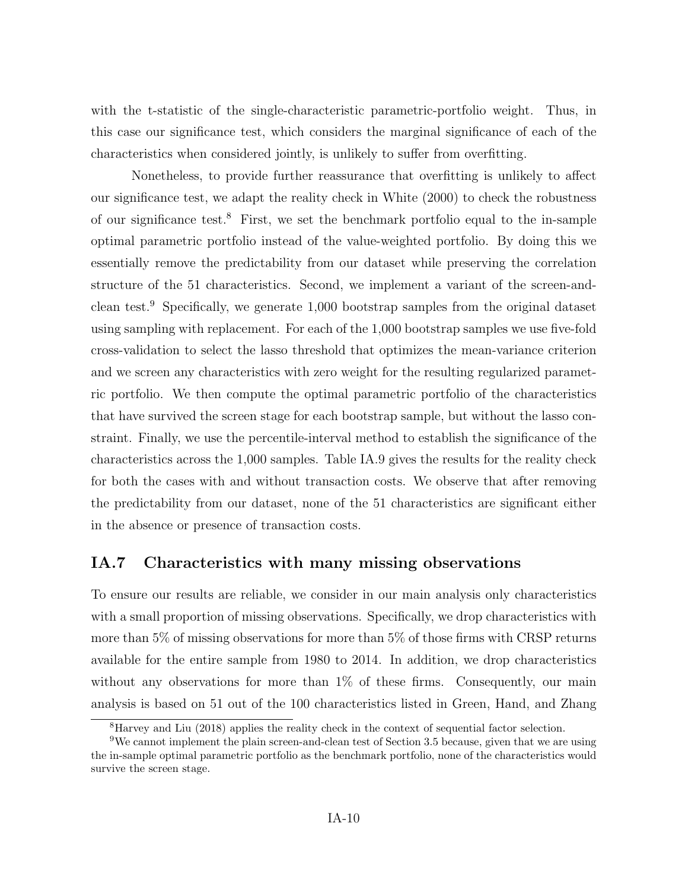with the t-statistic of the single-characteristic parametric-portfolio weight. Thus, in this case our significance test, which considers the marginal significance of each of the characteristics when considered jointly, is unlikely to suffer from overfitting.

Nonetheless, to provide further reassurance that overfitting is unlikely to affect our significance test, we adapt the reality check in White (2000) to check the robustness of our significance test.<sup>8</sup> First, we set the benchmark portfolio equal to the in-sample optimal parametric portfolio instead of the value-weighted portfolio. By doing this we essentially remove the predictability from our dataset while preserving the correlation structure of the 51 characteristics. Second, we implement a variant of the screen-andclean test.<sup>9</sup> Specifically, we generate 1,000 bootstrap samples from the original dataset using sampling with replacement. For each of the 1,000 bootstrap samples we use five-fold cross-validation to select the lasso threshold that optimizes the mean-variance criterion and we screen any characteristics with zero weight for the resulting regularized parametric portfolio. We then compute the optimal parametric portfolio of the characteristics that have survived the screen stage for each bootstrap sample, but without the lasso constraint. Finally, we use the percentile-interval method to establish the significance of the characteristics across the 1,000 samples. Table IA.9 gives the results for the reality check for both the cases with and without transaction costs. We observe that after removing the predictability from our dataset, none of the 51 characteristics are significant either in the absence or presence of transaction costs.

## IA.7 Characteristics with many missing observations

To ensure our results are reliable, we consider in our main analysis only characteristics with a small proportion of missing observations. Specifically, we drop characteristics with more than 5% of missing observations for more than 5% of those firms with CRSP returns available for the entire sample from 1980 to 2014. In addition, we drop characteristics without any observations for more than  $1\%$  of these firms. Consequently, our main analysis is based on 51 out of the 100 characteristics listed in Green, Hand, and Zhang

<sup>&</sup>lt;sup>8</sup>Harvey and Liu (2018) applies the reality check in the context of sequential factor selection.

<sup>&</sup>lt;sup>9</sup>We cannot implement the plain screen-and-clean test of Section 3.5 because, given that we are using the in-sample optimal parametric portfolio as the benchmark portfolio, none of the characteristics would survive the screen stage.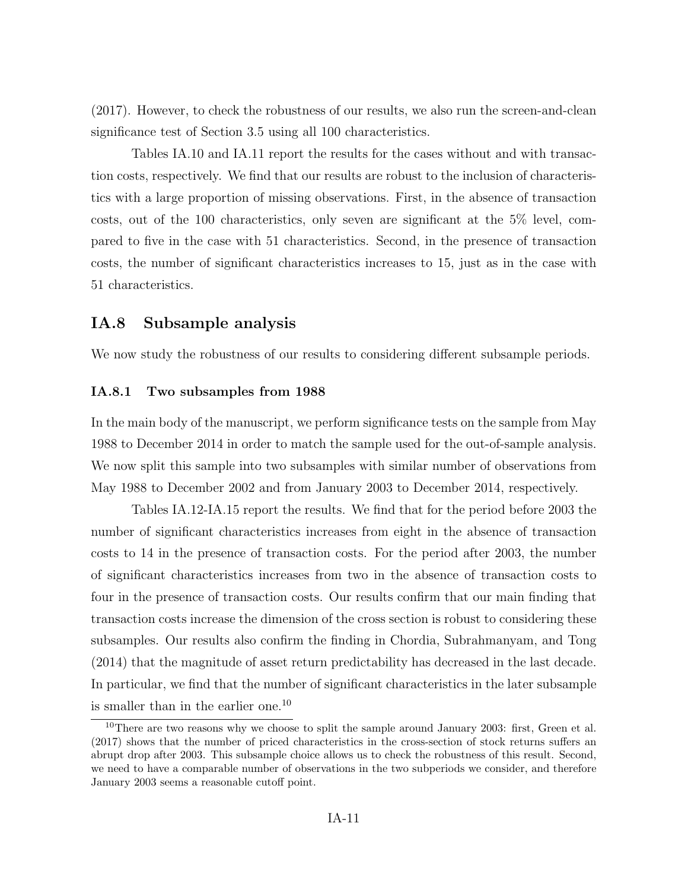(2017). However, to check the robustness of our results, we also run the screen-and-clean significance test of Section 3.5 using all 100 characteristics.

Tables IA.10 and IA.11 report the results for the cases without and with transaction costs, respectively. We find that our results are robust to the inclusion of characteristics with a large proportion of missing observations. First, in the absence of transaction costs, out of the 100 characteristics, only seven are significant at the 5% level, compared to five in the case with 51 characteristics. Second, in the presence of transaction costs, the number of significant characteristics increases to 15, just as in the case with 51 characteristics.

# IA.8 Subsample analysis

We now study the robustness of our results to considering different subsample periods.

## IA.8.1 Two subsamples from 1988

In the main body of the manuscript, we perform significance tests on the sample from May 1988 to December 2014 in order to match the sample used for the out-of-sample analysis. We now split this sample into two subsamples with similar number of observations from May 1988 to December 2002 and from January 2003 to December 2014, respectively.

Tables IA.12-IA.15 report the results. We find that for the period before 2003 the number of significant characteristics increases from eight in the absence of transaction costs to 14 in the presence of transaction costs. For the period after 2003, the number of significant characteristics increases from two in the absence of transaction costs to four in the presence of transaction costs. Our results confirm that our main finding that transaction costs increase the dimension of the cross section is robust to considering these subsamples. Our results also confirm the finding in Chordia, Subrahmanyam, and Tong (2014) that the magnitude of asset return predictability has decreased in the last decade. In particular, we find that the number of significant characteristics in the later subsample is smaller than in the earlier one.<sup>10</sup>

 $10$ There are two reasons why we choose to split the sample around January 2003: first, Green et al. (2017) shows that the number of priced characteristics in the cross-section of stock returns suffers an abrupt drop after 2003. This subsample choice allows us to check the robustness of this result. Second, we need to have a comparable number of observations in the two subperiods we consider, and therefore January 2003 seems a reasonable cutoff point.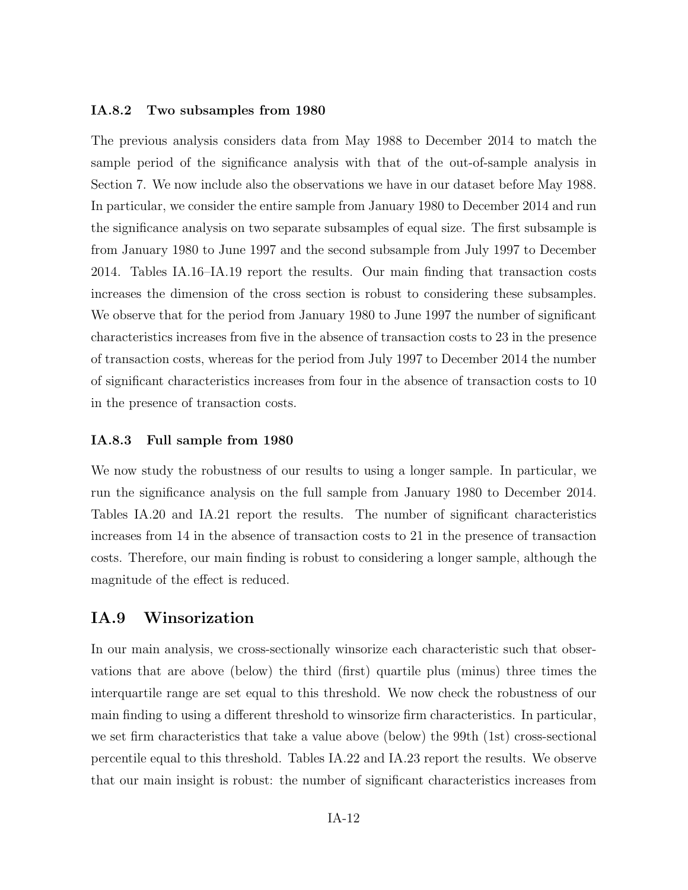## IA.8.2 Two subsamples from 1980

The previous analysis considers data from May 1988 to December 2014 to match the sample period of the significance analysis with that of the out-of-sample analysis in Section 7. We now include also the observations we have in our dataset before May 1988. In particular, we consider the entire sample from January 1980 to December 2014 and run the significance analysis on two separate subsamples of equal size. The first subsample is from January 1980 to June 1997 and the second subsample from July 1997 to December 2014. Tables IA.16–IA.19 report the results. Our main finding that transaction costs increases the dimension of the cross section is robust to considering these subsamples. We observe that for the period from January 1980 to June 1997 the number of significant characteristics increases from five in the absence of transaction costs to 23 in the presence of transaction costs, whereas for the period from July 1997 to December 2014 the number of significant characteristics increases from four in the absence of transaction costs to 10 in the presence of transaction costs.

# IA.8.3 Full sample from 1980

We now study the robustness of our results to using a longer sample. In particular, we run the significance analysis on the full sample from January 1980 to December 2014. Tables IA.20 and IA.21 report the results. The number of significant characteristics increases from 14 in the absence of transaction costs to 21 in the presence of transaction costs. Therefore, our main finding is robust to considering a longer sample, although the magnitude of the effect is reduced.

# IA.9 Winsorization

In our main analysis, we cross-sectionally winsorize each characteristic such that observations that are above (below) the third (first) quartile plus (minus) three times the interquartile range are set equal to this threshold. We now check the robustness of our main finding to using a different threshold to winsorize firm characteristics. In particular, we set firm characteristics that take a value above (below) the 99th (1st) cross-sectional percentile equal to this threshold. Tables IA.22 and IA.23 report the results. We observe that our main insight is robust: the number of significant characteristics increases from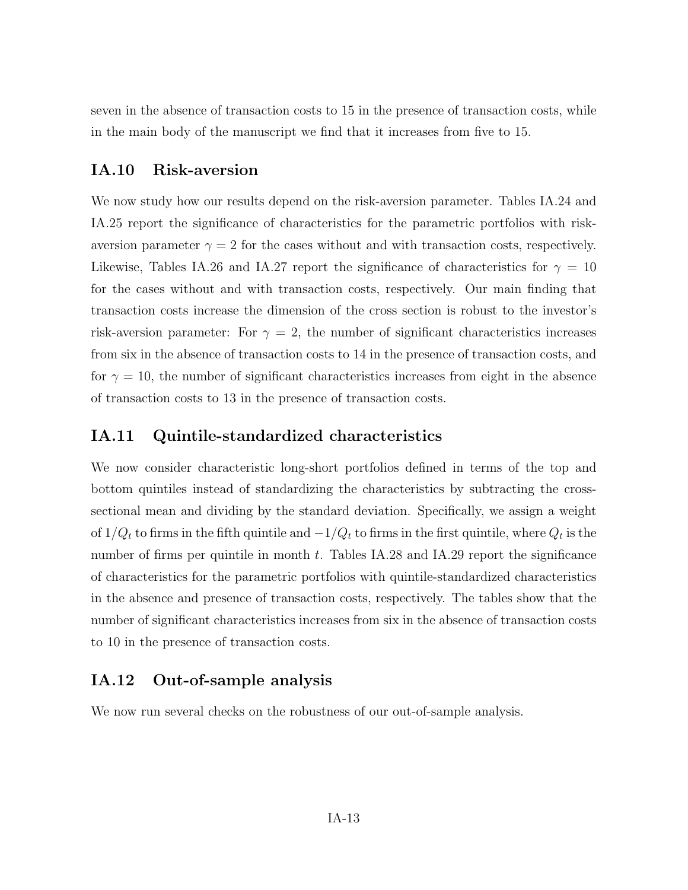seven in the absence of transaction costs to 15 in the presence of transaction costs, while in the main body of the manuscript we find that it increases from five to 15.

# IA.10 Risk-aversion

We now study how our results depend on the risk-aversion parameter. Tables IA.24 and IA.25 report the significance of characteristics for the parametric portfolios with riskaversion parameter  $\gamma = 2$  for the cases without and with transaction costs, respectively. Likewise, Tables IA.26 and IA.27 report the significance of characteristics for  $\gamma = 10$ for the cases without and with transaction costs, respectively. Our main finding that transaction costs increase the dimension of the cross section is robust to the investor's risk-aversion parameter: For  $\gamma = 2$ , the number of significant characteristics increases from six in the absence of transaction costs to 14 in the presence of transaction costs, and for  $\gamma = 10$ , the number of significant characteristics increases from eight in the absence of transaction costs to 13 in the presence of transaction costs.

# IA.11 Quintile-standardized characteristics

We now consider characteristic long-short portfolios defined in terms of the top and bottom quintiles instead of standardizing the characteristics by subtracting the crosssectional mean and dividing by the standard deviation. Specifically, we assign a weight of  $1/Q_t$  to firms in the fifth quintile and  $-1/Q_t$  to firms in the first quintile, where  $Q_t$  is the number of firms per quintile in month  $t$ . Tables IA.28 and IA.29 report the significance of characteristics for the parametric portfolios with quintile-standardized characteristics in the absence and presence of transaction costs, respectively. The tables show that the number of significant characteristics increases from six in the absence of transaction costs to 10 in the presence of transaction costs.

# IA.12 Out-of-sample analysis

We now run several checks on the robustness of our out-of-sample analysis.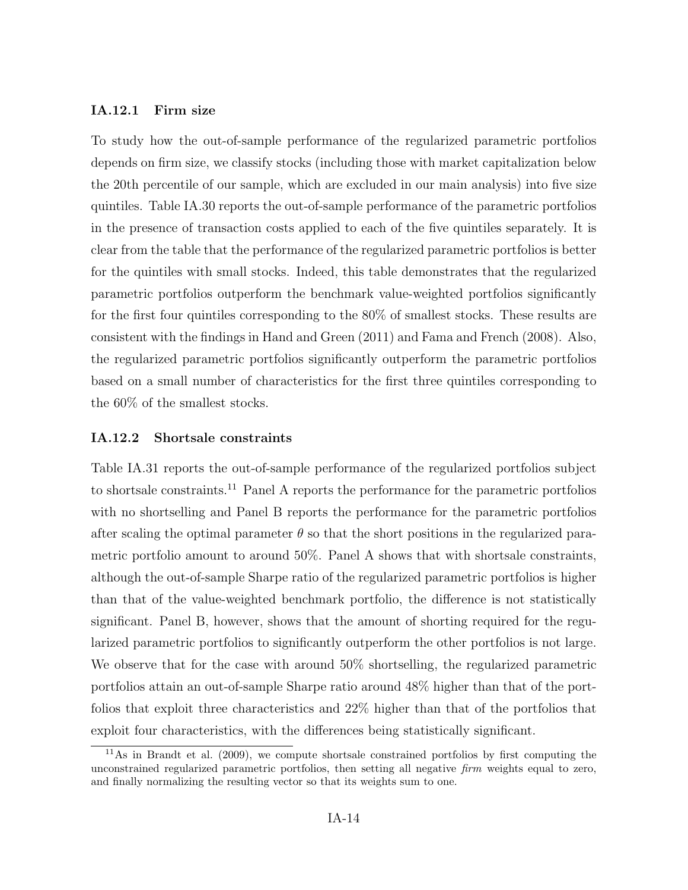# IA.12.1 Firm size

To study how the out-of-sample performance of the regularized parametric portfolios depends on firm size, we classify stocks (including those with market capitalization below the 20th percentile of our sample, which are excluded in our main analysis) into five size quintiles. Table IA.30 reports the out-of-sample performance of the parametric portfolios in the presence of transaction costs applied to each of the five quintiles separately. It is clear from the table that the performance of the regularized parametric portfolios is better for the quintiles with small stocks. Indeed, this table demonstrates that the regularized parametric portfolios outperform the benchmark value-weighted portfolios significantly for the first four quintiles corresponding to the 80% of smallest stocks. These results are consistent with the findings in Hand and Green (2011) and Fama and French (2008). Also, the regularized parametric portfolios significantly outperform the parametric portfolios based on a small number of characteristics for the first three quintiles corresponding to the 60% of the smallest stocks.

# IA.12.2 Shortsale constraints

Table IA.31 reports the out-of-sample performance of the regularized portfolios subject to shortsale constraints.<sup>11</sup> Panel A reports the performance for the parametric portfolios with no shortselling and Panel B reports the performance for the parametric portfolios after scaling the optimal parameter  $\theta$  so that the short positions in the regularized parametric portfolio amount to around 50%. Panel A shows that with shortsale constraints, although the out-of-sample Sharpe ratio of the regularized parametric portfolios is higher than that of the value-weighted benchmark portfolio, the difference is not statistically significant. Panel B, however, shows that the amount of shorting required for the regularized parametric portfolios to significantly outperform the other portfolios is not large. We observe that for the case with around 50% shortselling, the regularized parametric portfolios attain an out-of-sample Sharpe ratio around 48% higher than that of the portfolios that exploit three characteristics and 22% higher than that of the portfolios that exploit four characteristics, with the differences being statistically significant.

<sup>11</sup>As in Brandt et al. (2009), we compute shortsale constrained portfolios by first computing the unconstrained regularized parametric portfolios, then setting all negative firm weights equal to zero, and finally normalizing the resulting vector so that its weights sum to one.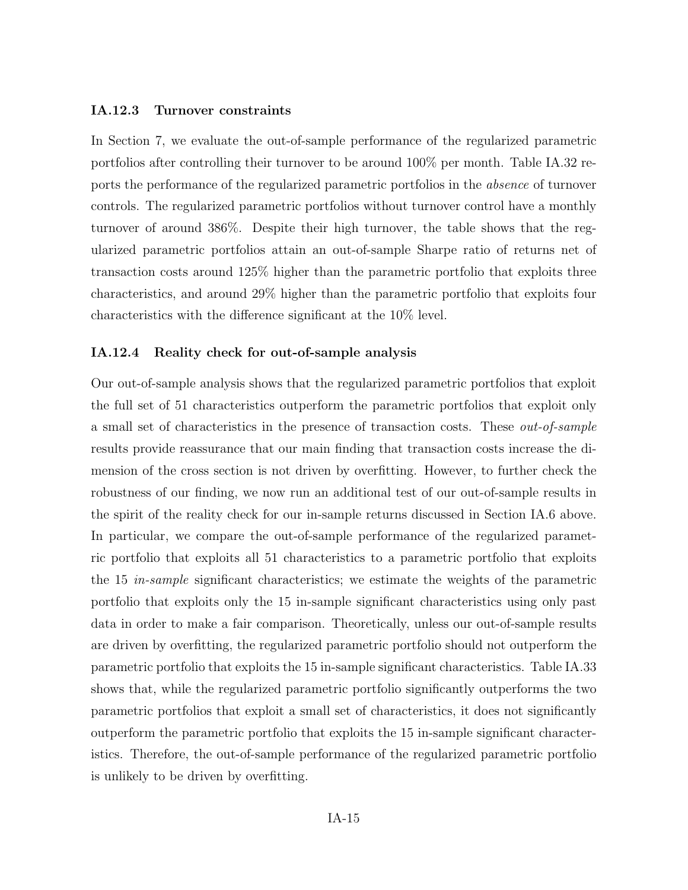## IA.12.3 Turnover constraints

In Section 7, we evaluate the out-of-sample performance of the regularized parametric portfolios after controlling their turnover to be around 100% per month. Table IA.32 reports the performance of the regularized parametric portfolios in the absence of turnover controls. The regularized parametric portfolios without turnover control have a monthly turnover of around 386%. Despite their high turnover, the table shows that the regularized parametric portfolios attain an out-of-sample Sharpe ratio of returns net of transaction costs around 125% higher than the parametric portfolio that exploits three characteristics, and around 29% higher than the parametric portfolio that exploits four characteristics with the difference significant at the 10% level.

## IA.12.4 Reality check for out-of-sample analysis

Our out-of-sample analysis shows that the regularized parametric portfolios that exploit the full set of 51 characteristics outperform the parametric portfolios that exploit only a small set of characteristics in the presence of transaction costs. These out-of-sample results provide reassurance that our main finding that transaction costs increase the dimension of the cross section is not driven by overfitting. However, to further check the robustness of our finding, we now run an additional test of our out-of-sample results in the spirit of the reality check for our in-sample returns discussed in Section IA.6 above. In particular, we compare the out-of-sample performance of the regularized parametric portfolio that exploits all 51 characteristics to a parametric portfolio that exploits the 15 *in-sample* significant characteristics; we estimate the weights of the parametric portfolio that exploits only the 15 in-sample significant characteristics using only past data in order to make a fair comparison. Theoretically, unless our out-of-sample results are driven by overfitting, the regularized parametric portfolio should not outperform the parametric portfolio that exploits the 15 in-sample significant characteristics. Table IA.33 shows that, while the regularized parametric portfolio significantly outperforms the two parametric portfolios that exploit a small set of characteristics, it does not significantly outperform the parametric portfolio that exploits the 15 in-sample significant characteristics. Therefore, the out-of-sample performance of the regularized parametric portfolio is unlikely to be driven by overfitting.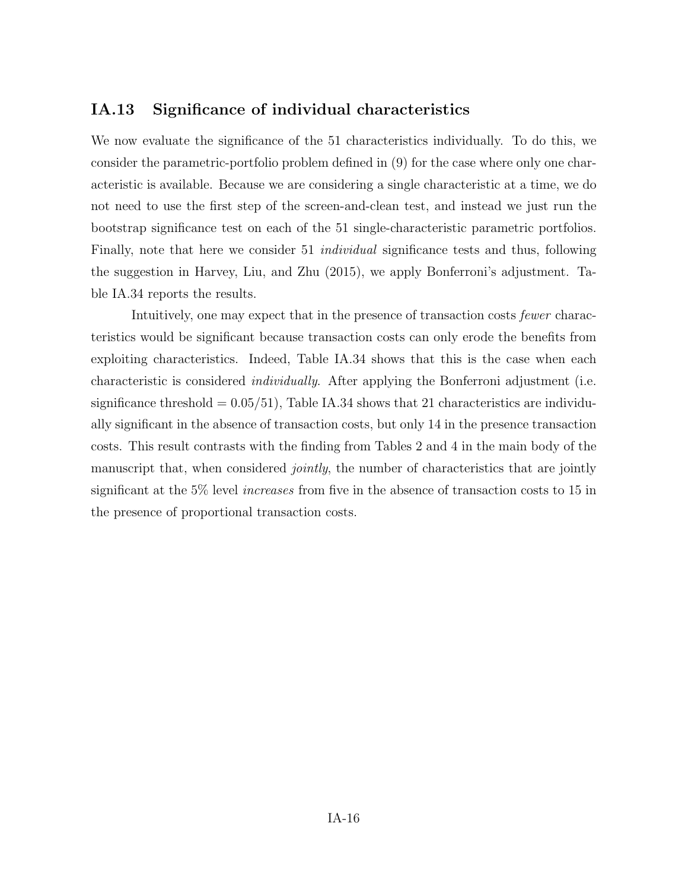# IA.13 Significance of individual characteristics

We now evaluate the significance of the 51 characteristics individually. To do this, we consider the parametric-portfolio problem defined in (9) for the case where only one characteristic is available. Because we are considering a single characteristic at a time, we do not need to use the first step of the screen-and-clean test, and instead we just run the bootstrap significance test on each of the 51 single-characteristic parametric portfolios. Finally, note that here we consider 51 *individual* significance tests and thus, following the suggestion in Harvey, Liu, and Zhu (2015), we apply Bonferroni's adjustment. Table IA.34 reports the results.

Intuitively, one may expect that in the presence of transaction costs fewer characteristics would be significant because transaction costs can only erode the benefits from exploiting characteristics. Indeed, Table IA.34 shows that this is the case when each characteristic is considered individually. After applying the Bonferroni adjustment (i.e. significance threshold  $= 0.05/51$ , Table IA.34 shows that 21 characteristics are individually significant in the absence of transaction costs, but only 14 in the presence transaction costs. This result contrasts with the finding from Tables 2 and 4 in the main body of the manuscript that, when considered *jointly*, the number of characteristics that are jointly significant at the 5% level increases from five in the absence of transaction costs to 15 in the presence of proportional transaction costs.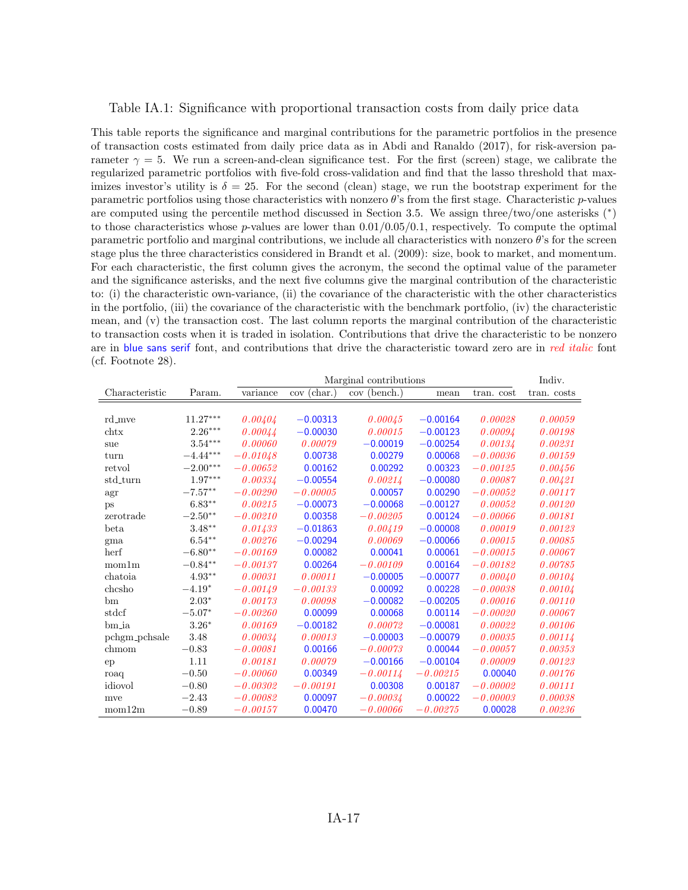#### Table IA.1: Significance with proportional transaction costs from daily price data

This table reports the significance and marginal contributions for the parametric portfolios in the presence of transaction costs estimated from daily price data as in Abdi and Ranaldo (2017), for risk-aversion parameter  $\gamma = 5$ . We run a screen-and-clean significance test. For the first (screen) stage, we calibrate the regularized parametric portfolios with five-fold cross-validation and find that the lasso threshold that maximizes investor's utility is  $\delta = 25$ . For the second (clean) stage, we run the bootstrap experiment for the parametric portfolios using those characteristics with nonzero  $\theta$ 's from the first stage. Characteristic p-values are computed using the percentile method discussed in Section 3.5. We assign three/two/one asterisks (∗ ) to those characteristics whose p-values are lower than  $0.01/0.05/0.1$ , respectively. To compute the optimal parametric portfolio and marginal contributions, we include all characteristics with nonzero  $\theta$ 's for the screen stage plus the three characteristics considered in Brandt et al. (2009): size, book to market, and momentum. For each characteristic, the first column gives the acronym, the second the optimal value of the parameter and the significance asterisks, and the next five columns give the marginal contribution of the characteristic to: (i) the characteristic own-variance, (ii) the covariance of the characteristic with the other characteristics in the portfolio, (iii) the covariance of the characteristic with the benchmark portfolio, (iv) the characteristic mean, and (v) the transaction cost. The last column reports the marginal contribution of the characteristic to transaction costs when it is traded in isolation. Contributions that drive the characteristic to be nonzero are in blue sans serif font, and contributions that drive the characteristic toward zero are in red *italic* font (cf. Footnote 28).

|                    |                    |            | Marginal contributions |              |            |            |             |  |
|--------------------|--------------------|------------|------------------------|--------------|------------|------------|-------------|--|
| Characteristic     | Param.             | variance   | (char.)<br>cov         | cov (bench.) | mean       | tran. cost | tran. costs |  |
|                    |                    |            |                        |              |            |            |             |  |
| rd_mve             | $11.27***$         | 0.00404    | $-0.00313$             | 0.00045      | $-0.00164$ | 0.00028    | 0.00059     |  |
| $\text{chtx}$      | $2.26***$          | 0.00044    | $-0.00030$             | 0.00015      | $-0.00123$ | 0.00094    | 0.00198     |  |
| sue                | $3.54***$          | 0.00060    | 0.00079                | $-0.00019$   | $-0.00254$ | 0.00134    | 0.00231     |  |
| turn               | $-4.44***$         | $-0.01048$ | 0.00738                | 0.00279      | 0.00068    | $-0.00036$ | 0.00159     |  |
| retvol             | $-2.00***$         | $-0.00652$ | 0.00162                | 0.00292      | 0.00323    | $-0.00125$ | 0.00456     |  |
| std_turn           | $1.97***$          | 0.00334    | $-0.00554$             | 0.00214      | $-0.00080$ | 0.00087    | 0.00421     |  |
| agr                | $-7.57**$          | $-0.00290$ | $-0.00005$             | 0.00057      | 0.00290    | $-0.00052$ | 0.00117     |  |
| $_{\rm{DS}}$       | $6.83**$           | 0.00215    | $-0.00073$             | $-0.00068$   | $-0.00127$ | 0.00052    | 0.00120     |  |
| zerotrade          | $-2.50^{\ast\ast}$ | $-0.00210$ | 0.00358                | $-0.00205$   | 0.00124    | $-0.00066$ | 0.00181     |  |
| beta               | $3.48**$           | 0.01433    | $-0.01863$             | 0.00419      | $-0.00008$ | 0.00019    | 0.00123     |  |
| gma                | $6.54***$          | 0.00276    | $-0.00294$             | 0.00069      | $-0.00066$ | 0.00015    | 0.00085     |  |
| herf               | $-6.80**$          | $-0.00169$ | 0.00082                | 0.00041      | 0.00061    | $-0.00015$ | 0.00067     |  |
| mom <sub>1</sub> m | $-0.84**$          | $-0.00137$ | 0.00264                | $-0.00109$   | 0.00164    | $-0.00182$ | 0.00785     |  |
| chatoia            | $4.93^{\ast\ast}$  | 0.00031    | 0.00011                | $-0.00005$   | $-0.00077$ | 0.00040    | 0.00104     |  |
| chcsho             | $-4.19*$           | $-0.00149$ | $-0.00133$             | 0.00092      | 0.00228    | $-0.00038$ | 0.00104     |  |
| $_{\text{bm}}$     | $2.03*$            | 0.00173    | 0.00098                | $-0.00082$   | $-0.00205$ | 0.00016    | 0.00110     |  |
| stdcf              | $-5.07*$           | $-0.00260$ | 0.00099                | 0.00068      | 0.00114    | $-0.00020$ | 0.00067     |  |
| bm_ia              | $3.26*$            | 0.00169    | $-0.00182$             | 0.00072      | $-0.00081$ | 0.00022    | 0.00106     |  |
| pchgm_pchsale      | 3.48               | 0.00034    | 0.00013                | $-0.00003$   | $-0.00079$ | 0.00035    | 0.00114     |  |
| chmom              | $-0.83$            | $-0.00081$ | 0.00166                | $-0.00073$   | 0.00044    | $-0.00057$ | 0.00353     |  |
| ep                 | 1.11               | 0.00181    | 0.00079                | $-0.00166$   | $-0.00104$ | 0.00009    | 0.00123     |  |
| roaq               | $-0.50$            | $-0.00060$ | 0.00349                | $-0.00114$   | $-0.00215$ | 0.00040    | 0.00176     |  |
| idiovol            | $-0.80$            | $-0.00302$ | $-0.00191$             | 0.00308      | 0.00187    | $-0.00002$ | 0.00111     |  |
| mve                | $-2.43$            | $-0.00082$ | 0.00097                | $-0.00034$   | 0.00022    | $-0.00003$ | 0.00038     |  |
| mom12m             | $-0.89$            | $-0.00157$ | 0.00470                | $-0.00066$   | $-0.00275$ | 0.00028    | 0.00236     |  |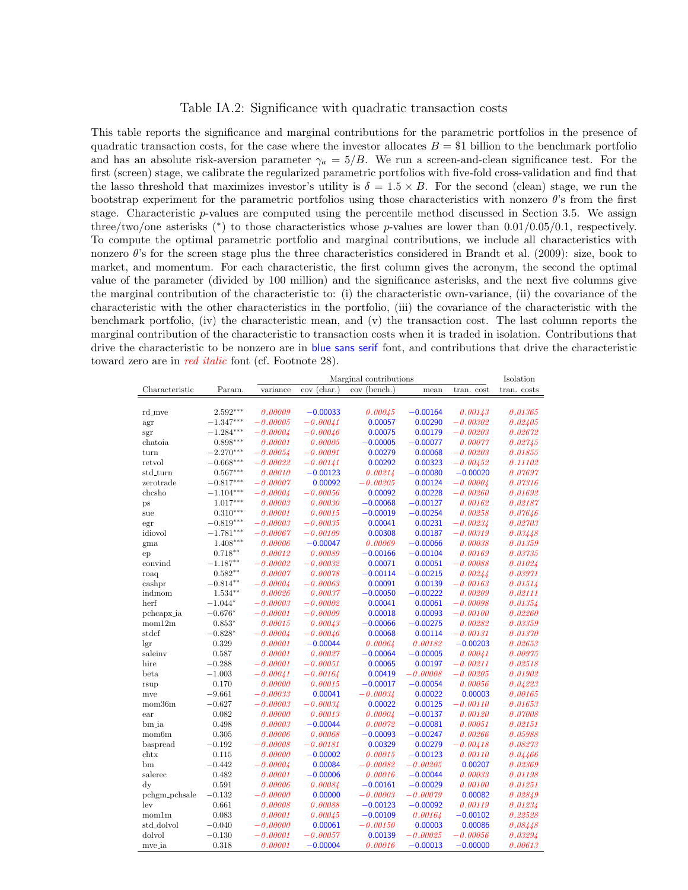#### Table IA.2: Significance with quadratic transaction costs

This table reports the significance and marginal contributions for the parametric portfolios in the presence of quadratic transaction costs, for the case where the investor allocates  $B = $1$  billion to the benchmark portfolio and has an absolute risk-aversion parameter  $\gamma_a = 5/B$ . We run a screen-and-clean significance test. For the first (screen) stage, we calibrate the regularized parametric portfolios with five-fold cross-validation and find that the lasso threshold that maximizes investor's utility is  $\delta = 1.5 \times B$ . For the second (clean) stage, we run the bootstrap experiment for the parametric portfolios using those characteristics with nonzero  $\theta$ 's from the first stage. Characteristic  $p$ -values are computed using the percentile method discussed in Section 3.5. We assign three/two/one asterisks (\*) to those characteristics whose p-values are lower than  $0.01/0.05/0.1$ , respectively. To compute the optimal parametric portfolio and marginal contributions, we include all characteristics with nonzero θ's for the screen stage plus the three characteristics considered in Brandt et al. (2009): size, book to market, and momentum. For each characteristic, the first column gives the acronym, the second the optimal value of the parameter (divided by 100 million) and the significance asterisks, and the next five columns give the marginal contribution of the characteristic to: (i) the characteristic own-variance, (ii) the covariance of the characteristic with the other characteristics in the portfolio, (iii) the covariance of the characteristic with the benchmark portfolio, (iv) the characteristic mean, and (v) the transaction cost. The last column reports the marginal contribution of the characteristic to transaction costs when it is traded in isolation. Contributions that drive the characteristic to be nonzero are in blue sans serif font, and contributions that drive the characteristic toward zero are in *red italic* font (cf. Footnote 28).

|                |             |            |               | Marginal contributions |            |            | Isolation   |
|----------------|-------------|------------|---------------|------------------------|------------|------------|-------------|
| Characteristic | Param.      | variance   | $cov$ (char.) | cov (bench.)           | mean       | tran. cost | tran. costs |
|                |             |            |               |                        |            |            |             |
| rd_mve         | $2.592***$  | 0.00009    | $-0.00033$    | 0.00045                | $-0.00164$ | 0.00143    | 0.01365     |
| agr            | $-1.347***$ | $-0.00005$ | $-0.00041$    | 0.00057                | 0.00290    | $-0.00302$ | 0.02405     |
| sgr            | $-1.284***$ | $-0.00004$ | $-0.00046$    | 0.00075                | 0.00179    | $-0.00203$ | 0.02672     |
| chatoia        | $0.898***$  | 0.00001    | 0.00005       | $-0.00005$             | $-0.00077$ | 0.00077    | 0.02745     |
| turn           | $-2.270***$ | $-0.00054$ | $-0.00091$    | 0.00279                | 0.00068    | $-0.00203$ | 0.01855     |
| retvol         | $-0.668***$ | $-0.00022$ | $-0.00141$    | 0.00292                | 0.00323    | $-0.00452$ | 0.11102     |
| std_turn       | $0.567***$  | 0.00010    | $-0.00123$    | 0.00214                | $-0.00080$ | $-0.00020$ | 0.07697     |
| zerotrade      | $-0.817***$ | $-0.00007$ | 0.00092       | $-0.00205$             | 0.00124    | $-0.00004$ | 0.07316     |
| chcsho         | $-1.104***$ | $-0.00004$ | $-0.00056$    | 0.00092                | 0.00228    | $-0.00260$ | 0.01692     |
| ps             | $1.017***$  | 0.00003    | 0.00030       | $-0.00068$             | $-0.00127$ | 0.00162    | 0.02187     |
| sue            | $0.310***$  | 0.00001    | 0.00015       | $-0.00019$             | $-0.00254$ | 0.00258    | 0.07646     |
| egr            | $-0.819***$ | $-0.00003$ | $-0.00035$    | 0.00041                | 0.00231    | $-0.00234$ | 0.02703     |
| idiovol        | $-1.781***$ | $-0.00067$ | $-0.00109$    | 0.00308                | 0.00187    | $-0.00319$ | 0.03448     |
| gma            | $1.408***$  | 0.00006    | $-0.00047$    | 0.00069                | $-0.00066$ | 0.00038    | 0.01359     |
| ep             | $0.718**$   | 0.00012    | 0.00089       | $-0.00166$             | $-0.00104$ | 0.00169    | 0.03735     |
| convind        | $-1.187**$  | $-0.00002$ | $-0.00032$    | 0.00071                | 0.00051    | $-0.00088$ | 0.01024     |
| roaq           | $0.582**$   | 0.00007    | 0.00078       | $-0.00114$             | $-0.00215$ | 0.00244    | 0.03971     |
| cashpr         | $-0.814**$  | $-0.00004$ | $-0.00063$    | 0.00091                | 0.00139    | $-0.00163$ | 0.01514     |
| indmom         | $1.534**$   | 0.00026    | 0.00037       | $-0.00050$             | $-0.00222$ | 0.00209    | 0.02111     |
| herf           | $-1.044*$   | $-0.00003$ | $-0.00002$    | 0.00041                | 0.00061    | $-0.00098$ | 0.01354     |
| pchcapx_ia     | $-0.676*$   | $-0.00001$ | $-0.00009$    | 0.00018                | 0.00093    | $-0.00100$ | 0.02260     |
| mom12m         | $0.853*$    | 0.00015    | 0.00043       | $-0.00066$             | $-0.00275$ | 0.00282    | 0.03359     |
| stdcf          | $-0.828*$   | $-0.00004$ | $-0.00046$    | 0.00068                | 0.00114    | $-0.00131$ | 0.01370     |
| $\lg r$        | 0.329       | 0.00001    | $-0.00044$    | 0.00064                | 0.00182    | $-0.00203$ | 0.02653     |
| saleiny        | 0.587       | 0.00001    | 0.00027       | $-0.00064$             | $-0.00005$ | 0.00041    | 0.00975     |
| hire           | $-0.288$    | $-0.00001$ | $-0.00051$    | 0.00065                | 0.00197    | $-0.00211$ | 0.02518     |
| beta           | $-1.003$    | $-0.00041$ | $-0.00164$    | 0.00419                | $-0.00008$ | $-0.00205$ | 0.01902     |
| rsup           | 0.170       | 0.00000    | 0.00015       | $-0.00017$             | $-0.00054$ | 0.00056    | 0.04223     |
| mve            | $-9.661$    | $-0.00033$ | 0.00041       | $-0.00034$             | 0.00022    | 0.00003    | 0.00165     |
| mom36m         | $-0.627$    | $-0.00003$ | $-0.00034$    | 0.00022                | 0.00125    | $-0.00110$ | 0.01653     |
| ear            | 0.082       | 0.00000    | 0.00013       | 0.00004                | $-0.00137$ | 0.00120    | 0.07008     |
| bm ia          | 0.498       | 0.00003    | $-0.00044$    | 0.00072                | $-0.00081$ | 0.00051    | 0.02151     |
| mom6m          | 0.305       | 0.00006    | 0.00068       | $-0.00093$             | $-0.00247$ | 0.00266    | 0.05988     |
| baspread       | $-0.192$    | $-0.00008$ | $-0.00181$    | 0.00329                | 0.00279    | $-0.00418$ | 0.08273     |
| chtx           | 0.115       | 0.00000    | $-0.00002$    | 0.00015                | $-0.00123$ | 0.00110    | 0.04466     |
| $_{\text{bm}}$ | $-0.442$    | $-0.00004$ | 0.00084       | $-0.00082$             | $-0.00205$ | 0.00207    | 0.02369     |
| salerec        | 0.482       | 0.00001    | $-0.00006$    | 0.00016                | $-0.00044$ | 0.00033    | 0.01198     |
| dv             | 0.591       | 0.00006    | 0.00084       | $-0.00161$             | $-0.00029$ | 0.00100    | 0.01251     |
| pchgm_pchsale  | $-0.132$    | $-0.00000$ | 0.00000       | $-0.00003$             | $-0.00079$ | 0.00082    | 0.02849     |
| lev            | 0.661       | 0.00008    | 0.00088       | $-0.00123$             | $-0.00092$ | 0.00119    | 0.01234     |
| mom1m          | 0.083       | 0.00001    | 0.00045       | $-0.00109$             | 0.00164    | $-0.00102$ | 0.22528     |
| std_dolvol     | $-0.040$    | $-0.00000$ | 0.00061       | $-0.00150$             | 0.00003    | 0.00086    | 0.08448     |
| dolvol         | $-0.130$    | $-0.00001$ | $-0.00057$    | 0.00139                | $-0.00025$ | $-0.00056$ | 0.03294     |
| mve_ia         | 0.318       | 0.00001    | $-0.00004$    | 0.00016                | $-0.00013$ | $-0.00000$ | 0.00613     |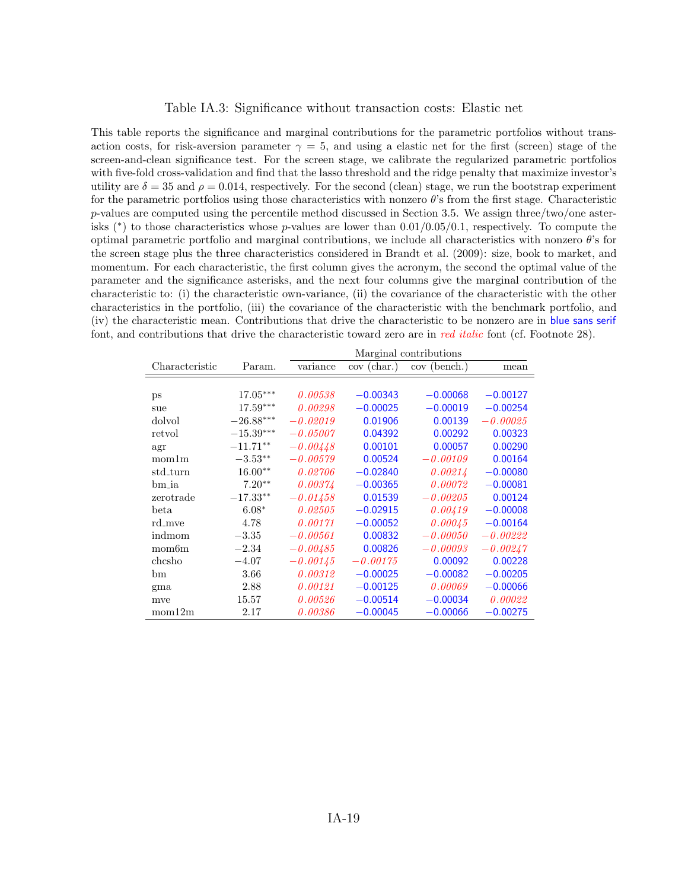#### Table IA.3: Significance without transaction costs: Elastic net

This table reports the significance and marginal contributions for the parametric portfolios without transaction costs, for risk-aversion parameter  $\gamma = 5$ , and using a elastic net for the first (screen) stage of the screen-and-clean significance test. For the screen stage, we calibrate the regularized parametric portfolios with five-fold cross-validation and find that the lasso threshold and the ridge penalty that maximize investor's utility are  $\delta = 35$  and  $\rho = 0.014$ , respectively. For the second (clean) stage, we run the bootstrap experiment for the parametric portfolios using those characteristics with nonzero  $\theta$ 's from the first stage. Characteristic p-values are computed using the percentile method discussed in Section 3.5. We assign three/two/one asterisks (∗ ) to those characteristics whose p-values are lower than 0.01/0.05/0.1, respectively. To compute the optimal parametric portfolio and marginal contributions, we include all characteristics with nonzero  $\theta$ 's for the screen stage plus the three characteristics considered in Brandt et al. (2009): size, book to market, and momentum. For each characteristic, the first column gives the acronym, the second the optimal value of the parameter and the significance asterisks, and the next four columns give the marginal contribution of the characteristic to: (i) the characteristic own-variance, (ii) the covariance of the characteristic with the other characteristics in the portfolio, (iii) the covariance of the characteristic with the benchmark portfolio, and (iv) the characteristic mean. Contributions that drive the characteristic to be nonzero are in blue sans serif font, and contributions that drive the characteristic toward zero are in red *italic* font (cf. Footnote 28).

|                | Marginal contributions  |            |               |              |            |  |  |
|----------------|-------------------------|------------|---------------|--------------|------------|--|--|
| Characteristic | Param.                  | variance   | $cov$ (char.) | cov (bench.) | mean       |  |  |
|                |                         |            |               |              |            |  |  |
| ps             | $17.05***$              | 0.00538    | $-0.00343$    | $-0.00068$   | $-0.00127$ |  |  |
| sue            | $17.59***$              | 0.00298    | $-0.00025$    | $-0.00019$   | $-0.00254$ |  |  |
| dolvol         | $-26.88***$             | $-0.02019$ | 0.01906       | 0.00139      | $-0.00025$ |  |  |
| retvol         | $-15.39^{\ast\ast\ast}$ | $-0.05007$ | 0.04392       | 0.00292      | 0.00323    |  |  |
| agr            | $-11.71**$              | $-0.00448$ | 0.00101       | 0.00057      | 0.00290    |  |  |
| mom1m          | $-3.53**$               | $-0.00579$ | 0.00524       | $-0.00109$   | 0.00164    |  |  |
| std_turn       | $16.00**$               | 0.02706    | $-0.02840$    | 0.00214      | $-0.00080$ |  |  |
| bm_ia          | $7.20**$                | 0.00374    | $-0.00365$    | 0.00072      | $-0.00081$ |  |  |
| zerotrade      | $-17.33**$              | $-0.01458$ | 0.01539       | $-0.00205$   | 0.00124    |  |  |
| beta           | $6.08*$                 | 0.02505    | $-0.02915$    | 0.00419      | $-0.00008$ |  |  |
| rd_mve         | 4.78                    | 0.00171    | $-0.00052$    | 0.00045      | $-0.00164$ |  |  |
| indmom         | $-3.35$                 | $-0.00561$ | 0.00832       | $-0.00050$   | $-0.00222$ |  |  |
| mombon         | $-2.34$                 | $-0.00485$ | 0.00826       | $-0.00093$   | $-0.00247$ |  |  |
| chcsho         | $-4.07$                 | $-0.00145$ | $-0.00175$    | 0.00092      | 0.00228    |  |  |
| $_{\rm bm}$    | 3.66                    | 0.00312    | $-0.00025$    | $-0.00082$   | $-0.00205$ |  |  |
| gma            | 2.88                    | 0.00121    | $-0.00125$    | 0.00069      | $-0.00066$ |  |  |
| mve            | 15.57                   | 0.00526    | $-0.00514$    | $-0.00034$   | 0.00022    |  |  |
| mom12m         | $2.17\,$                | 0.00386    | $-0.00045$    | $-0.00066$   | $-0.00275$ |  |  |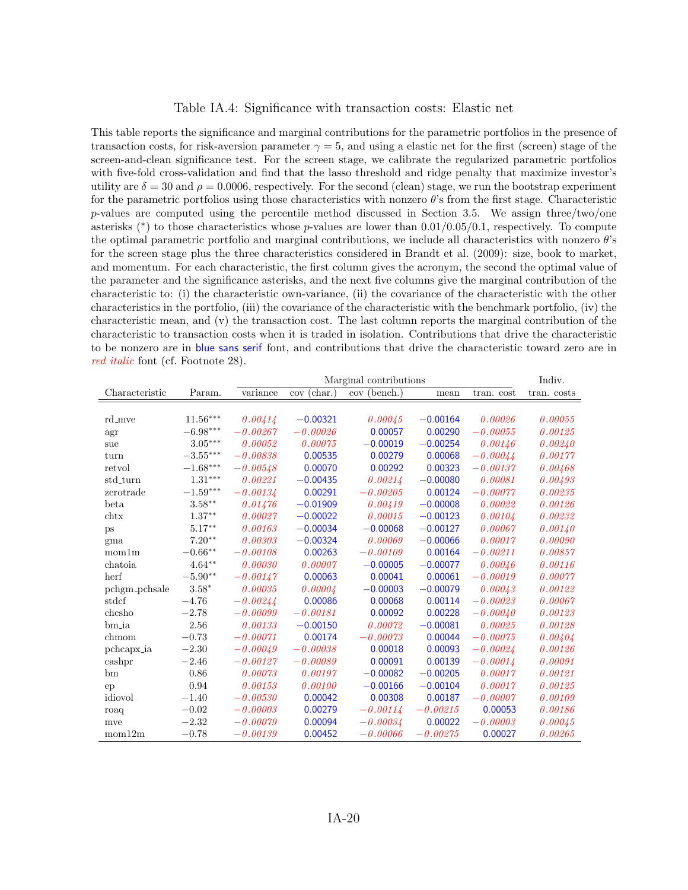#### Table IA.4: Significance with transaction costs: Elastic net

This table reports the significance and marginal contributions for the parametric portfolios in the presence of transaction costs, for risk-aversion parameter  $\gamma = 5$ , and using a elastic net for the first (screen) stage of the screen-and-clean significance test. For the screen stage, we calibrate the regularized parametric portfolios with five-fold cross-validation and find that the lasso threshold and ridge penalty that maximize investor's utility are  $\delta = 30$  and  $\rho = 0.0006$ , respectively. For the second (clean) stage, we run the bootstrap experiment for the parametric portfolios using those characteristics with nonzero  $\theta$ 's from the first stage. Characteristic p-values are computed using the percentile method discussed in Section 3.5. We assign three/two/one asterisks (\*) to those characteristics whose p-values are lower than  $0.01/0.05/0.1$ , respectively. To compute the optimal parametric portfolio and marginal contributions, we include all characteristics with nonzero θ's for the screen stage plus the three characteristics considered in Brandt et al. (2009): size, book to market, and momentum. For each characteristic, the first column gives the acronym, the second the optimal value of the parameter and the significance asterisks, and the next five columns give the marginal contribution of the characteristic to: (i) the characteristic own-variance, (ii) the covariance of the characteristic with the other characteristics in the portfolio, (iii) the covariance of the characteristic with the benchmark portfolio, (iv) the characteristic mean, and (v) the transaction cost. The last column reports the marginal contribution of the characteristic to transaction costs when it is traded in isolation. Contributions that drive the characteristic to be nonzero are in blue sans serif font, and contributions that drive the characteristic toward zero are in red *italic* font (cf. Footnote 28).

|                    |                        |            | Marginal contributions |              |            |            |             |  |
|--------------------|------------------------|------------|------------------------|--------------|------------|------------|-------------|--|
| Characteristic     | Param.                 | variance   | $cov$ (char.)          | cov (bench.) | mean       | tran. cost | tran. costs |  |
|                    |                        |            |                        |              |            |            |             |  |
| rd_mve             | $11.56^{\ast\ast\ast}$ | 0.00414    | $-0.00321$             | 0.00045      | $-0.00164$ | 0.00026    | 0.00055     |  |
| agr                | $-6.98***$             | $-0.00267$ | $-0.00026$             | 0.00057      | 0.00290    | $-0.00055$ | 0.00125     |  |
| sue                | $3.05***$              | 0.00052    | 0.00075                | $-0.00019$   | $-0.00254$ | 0.00146    | 0.00240     |  |
| turn               | $-3.55^{\ast\ast\ast}$ | $-0.00838$ | 0.00535                | 0.00279      | 0.00068    | $-0.00044$ | 0.00177     |  |
| retvol             | $-1.68***$             | $-0.00548$ | 0.00070                | 0.00292      | 0.00323    | $-0.00137$ | 0.00468     |  |
| std_turn           | $1.31***$              | 0.00221    | $-0.00435$             | 0.00214      | $-0.00080$ | 0.00081    | 0.00493     |  |
| zerotrade          | $-1.59***$             | $-0.00134$ | 0.00291                | $-0.00205$   | 0.00124    | $-0.00077$ | 0.00235     |  |
| beta               | $3.58**$               | 0.01476    | $-0.01909$             | 0.00419      | $-0.00008$ | 0.00022    | 0.00126     |  |
| $\text{chtx}$      | $1.37**$               | 0.00027    | $-0.00022$             | 0.00015      | $-0.00123$ | 0.00104    | 0.00232     |  |
| <b>ps</b>          | $5.17**$               | 0.00163    | $-0.00034$             | $-0.00068$   | $-0.00127$ | 0.00067    | 0.00140     |  |
| gma                | $7.20**$               | 0.00303    | $-0.00324$             | 0.00069      | $-0.00066$ | 0.00017    | 0.00090     |  |
| mom <sub>1</sub> m | $-0.66^{\ast\ast}$     | $-0.00108$ | 0.00263                | $-0.00109$   | 0.00164    | $-0.00211$ | 0.00857     |  |
| chatoia            | $4.64***$              | 0.00030    | 0.00007                | $-0.00005$   | $-0.00077$ | 0.00046    | 0.00116     |  |
| herf               | $-5.90**$              | $-0.00147$ | 0.00063                | 0.00041      | 0.00061    | $-0.00019$ | 0.00077     |  |
| pchgm_pchsale      | $3.58*$                | 0.00035    | 0.00004                | $-0.00003$   | $-0.00079$ | 0.00043    | 0.00122     |  |
| stdcf              | $-4.76$                | $-0.00244$ | 0.00086                | 0.00068      | 0.00114    | $-0.00023$ | 0.00067     |  |
| chcsho             | $-2.78$                | $-0.00099$ | $-0.00181$             | 0.00092      | 0.00228    | $-0.00040$ | 0.00123     |  |
| bm_ia              | 2.56                   | 0.00133    | $-0.00150$             | 0.00072      | $-0.00081$ | 0.00025    | 0.00128     |  |
| chmom              | $-0.73$                | $-0.00071$ | 0.00174                | $-0.00073$   | 0.00044    | $-0.00075$ | 0.00404     |  |
| pchcapx_ia         | $-2.30\,$              | $-0.00049$ | $-0.00038$             | 0.00018      | 0.00093    | $-0.00024$ | 0.00126     |  |
| cashpr             | $-2.46$                | $-0.00127$ | $-0.00089$             | 0.00091      | 0.00139    | $-0.00014$ | 0.00091     |  |
| $_{\text{bm}}$     | 0.86                   | 0.00073    | 0.00197                | $-0.00082$   | $-0.00205$ | 0.00017    | 0.00121     |  |
| ep                 | 0.94                   | 0.00153    | 0.00100                | $-0.00166$   | $-0.00104$ | 0.00017    | 0.00125     |  |
| idiovol            | $-1.40$                | $-0.00530$ | 0.00042                | 0.00308      | 0.00187    | $-0.00007$ | 0.00109     |  |
| roaq               | $-0.02$                | $-0.00003$ | 0.00279                | $-0.00114$   | $-0.00215$ | 0.00053    | 0.00186     |  |
| mve                | $-2.32$                | $-0.00079$ | 0.00094                | $-0.00034$   | 0.00022    | $-0.00003$ | 0.00045     |  |
| mom12m             | $-0.78$                | $-0.00139$ | 0.00452                | $-0.00066$   | $-0.00275$ | 0.00027    | 0.00265     |  |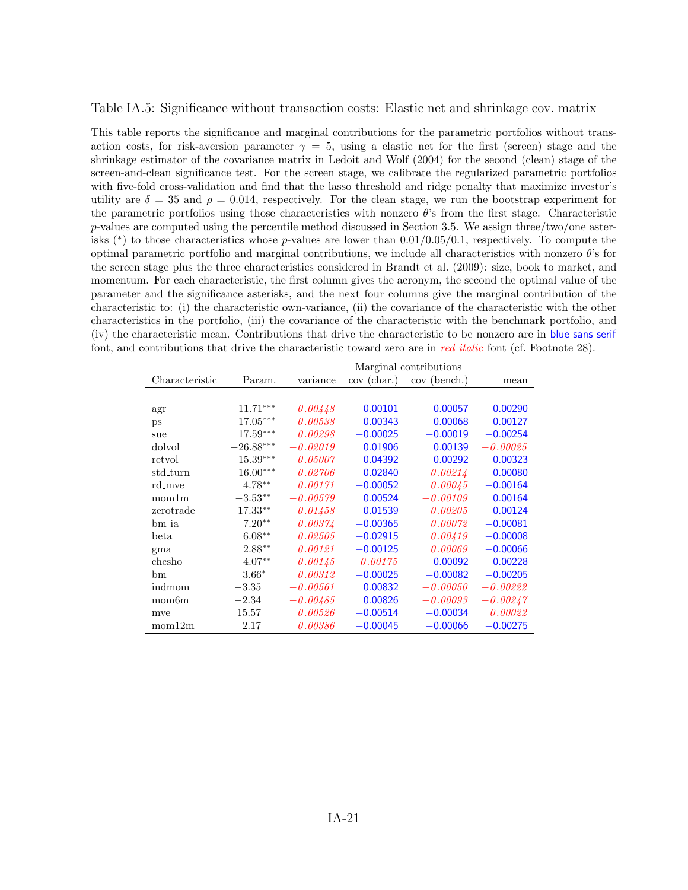#### Table IA.5: Significance without transaction costs: Elastic net and shrinkage cov. matrix

This table reports the significance and marginal contributions for the parametric portfolios without transaction costs, for risk-aversion parameter  $\gamma = 5$ , using a elastic net for the first (screen) stage and the shrinkage estimator of the covariance matrix in Ledoit and Wolf (2004) for the second (clean) stage of the screen-and-clean significance test. For the screen stage, we calibrate the regularized parametric portfolios with five-fold cross-validation and find that the lasso threshold and ridge penalty that maximize investor's utility are  $\delta = 35$  and  $\rho = 0.014$ , respectively. For the clean stage, we run the bootstrap experiment for the parametric portfolios using those characteristics with nonzero  $\theta$ 's from the first stage. Characteristic p-values are computed using the percentile method discussed in Section 3.5. We assign three/two/one asterisks (∗ ) to those characteristics whose p-values are lower than 0.01/0.05/0.1, respectively. To compute the optimal parametric portfolio and marginal contributions, we include all characteristics with nonzero  $\theta$ 's for the screen stage plus the three characteristics considered in Brandt et al. (2009): size, book to market, and momentum. For each characteristic, the first column gives the acronym, the second the optimal value of the parameter and the significance asterisks, and the next four columns give the marginal contribution of the characteristic to: (i) the characteristic own-variance, (ii) the covariance of the characteristic with the other characteristics in the portfolio, (iii) the covariance of the characteristic with the benchmark portfolio, and (iv) the characteristic mean. Contributions that drive the characteristic to be nonzero are in blue sans serif font, and contributions that drive the characteristic toward zero are in red *italic* font (cf. Footnote 28).

|                    |                         | Marginal contributions |             |              |            |  |  |
|--------------------|-------------------------|------------------------|-------------|--------------|------------|--|--|
| Characteristic     | Param.                  | variance               | cov (char.) | cov (bench.) | mean       |  |  |
|                    |                         |                        |             |              |            |  |  |
| agr                | $-11.71***$             | $-0.00448$             | 0.00101     | 0.00057      | 0.00290    |  |  |
| ps                 | $17.05***$              | 0.00538                | $-0.00343$  | $-0.00068$   | $-0.00127$ |  |  |
| sue                | $17.59***$              | 0.00298                | $-0.00025$  | $-0.00019$   | $-0.00254$ |  |  |
| dolvol             | $-26.88^{\ast\ast\ast}$ | $-0.02019$             | 0.01906     | 0.00139      | $-0.00025$ |  |  |
| retvol             | $-15.39***$             | $-0.05007$             | 0.04392     | 0.00292      | 0.00323    |  |  |
| std_turn           | $16.00***$              | 0.02706                | $-0.02840$  | 0.00214      | $-0.00080$ |  |  |
| rd_mve             | $4.78**$                | 0.00171                | $-0.00052$  | 0.00045      | $-0.00164$ |  |  |
| mom <sub>1</sub> m | $-3.53**$               | $-0.00579$             | 0.00524     | $-0.00109$   | 0.00164    |  |  |
| zerotrade          | $-17.33**$              | $-0.01458$             | 0.01539     | $-0.00205$   | 0.00124    |  |  |
| bm_ia              | $7.20**$                | 0.00374                | $-0.00365$  | 0.00072      | $-0.00081$ |  |  |
| beta               | $6.08**$                | 0.02505                | $-0.02915$  | 0.00419      | $-0.00008$ |  |  |
| gma                | $2.88**$                | 0.00121                | $-0.00125$  | 0.00069      | $-0.00066$ |  |  |
| chcsho             | $-4.07**$               | $-0.00145$             | $-0.00175$  | 0.00092      | 0.00228    |  |  |
| $_{\text{bm}}$     | $3.66*$                 | 0.00312                | $-0.00025$  | $-0.00082$   | $-0.00205$ |  |  |
| indmom             | $-3.35$                 | $-0.00561$             | 0.00832     | $-0.00050$   | $-0.00222$ |  |  |
| mom6m              | $-2.34$                 | $-0.00485$             | 0.00826     | $-0.00093$   | $-0.00247$ |  |  |
| mve                | 15.57                   | 0.00526                | $-0.00514$  | $-0.00034$   | 0.00022    |  |  |
| mom12m             | 2.17                    | 0.00386                | $-0.00045$  | $-0.00066$   | $-0.00275$ |  |  |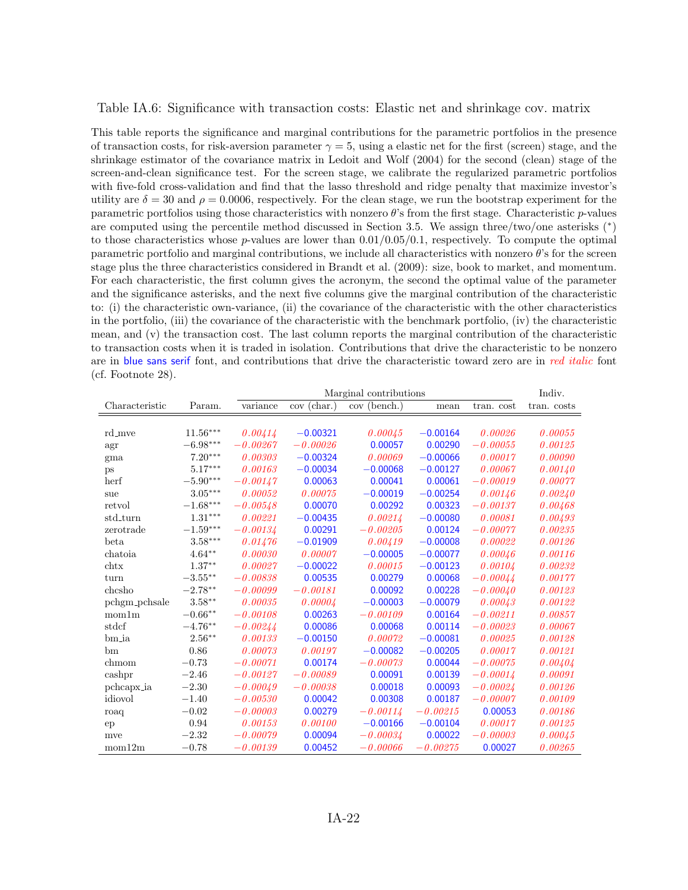#### Table IA.6: Significance with transaction costs: Elastic net and shrinkage cov. matrix

This table reports the significance and marginal contributions for the parametric portfolios in the presence of transaction costs, for risk-aversion parameter  $\gamma = 5$ , using a elastic net for the first (screen) stage, and the shrinkage estimator of the covariance matrix in Ledoit and Wolf (2004) for the second (clean) stage of the screen-and-clean significance test. For the screen stage, we calibrate the regularized parametric portfolios with five-fold cross-validation and find that the lasso threshold and ridge penalty that maximize investor's utility are  $\delta = 30$  and  $\rho = 0.0006$ , respectively. For the clean stage, we run the bootstrap experiment for the parametric portfolios using those characteristics with nonzero  $\theta$ 's from the first stage. Characteristic p-values are computed using the percentile method discussed in Section 3.5. We assign three/two/one asterisks (∗ ) to those characteristics whose p-values are lower than  $0.01/0.05/0.1$ , respectively. To compute the optimal parametric portfolio and marginal contributions, we include all characteristics with nonzero  $\theta$ 's for the screen stage plus the three characteristics considered in Brandt et al. (2009): size, book to market, and momentum. For each characteristic, the first column gives the acronym, the second the optimal value of the parameter and the significance asterisks, and the next five columns give the marginal contribution of the characteristic to: (i) the characteristic own-variance, (ii) the covariance of the characteristic with the other characteristics in the portfolio, (iii) the covariance of the characteristic with the benchmark portfolio, (iv) the characteristic mean, and (v) the transaction cost. The last column reports the marginal contribution of the characteristic to transaction costs when it is traded in isolation. Contributions that drive the characteristic to be nonzero are in blue sans serif font, and contributions that drive the characteristic toward zero are in red *italic* font (cf. Footnote 28).

|                    |                        |            | Marginal contributions |              |            |            |             |  |  |
|--------------------|------------------------|------------|------------------------|--------------|------------|------------|-------------|--|--|
| Characteristic     | Param.                 | variance   | $cov$ (char.)          | cov (bench.) | mean       | tran. cost | tran. costs |  |  |
|                    |                        |            |                        |              |            |            |             |  |  |
| rd_mve             | $11.56***$             | 0.00414    | $-0.00321$             | 0.00045      | $-0.00164$ | 0.00026    | 0.00055     |  |  |
| agr                | $-6.98***$             | $-0.00267$ | $-0.00026$             | 0.00057      | 0.00290    | $-0.00055$ | 0.00125     |  |  |
| gma                | $7.20***$              | 0.00303    | $-0.00324$             | 0.00069      | $-0.00066$ | 0.00017    | 0.00090     |  |  |
| ps                 | $5.17***$              | 0.00163    | $-0.00034$             | $-0.00068$   | $-0.00127$ | 0.00067    | 0.00140     |  |  |
| herf               | $-5.90***$             | $-0.00147$ | 0.00063                | 0.00041      | 0.00061    | $-0.00019$ | 0.00077     |  |  |
| sue                | $3.05***$              | 0.00052    | 0.00075                | $-0.00019$   | $-0.00254$ | 0.00146    | 0.00240     |  |  |
| retvol             | $-1.68^{\ast\ast\ast}$ | $-0.00548$ | 0.00070                | 0.00292      | 0.00323    | $-0.00137$ | 0.00468     |  |  |
| std_turn           | $1.31***$              | 0.00221    | $-0.00435$             | 0.00214      | $-0.00080$ | 0.00081    | 0.00493     |  |  |
| zerotrade          | $-1.59***$             | $-0.00134$ | 0.00291                | $-0.00205$   | 0.00124    | $-0.00077$ | 0.00235     |  |  |
| beta               | $3.58***$              | 0.01476    | $-0.01909$             | 0.00419      | $-0.00008$ | 0.00022    | 0.00126     |  |  |
| chatoia            | $4.64**$               | 0.00030    | 0.00007                | $-0.00005$   | $-0.00077$ | 0.00046    | 0.00116     |  |  |
| $\text{chtx}$      | $1.37**$               | 0.00027    | $-0.00022$             | 0.00015      | $-0.00123$ | 0.00104    | 0.00232     |  |  |
| turn               | $-3.55***$             | $-0.00838$ | 0.00535                | 0.00279      | 0.00068    | $-0.00044$ | 0.00177     |  |  |
| chcsho             | $-2.78**$              | $-0.00099$ | $-0.00181$             | 0.00092      | 0.00228    | $-0.00040$ | 0.00123     |  |  |
| pchgm_pchsale      | $3.58***$              | 0.00035    | 0.00004                | $-0.00003$   | $-0.00079$ | 0.00043    | 0.00122     |  |  |
| mom <sub>1</sub> m | $-0.66**$              | $-0.00108$ | 0.00263                | $-0.00109$   | 0.00164    | $-0.00211$ | 0.00857     |  |  |
| stdcf              | $-4.76**$              | $-0.00244$ | 0.00086                | 0.00068      | 0.00114    | $-0.00023$ | 0.00067     |  |  |
| bm ia              | $2.56***$              | 0.00133    | $-0.00150$             | 0.00072      | $-0.00081$ | 0.00025    | 0.00128     |  |  |
| $_{\text{bm}}$     | 0.86                   | 0.00073    | 0.00197                | $-0.00082$   | $-0.00205$ | 0.00017    | 0.00121     |  |  |
| chmom              | $-0.73$                | $-0.00071$ | 0.00174                | $-0.00073$   | 0.00044    | $-0.00075$ | 0.00404     |  |  |
| cashpr             | $-2.46$                | $-0.00127$ | $-0.00089$             | 0.00091      | 0.00139    | $-0.00014$ | 0.00091     |  |  |
| pchcapx_ia         | $-2.30$                | $-0.00049$ | $-0.00038$             | 0.00018      | 0.00093    | $-0.00024$ | 0.00126     |  |  |
| idiovol            | $-1.40$                | $-0.00530$ | 0.00042                | 0.00308      | 0.00187    | $-0.00007$ | 0.00109     |  |  |
| roaq               | $-0.02$                | $-0.00003$ | 0.00279                | $-0.00114$   | $-0.00215$ | 0.00053    | 0.00186     |  |  |
| ep                 | 0.94                   | 0.00153    | 0.00100                | $-0.00166$   | $-0.00104$ | 0.00017    | 0.00125     |  |  |
| mve                | $-2.32$                | $-0.00079$ | 0.00094                | $-0.00034$   | 0.00022    | $-0.00003$ | 0.00045     |  |  |
| mom12m             | $-0.78$                | $-0.00139$ | 0.00452                | $-0.00066$   | $-0.00275$ | 0.00027    | 0.00265     |  |  |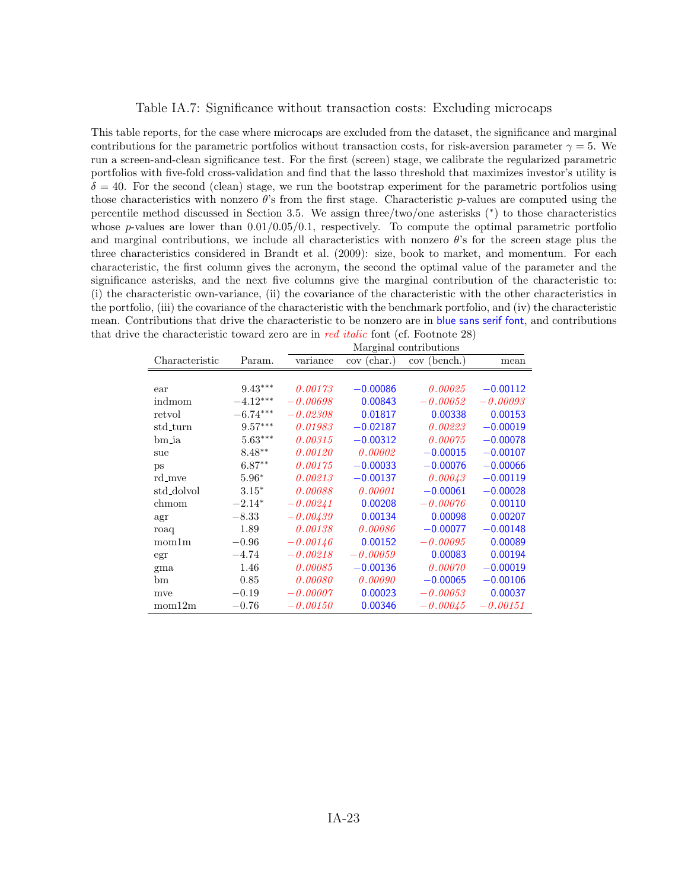#### Table IA.7: Significance without transaction costs: Excluding microcaps

This table reports, for the case where microcaps are excluded from the dataset, the significance and marginal contributions for the parametric portfolios without transaction costs, for risk-aversion parameter  $\gamma = 5$ . We run a screen-and-clean significance test. For the first (screen) stage, we calibrate the regularized parametric portfolios with five-fold cross-validation and find that the lasso threshold that maximizes investor's utility is  $\delta = 40$ . For the second (clean) stage, we run the bootstrap experiment for the parametric portfolios using those characteristics with nonzero  $\theta$ 's from the first stage. Characteristic p-values are computed using the percentile method discussed in Section 3.5. We assign three/two/one asterisks (∗ ) to those characteristics whose p-values are lower than  $0.01/0.05/0.1$ , respectively. To compute the optimal parametric portfolio and marginal contributions, we include all characteristics with nonzero  $\theta$ 's for the screen stage plus the three characteristics considered in Brandt et al. (2009): size, book to market, and momentum. For each characteristic, the first column gives the acronym, the second the optimal value of the parameter and the significance asterisks, and the next five columns give the marginal contribution of the characteristic to: (i) the characteristic own-variance, (ii) the covariance of the characteristic with the other characteristics in the portfolio, (iii) the covariance of the characteristic with the benchmark portfolio, and (iv) the characteristic mean. Contributions that drive the characteristic to be nonzero are in blue sans serif font, and contributions that drive the characteristic toward zero are in *red italic* font (cf. Footnote 28)

Marginal contributions

| Characteristic | Param.                | variance   | ပ<br>$cov$ (char.) | cov (bench.) | mean       |
|----------------|-----------------------|------------|--------------------|--------------|------------|
|                |                       |            |                    |              |            |
| ear            | $9.43***$             | 0.00173    | $-0.00086$         | 0.00025      | $-0.00112$ |
| indmom         | $-4.12***$            | $-0.00698$ | 0.00843            | $-0.00052$   | $-0.00093$ |
| retvol         | $-6.74***$            | $-0.02308$ | 0.01817            | 0.00338      | 0.00153    |
| std_turn       | $9.57^{\ast\ast\ast}$ | 0.01983    | $-0.02187$         | 0.00223      | $-0.00019$ |
| bm_ia          | $5.63***$             | 0.00315    | $-0.00312$         | 0.00075      | $-0.00078$ |
| sue            | $8.48^{\ast\ast}$     | 0.00120    | 0.00002            | $-0.00015$   | $-0.00107$ |
| ps             | $6.87**$              | 0.00175    | $-0.00033$         | $-0.00076$   | $-0.00066$ |
| rd_mve         | $5.96*$               | 0.00213    | $-0.00137$         | 0.00043      | $-0.00119$ |
| std_dolvol     | $3.15*$               | 0.00088    | 0.00001            | $-0.00061$   | $-0.00028$ |
| chmom          | $-2.14*$              | $-0.00241$ | 0.00208            | $-0.00076$   | 0.00110    |
| agr            | $-8.33$               | $-0.00439$ | 0.00134            | 0.00098      | 0.00207    |
| roaq           | 1.89                  | 0.00138    | 0.00086            | $-0.00077$   | $-0.00148$ |
| mom1m          | $-0.96$               | $-0.00146$ | 0.00152            | $-0.00095$   | 0.00089    |
| egr            | $-4.74$               | $-0.00218$ | $-0.00059$         | 0.00083      | 0.00194    |
| gma            | 1.46                  | 0.00085    | $-0.00136$         | 0.00070      | $-0.00019$ |
| $_{\rm bm}$    | 0.85                  | 0.00080    | 0.00090            | $-0.00065$   | $-0.00106$ |
| mve            | $-0.19$               | $-0.00007$ | 0.00023            | $-0.00053$   | 0.00037    |
| mom12m         | $-0.76$               | $-0.00150$ | 0.00346            | $-0.00045$   | $-0.00151$ |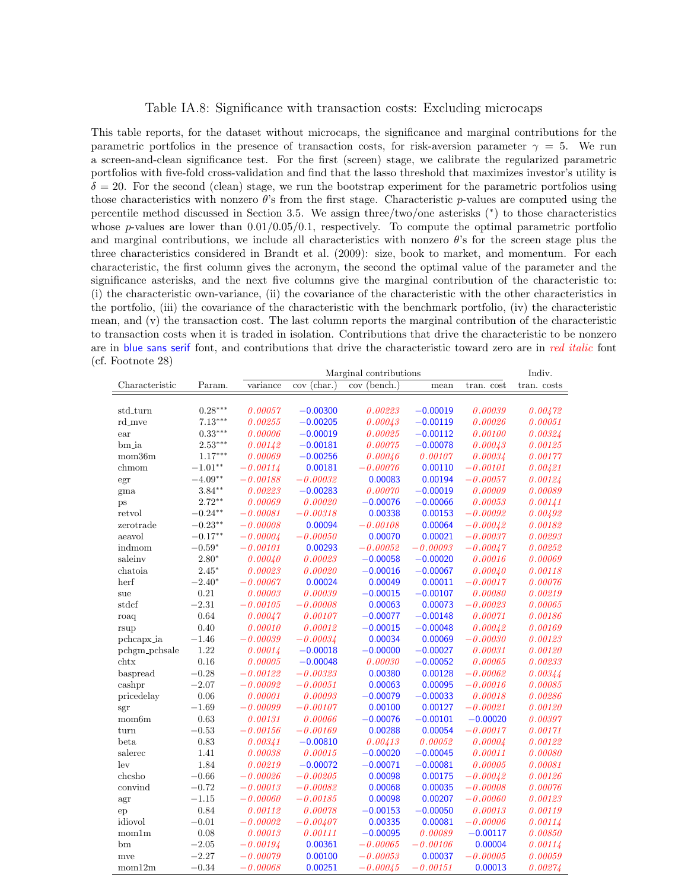#### Table IA.8: Significance with transaction costs: Excluding microcaps

This table reports, for the dataset without microcaps, the significance and marginal contributions for the parametric portfolios in the presence of transaction costs, for risk-aversion parameter  $\gamma = 5$ . We run a screen-and-clean significance test. For the first (screen) stage, we calibrate the regularized parametric portfolios with five-fold cross-validation and find that the lasso threshold that maximizes investor's utility is  $\delta = 20$ . For the second (clean) stage, we run the bootstrap experiment for the parametric portfolios using those characteristics with nonzero  $\theta$ 's from the first stage. Characteristic p-values are computed using the percentile method discussed in Section 3.5. We assign three/two/one asterisks (∗ ) to those characteristics whose p-values are lower than  $0.01/0.05/0.1$ , respectively. To compute the optimal parametric portfolio and marginal contributions, we include all characteristics with nonzero  $\theta$ 's for the screen stage plus the three characteristics considered in Brandt et al. (2009): size, book to market, and momentum. For each characteristic, the first column gives the acronym, the second the optimal value of the parameter and the significance asterisks, and the next five columns give the marginal contribution of the characteristic to: (i) the characteristic own-variance, (ii) the covariance of the characteristic with the other characteristics in the portfolio, (iii) the covariance of the characteristic with the benchmark portfolio, (iv) the characteristic mean, and (v) the transaction cost. The last column reports the marginal contribution of the characteristic to transaction costs when it is traded in isolation. Contributions that drive the characteristic to be nonzero are in blue sans serif font, and contributions that drive the characteristic toward zero are in red *italic* font (cf. Footnote 28)

|                |           |                |                                 | Marginal contributions |            |            | Indiv.        |
|----------------|-----------|----------------|---------------------------------|------------------------|------------|------------|---------------|
| Characteristic | Param.    | variance       | $\overline{\text{cov}}$ (char.) | cov (bench.)           | mean       | tran. cost | tran. costs   |
|                |           |                |                                 |                        |            |            |               |
| std_turn       | $0.28***$ | 0.00057        | $-0.00300$                      | 0.00223                | $-0.00019$ | 0.00039    | 0.00472       |
| rd_mve         | $7.13***$ | 0.00255        | $-0.00205$                      | 0.00043                | $-0.00119$ | 0.00026    | 0.00051       |
| ear            | $0.33***$ | 0.00006        | $-0.00019$                      | 0.00025                | $-0.00112$ | 0.00100    | 0.00324       |
| bm ia          | $2.53***$ | 0.00142        | $-0.00181$                      | 0.00075                | $-0.00078$ | 0.00043    | 0.00125       |
| mom36m         | $1.17***$ | 0.00069        | $-0.00256$                      | 0.00046                | 0.00107    | 0.00034    | 0.00177       |
| chmom          | $-1.01**$ | $-0.00114$     | 0.00181                         | $-0.00076$             | 0.00110    | $-0.00101$ | 0.00421       |
| egr            | $-4.09**$ | $-0.00188$     | $-0.00032$                      | 0.00083                | 0.00194    | $-0.00057$ | 0.00124       |
| gma            | $3.84**$  | 0.00223        | $-0.00283$                      | 0.00070                | $-0.00019$ | 0.00009    | 0.00089       |
| ps             | $2.72**$  | <i>0.00069</i> | 0.00020                         | $-0.00076$             | $-0.00066$ | 0.00053    | 0.00141       |
| retvol         | $-0.24**$ | $-0.00081$     | $-0.00318$                      | 0.00338                | 0.00153    | $-0.00092$ | 0.00492       |
| zerotrade      | $-0.23**$ | $-0.00008$     | 0.00094                         | $-0.00108$             | 0.00064    | $-0.00042$ | 0.00182       |
| aeavol         | $-0.17**$ | $-0.00004$     | $-0.00050$                      | 0.00070                | 0.00021    | $-0.00037$ | 0.00293       |
| indmom         | $-0.59*$  | $-0.00101$     | 0.00293                         | $-0.00052$             | $-0.00093$ | $-0.00047$ | 0.00252       |
| saleiny        | $2.80*$   | 0.00040        | 0.00023                         | $-0.00058$             | $-0.00020$ | 0.00016    | 0.00069       |
| chatoia        | $2.45*$   | 0.00023        | 0.00020                         | $-0.00016$             | $-0.00067$ | 0.00040    | 0.00118       |
| herf           | $-2.40*$  | $-0.00067$     | 0.00024                         | 0.00049                | 0.00011    | $-0.00017$ | 0.00076       |
| sue            | 0.21      | $\it 0.00003$  | <i>0.00039</i>                  | $-0.00015$             | $-0.00107$ | 0.00080    | $\it 0.00219$ |
| stdcf          | $-2.31$   | $-0.00105$     | $-0.00008$                      | 0.00063                | 0.00073    | $-0.00023$ | 0.00065       |
| roaq           | 0.64      | 0.00047        | 0.00107                         | $-0.00077$             | $-0.00148$ | 0.00071    | 0.00186       |
| rsup           | 0.40      | 0.00010        | 0.00012                         | $-0.00015$             | $-0.00048$ | 0.00042    | 0.00169       |
| pchcapx_ia     | $-1.46$   | $-0.00039$     | $-0.00034$                      | 0.00034                | 0.00069    | $-0.00030$ | 0.00123       |
| pchgm_pchsale  | 1.22      | 0.00014        | $-0.00018$                      | $-0.00000$             | $-0.00027$ | 0.00031    | 0.00120       |
| chtx           | 0.16      | 0.00005        | $-0.00048$                      | 0.00030                | $-0.00052$ | 0.00065    | 0.00233       |
| baspread       | $-0.28$   | $-0.00122$     | $-0.00323$                      | 0.00380                | 0.00128    | $-0.00062$ | 0.00344       |
| cashpr         | $-2.07$   | $-0.00092$     | $-0.00051$                      | 0.00063                | 0.00095    | $-0.00016$ | 0.00085       |
| pricedelay     | 0.06      | 0.00001        | 0.00093                         | $-0.00079$             | $-0.00033$ | 0.00018    | 0.00286       |
| sgr            | $-1.69$   | $-0.00099$     | $-0.00107$                      | 0.00100                | 0.00127    | $-0.00021$ | 0.00120       |
| mom6m          | 0.63      | 0.00131        | 0.00066                         | $-0.00076$             | $-0.00101$ | $-0.00020$ | 0.00397       |
| turn           | $-0.53$   | $-0.00156$     | $-0.00169$                      | 0.00288                | 0.00054    | $-0.00017$ | 0.00171       |
| beta           | $0.83\,$  | 0.00341        | $-0.00810$                      | 0.00413                | 0.00052    | 0.00004    | 0.00122       |
| salerec        | 1.41      | <i>0.00038</i> | 0.00015                         | $-0.00020$             | $-0.00045$ | 0.00011    | 0.00080       |
| lev            | 1.84      | 0.00219        | $-0.00072$                      | $-0.00071$             | $-0.00081$ | 0.00005    | 0.00081       |
| chcsho         | $-0.66$   | $-0.00026$     | $-0.00205$                      | 0.00098                | 0.00175    | $-0.00042$ | 0.00126       |
| convind        | $-0.72$   | $-0.00013$     | $-0.00082$                      | 0.00068                | 0.00035    | $-0.00008$ | $\it 0.00076$ |
| agr            | $-1.15$   | $-0.00060$     | $-0.00185$                      | 0.00098                | 0.00207    | $-0.00060$ | 0.00123       |
| ep             | 0.84      | $\it 0.00112$  | 0.00078                         | $-0.00153$             | $-0.00050$ | 0.00013    | 0.00119       |
| idiovol        | $-0.01$   | $-0.00002$     | $-0.00407$                      | 0.00335                | 0.00081    | $-0.00006$ | 0.00114       |
| mom1m          | 0.08      | 0.00013        | 0.00111                         | $-0.00095$             | 0.00089    | $-0.00117$ | 0.00850       |
| $_{\text{bm}}$ | $-2.05$   | $-0.00194$     | 0.00361                         | $-0.00065$             | $-0.00106$ | 0.00004    | 0.00114       |
| mve            | $-2.27$   | $-0.00079$     | 0.00100                         | $-0.00053$             | 0.00037    | $-0.00005$ | 0.00059       |
| mom12m         | $-0.34$   | $-0.00068$     | 0.00251                         | $-0.00045$             | $-0.00151$ | 0.00013    | 0.00274       |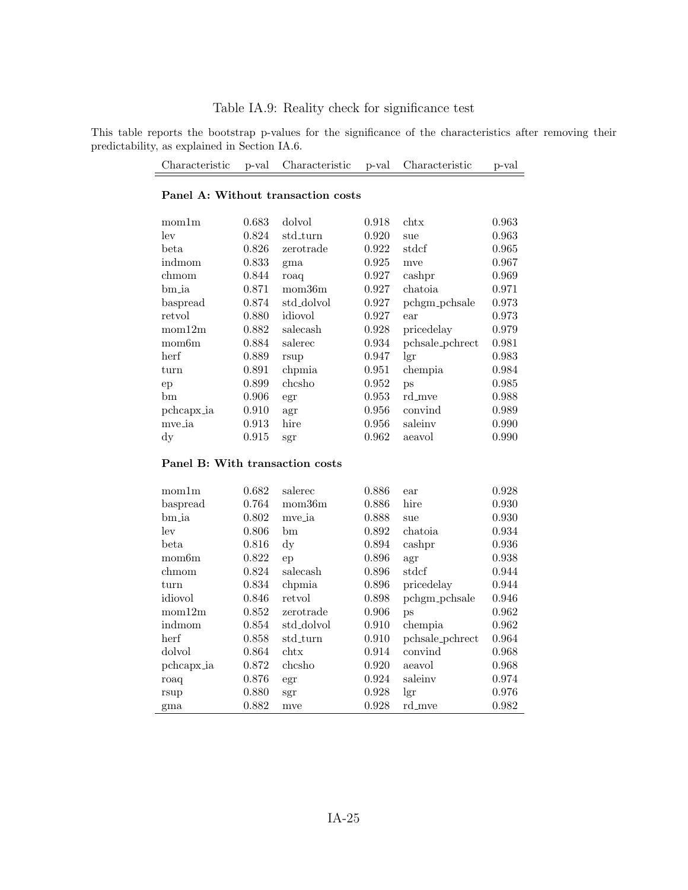Table IA.9: Reality check for significance test

This table reports the bootstrap p-values for the significance of the characteristics after removing their predictability, as explained in Section IA.6.

| Characteristic | p-val | Characteristic | p-val | Characteristic | p-val |
|----------------|-------|----------------|-------|----------------|-------|
|----------------|-------|----------------|-------|----------------|-------|

#### Panel A: Without transaction costs

| $\text{mom} \text{1m}$ | 0.683 | dolvol     | 0.918 | $\text{chtx}$   | 0.963 |
|------------------------|-------|------------|-------|-----------------|-------|
| lev                    | 0.824 | std_turn   | 0.920 | sue             | 0.963 |
| beta                   | 0.826 | zerotrade  | 0.922 | stdcf           | 0.965 |
| indmom                 | 0.833 | gma        | 0.925 | mve             | 0.967 |
| chmom                  | 0.844 | roaq       | 0.927 | cashpr          | 0.969 |
| bm_ia                  | 0.871 | mom36m     | 0.927 | chatoia         | 0.971 |
| baspread               | 0.874 | std_dolvol | 0.927 | pchgm_pchsale   | 0.973 |
| retvol                 | 0.880 | idiovol    | 0.927 | ear             | 0.973 |
| mom12m                 | 0.882 | salecash   | 0.928 | pricedelay      | 0.979 |
| mom6m                  | 0.884 | salerec    | 0.934 | pchsale_pchrect | 0.981 |
| herf                   | 0.889 | rsup       | 0.947 | lgr             | 0.983 |
| $_{\rm turn}$          | 0.891 | chpmia     | 0.951 | chempia         | 0.984 |
| ep                     | 0.899 | chcsho     | 0.952 | ps              | 0.985 |
| $_{\text{bm}}$         | 0.906 | egr        | 0.953 | rd_mve          | 0.988 |
| pchcapx_ia             | 0.910 | agr        | 0.956 | convind         | 0.989 |
| mve_ia                 | 0.913 | hire       | 0.956 | saleiny         | 0.990 |
| $\mathrm{d}\mathrm{y}$ | 0.915 | sgr        | 0.962 | aeavol          | 0.990 |
|                        |       |            |       |                 |       |

### Panel B: With transaction costs

| mom1m                 | 0.682 | salerec        | 0.886 | ear             | 0.928 |
|-----------------------|-------|----------------|-------|-----------------|-------|
| baspread              | 0.764 | mom36m         | 0.886 | hire            | 0.930 |
| bm_ia                 | 0.802 | mve_ia         | 0.888 | sue             | 0.930 |
| lev                   | 0.806 | $_{\text{bm}}$ | 0.892 | chatoia         | 0.934 |
| beta                  | 0.816 | $\mathrm{d}$ y | 0.894 | cashpr          | 0.936 |
| $\text{mom}6\text{m}$ | 0.822 | ep             | 0.896 | agr             | 0.938 |
| chmom                 | 0.824 | salecash       | 0.896 | stdcf           | 0.944 |
| $_{\rm turn}$         | 0.834 | chpmia         | 0.896 | pricedelay      | 0.944 |
| idiovol               | 0.846 | retvol         | 0.898 | pchgm_pchsale   | 0.946 |
| mom12m                | 0.852 | zerotrade      | 0.906 | ps              | 0.962 |
| indmom                | 0.854 | std_dolvol     | 0.910 | chempia         | 0.962 |
| herf                  | 0.858 | std_turn       | 0.910 | pchsale_pchrect | 0.964 |
| dolvol                | 0.864 | $\text{chtx}$  | 0.914 | convind         | 0.968 |
| pchcapx_ia            | 0.872 | chcsho         | 0.920 | aeavol          | 0.968 |
| roaq                  | 0.876 | egr            | 0.924 | saleiny         | 0.974 |
| rsup                  | 0.880 | sgr            | 0.928 | lgr             | 0.976 |
| gma                   | 0.882 | mve            | 0.928 | $rd_mve$        | 0.982 |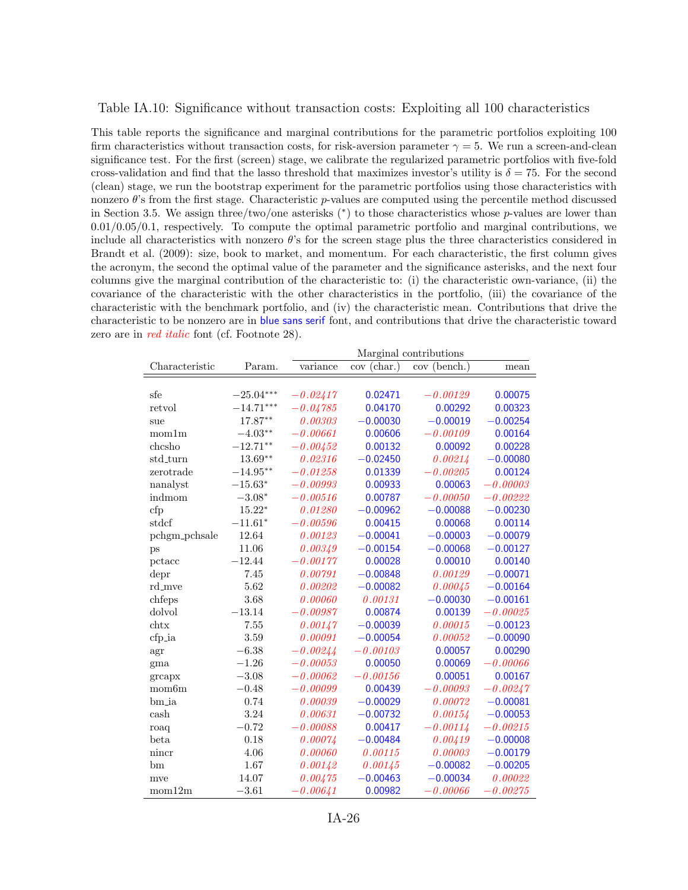#### Table IA.10: Significance without transaction costs: Exploiting all 100 characteristics

This table reports the significance and marginal contributions for the parametric portfolios exploiting 100 firm characteristics without transaction costs, for risk-aversion parameter  $\gamma = 5$ . We run a screen-and-clean significance test. For the first (screen) stage, we calibrate the regularized parametric portfolios with five-fold cross-validation and find that the lasso threshold that maximizes investor's utility is  $\delta = 75$ . For the second (clean) stage, we run the bootstrap experiment for the parametric portfolios using those characteristics with nonzero  $\theta$ 's from the first stage. Characteristic p-values are computed using the percentile method discussed in Section 3.5. We assign three/two/one asterisks (∗ ) to those characteristics whose p-values are lower than  $0.01/0.05/0.1$ , respectively. To compute the optimal parametric portfolio and marginal contributions, we include all characteristics with nonzero  $\theta$ 's for the screen stage plus the three characteristics considered in Brandt et al. (2009): size, book to market, and momentum. For each characteristic, the first column gives the acronym, the second the optimal value of the parameter and the significance asterisks, and the next four columns give the marginal contribution of the characteristic to: (i) the characteristic own-variance, (ii) the covariance of the characteristic with the other characteristics in the portfolio, (iii) the covariance of the characteristic with the benchmark portfolio, and (iv) the characteristic mean. Contributions that drive the characteristic to be nonzero are in blue sans serif font, and contributions that drive the characteristic toward zero are in *red italic* font (cf. Footnote 28).

|                |             | Marginal contributions |               |              |            |  |  |
|----------------|-------------|------------------------|---------------|--------------|------------|--|--|
| Characteristic | Param.      | variance               | $cov$ (char.) | cov (bench.) | mean       |  |  |
|                |             |                        |               |              |            |  |  |
| sfe            | $-25.04***$ | $-0.02417$             | 0.02471       | $-0.00129$   | 0.00075    |  |  |
| retvol         | $-14.71***$ | $-0.04785$             | 0.04170       | 0.00292      | 0.00323    |  |  |
| sue            | 17.87**     | 0.00303                | $-0.00030$    | $-0.00019$   | $-0.00254$ |  |  |
| mom1m          | $-4.03**$   | $-0.00661$             | 0.00606       | $-0.00109$   | 0.00164    |  |  |
| chcsho         | $-12.71**$  | $-0.00452$             | 0.00132       | 0.00092      | 0.00228    |  |  |
| std_turn       | $13.69**$   | 0.02316                | $-0.02450$    | 0.00214      | $-0.00080$ |  |  |
| zerotrade      | $-14.95**$  | $-0.01258$             | 0.01339       | $-0.00205$   | 0.00124    |  |  |
| nanalyst       | $-15.63*$   | $-0.00993$             | 0.00933       | 0.00063      | $-0.00003$ |  |  |
| indmom         | $-3.08*$    | $-0.00516$             | 0.00787       | $-0.00050$   | $-0.00222$ |  |  |
| cfp            | $15.22*$    | 0.01280                | $-0.00962$    | $-0.00088$   | $-0.00230$ |  |  |
| stdcf          | $-11.61*$   | $-0.00596$             | 0.00415       | 0.00068      | 0.00114    |  |  |
| pchgm_pchsale  | 12.64       | 0.00123                | $-0.00041$    | $-0.00003$   | $-0.00079$ |  |  |
| ps             | 11.06       | 0.00349                | $-0.00154$    | $-0.00068$   | $-0.00127$ |  |  |
| pctacc         | $-12.44$    | $-0.00177$             | 0.00028       | 0.00010      | 0.00140    |  |  |
| depr           | 7.45        | 0.00791                | $-0.00848$    | 0.00129      | $-0.00071$ |  |  |
| rd_mve         | 5.62        | 0.00202                | $-0.00082$    | 0.00045      | $-0.00164$ |  |  |
| chfeps         | 3.68        | 0.00060                | 0.00131       | $-0.00030$   | $-0.00161$ |  |  |
| dolvol         | $-13.14$    | $-0.00987$             | 0.00874       | 0.00139      | $-0.00025$ |  |  |
| chtx           | 7.55        | 0.00147                | $-0.00039$    | 0.00015      | $-0.00123$ |  |  |
| $cfp_ia$       | 3.59        | 0.00091                | $-0.00054$    | 0.00052      | $-0.00090$ |  |  |
| agr            | $-6.38$     | $-0.00244$             | $-0.00103$    | 0.00057      | 0.00290    |  |  |
| gma            | $-1.26$     | $-0.00053$             | 0.00050       | 0.00069      | $-0.00066$ |  |  |
| grcapx         | $-3.08$     | $-0.00062$             | $-0.00156$    | 0.00051      | 0.00167    |  |  |
| mom6m          | $-0.48$     | $-0.00099$             | 0.00439       | $-0.00093$   | $-0.00247$ |  |  |
| bm ia          | 0.74        | 0.00039                | $-0.00029$    | 0.00072      | $-0.00081$ |  |  |
| cash           | 3.24        | 0.00631                | $-0.00732$    | 0.00154      | $-0.00053$ |  |  |
| roaq           | $-0.72$     | $-0.00088$             | 0.00417       | $-0.00114$   | $-0.00215$ |  |  |
| beta           | 0.18        | 0.00074                | $-0.00484$    | 0.00419      | $-0.00008$ |  |  |
| nincr          | 4.06        | 0.00060                | 0.00115       | 0.00003      | $-0.00179$ |  |  |
| $_{\text{bm}}$ | 1.67        | 0.00142                | 0.00145       | $-0.00082$   | $-0.00205$ |  |  |
| mve            | 14.07       | 0.00475                | $-0.00463$    | $-0.00034$   | 0.00022    |  |  |
| mom12m         | $-3.61$     | $-0.00641$             | 0.00982       | $-0.00066$   | $-0.00275$ |  |  |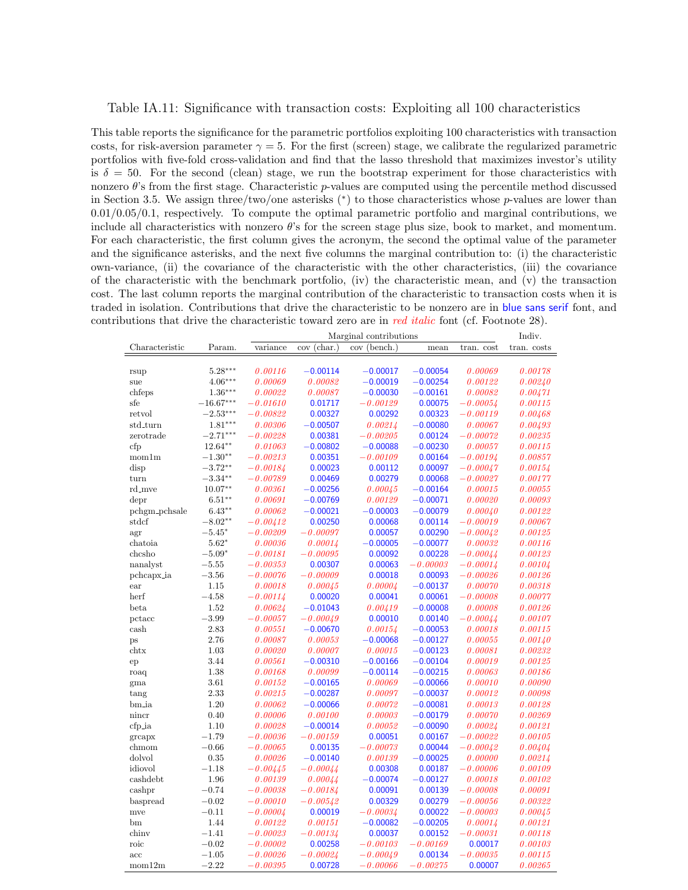#### Table IA.11: Significance with transaction costs: Exploiting all 100 characteristics

This table reports the significance for the parametric portfolios exploiting 100 characteristics with transaction costs, for risk-aversion parameter  $\gamma = 5$ . For the first (screen) stage, we calibrate the regularized parametric portfolios with five-fold cross-validation and find that the lasso threshold that maximizes investor's utility is  $\delta = 50$ . For the second (clean) stage, we run the bootstrap experiment for those characteristics with nonzero  $\theta$ 's from the first stage. Characteristic p-values are computed using the percentile method discussed in Section 3.5. We assign three/two/one asterisks (∗ ) to those characteristics whose p-values are lower than  $0.01/0.05/0.1$ , respectively. To compute the optimal parametric portfolio and marginal contributions, we include all characteristics with nonzero θ's for the screen stage plus size, book to market, and momentum. For each characteristic, the first column gives the acronym, the second the optimal value of the parameter and the significance asterisks, and the next five columns the marginal contribution to: (i) the characteristic own-variance, (ii) the covariance of the characteristic with the other characteristics, (iii) the covariance of the characteristic with the benchmark portfolio, (iv) the characteristic mean, and (v) the transaction cost. The last column reports the marginal contribution of the characteristic to transaction costs when it is traded in isolation. Contributions that drive the characteristic to be nonzero are in blue sans serif font, and contributions that drive the characteristic toward zero are in *red italic* font (cf. Footnote 28).

|                |                    |            |                    | Marginal contributions |            |                       |                    |  |  |
|----------------|--------------------|------------|--------------------|------------------------|------------|-----------------------|--------------------|--|--|
| Characteristic | Param.             | variance   | $cov$ (char.)      | cov (bench.)           | mean       | tran. cost            | tran. costs        |  |  |
|                |                    |            |                    |                        |            |                       |                    |  |  |
| rsup           | $5.28***$          | 0.00116    | $-0.00114$         | $-0.00017$             | $-0.00054$ | 0.00069               | 0.00178            |  |  |
| sue            | $4.06***$          | 0.00069    | 0.00082            | $-0.00019$             | $-0.00254$ | 0.00122               | 0.00240            |  |  |
| chfeps         | $1.36***$          | 0.00022    | 0.00087            | $-0.00030$             | $-0.00161$ | 0.00082               | 0.00471            |  |  |
| sfe            | $-16.67***$        | $-0.01610$ | 0.01717            | $-0.00129$             | 0.00075    | $-0.00054$            | 0.00115            |  |  |
| retvol         | $-2.53***$         | $-0.00822$ | 0.00327            | 0.00292                | 0.00323    | $-0.00119$            | 0.00468            |  |  |
| std_turn       | $1.81***$          | 0.00306    | $-0.00507$         | 0.00214                | $-0.00080$ | 0.00067               | 0.00493            |  |  |
| zerotrade      | $-2.71***$         | $-0.00228$ | 0.00381            | $-0.00205$             | 0.00124    | $-0.00072$            | 0.00235            |  |  |
| $_{\rm cfp}$   | $12.64**$          | 0.01063    | $-0.00802$         | $-0.00088$             | $-0.00230$ | 0.00057               | 0.00115            |  |  |
| mom1m          | $-1.30**$          | $-0.00213$ | 0.00351            | $-0.00109$             | 0.00164    | $-0.00194$            | 0.00857            |  |  |
| disp           | $-3.72**$          | $-0.00184$ | 0.00023            | 0.00112                | 0.00097    | $-0.00047$            | 0.00154            |  |  |
| turn           | $-3.34**$          | $-0.00789$ | 0.00469            | 0.00279                | 0.00068    | $-0.00027$            | 0.00177            |  |  |
| rd_mve         | $10.07^{\ast\ast}$ | 0.00361    | $-0.00256$         | 0.00045                | $-0.00164$ | 0.00015               | 0.00055            |  |  |
| depr           | $6.51***$          | 0.00691    | $-0.00769$         | 0.00129                | $-0.00071$ | 0.00020               | 0.00093            |  |  |
| pchgm_pchsale  | $6.43**$           | 0.00062    | $-0.00021$         | $-0.00003$             | $-0.00079$ | 0.00040               | 0.00122            |  |  |
| stdcf          | $-8.02**$          | $-0.00412$ | 0.00250            | 0.00068                | 0.00114    | $-0.00019$            | 0.00067            |  |  |
| agr            | $-5.45*$           | $-0.00209$ | $-0.00097$         | 0.00057                | 0.00290    | $-0.00042$            | 0.00125            |  |  |
| chatoia        | $5.62*$            | 0.00036    | 0.00014            | $-0.00005$             | $-0.00077$ | 0.00032               | 0.00116            |  |  |
| chcsho         | $-5.09*$           | $-0.00181$ | $-0.00095$         | 0.00092                | 0.00228    | $-0.00044$            | 0.00123            |  |  |
| nanalyst       | $-5.55$            | $-0.00353$ | 0.00307            | 0.00063                | $-0.00003$ | $-0.00014$            | 0.00104            |  |  |
| pchcapx_ia     | $-3.56$            | $-0.00076$ | $-0.00009$         | 0.00018                | 0.00093    | $-0.00026$            | 0.00126            |  |  |
| ear            |                    |            |                    |                        | $-0.00137$ |                       |                    |  |  |
| herf           | 1.15<br>$-4.58$    | 0.00018    | 0.00045<br>0.00020 | 0.00004<br>0.00041     | 0.00061    | 0.00070<br>$-0.00008$ | 0.00318<br>0.00077 |  |  |
|                |                    | $-0.00114$ |                    |                        |            |                       |                    |  |  |
| beta           | 1.52               | 0.00624    | $-0.01043$         | 0.00419                | $-0.00008$ | 0.00008               | 0.00126            |  |  |
| pctacc         | $-3.99$            | $-0.00057$ | $-0.00049$         | 0.00010                | 0.00140    | $-0.00044$            | 0.00107            |  |  |
| cash           | 2.83               | 0.00551    | $-0.00670$         | 0.00154                | $-0.00053$ | 0.00018               | 0.00115            |  |  |
| ps             | 2.76               | 0.00087    | 0.00053            | $-0.00068$             | $-0.00127$ | 0.00055               | 0.00140            |  |  |
| $\text{chtx}$  | 1.03               | 0.00020    | 0.00007            | 0.00015                | $-0.00123$ | 0.00081               | 0.00232            |  |  |
| ep             | 3.44               | 0.00561    | $-0.00310$         | $-0.00166$             | $-0.00104$ | 0.00019               | 0.00125            |  |  |
| roaq           | 1.38               | 0.00168    | 0.00099            | $-0.00114$             | $-0.00215$ | 0.00063               | 0.00186            |  |  |
| gma            | 3.61               | 0.00152    | $-0.00165$         | 0.00069                | $-0.00066$ | 0.00010               | 0.00090            |  |  |
| tang           | 2.33               | 0.00215    | $-0.00287$         | 0.00097                | $-0.00037$ | 0.00012               | 0.00098            |  |  |
| bm_ia          | 1.20               | 0.00062    | $-0.00066$         | 0.00072                | $-0.00081$ | 0.00013               | 0.00128            |  |  |
| nincr          | 0.40               | 0.00006    | 0.00100            | 0.00003                | $-0.00179$ | 0.00070               | 0.00269            |  |  |
| $cfp_ia$       | 1.10               | 0.00028    | $-0.00014$         | 0.00052                | $-0.00090$ | 0.00024               | 0.00121            |  |  |
| grcapx         | $-1.79$            | $-0.00036$ | $-0.00159$         | 0.00051                | 0.00167    | $-0.00022$            | 0.00105            |  |  |
| chmom          | $-0.66$            | $-0.00065$ | 0.00135            | $-0.00073$             | 0.00044    | $-0.00042$            | 0.00404            |  |  |
| dolvol         | 0.35               | 0.00026    | $-0.00140$         | 0.00139                | $-0.00025$ | 0.00000               | 0.00214            |  |  |
| idiovol        | $-1.18$            | $-0.00445$ | $-0.00044$         | 0.00308                | 0.00187    | $-0.00006$            | 0.00109            |  |  |
| cashdebt       | 1.96               | 0.00139    | 0.00044            | $-0.00074$             | $-0.00127$ | 0.00018               | 0.00102            |  |  |
| cashpr         | $-0.74$            | $-0.00038$ | $-0.00184$         | 0.00091                | 0.00139    | $-0.00008$            | 0.00091            |  |  |
| baspread       | $-0.02$            | $-0.00010$ | $-0.00542$         | 0.00329                | 0.00279    | $-0.00056$            | 0.00322            |  |  |
| mve            | $-0.11$            | $-0.00004$ | 0.00019            | $-0.00034$             | 0.00022    | $-0.00003$            | 0.00045            |  |  |
| $_{\text{bm}}$ | 1.44               | 0.00122    | 0.00151            | $-0.00082$             | $-0.00205$ | 0.00014               | 0.00121            |  |  |
| chiny          | $-1.41$            | $-0.00023$ | $-0.00134$         | 0.00037                | 0.00152    | $-0.00031$            | 0.00118            |  |  |
| roic           | $-0.02$            | $-0.00002$ | 0.00258            | $-0.00103$             | $-0.00169$ | 0.00017               | 0.00103            |  |  |
| acc            | $-1.05$            | $-0.00026$ | $-0.00024$         | $-0.00049$             | 0.00134    | $-0.00035$            | 0.00115            |  |  |
| mom12m         | $-2.22$            | $-0.00395$ | 0.00728            | $-0.00066$             | $-0.00275$ | 0.00007               | 0.00265            |  |  |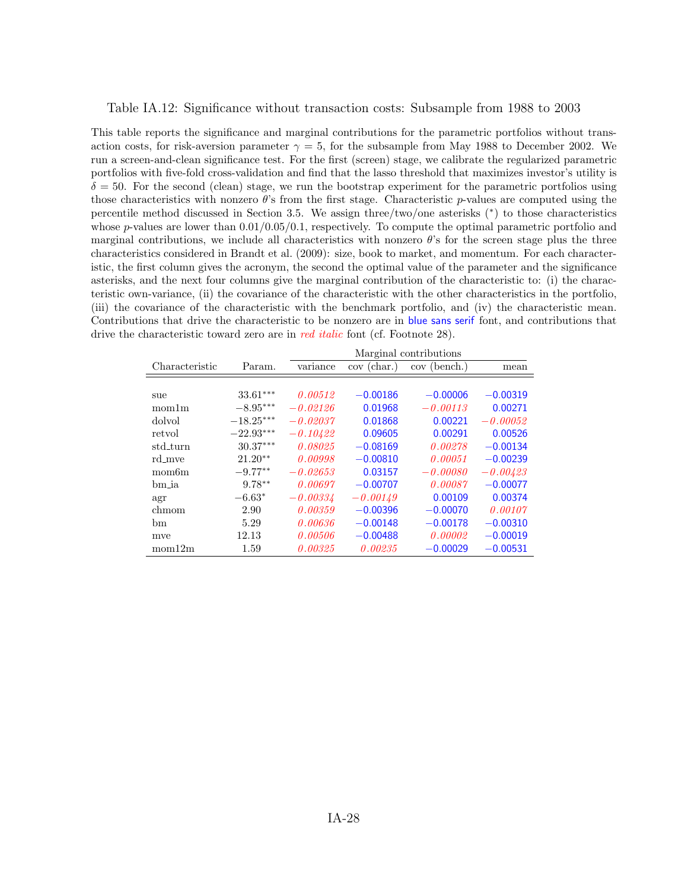#### Table IA.12: Significance without transaction costs: Subsample from 1988 to 2003

This table reports the significance and marginal contributions for the parametric portfolios without transaction costs, for risk-aversion parameter  $\gamma = 5$ , for the subsample from May 1988 to December 2002. We run a screen-and-clean significance test. For the first (screen) stage, we calibrate the regularized parametric portfolios with five-fold cross-validation and find that the lasso threshold that maximizes investor's utility is  $\delta = 50$ . For the second (clean) stage, we run the bootstrap experiment for the parametric portfolios using those characteristics with nonzero  $\theta$ 's from the first stage. Characteristic p-values are computed using the percentile method discussed in Section 3.5. We assign three/two/one asterisks (∗ ) to those characteristics whose p-values are lower than  $0.01/0.05/0.1$ , respectively. To compute the optimal parametric portfolio and marginal contributions, we include all characteristics with nonzero  $\theta$ 's for the screen stage plus the three characteristics considered in Brandt et al. (2009): size, book to market, and momentum. For each characteristic, the first column gives the acronym, the second the optimal value of the parameter and the significance asterisks, and the next four columns give the marginal contribution of the characteristic to: (i) the characteristic own-variance, (ii) the covariance of the characteristic with the other characteristics in the portfolio, (iii) the covariance of the characteristic with the benchmark portfolio, and (iv) the characteristic mean. Contributions that drive the characteristic to be nonzero are in blue sans serif font, and contributions that drive the characteristic toward zero are in *red italic* font (cf. Footnote 28).

|                |             | Marginal contributions |               |              |            |  |  |  |
|----------------|-------------|------------------------|---------------|--------------|------------|--|--|--|
| Characteristic | Param.      | variance               | $cov$ (char.) | cov (bench.) | mean       |  |  |  |
|                |             |                        |               |              |            |  |  |  |
| sue            | $33.61***$  | 0.00512                | $-0.00186$    | $-0.00006$   | $-0.00319$ |  |  |  |
| mom1m          | $-8.95***$  | $-0.02126$             | 0.01968       | $-0.00113$   | 0.00271    |  |  |  |
| dolvol         | $-18.25***$ | $-0.02037$             | 0.01868       | 0.00221      | $-0.00052$ |  |  |  |
| retvol         | $-22.93***$ | $-0.10422$             | 0.09605       | 0.00291      | 0.00526    |  |  |  |
| std_turn       | $30.37***$  | 0.08025                | $-0.08169$    | 0.00278      | $-0.00134$ |  |  |  |
| rd_mve         | $21.20**$   | 0.00998                | $-0.00810$    | 0.00051      | $-0.00239$ |  |  |  |
| mom6m          | $-9.77**$   | $-0.02653$             | 0.03157       | $-0.00080$   | $-0.00423$ |  |  |  |
| bm ia          | $9.78**$    | 0.00697                | $-0.00707$    | 0.00087      | $-0.00077$ |  |  |  |
| agr            | $-6.63*$    | $-0.00334$             | $-0.00149$    | 0.00109      | 0.00374    |  |  |  |
| chmom          | 2.90        | 0.00359                | $-0.00396$    | $-0.00070$   | 0.00107    |  |  |  |
| bm.            | 5.29        | 0.00636                | $-0.00148$    | $-0.00178$   | $-0.00310$ |  |  |  |
| mve            | 12.13       | 0.00506                | $-0.00488$    | 0.00002      | $-0.00019$ |  |  |  |
| mom12m         | 1.59        | 0.00325                | 0.00235       | $-0.00029$   | $-0.00531$ |  |  |  |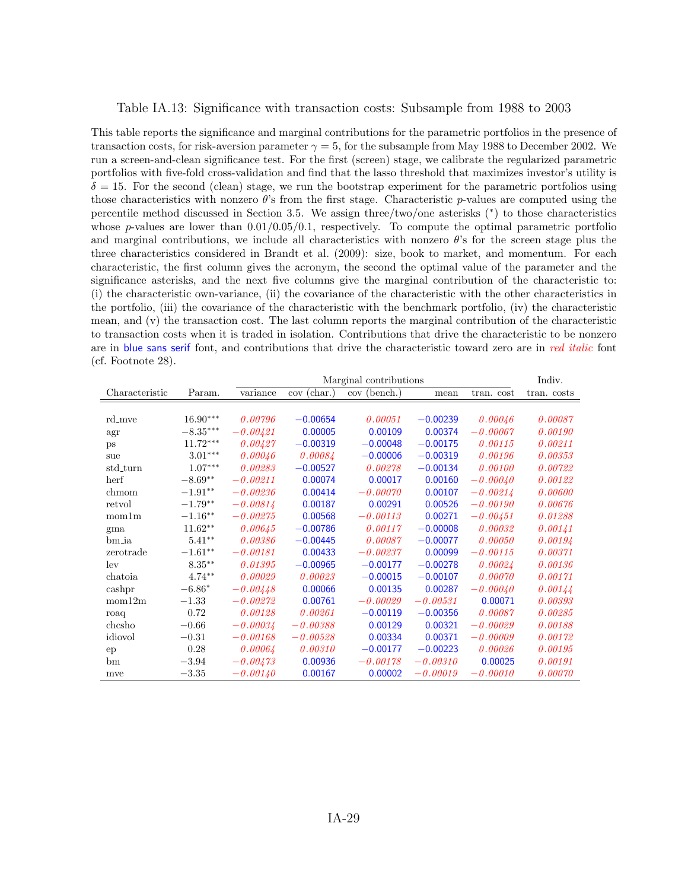#### Table IA.13: Significance with transaction costs: Subsample from 1988 to 2003

This table reports the significance and marginal contributions for the parametric portfolios in the presence of transaction costs, for risk-aversion parameter  $\gamma = 5$ , for the subsample from May 1988 to December 2002. We run a screen-and-clean significance test. For the first (screen) stage, we calibrate the regularized parametric portfolios with five-fold cross-validation and find that the lasso threshold that maximizes investor's utility is  $\delta = 15$ . For the second (clean) stage, we run the bootstrap experiment for the parametric portfolios using those characteristics with nonzero  $\theta$ 's from the first stage. Characteristic p-values are computed using the percentile method discussed in Section 3.5. We assign three/two/one asterisks (∗ ) to those characteristics whose p-values are lower than  $0.01/0.05/0.1$ , respectively. To compute the optimal parametric portfolio and marginal contributions, we include all characteristics with nonzero  $\theta$ 's for the screen stage plus the three characteristics considered in Brandt et al. (2009): size, book to market, and momentum. For each characteristic, the first column gives the acronym, the second the optimal value of the parameter and the significance asterisks, and the next five columns give the marginal contribution of the characteristic to: (i) the characteristic own-variance, (ii) the covariance of the characteristic with the other characteristics in the portfolio, (iii) the covariance of the characteristic with the benchmark portfolio, (iv) the characteristic mean, and (v) the transaction cost. The last column reports the marginal contribution of the characteristic to transaction costs when it is traded in isolation. Contributions that drive the characteristic to be nonzero are in blue sans serif font, and contributions that drive the characteristic toward zero are in red *italic* font (cf. Footnote 28).

|                    |            |            | Marginal contributions |              |            |            |             |  |
|--------------------|------------|------------|------------------------|--------------|------------|------------|-------------|--|
| Characteristic     | Param.     | variance   | (char.)<br>cov         | cov (bench.) | mean       | tran. cost | tran. costs |  |
|                    |            |            |                        |              |            |            |             |  |
| rd_mve             | $16.90***$ | 0.00796    | $-0.00654$             | 0.00051      | $-0.00239$ | 0.00046    | 0.00087     |  |
| agr                | $-8.35***$ | $-0.00421$ | 0.00005                | 0.00109      | 0.00374    | $-0.00067$ | 0.00190     |  |
| $_{\rm ps}$        | $11.72***$ | 0.00427    | $-0.00319$             | $-0.00048$   | $-0.00175$ | 0.00115    | 0.00211     |  |
| sue                | $3.01***$  | 0.00046    | 0.00084                | $-0.00006$   | $-0.00319$ | 0.00196    | 0.00353     |  |
| std_turn           | $1.07***$  | 0.00283    | $-0.00527$             | 0.00278      | $-0.00134$ | 0.00100    | 0.00722     |  |
| herf               | $-8.69**$  | $-0.00211$ | 0.00074                | 0.00017      | 0.00160    | $-0.00040$ | 0.00122     |  |
| chmom              | $-1.91**$  | $-0.00236$ | 0.00414                | $-0.00070$   | 0.00107    | $-0.00214$ | 0.00600     |  |
| retvol             | $-1.79**$  | $-0.00814$ | 0.00187                | 0.00291      | 0.00526    | $-0.00190$ | 0.00676     |  |
| mom <sub>1</sub> m | $-1.16**$  | $-0.00275$ | 0.00568                | $-0.00113$   | 0.00271    | $-0.00451$ | 0.01288     |  |
| gma                | $11.62**$  | 0.00645    | $-0.00786$             | 0.00117      | $-0.00008$ | 0.00032    | 0.00141     |  |
| bm_ia              | $5.41**$   | 0.00386    | $-0.00445$             | 0.00087      | $-0.00077$ | 0.00050    | 0.00194     |  |
| zerotrade          | $-1.61**$  | $-0.00181$ | 0.00433                | $-0.00237$   | 0.00099    | $-0.00115$ | 0.00371     |  |
| lev                | $8.35***$  | 0.01395    | $-0.00965$             | $-0.00177$   | $-0.00278$ | 0.00024    | 0.00136     |  |
| chatoia            | $4.74***$  | 0.00029    | 0.00023                | $-0.00015$   | $-0.00107$ | 0.00070    | 0.00171     |  |
| cashpr             | $-6.86*$   | $-0.00448$ | 0.00066                | 0.00135      | 0.00287    | $-0.00040$ | 0.00144     |  |
| mom12m             | $-1.33$    | $-0.00272$ | 0.00761                | $-0.00029$   | $-0.00531$ | 0.00071    | 0.00393     |  |
| roaq               | 0.72       | 0.00128    | 0.00261                | $-0.00119$   | $-0.00356$ | 0.00087    | 0.00285     |  |
| chcsho             | $-0.66$    | $-0.00034$ | $-0.00388$             | 0.00129      | 0.00321    | $-0.00029$ | 0.00188     |  |
| idiovol            | $-0.31$    | $-0.00168$ | $-0.00528$             | 0.00334      | 0.00371    | $-0.00009$ | 0.00172     |  |
| ep                 | 0.28       | 0.00064    | 0.00310                | $-0.00177$   | $-0.00223$ | 0.00026    | 0.00195     |  |
| $_{\text{bm}}$     | $-3.94$    | $-0.00473$ | 0.00936                | $-0.00178$   | $-0.00310$ | 0.00025    | 0.00191     |  |
| mve                | $-3.35$    | $-0.00140$ | 0.00167                | 0.00002      | $-0.00019$ | $-0.00010$ | 0.00070     |  |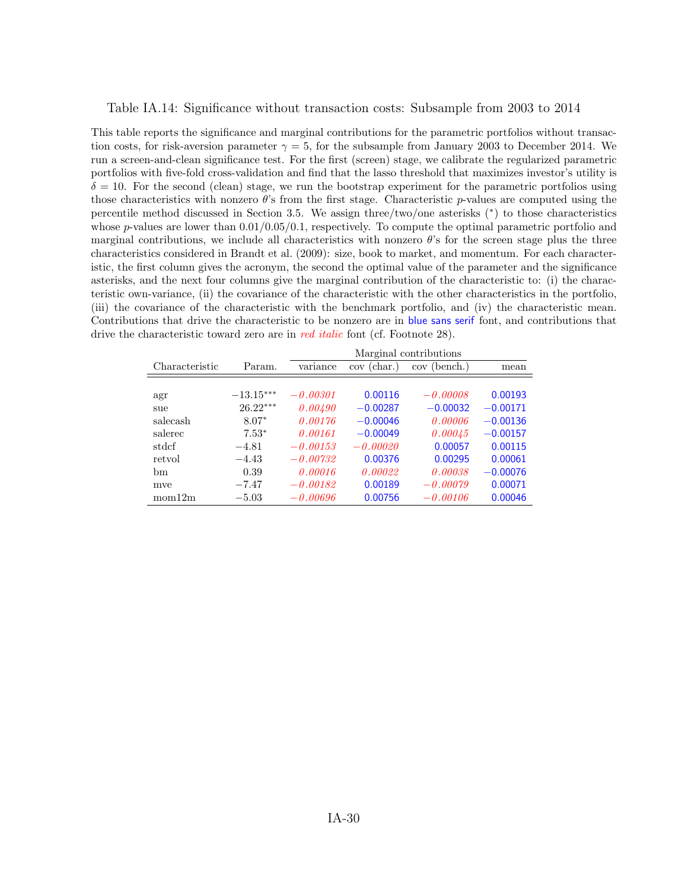#### Table IA.14: Significance without transaction costs: Subsample from 2003 to 2014

This table reports the significance and marginal contributions for the parametric portfolios without transaction costs, for risk-aversion parameter  $\gamma = 5$ , for the subsample from January 2003 to December 2014. We run a screen-and-clean significance test. For the first (screen) stage, we calibrate the regularized parametric portfolios with five-fold cross-validation and find that the lasso threshold that maximizes investor's utility is  $\delta = 10$ . For the second (clean) stage, we run the bootstrap experiment for the parametric portfolios using those characteristics with nonzero  $\theta$ 's from the first stage. Characteristic p-values are computed using the percentile method discussed in Section 3.5. We assign three/two/one asterisks (∗ ) to those characteristics whose p-values are lower than  $0.01/0.05/0.1$ , respectively. To compute the optimal parametric portfolio and marginal contributions, we include all characteristics with nonzero  $\theta$ 's for the screen stage plus the three characteristics considered in Brandt et al. (2009): size, book to market, and momentum. For each characteristic, the first column gives the acronym, the second the optimal value of the parameter and the significance asterisks, and the next four columns give the marginal contribution of the characteristic to: (i) the characteristic own-variance, (ii) the covariance of the characteristic with the other characteristics in the portfolio, (iii) the covariance of the characteristic with the benchmark portfolio, and (iv) the characteristic mean. Contributions that drive the characteristic to be nonzero are in blue sans serif font, and contributions that drive the characteristic toward zero are in *red italic* font (cf. Footnote 28).

|                |             | Marginal contributions |             |              |            |  |  |  |
|----------------|-------------|------------------------|-------------|--------------|------------|--|--|--|
| Characteristic | Param.      | variance               | cov (char.) | cov (bench.) | mean       |  |  |  |
|                |             |                        |             |              |            |  |  |  |
| agr            | $-13.15***$ | $-0.00301$             | 0.00116     | $-0.00008$   | 0.00193    |  |  |  |
| sue            | $26.22***$  | 0.00490                | $-0.00287$  | $-0.00032$   | $-0.00171$ |  |  |  |
| salecash       | $8.07*$     | 0.00176                | $-0.00046$  | 0.00006      | $-0.00136$ |  |  |  |
| salerec        | $7.53*$     | 0.00161                | $-0.00049$  | 0.00045      | $-0.00157$ |  |  |  |
| stdcf          | $-4.81$     | $-0.00153$             | $-0.00020$  | 0.00057      | 0.00115    |  |  |  |
| retvol         | $-4.43$     | $-0.00732$             | 0.00376     | 0.00295      | 0.00061    |  |  |  |
| bm.            | 0.39        | 0.00016                | 0.00022     | 0.00038      | $-0.00076$ |  |  |  |
| mve            | $-7.47$     | $-0.00182$             | 0.00189     | $-0.00079$   | 0.00071    |  |  |  |
| mom12m         | $-5.03$     | $-0.00696$             | 0.00756     | $-0.00106$   | 0.00046    |  |  |  |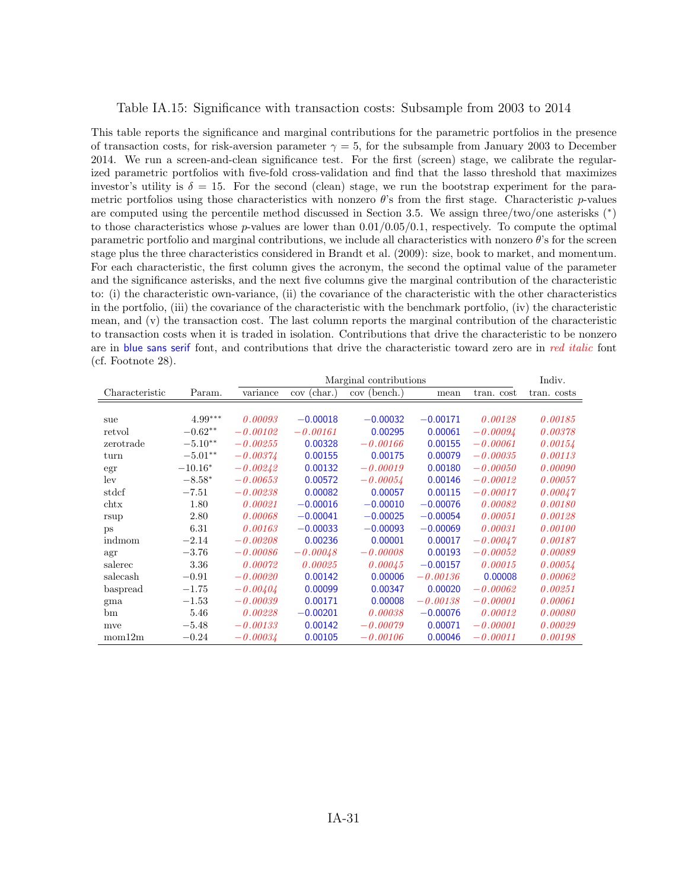#### Table IA.15: Significance with transaction costs: Subsample from 2003 to 2014

This table reports the significance and marginal contributions for the parametric portfolios in the presence of transaction costs, for risk-aversion parameter  $\gamma = 5$ , for the subsample from January 2003 to December 2014. We run a screen-and-clean significance test. For the first (screen) stage, we calibrate the regularized parametric portfolios with five-fold cross-validation and find that the lasso threshold that maximizes investor's utility is  $\delta = 15$ . For the second (clean) stage, we run the bootstrap experiment for the parametric portfolios using those characteristics with nonzero  $\theta$ 's from the first stage. Characteristic p-values are computed using the percentile method discussed in Section 3.5. We assign three/two/one asterisks (∗ ) to those characteristics whose p-values are lower than  $0.01/0.05/0.1$ , respectively. To compute the optimal parametric portfolio and marginal contributions, we include all characteristics with nonzero  $\theta$ 's for the screen stage plus the three characteristics considered in Brandt et al. (2009): size, book to market, and momentum. For each characteristic, the first column gives the acronym, the second the optimal value of the parameter and the significance asterisks, and the next five columns give the marginal contribution of the characteristic to: (i) the characteristic own-variance, (ii) the covariance of the characteristic with the other characteristics in the portfolio, (iii) the covariance of the characteristic with the benchmark portfolio, (iv) the characteristic mean, and (v) the transaction cost. The last column reports the marginal contribution of the characteristic to transaction costs when it is traded in isolation. Contributions that drive the characteristic to be nonzero are in blue sans serif font, and contributions that drive the characteristic toward zero are in red *italic* font (cf. Footnote 28).

|                |           |                |               | Marginal contributions |            |            | Indiv.      |
|----------------|-----------|----------------|---------------|------------------------|------------|------------|-------------|
| Characteristic | Param.    | variance       | $cov$ (char.) | cov (bench.)           | mean       | tran. cost | tran. costs |
|                |           |                |               |                        |            |            |             |
| sue            | $4.99***$ | <i>0.00093</i> | $-0.00018$    | $-0.00032$             | $-0.00171$ | 0.00128    | 0.00185     |
| retvol         | $-0.62**$ | $-0.00102$     | $-0.00161$    | 0.00295                | 0.00061    | $-0.00094$ | 0.00378     |
| zerotrade      | $-5.10**$ | $-0.00255$     | 0.00328       | $-0.00166$             | 0.00155    | $-0.00061$ | 0.00154     |
| turn           | $-5.01**$ | $-0.00374$     | 0.00155       | 0.00175                | 0.00079    | $-0.00035$ | 0.00113     |
| egr            | $-10.16*$ | $-0.00242$     | 0.00132       | $-0.00019$             | 0.00180    | $-0.00050$ | 0.00090     |
| lev            | $-8.58*$  | $-0.00653$     | 0.00572       | $-0.00054$             | 0.00146    | $-0.00012$ | 0.00057     |
| stdcf          | $-7.51$   | $-0.00238$     | 0.00082       | 0.00057                | 0.00115    | $-0.00017$ | 0.00047     |
| $\text{chtx}$  | 1.80      | 0.00021        | $-0.00016$    | $-0.00010$             | $-0.00076$ | 0.00082    | 0.00180     |
| rsup           | 2.80      | 0.00068        | $-0.00041$    | $-0.00025$             | $-0.00054$ | 0.00051    | 0.00128     |
| $_{\rm DS}$    | 6.31      | 0.00163        | $-0.00033$    | $-0.00093$             | $-0.00069$ | 0.00031    | 0.00100     |
| indmom         | $-2.14$   | $-0.00208$     | 0.00236       | 0.00001                | 0.00017    | $-0.00047$ | 0.00187     |
| agr            | $-3.76$   | $-0.00086$     | $-0.00048$    | $-0.00008$             | 0.00193    | $-0.00052$ | 0.00089     |
| salerec        | 3.36      | 0.00072        | 0.00025       | 0.00045                | $-0.00157$ | 0.00015    | 0.00054     |
| salecash       | $-0.91$   | $-0.00020$     | 0.00142       | 0.00006                | $-0.00136$ | 0.00008    | 0.00062     |
| baspread       | $-1.75$   | $-0.00404$     | 0.00099       | 0.00347                | 0.00020    | $-0.00062$ | 0.00251     |
| gma            | $-1.53$   | $-0.00039$     | 0.00171       | 0.00008                | $-0.00138$ | $-0.00001$ | 0.00061     |
| $_{\text{bm}}$ | 5.46      | 0.00228        | $-0.00201$    | <i>0.00038</i>         | $-0.00076$ | 0.00012    | 0.00080     |
| mve            | $-5.48$   | $-0.00133$     | 0.00142       | $-0.00079$             | 0.00071    | $-0.00001$ | 0.00029     |
| mom12m         | $-0.24$   | $-0.00034$     | 0.00105       | $-0.00106$             | 0.00046    | $-0.00011$ | 0.00198     |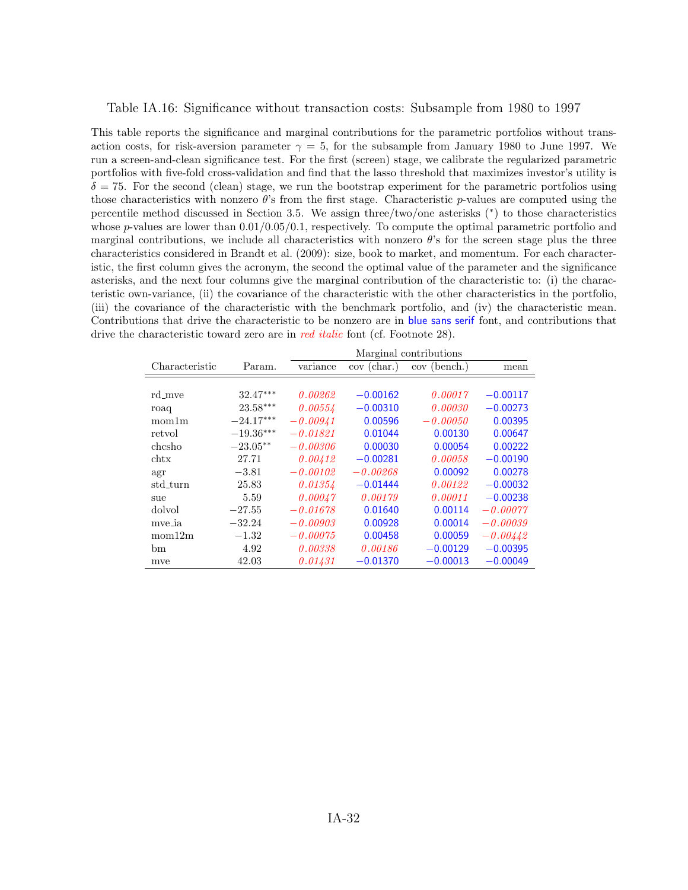#### Table IA.16: Significance without transaction costs: Subsample from 1980 to 1997

This table reports the significance and marginal contributions for the parametric portfolios without transaction costs, for risk-aversion parameter  $\gamma = 5$ , for the subsample from January 1980 to June 1997. We run a screen-and-clean significance test. For the first (screen) stage, we calibrate the regularized parametric portfolios with five-fold cross-validation and find that the lasso threshold that maximizes investor's utility is  $\delta$  = 75. For the second (clean) stage, we run the bootstrap experiment for the parametric portfolios using those characteristics with nonzero  $\theta$ 's from the first stage. Characteristic p-values are computed using the percentile method discussed in Section 3.5. We assign three/two/one asterisks (∗ ) to those characteristics whose p-values are lower than  $0.01/0.05/0.1$ , respectively. To compute the optimal parametric portfolio and marginal contributions, we include all characteristics with nonzero  $\theta$ 's for the screen stage plus the three characteristics considered in Brandt et al. (2009): size, book to market, and momentum. For each characteristic, the first column gives the acronym, the second the optimal value of the parameter and the significance asterisks, and the next four columns give the marginal contribution of the characteristic to: (i) the characteristic own-variance, (ii) the covariance of the characteristic with the other characteristics in the portfolio, (iii) the covariance of the characteristic with the benchmark portfolio, and (iv) the characteristic mean. Contributions that drive the characteristic to be nonzero are in blue sans serif font, and contributions that drive the characteristic toward zero are in *red italic* font (cf. Footnote 28).

|                |                         | Marginal contributions |               |              |            |  |  |  |  |
|----------------|-------------------------|------------------------|---------------|--------------|------------|--|--|--|--|
| Characteristic | Param.                  | variance               | $cov$ (char.) | cov (bench.) | mean       |  |  |  |  |
|                |                         |                        |               |              |            |  |  |  |  |
| rd_mve         | $32.47***$              | 0.00262                | $-0.00162$    | 0.00017      | $-0.00117$ |  |  |  |  |
| roaq           | $23.58***$              | 0.00554                | $-0.00310$    | 0.00030      | $-0.00273$ |  |  |  |  |
| mom1m          | $-24.17***$             | $-0.00941$             | 0.00596       | $-0.00050$   | 0.00395    |  |  |  |  |
| retvol         | $-19.36^{\ast\ast\ast}$ | $-0.01821$             | 0.01044       | 0.00130      | 0.00647    |  |  |  |  |
| chcsho         | $-23.05**$              | $-0.00306$             | 0.00030       | 0.00054      | 0.00222    |  |  |  |  |
| chtx           | 27.71                   | 0.00412                | $-0.00281$    | 0.00058      | $-0.00190$ |  |  |  |  |
| agr            | $-3.81$                 | $-0.00102$             | $-0.00268$    | 0.00092      | 0.00278    |  |  |  |  |
| std turn       | 25.83                   | 0.01354                | $-0.01444$    | 0.00122      | $-0.00032$ |  |  |  |  |
| sue            | 5.59                    | 0.00047                | 0.00179       | 0.00011      | $-0.00238$ |  |  |  |  |
| dolvol         | $-27.55$                | $-0.01678$             | 0.01640       | 0.00114      | $-0.00077$ |  |  |  |  |
| mve_ia         | $-32.24$                | $-0.00903$             | 0.00928       | 0.00014      | $-0.00039$ |  |  |  |  |
| mom12m         | $-1.32$                 | $-0.00075$             | 0.00458       | 0.00059      | $-0.00442$ |  |  |  |  |
| <sub>bm</sub>  | 4.92                    | 0.00338                | 0.00186       | $-0.00129$   | $-0.00395$ |  |  |  |  |
| mve            | 42.03                   | 0.01431                | $-0.01370$    | $-0.00013$   | $-0.00049$ |  |  |  |  |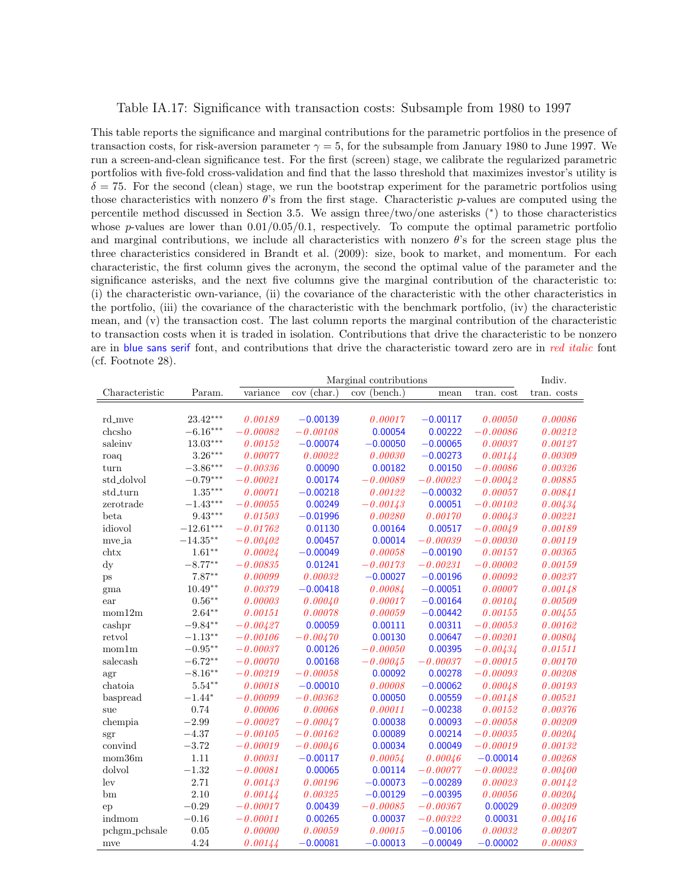#### Table IA.17: Significance with transaction costs: Subsample from 1980 to 1997

This table reports the significance and marginal contributions for the parametric portfolios in the presence of transaction costs, for risk-aversion parameter  $\gamma = 5$ , for the subsample from January 1980 to June 1997. We run a screen-and-clean significance test. For the first (screen) stage, we calibrate the regularized parametric portfolios with five-fold cross-validation and find that the lasso threshold that maximizes investor's utility is  $\delta$  = 75. For the second (clean) stage, we run the bootstrap experiment for the parametric portfolios using those characteristics with nonzero  $\theta$ 's from the first stage. Characteristic p-values are computed using the percentile method discussed in Section 3.5. We assign three/two/one asterisks (∗ ) to those characteristics whose p-values are lower than  $0.01/0.05/0.1$ , respectively. To compute the optimal parametric portfolio and marginal contributions, we include all characteristics with nonzero  $\theta$ 's for the screen stage plus the three characteristics considered in Brandt et al. (2009): size, book to market, and momentum. For each characteristic, the first column gives the acronym, the second the optimal value of the parameter and the significance asterisks, and the next five columns give the marginal contribution of the characteristic to: (i) the characteristic own-variance, (ii) the covariance of the characteristic with the other characteristics in the portfolio, (iii) the covariance of the characteristic with the benchmark portfolio, (iv) the characteristic mean, and (v) the transaction cost. The last column reports the marginal contribution of the characteristic to transaction costs when it is traded in isolation. Contributions that drive the characteristic to be nonzero are in blue sans serif font, and contributions that drive the characteristic toward zero are in red *italic* font (cf. Footnote 28).

|                          |             |            | Marginal contributions |              |            |            |             |  |
|--------------------------|-------------|------------|------------------------|--------------|------------|------------|-------------|--|
| Characteristic           | Param.      | variance   | (char.)<br>cov         | cov (bench.) | mean       | tran. cost | tran. costs |  |
|                          |             |            |                        |              |            |            |             |  |
| rd_mve                   | $23.42***$  | 0.00189    | $-0.00139$             | 0.00017      | $-0.00117$ | 0.00050    | 0.00086     |  |
| chcsho                   | $-6.16***$  | $-0.00082$ | $-0.00108$             | 0.00054      | 0.00222    | $-0.00086$ | 0.00212     |  |
| saleinv                  | $13.03***$  | 0.00152    | $-0.00074$             | $-0.00050$   | $-0.00065$ | 0.00037    | 0.00127     |  |
| roaq                     | $3.26***$   | 0.00077    | 0.00022                | 0.00030      | $-0.00273$ | 0.00144    | 0.00309     |  |
| turn                     | $-3.86***$  | $-0.00336$ | 0.00090                | 0.00182      | 0.00150    | $-0.00086$ | 0.00326     |  |
| std_dolvol               | $-0.79***$  | $-0.00021$ | 0.00174                | $-0.00089$   | $-0.00023$ | $-0.00042$ | 0.00885     |  |
| std_turn                 | $1.35***$   | 0.00071    | $-0.00218$             | 0.00122      | $-0.00032$ | 0.00057    | 0.00841     |  |
| zerotrade                | $-1.43***$  | $-0.00055$ | 0.00249                | $-0.00143$   | 0.00051    | $-0.00102$ | 0.00434     |  |
| beta                     | $9.43***$   | 0.01503    | $-0.01996$             | 0.00280      | 0.00170    | 0.00043    | 0.00221     |  |
| idiovol                  | $-12.61***$ | $-0.01762$ | 0.01130                | 0.00164      | 0.00517    | $-0.00049$ | 0.00189     |  |
| $\operatorname{mve\_ia}$ | $-14.35***$ | $-0.00402$ | 0.00457                | 0.00014      | $-0.00039$ | $-0.00030$ | 0.00119     |  |
| chtx                     | $1.61**$    | 0.00024    | $-0.00049$             | 0.00058      | $-0.00190$ | 0.00157    | 0.00365     |  |
| $\rm{d}v$                | $-8.77**$   | $-0.00835$ | 0.01241                | $-0.00173$   | $-0.00231$ | $-0.00002$ | 0.00159     |  |
| ps                       | $7.87**$    | 0.00099    | 0.00032                | $-0.00027$   | $-0.00196$ | 0.00092    | 0.00237     |  |
| gma                      | $10.49**$   | 0.00379    | $-0.00418$             | 0.00084      | $-0.00051$ | 0.00007    | 0.00148     |  |
| ear                      | $0.56***$   | 0.00003    | 0.00040                | 0.00017      | $-0.00164$ | 0.00104    | 0.00509     |  |
| mom12m                   | $2.64***$   | 0.00151    | 0.00078                | 0.00059      | $-0.00442$ | 0.00155    | 0.00455     |  |
| cashpr                   | $-9.84**$   | $-0.00427$ | 0.00059                | 0.00111      | 0.00311    | $-0.00053$ | 0.00162     |  |
| retvol                   | $-1.13**$   | $-0.00106$ | $-0.00470$             | 0.00130      | 0.00647    | $-0.00201$ | 0.00804     |  |
| mom1m                    | $-0.95***$  | $-0.00037$ | 0.00126                | $-0.00050$   | 0.00395    | $-0.00434$ | 0.01511     |  |
| salecash                 | $-6.72**$   | $-0.00070$ | 0.00168                | $-0.00045$   | $-0.00037$ | $-0.00015$ | 0.00170     |  |
| agr                      | $-8.16**$   | $-0.00219$ | $-0.00058$             | 0.00092      | 0.00278    | $-0.00093$ | 0.00208     |  |
| chatoia                  | $5.54***$   | 0.00018    | $-0.00010$             | 0.00008      | $-0.00062$ | 0.00048    | 0.00193     |  |
| baspread                 | $-1.44*$    | $-0.00099$ | $-0.00362$             | 0.00050      | 0.00559    | $-0.00148$ | 0.00521     |  |
| sue                      | 0.74        | 0.00006    | 0.00068                | 0.00011      | $-0.00238$ | 0.00152    | 0.00376     |  |
| chempia                  | $-2.99$     | $-0.00027$ | $-0.00047$             | 0.00038      | 0.00093    | $-0.00058$ | 0.00209     |  |
| sgr                      | $-4.37$     | $-0.00105$ | $-0.00162$             | 0.00089      | 0.00214    | $-0.00035$ | 0.00204     |  |
| convind                  | $-3.72$     | $-0.00019$ | $-0.00046$             | 0.00034      | 0.00049    | $-0.00019$ | 0.00132     |  |
| mom36m                   | 1.11        | 0.00031    | $-0.00117$             | 0.00054      | 0.00046    | $-0.00014$ | 0.00268     |  |
| dolvol                   | $-1.32$     | $-0.00081$ | 0.00065                | 0.00114      | $-0.00077$ | $-0.00022$ | 0.00400     |  |
| lev                      | 2.71        | 0.00143    | 0.00196                | $-0.00073$   | $-0.00289$ | 0.00023    | 0.00142     |  |
| $_{\text{bm}}$           | 2.10        | 0.00144    | 0.00325                | $-0.00129$   | $-0.00395$ | 0.00056    | 0.00204     |  |
| ep                       | $-0.29$     | $-0.00017$ | 0.00439                | $-0.00085$   | $-0.00367$ | 0.00029    | 0.00209     |  |
| indmom                   | $-0.16$     | $-0.00011$ | 0.00265                | 0.00037      | $-0.00322$ | 0.00031    | 0.00416     |  |
| pchgm_pchsale            | 0.05        | 0.00000    | 0.00059                | 0.00015      | $-0.00106$ | 0.00032    | 0.00207     |  |
| mve                      | 4.24        | 0.00144    | $-0.00081$             | $-0.00013$   | $-0.00049$ | $-0.00002$ | 0.00083     |  |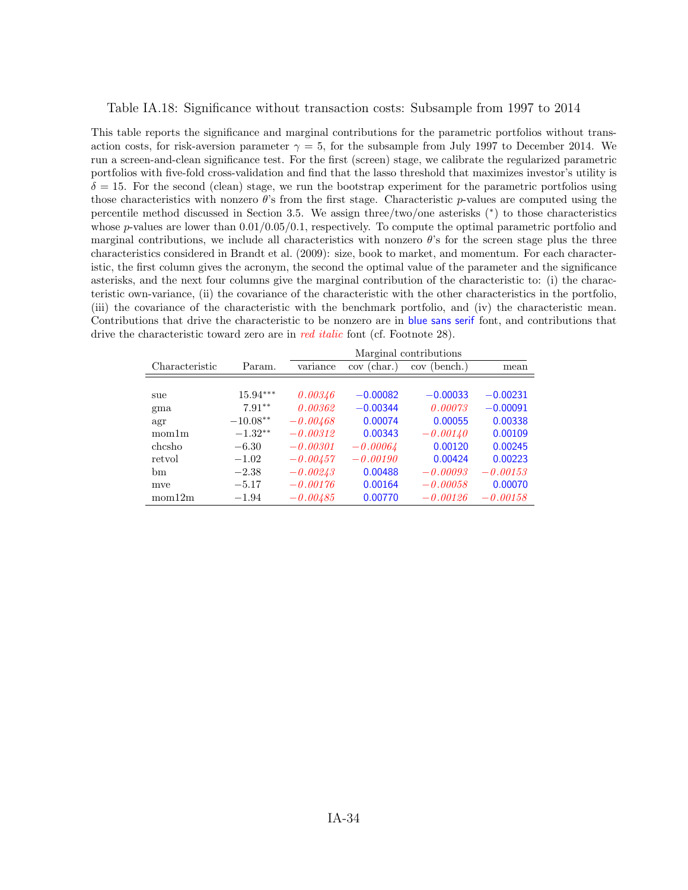#### Table IA.18: Significance without transaction costs: Subsample from 1997 to 2014

This table reports the significance and marginal contributions for the parametric portfolios without transaction costs, for risk-aversion parameter  $\gamma = 5$ , for the subsample from July 1997 to December 2014. We run a screen-and-clean significance test. For the first (screen) stage, we calibrate the regularized parametric portfolios with five-fold cross-validation and find that the lasso threshold that maximizes investor's utility is  $\delta = 15$ . For the second (clean) stage, we run the bootstrap experiment for the parametric portfolios using those characteristics with nonzero  $\theta$ 's from the first stage. Characteristic p-values are computed using the percentile method discussed in Section 3.5. We assign three/two/one asterisks (∗ ) to those characteristics whose p-values are lower than  $0.01/0.05/0.1$ , respectively. To compute the optimal parametric portfolio and marginal contributions, we include all characteristics with nonzero  $\theta$ 's for the screen stage plus the three characteristics considered in Brandt et al. (2009): size, book to market, and momentum. For each characteristic, the first column gives the acronym, the second the optimal value of the parameter and the significance asterisks, and the next four columns give the marginal contribution of the characteristic to: (i) the characteristic own-variance, (ii) the covariance of the characteristic with the other characteristics in the portfolio, (iii) the covariance of the characteristic with the benchmark portfolio, and (iv) the characteristic mean. Contributions that drive the characteristic to be nonzero are in blue sans serif font, and contributions that drive the characteristic toward zero are in *red italic* font (cf. Footnote 28).

|                |            | Marginal contributions |                |              |            |  |  |  |
|----------------|------------|------------------------|----------------|--------------|------------|--|--|--|
| Characteristic | Param.     | variance               | (char.)<br>cov | cov (bench.) | mean       |  |  |  |
|                |            |                        |                |              |            |  |  |  |
| sue            | $15.94***$ | 0.00346                | $-0.00082$     | $-0.00033$   | $-0.00231$ |  |  |  |
| gma            | $7.91**$   | 0.00362                | $-0.00344$     | 0.00073      | $-0.00091$ |  |  |  |
| agr            | $-10.08**$ | $-0.00468$             | 0.00074        | 0.00055      | 0.00338    |  |  |  |
| mom1m          | $-1.32**$  | $-0.00312$             | 0.00343        | $-0.00140$   | 0.00109    |  |  |  |
| chcsho         | $-6.30$    | $-0.00301$             | $-0.00064$     | 0.00120      | 0.00245    |  |  |  |
| retvol         | $-1.02$    | $-0.00457$             | $-0.00190$     | 0.00424      | 0.00223    |  |  |  |
| bm.            | $-2.38$    | $-0.00243$             | 0.00488        | $-0.00093$   | $-0.00153$ |  |  |  |
| mve            | $-5.17$    | $-0.00176$             | 0.00164        | $-0.00058$   | 0.00070    |  |  |  |
| mom12m         | $-1.94$    | $-0.00485$             | 0.00770        | $-0.00126$   | $-0.00158$ |  |  |  |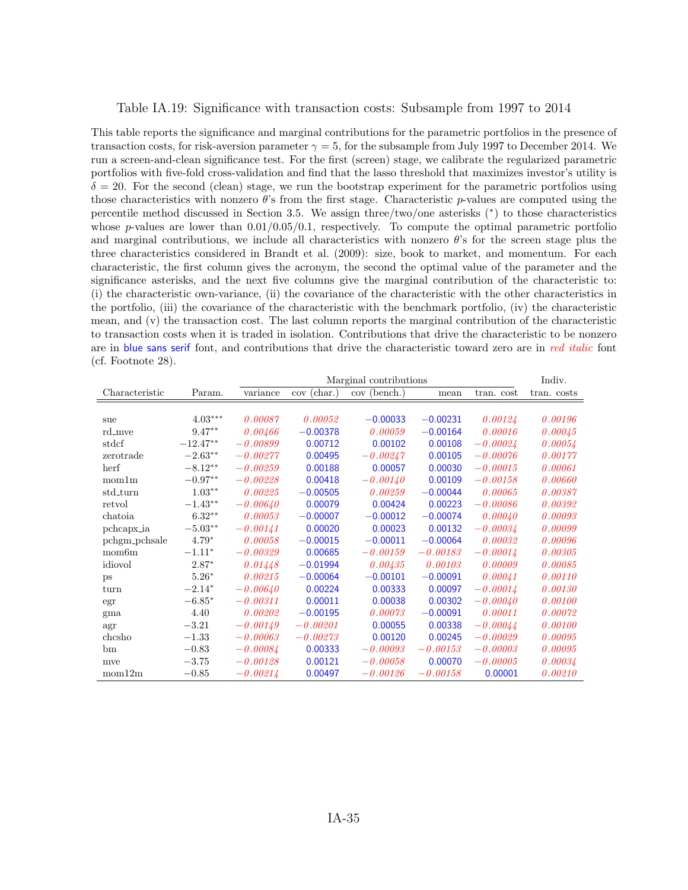#### Table IA.19: Significance with transaction costs: Subsample from 1997 to 2014

This table reports the significance and marginal contributions for the parametric portfolios in the presence of transaction costs, for risk-aversion parameter  $\gamma = 5$ , for the subsample from July 1997 to December 2014. We run a screen-and-clean significance test. For the first (screen) stage, we calibrate the regularized parametric portfolios with five-fold cross-validation and find that the lasso threshold that maximizes investor's utility is  $\delta = 20$ . For the second (clean) stage, we run the bootstrap experiment for the parametric portfolios using those characteristics with nonzero  $\theta$ 's from the first stage. Characteristic p-values are computed using the percentile method discussed in Section 3.5. We assign three/two/one asterisks (∗ ) to those characteristics whose p-values are lower than  $0.01/0.05/0.1$ , respectively. To compute the optimal parametric portfolio and marginal contributions, we include all characteristics with nonzero  $\theta$ 's for the screen stage plus the three characteristics considered in Brandt et al. (2009): size, book to market, and momentum. For each characteristic, the first column gives the acronym, the second the optimal value of the parameter and the significance asterisks, and the next five columns give the marginal contribution of the characteristic to: (i) the characteristic own-variance, (ii) the covariance of the characteristic with the other characteristics in the portfolio, (iii) the covariance of the characteristic with the benchmark portfolio, (iv) the characteristic mean, and (v) the transaction cost. The last column reports the marginal contribution of the characteristic to transaction costs when it is traded in isolation. Contributions that drive the characteristic to be nonzero are in blue sans serif font, and contributions that drive the characteristic toward zero are in red *italic* font (cf. Footnote 28).

|                |            |            | Marginal contributions |              |            |            |             |  |
|----------------|------------|------------|------------------------|--------------|------------|------------|-------------|--|
| Characteristic | Param.     | variance   | (char.)<br>cov         | cov (bench.) | mean       | tran. cost | tran. costs |  |
|                |            |            |                        |              |            |            |             |  |
| sue            | $4.03***$  | 0.00087    | 0.00052                | $-0.00033$   | $-0.00231$ | 0.00124    | 0.00196     |  |
| rd_mve         | $9.47**$   | 0.00466    | $-0.00378$             | 0.00059      | $-0.00164$ | 0.00016    | 0.00045     |  |
| stdcf          | $-12.47**$ | $-0.00899$ | 0.00712                | 0.00102      | 0.00108    | $-0.00024$ | 0.00054     |  |
| zerotrade      | $-2.63**$  | $-0.00277$ | 0.00495                | $-0.00247$   | 0.00105    | $-0.00076$ | 0.00177     |  |
| herf           | $-8.12**$  | $-0.00259$ | 0.00188                | 0.00057      | 0.00030    | $-0.00015$ | 0.00061     |  |
| mom1m          | $-0.97**$  | $-0.00228$ | 0.00418                | $-0.00140$   | 0.00109    | $-0.00158$ | 0.00660     |  |
| std_turn       | $1.03***$  | 0.00225    | $-0.00505$             | 0.00259      | $-0.00044$ | 0.00065    | 0.00387     |  |
| retvol         | $-1.43**$  | $-0.00640$ | 0.00079                | 0.00424      | 0.00223    | $-0.00086$ | 0.00392     |  |
| chatoia        | $6.32**$   | 0.00053    | $-0.00007$             | $-0.00012$   | $-0.00074$ | 0.00040    | 0.00093     |  |
| pchcapx_ia     | $-5.03**$  | $-0.00141$ | 0.00020                | 0.00023      | 0.00132    | $-0.00034$ | 0.00099     |  |
| pchgm_pchsale  | $4.79*$    | 0.00058    | $-0.00015$             | $-0.00011$   | $-0.00064$ | 0.00032    | 0.00096     |  |
| mom6m          | $-1.11*$   | $-0.00329$ | 0.00685                | $-0.00159$   | $-0.00183$ | $-0.00014$ | 0.00305     |  |
| idiovol        | $2.87*$    | 0.01448    | $-0.01994$             | 0.00435      | 0.00103    | 0.00009    | 0.00085     |  |
| $_{\rm DS}$    | $5.26*$    | 0.00215    | $-0.00064$             | $-0.00101$   | $-0.00091$ | 0.00041    | 0.00110     |  |
| turn           | $-2.14*$   | $-0.00640$ | 0.00224                | 0.00333      | 0.00097    | $-0.00014$ | 0.00130     |  |
| egr            | $-6.85*$   | $-0.00311$ | 0.00011                | 0.00038      | 0.00302    | $-0.00040$ | 0.00100     |  |
| gma            | 4.40       | 0.00202    | $-0.00195$             | 0.00073      | $-0.00091$ | 0.00011    | 0.00072     |  |
| agr            | $-3.21$    | $-0.00149$ | $-0.00201$             | 0.00055      | 0.00338    | $-0.00044$ | 0.00100     |  |
| chcsho         | $-1.33$    | $-0.00063$ | $-0.00273$             | 0.00120      | 0.00245    | $-0.00029$ | 0.00095     |  |
| $_{\text{bm}}$ | $-0.83$    | $-0.00084$ | 0.00333                | $-0.00093$   | $-0.00153$ | $-0.00003$ | 0.00095     |  |
| mve            | $-3.75$    | $-0.00128$ | 0.00121                | $-0.00058$   | 0.00070    | $-0.00005$ | 0.00034     |  |
| mom12m         | $-0.85$    | $-0.00214$ | 0.00497                | $-0.00126$   | $-0.00158$ | 0.00001    | 0.00210     |  |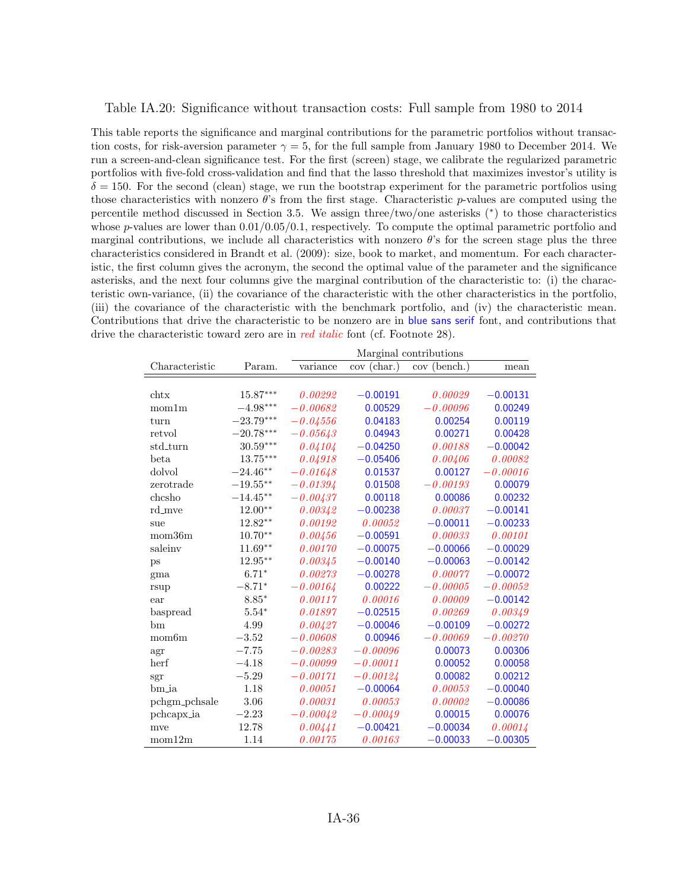#### Table IA.20: Significance without transaction costs: Full sample from 1980 to 2014

This table reports the significance and marginal contributions for the parametric portfolios without transaction costs, for risk-aversion parameter  $\gamma = 5$ , for the full sample from January 1980 to December 2014. We run a screen-and-clean significance test. For the first (screen) stage, we calibrate the regularized parametric portfolios with five-fold cross-validation and find that the lasso threshold that maximizes investor's utility is  $\delta = 150$ . For the second (clean) stage, we run the bootstrap experiment for the parametric portfolios using those characteristics with nonzero  $\theta$ 's from the first stage. Characteristic p-values are computed using the percentile method discussed in Section 3.5. We assign three/two/one asterisks (∗ ) to those characteristics whose p-values are lower than  $0.01/0.05/0.1$ , respectively. To compute the optimal parametric portfolio and marginal contributions, we include all characteristics with nonzero  $\theta$ 's for the screen stage plus the three characteristics considered in Brandt et al. (2009): size, book to market, and momentum. For each characteristic, the first column gives the acronym, the second the optimal value of the parameter and the significance asterisks, and the next four columns give the marginal contribution of the characteristic to: (i) the characteristic own-variance, (ii) the covariance of the characteristic with the other characteristics in the portfolio, (iii) the covariance of the characteristic with the benchmark portfolio, and (iv) the characteristic mean. Contributions that drive the characteristic to be nonzero are in blue sans serif font, and contributions that drive the characteristic toward zero are in *red italic* font (cf. Footnote 28).

|                |                        | Marginal contributions |               |              |            |  |  |  |
|----------------|------------------------|------------------------|---------------|--------------|------------|--|--|--|
| Characteristic | Param.                 | variance               | $cov$ (char.) | cov (bench.) | mean       |  |  |  |
|                |                        |                        |               |              |            |  |  |  |
| chtx           | $15.87***$             | 0.00292                | $-0.00191$    | 0.00029      | $-0.00131$ |  |  |  |
| mom1m          | $-4.98***$             | $-0.00682$             | 0.00529       | $-0.00096$   | 0.00249    |  |  |  |
| turn           | $-23.79***$            | $-0.04556$             | 0.04183       | 0.00254      | 0.00119    |  |  |  |
| retvol         | $-20.78***$            | $-0.05643$             | 0.04943       | 0.00271      | 0.00428    |  |  |  |
| std_turn       | $30.59^{\ast\ast\ast}$ | 0.04104                | $-0.04250$    | 0.00188      | $-0.00042$ |  |  |  |
| beta           | $13.75^{\ast\ast\ast}$ | 0.04918                | $-0.05406$    | 0.00406      | 0.00082    |  |  |  |
| dolvol         | $-24.46**$             | $-0.01648$             | 0.01537       | 0.00127      | $-0.00016$ |  |  |  |
| zerotrade      | $-19.55***$            | $-0.01394$             | 0.01508       | $-0.00193$   | 0.00079    |  |  |  |
| chcsho         | $-14.45**$             | $-0.00437$             | 0.00118       | 0.00086      | 0.00232    |  |  |  |
| rd_mve         | $12.00**$              | 0.00342                | $-0.00238$    | 0.00037      | $-0.00141$ |  |  |  |
| sue            | 12.82**                | 0.00192                | 0.00052       | $-0.00011$   | $-0.00233$ |  |  |  |
| mom36m         | $10.70**$              | 0.00456                | $-0.00591$    | 0.00033      | 0.00101    |  |  |  |
| saleiny        | $11.69***$             | 0.00170                | $-0.00075$    | $-0.00066$   | $-0.00029$ |  |  |  |
| ps             | 12.95**                | 0.00345                | $-0.00140$    | $-0.00063$   | $-0.00142$ |  |  |  |
| gma            | $6.71*$                | 0.00273                | $-0.00278$    | 0.00077      | $-0.00072$ |  |  |  |
| rsup           | $-8.71*$               | $-0.00164$             | 0.00222       | $-0.00005$   | $-0.00052$ |  |  |  |
| ear            | $8.85*$                | 0.00117                | 0.00016       | 0.00009      | $-0.00142$ |  |  |  |
| baspread       | $5.54*$                | 0.01897                | $-0.02515$    | 0.00269      | 0.00349    |  |  |  |
| $_{\text{bm}}$ | 4.99                   | 0.00427                | $-0.00046$    | $-0.00109$   | $-0.00272$ |  |  |  |
| mom6m          | $-3.52\,$              | $-0.00608$             | 0.00946       | $-0.00069$   | $-0.00270$ |  |  |  |
| agr            | $-7.75$                | $-0.00283$             | $-0.00096$    | 0.00073      | 0.00306    |  |  |  |
| herf           | $-4.18$                | $-0.00099$             | $-0.00011$    | 0.00052      | 0.00058    |  |  |  |
| sgr            | $-5.29$                | $-0.00171$             | $-0.00124$    | 0.00082      | 0.00212    |  |  |  |
| bm_ia          | 1.18                   | 0.00051                | $-0.00064$    | 0.00053      | $-0.00040$ |  |  |  |
| pchgm_pchsale  | $3.06\,$               | 0.00031                | 0.00053       | 0.00002      | $-0.00086$ |  |  |  |
| pchcapx_ia     | $-2.23$                | $-0.00042$             | $-0.00049$    | 0.00015      | 0.00076    |  |  |  |
| mve            | 12.78                  | 0.00441                | $-0.00421$    | $-0.00034$   | 0.00014    |  |  |  |
| mom12m         | 1.14                   | 0.00175                | 0.00163       | $-0.00033$   | $-0.00305$ |  |  |  |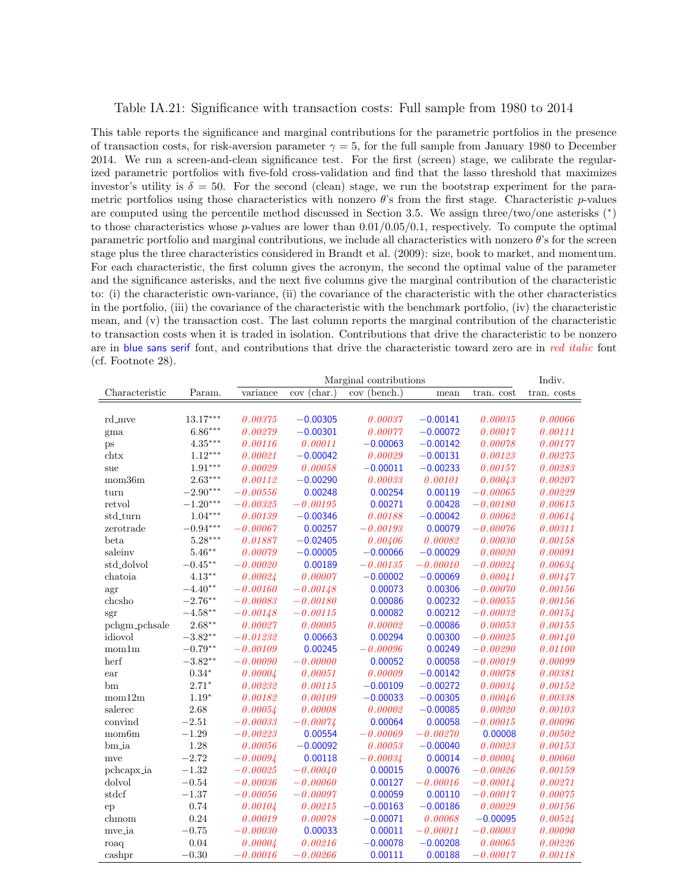#### Table IA.21: Significance with transaction costs: Full sample from 1980 to 2014

This table reports the significance and marginal contributions for the parametric portfolios in the presence of transaction costs, for risk-aversion parameter  $\gamma = 5$ , for the full sample from January 1980 to December 2014. We run a screen-and-clean significance test. For the first (screen) stage, we calibrate the regularized parametric portfolios with five-fold cross-validation and find that the lasso threshold that maximizes investor's utility is  $\delta = 50$ . For the second (clean) stage, we run the bootstrap experiment for the parametric portfolios using those characteristics with nonzero  $\theta$ 's from the first stage. Characteristic p-values are computed using the percentile method discussed in Section 3.5. We assign three/two/one asterisks (∗ ) to those characteristics whose p-values are lower than  $0.01/0.05/0.1$ , respectively. To compute the optimal parametric portfolio and marginal contributions, we include all characteristics with nonzero  $\theta$ 's for the screen stage plus the three characteristics considered in Brandt et al. (2009): size, book to market, and momentum. For each characteristic, the first column gives the acronym, the second the optimal value of the parameter and the significance asterisks, and the next five columns give the marginal contribution of the characteristic to: (i) the characteristic own-variance, (ii) the covariance of the characteristic with the other characteristics in the portfolio, (iii) the covariance of the characteristic with the benchmark portfolio, (iv) the characteristic mean, and (v) the transaction cost. The last column reports the marginal contribution of the characteristic to transaction costs when it is traded in isolation. Contributions that drive the characteristic to be nonzero are in blue sans serif font, and contributions that drive the characteristic toward zero are in red *italic* font (cf. Footnote 28).

|                |                    |            |                          | Marginal contributions |            |            | Indiv.      |
|----------------|--------------------|------------|--------------------------|------------------------|------------|------------|-------------|
| Characteristic | Param.             | variance   | $\bar{c}$ (char.)<br>cov | cov (bench.)           | mean       | tran. cost | tran. costs |
|                |                    |            |                          |                        |            |            |             |
| rd_mve         | $13.17***$         | 0.00375    | $-0.00305$               | 0.00037                | $-0.00141$ | 0.00035    | 0.00066     |
| gma            | $6.86***$          | 0.00279    | $-0.00301$               | 0.00077                | $-0.00072$ | 0.00017    | 0.00111     |
| ps             | $4.35***$          | 0.00116    | 0.00011                  | $-0.00063$             | $-0.00142$ | 0.00078    | 0.00177     |
| chtx           | $1.12***$          | 0.00021    | $-0.00042$               | 0.00029                | $-0.00131$ | 0.00123    | 0.00275     |
| sue            | $1.91***$          | 0.00029    | 0.00058                  | $-0.00011$             | $-0.00233$ | 0.00157    | 0.00283     |
| mom36m         | $2.63***$          | 0.00112    | $-0.00290$               | 0.00033                | 0.00101    | 0.00043    | 0.00207     |
| turn           | $-2.90***$         | $-0.00556$ | 0.00248                  | 0.00254                | 0.00119    | $-0.00065$ | 0.00229     |
| retvol         | $-1.20***$         | $-0.00325$ | $-0.00195$               | 0.00271                | 0.00428    | $-0.00180$ | 0.00615     |
| std_turn       | $1.04***$          | 0.00139    | $-0.00346$               | 0.00188                | $-0.00042$ | 0.00062    | 0.00614     |
| zerotrade      | $-0.94***$         | $-0.00067$ | 0.00257                  | $-0.00193$             | 0.00079    | $-0.00076$ | 0.00311     |
| beta           | $5.28***$          | 0.01887    | $-0.02405$               | 0.00406                | 0.00082    | 0.00030    | 0.00158     |
| saleiny        | $5.46**$           | 0.00079    | $-0.00005$               | $-0.00066$             | $-0.00029$ | 0.00020    | 0.00091     |
| std_dolvol     | $-0.45^{\ast\ast}$ | $-0.00020$ | 0.00189                  | $-0.00135$             | $-0.00010$ | $-0.00024$ | 0.00634     |
| chatoia        | $4.13***$          | 0.00024    | 0.00007                  | $-0.00002$             | $-0.00069$ | 0.00041    | 0.00147     |
| agr            | $-4.40**$          | $-0.00160$ | $-0.00148$               | 0.00073                | 0.00306    | $-0.00070$ | 0.00156     |
| chcsho         | $-2.76**$          | $-0.00083$ | $-0.00180$               | 0.00086                | 0.00232    | $-0.00055$ | 0.00156     |
| sgr            | $-4.58**$          | $-0.00148$ | $-0.00115$               | 0.00082                | 0.00212    | $-0.00032$ | 0.00154     |
| pchgm_pchsale  | $2.68**$           | 0.00027    | 0.00005                  | 0.00002                | $-0.00086$ | 0.00053    | 0.00155     |
| idiovol        | $-3.82**$          | $-0.01232$ | 0.00663                  | 0.00294                | 0.00300    | $-0.00025$ | 0.00140     |
| mom1m          | $-0.79**$          | $-0.00109$ | 0.00245                  | $-0.00096$             | 0.00249    | $-0.00290$ | 0.01100     |
| herf           | $-3.82**$          | $-0.00090$ | $-0.00000$               | 0.00052                | 0.00058    | $-0.00019$ | 0.00099     |
| ear            | $0.34*$            | 0.00004    | 0.00051                  | 0.00009                | $-0.00142$ | 0.00078    | 0.00381     |
| $_{\text{bm}}$ | $2.71*$            | 0.00232    | 0.00115                  | $-0.00109$             | $-0.00272$ | 0.00034    | 0.00152     |
| mom12m         | $1.19*$            | 0.00182    | 0.00109                  | $-0.00033$             | $-0.00305$ | 0.00046    | 0.00338     |
| salerec        | 2.68               | 0.00054    | 0.00008                  | 0.00002                | $-0.00085$ | 0.00020    | 0.00103     |
| convind        | $-2.51$            | $-0.00033$ | $-0.00074$               | 0.00064                | 0.00058    | $-0.00015$ | 0.00096     |
| mom6m          | $-1.29$            | $-0.00223$ | 0.00554                  | $-0.00069$             | $-0.00270$ | 0.00008    | 0.00502     |
| bm_ia          | 1.28               | 0.00056    | $-0.00092$               | 0.00053                | $-0.00040$ | 0.00023    | 0.00153     |
| mve            | $-2.72$            | $-0.00094$ | 0.00118                  | $-0.00034$             | 0.00014    | $-0.00004$ | 0.00060     |
| pchcapx_ia     | $-1.32$            | $-0.00025$ | $-0.00040$               | 0.00015                | 0.00076    | $-0.00026$ | 0.00159     |
| dolvol         | $-0.54$            | $-0.00036$ | $-0.00060$               | 0.00127                | $-0.00016$ | $-0.00014$ | 0.00271     |
| stdcf          | $-1.37$            | $-0.00056$ | $-0.00097$               | 0.00059                | 0.00110    | $-0.00017$ | 0.00075     |
| ep             | 0.74               | 0.00104    | 0.00215                  | $-0.00163$             | $-0.00186$ | 0.00029    | 0.00156     |
| chmom          | 0.24               | 0.00019    | 0.00078                  | $-0.00071$             | 0.00068    | $-0.00095$ | 0.00524     |
| mve_ia         | $-0.75$            | $-0.00030$ | 0.00033                  | 0.00011                | $-0.00011$ | $-0.00003$ | 0.00090     |
| roaq           | 0.04               | 0.00004    | 0.00216                  | $-0.00078$             | $-0.00208$ | 0.00065    | 0.00226     |
| cashpr         | $-0.30$            | $-0.00016$ | $-0.00266$               | 0.00111                | 0.00188    | $-0.00017$ | 0.00118     |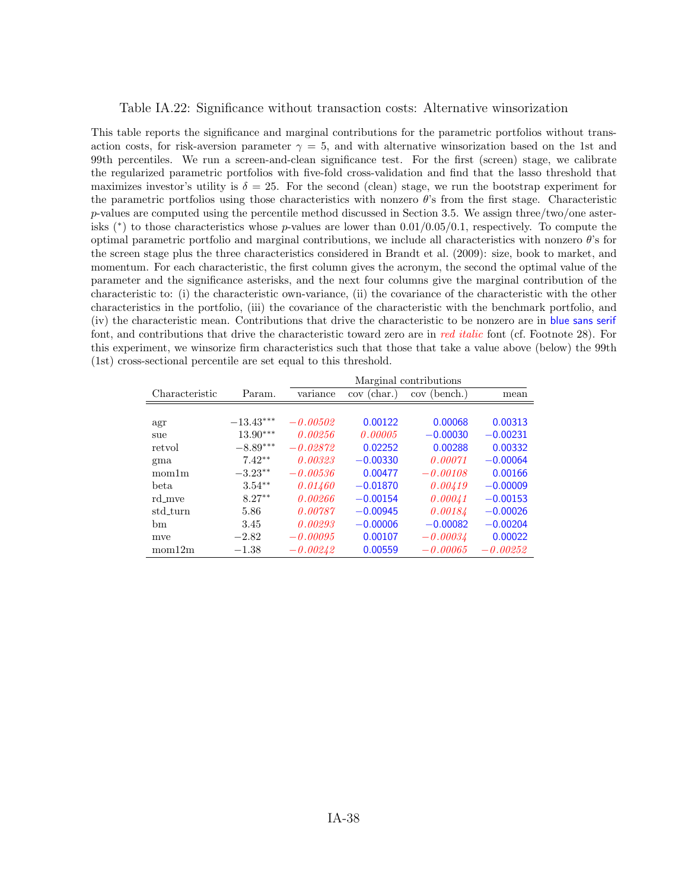#### Table IA.22: Significance without transaction costs: Alternative winsorization

This table reports the significance and marginal contributions for the parametric portfolios without transaction costs, for risk-aversion parameter  $\gamma = 5$ , and with alternative winsorization based on the 1st and 99th percentiles. We run a screen-and-clean significance test. For the first (screen) stage, we calibrate the regularized parametric portfolios with five-fold cross-validation and find that the lasso threshold that maximizes investor's utility is  $\delta = 25$ . For the second (clean) stage, we run the bootstrap experiment for the parametric portfolios using those characteristics with nonzero  $\theta$ 's from the first stage. Characteristic p-values are computed using the percentile method discussed in Section 3.5. We assign three/two/one asterisks (∗ ) to those characteristics whose p-values are lower than 0.01/0.05/0.1, respectively. To compute the optimal parametric portfolio and marginal contributions, we include all characteristics with nonzero  $\theta$ 's for the screen stage plus the three characteristics considered in Brandt et al. (2009): size, book to market, and momentum. For each characteristic, the first column gives the acronym, the second the optimal value of the parameter and the significance asterisks, and the next four columns give the marginal contribution of the characteristic to: (i) the characteristic own-variance, (ii) the covariance of the characteristic with the other characteristics in the portfolio, (iii) the covariance of the characteristic with the benchmark portfolio, and (iv) the characteristic mean. Contributions that drive the characteristic to be nonzero are in blue sans serif font, and contributions that drive the characteristic toward zero are in red *italic* font (cf. Footnote 28). For this experiment, we winsorize firm characteristics such that those that take a value above (below) the 99th (1st) cross-sectional percentile are set equal to this threshold.

|                |             | Marginal contributions |                |              |            |  |  |  |
|----------------|-------------|------------------------|----------------|--------------|------------|--|--|--|
| Characteristic | Param.      | variance               | (char.)<br>cov | cov (bench.) | mean       |  |  |  |
|                |             |                        |                |              |            |  |  |  |
| agr            | $-13.43***$ | $-0.00502$             | 0.00122        | 0.00068      | 0.00313    |  |  |  |
| sue            | $13.90***$  | 0.00256                | 0.00005        | $-0.00030$   | $-0.00231$ |  |  |  |
| retvol         | $-8.89***$  | $-0.02872$             | 0.02252        | 0.00288      | 0.00332    |  |  |  |
| gma            | $7.42**$    | 0.00323                | $-0.00330$     | 0.00071      | $-0.00064$ |  |  |  |
| mom1m          | $-3.23**$   | $-0.00536$             | 0.00477        | $-0.00108$   | 0.00166    |  |  |  |
| beta.          | $3.54**$    | 0.01460                | $-0.01870$     | 0.00419      | $-0.00009$ |  |  |  |
| rd_mve         | $8.27**$    | 0.00266                | $-0.00154$     | 0.00041      | $-0.00153$ |  |  |  |
| std_turn       | 5.86        | 0.00787                | $-0.00945$     | 0.00184      | $-0.00026$ |  |  |  |
| bm             | 3.45        | 0.00293                | $-0.00006$     | $-0.00082$   | $-0.00204$ |  |  |  |
| mve            | $-2.82$     | $-0.00095$             | 0.00107        | $-0.00034$   | 0.00022    |  |  |  |
| mom12m         | $-1.38$     | $-0.00242$             | 0.00559        | $-0.00065$   | $-0.00252$ |  |  |  |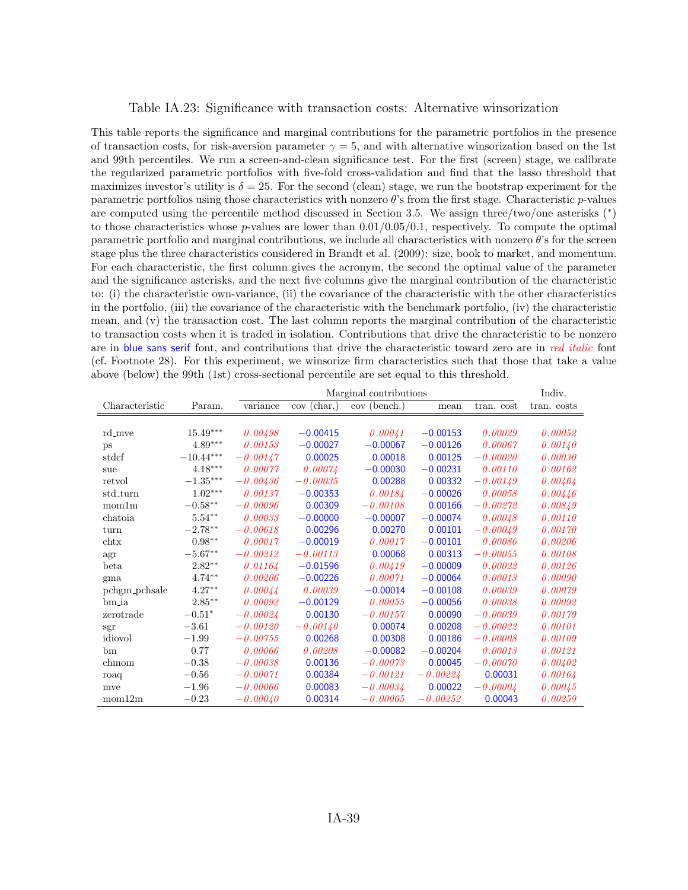#### Table IA.23: Significance with transaction costs: Alternative winsorization

This table reports the significance and marginal contributions for the parametric portfolios in the presence of transaction costs, for risk-aversion parameter  $\gamma = 5$ , and with alternative winsorization based on the 1st and 99th percentiles. We run a screen-and-clean significance test. For the first (screen) stage, we calibrate the regularized parametric portfolios with five-fold cross-validation and find that the lasso threshold that maximizes investor's utility is  $\delta = 25$ . For the second (clean) stage, we run the bootstrap experiment for the parametric portfolios using those characteristics with nonzero  $\theta$ 's from the first stage. Characteristic p-values are computed using the percentile method discussed in Section 3.5. We assign three/two/one asterisks (∗ ) to those characteristics whose p-values are lower than  $0.01/0.05/0.1$ , respectively. To compute the optimal parametric portfolio and marginal contributions, we include all characteristics with nonzero  $\theta$ 's for the screen stage plus the three characteristics considered in Brandt et al. (2009): size, book to market, and momentum. For each characteristic, the first column gives the acronym, the second the optimal value of the parameter and the significance asterisks, and the next five columns give the marginal contribution of the characteristic to: (i) the characteristic own-variance, (ii) the covariance of the characteristic with the other characteristics in the portfolio, (iii) the covariance of the characteristic with the benchmark portfolio, (iv) the characteristic mean, and (v) the transaction cost. The last column reports the marginal contribution of the characteristic to transaction costs when it is traded in isolation. Contributions that drive the characteristic to be nonzero are in blue sans serif font, and contributions that drive the characteristic toward zero are in red *italic* font (cf. Footnote 28). For this experiment, we winsorize firm characteristics such that those that take a value above (below) the 99th (1st) cross-sectional percentile are set equal to this threshold.

|                    |             |            | Indiv.         |              |            |            |             |
|--------------------|-------------|------------|----------------|--------------|------------|------------|-------------|
| Characteristic     | Param.      | variance   | (char.)<br>cov | cov (bench.) | mean       | tran. cost | tran. costs |
|                    |             |            |                |              |            |            |             |
| rd_mve             | $15.49***$  | 0.00498    | $-0.00415$     | 0.00041      | $-0.00153$ | 0.00029    | 0.00052     |
| ps                 | $4.89***$   | 0.00153    | $-0.00027$     | $-0.00067$   | $-0.00126$ | 0.00067    | 0.00140     |
| stdcf              | $-10.44***$ | $-0.00147$ | 0.00025        | 0.00018      | 0.00125    | $-0.00020$ | 0.00030     |
| sue                | $4.18***$   | 0.00077    | 0.00074        | $-0.00030$   | $-0.00231$ | 0.00110    | 0.00162     |
| retvol             | $-1.35***$  | $-0.00436$ | $-0.00035$     | 0.00288      | 0.00332    | $-0.00149$ | 0.00464     |
| std_turn           | $1.02***$   | 0.00137    | $-0.00353$     | 0.00184      | $-0.00026$ | 0.00058    | 0.00446     |
| mom <sub>1</sub> m | $-0.58**$   | $-0.00096$ | 0.00309        | $-0.00108$   | 0.00166    | $-0.00272$ | 0.00849     |
| chatoia            | $5.54**$    | 0.00033    | $-0.00000$     | $-0.00007$   | $-0.00074$ | 0.00048    | 0.00110     |
| turn               | $-2.78**$   | $-0.00618$ | 0.00296        | 0.00270      | 0.00101    | $-0.00049$ | 0.00170     |
| $\text{chtx}$      | $0.98***$   | 0.00017    | $-0.00019$     | 0.00017      | $-0.00101$ | 0.00086    | 0.00206     |
| agr                | $-5.67**$   | $-0.00212$ | $-0.00113$     | 0.00068      | 0.00313    | $-0.00055$ | 0.00108     |
| beta               | $2.82**$    | 0.01164    | $-0.01596$     | 0.00419      | $-0.00009$ | 0.00022    | 0.00126     |
| gma                | $4.74***$   | 0.00206    | $-0.00226$     | 0.00071      | $-0.00064$ | 0.00013    | 0.00090     |
| pchgm_pchsale      | $4.27**$    | 0.00044    | 0.00039        | $-0.00014$   | $-0.00108$ | 0.00039    | 0.00079     |
| bm ia              | $2.85***$   | 0.00092    | $-0.00129$     | 0.00055      | $-0.00056$ | 0.00038    | 0.00092     |
| zerotrade          | $-0.51*$    | $-0.00024$ | 0.00130        | $-0.00157$   | 0.00090    | $-0.00039$ | 0.00179     |
| sgr                | $-3.61$     | $-0.00120$ | $-0.00140$     | 0.00074      | 0.00208    | $-0.00022$ | 0.00101     |
| idiovol            | $-1.99$     | $-0.00755$ | 0.00268        | 0.00308      | 0.00186    | $-0.00008$ | 0.00109     |
| $_{\text{bm}}$     | 0.77        | 0.00066    | 0.00208        | $-0.00082$   | $-0.00204$ | 0.00013    | 0.00121     |
| chmom              | $-0.38$     | $-0.00038$ | 0.00136        | $-0.00073$   | 0.00045    | $-0.00070$ | 0.00402     |
| roaq               | $-0.56$     | $-0.00071$ | 0.00384        | $-0.00121$   | $-0.00224$ | 0.00031    | 0.00164     |
| mve                | $-1.96$     | $-0.00066$ | 0.00083        | $-0.00034$   | 0.00022    | $-0.00004$ | 0.00045     |
| mom12m             | $-0.23$     | $-0.00040$ | 0.00314        | $-0.00065$   | $-0.00252$ | 0.00043    | 0.00259     |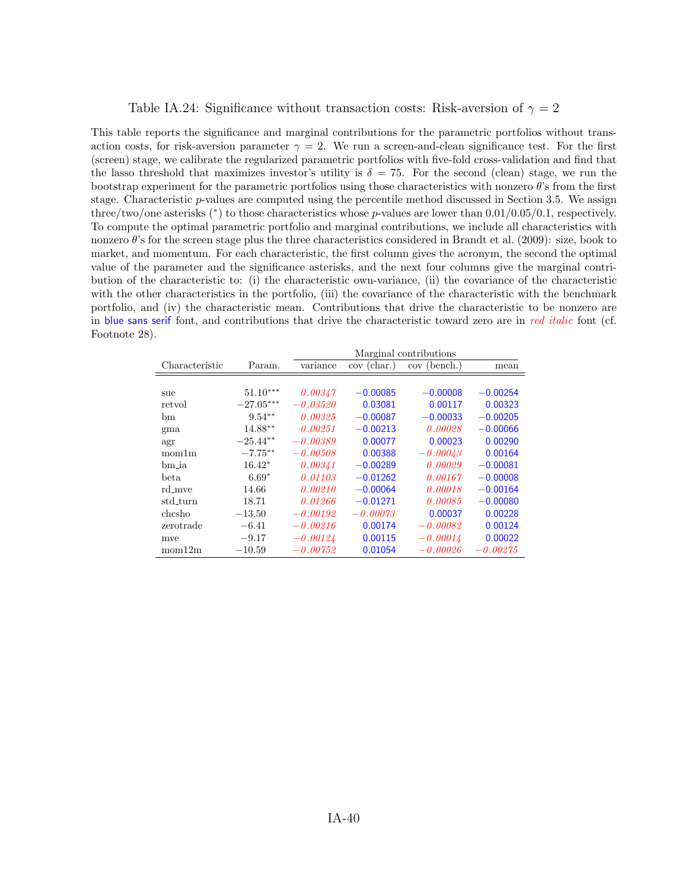## Table IA.24: Significance without transaction costs: Risk-aversion of  $\gamma = 2$

This table reports the significance and marginal contributions for the parametric portfolios without transaction costs, for risk-aversion parameter  $\gamma = 2$ . We run a screen-and-clean significance test. For the first (screen) stage, we calibrate the regularized parametric portfolios with five-fold cross-validation and find that the lasso threshold that maximizes investor's utility is  $\delta = 75$ . For the second (clean) stage, we run the bootstrap experiment for the parametric portfolios using those characteristics with nonzero  $\theta$ 's from the first stage. Characteristic  $p$ -values are computed using the percentile method discussed in Section 3.5. We assign three/two/one asterisks (\*) to those characteristics whose p-values are lower than  $0.01/0.05/0.1$ , respectively. To compute the optimal parametric portfolio and marginal contributions, we include all characteristics with nonzero  $\theta$ 's for the screen stage plus the three characteristics considered in Brandt et al. (2009): size, book to market, and momentum. For each characteristic, the first column gives the acronym, the second the optimal value of the parameter and the significance asterisks, and the next four columns give the marginal contribution of the characteristic to: (i) the characteristic own-variance, (ii) the covariance of the characteristic with the other characteristics in the portfolio, (iii) the covariance of the characteristic with the benchmark portfolio, and (iv) the characteristic mean. Contributions that drive the characteristic to be nonzero are in blue sans serif font, and contributions that drive the characteristic toward zero are in red italic font (cf. Footnote 28).

|                |             | Marginal contributions |               |                |            |  |  |
|----------------|-------------|------------------------|---------------|----------------|------------|--|--|
| Characteristic | Param.      | variance               | $cov$ (char.) | cov (bench.)   | mean       |  |  |
|                |             |                        |               |                |            |  |  |
| sue            | $51.10***$  | 0.00347                | $-0.00085$    | $-0.00008$     | $-0.00254$ |  |  |
| retvol         | $-27.05***$ | $-0.03520$             | 0.03081       | 0.00117        | 0.00323    |  |  |
| bm.            | $9.54**$    | 0.00325                | $-0.00087$    | $-0.00033$     | $-0.00205$ |  |  |
| gma            | $14.88**$   | 0.00251                | $-0.00213$    | <i>0.00028</i> | $-0.00066$ |  |  |
| agr            | $-25.44**$  | $-0.00389$             | 0.00077       | 0.00023        | 0.00290    |  |  |
| mom1m          | $-7.75***$  | $-0.00508$             | 0.00388       | $-0.00043$     | 0.00164    |  |  |
| bm_ia          | $16.42*$    | 0.00341                | $-0.00289$    | <i>0.00029</i> | $-0.00081$ |  |  |
| beta           | $6.69*$     | 0.01103                | $-0.01262$    | 0.00167        | $-0.00008$ |  |  |
| rd mve         | 14.66       | 0.00210                | $-0.00064$    | 0.00018        | $-0.00164$ |  |  |
| std_turn       | 18.71       | 0.01266                | $-0.01271$    | 0.00085        | $-0.00080$ |  |  |
| chcsho         | $-13.50$    | $-0.00192$             | $-0.00073$    | 0.00037        | 0.00228    |  |  |
| zerotrade      | $-6.41$     | $-0.00216$             | 0.00174       | $-0.00082$     | 0.00124    |  |  |
| mve            | $-9.17$     | $-0.00124$             | 0.00115       | $-0.00014$     | 0.00022    |  |  |
| mom12m         | $-10.59$    | $-0.00752$             | 0.01054       | $-0.00026$     | $-0.00275$ |  |  |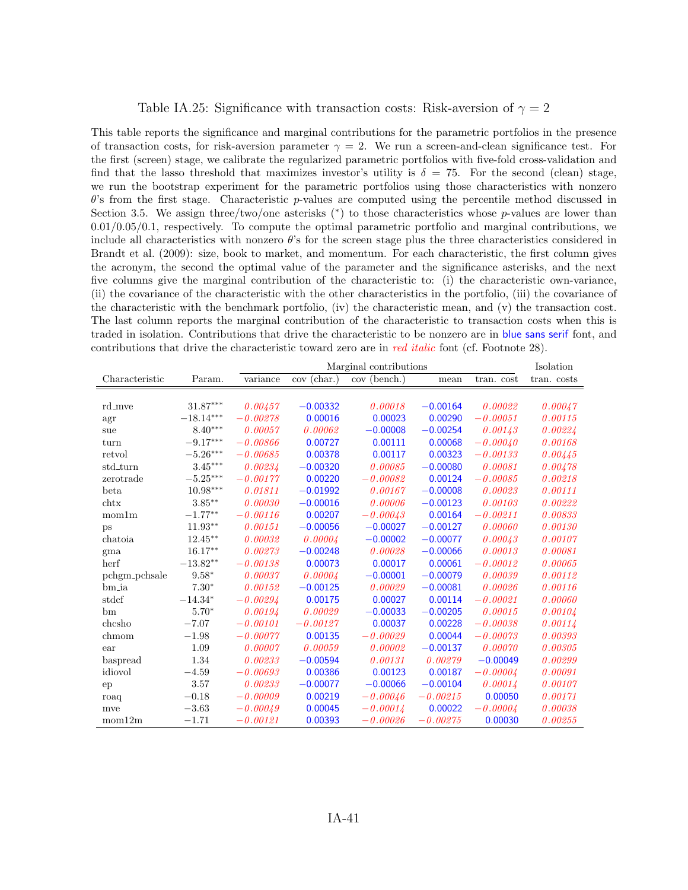## Table IA.25: Significance with transaction costs: Risk-aversion of  $\gamma = 2$

This table reports the significance and marginal contributions for the parametric portfolios in the presence of transaction costs, for risk-aversion parameter  $\gamma = 2$ . We run a screen-and-clean significance test. For the first (screen) stage, we calibrate the regularized parametric portfolios with five-fold cross-validation and find that the lasso threshold that maximizes investor's utility is  $\delta = 75$ . For the second (clean) stage, we run the bootstrap experiment for the parametric portfolios using those characteristics with nonzero  $\theta$ 's from the first stage. Characteristic p-values are computed using the percentile method discussed in Section 3.5. We assign three/two/one asterisks  $(*)$  to those characteristics whose p-values are lower than  $0.01/0.05/0.1$ , respectively. To compute the optimal parametric portfolio and marginal contributions, we include all characteristics with nonzero θ's for the screen stage plus the three characteristics considered in Brandt et al. (2009): size, book to market, and momentum. For each characteristic, the first column gives the acronym, the second the optimal value of the parameter and the significance asterisks, and the next five columns give the marginal contribution of the characteristic to: (i) the characteristic own-variance, (ii) the covariance of the characteristic with the other characteristics in the portfolio, (iii) the covariance of the characteristic with the benchmark portfolio, (iv) the characteristic mean, and (v) the transaction cost. The last column reports the marginal contribution of the characteristic to transaction costs when this is traded in isolation. Contributions that drive the characteristic to be nonzero are in blue sans serif font, and contributions that drive the characteristic toward zero are in *red italic* font (cf. Footnote 28).

|                    |                        | Marginal contributions |             |              |            |            | Isolation   |
|--------------------|------------------------|------------------------|-------------|--------------|------------|------------|-------------|
| Characteristic     | Param.                 | variance               | cov (char.) | cov (bench.) | mean       | tran. cost | tran. costs |
|                    |                        |                        |             |              |            |            |             |
| rd_mve             | $31.87***$             | 0.00457                | $-0.00332$  | 0.00018      | $-0.00164$ | 0.00022    | 0.00047     |
| agr                | $-18.14***$            | $-0.00278$             | 0.00016     | 0.00023      | 0.00290    | $-0.00051$ | 0.00115     |
| sue                | $8.40***$              | 0.00057                | 0.00062     | $-0.00008$   | $-0.00254$ | 0.00143    | 0.00224     |
| turn               | $-9.17***$             | $-0.00866$             | 0.00727     | 0.00111      | 0.00068    | $-0.00040$ | 0.00168     |
| retvol             | $-5.26***$             | $-0.00685$             | 0.00378     | 0.00117      | 0.00323    | $-0.00133$ | 0.00445     |
| std_turn           | $3.45***$              | 0.00234                | $-0.00320$  | 0.00085      | $-0.00080$ | 0.00081    | 0.00478     |
| zerotrade          | $-5.25^{\ast\ast\ast}$ | $-0.00177$             | 0.00220     | $-0.00082$   | 0.00124    | $-0.00085$ | 0.00218     |
| beta               | $10.98***$             | 0.01811                | $-0.01992$  | 0.00167      | $-0.00008$ | 0.00023    | 0.00111     |
| chtx               | $3.85**$               | 0.00030                | $-0.00016$  | 0.00006      | $-0.00123$ | 0.00103    | 0.00222     |
| mom <sub>1</sub> m | $-1.77***$             | $-0.00116$             | 0.00207     | $-0.00043$   | 0.00164    | $-0.00211$ | 0.00833     |
| ps                 | $11.93**$              | 0.00151                | $-0.00056$  | $-0.00027$   | $-0.00127$ | 0.00060    | 0.00130     |
| chatoia            | 12.45**                | 0.00032                | 0.00004     | $-0.00002$   | $-0.00077$ | 0.00043    | 0.00107     |
| gma                | $16.17***$             | 0.00273                | $-0.00248$  | 0.00028      | $-0.00066$ | 0.00013    | 0.00081     |
| herf               | $-13.82**$             | $-0.00138$             | 0.00073     | 0.00017      | 0.00061    | $-0.00012$ | 0.00065     |
| pchgm_pchsale      | $9.58*$                | 0.00037                | 0.00004     | $-0.00001$   | $-0.00079$ | 0.00039    | 0.00112     |
| bm ia              | $7.30*$                | 0.00152                | $-0.00125$  | 0.00029      | $-0.00081$ | 0.00026    | 0.00116     |
| stdcf              | $-14.34*$              | $-0.00294$             | 0.00175     | 0.00027      | 0.00114    | $-0.00021$ | 0.00060     |
| $_{\text{bm}}$     | $5.70*$                | 0.00194                | 0.00029     | $-0.00033$   | $-0.00205$ | 0.00015    | 0.00104     |
| chcsho             | $-7.07$                | $-0.00101$             | $-0.00127$  | 0.00037      | 0.00228    | $-0.00038$ | 0.00114     |
| chmom              | $-1.98$                | $-0.00077$             | 0.00135     | $-0.00029$   | 0.00044    | $-0.00073$ | 0.00393     |
| ear                | 1.09                   | 0.00007                | 0.00059     | 0.00002      | $-0.00137$ | 0.00070    | 0.00305     |
| baspread           | 1.34                   | 0.00233                | $-0.00594$  | 0.00131      | 0.00279    | $-0.00049$ | 0.00299     |
| idiovol            | $-4.59$                | $-0.00693$             | 0.00386     | 0.00123      | 0.00187    | $-0.00004$ | 0.00091     |
| ep                 | 3.57                   | 0.00233                | $-0.00077$  | $-0.00066$   | $-0.00104$ | 0.00014    | 0.00107     |
| roaq               | $-0.18$                | $-0.00009$             | 0.00219     | $-0.00046$   | $-0.00215$ | 0.00050    | 0.00171     |
| mve                | $-3.63$                | $-0.00049$             | 0.00045     | $-0.00014$   | 0.00022    | $-0.00004$ | 0.00038     |
| mom12m             | $-1.71$                | $-0.00121$             | 0.00393     | $-0.00026$   | $-0.00275$ | 0.00030    | 0.00255     |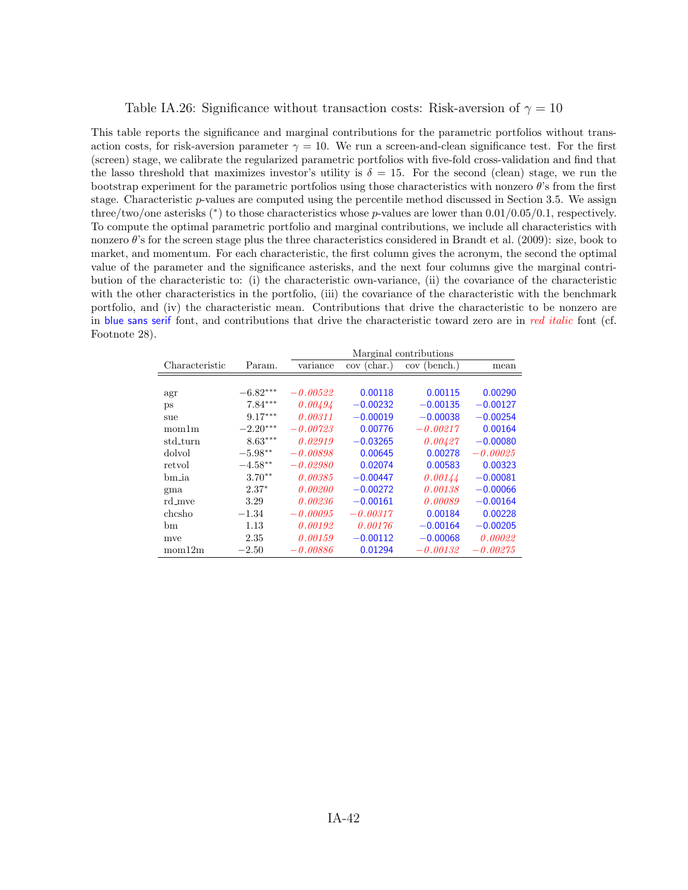## Table IA.26: Significance without transaction costs: Risk-aversion of  $\gamma = 10$

This table reports the significance and marginal contributions for the parametric portfolios without transaction costs, for risk-aversion parameter  $\gamma = 10$ . We run a screen-and-clean significance test. For the first (screen) stage, we calibrate the regularized parametric portfolios with five-fold cross-validation and find that the lasso threshold that maximizes investor's utility is  $\delta = 15$ . For the second (clean) stage, we run the bootstrap experiment for the parametric portfolios using those characteristics with nonzero  $\theta$ 's from the first stage. Characteristic  $p$ -values are computed using the percentile method discussed in Section 3.5. We assign three/two/one asterisks (\*) to those characteristics whose p-values are lower than  $0.01/0.05/0.1$ , respectively. To compute the optimal parametric portfolio and marginal contributions, we include all characteristics with nonzero  $\theta$ 's for the screen stage plus the three characteristics considered in Brandt et al. (2009): size, book to market, and momentum. For each characteristic, the first column gives the acronym, the second the optimal value of the parameter and the significance asterisks, and the next four columns give the marginal contribution of the characteristic to: (i) the characteristic own-variance, (ii) the covariance of the characteristic with the other characteristics in the portfolio, (iii) the covariance of the characteristic with the benchmark portfolio, and (iv) the characteristic mean. Contributions that drive the characteristic to be nonzero are in blue sans serif font, and contributions that drive the characteristic toward zero are in red italic font (cf. Footnote 28).

|                |            | Marginal contributions |               |              |            |  |  |
|----------------|------------|------------------------|---------------|--------------|------------|--|--|
| Characteristic | Param.     | variance               | $cov$ (char.) | cov (bench.) | mean       |  |  |
|                |            |                        |               |              |            |  |  |
| agr            | $-6.82***$ | $-0.00522$             | 0.00118       | 0.00115      | 0.00290    |  |  |
| ps             | $7.84***$  | 0.00494                | $-0.00232$    | $-0.00135$   | $-0.00127$ |  |  |
| sue            | $9.17***$  | 0.00311                | $-0.00019$    | $-0.00038$   | $-0.00254$ |  |  |
| mom1m          | $-2.20***$ | $-0.00723$             | 0.00776       | $-0.00217$   | 0.00164    |  |  |
| std_turn       | $8.63***$  | 0.02919                | $-0.03265$    | 0.00427      | $-0.00080$ |  |  |
| dolvol         | $-5.98**$  | $-0.00898$             | 0.00645       | 0.00278      | $-0.00025$ |  |  |
| retvol         | $-4.58**$  | $-0.02980$             | 0.02074       | 0.00583      | 0.00323    |  |  |
| bm_ia          | $3.70**$   | 0.00385                | $-0.00447$    | 0.00144      | $-0.00081$ |  |  |
| gma            | $2.37*$    | 0.00200                | $-0.00272$    | 0.00138      | $-0.00066$ |  |  |
| rd_mve         | 3.29       | 0.00236                | $-0.00161$    | 0.00089      | $-0.00164$ |  |  |
| chcsho         | $-1.34$    | $-0.00095$             | $-0.00317$    | 0.00184      | 0.00228    |  |  |
| bm.            | 1.13       | 0.00192                | 0.00176       | $-0.00164$   | $-0.00205$ |  |  |
| mve            | 2.35       | 0.00159                | $-0.00112$    | $-0.00068$   | 0.00022    |  |  |
| mom12m         | $-2.50$    | $-0.00886$             | 0.01294       | $-0.00132$   | $-0.00275$ |  |  |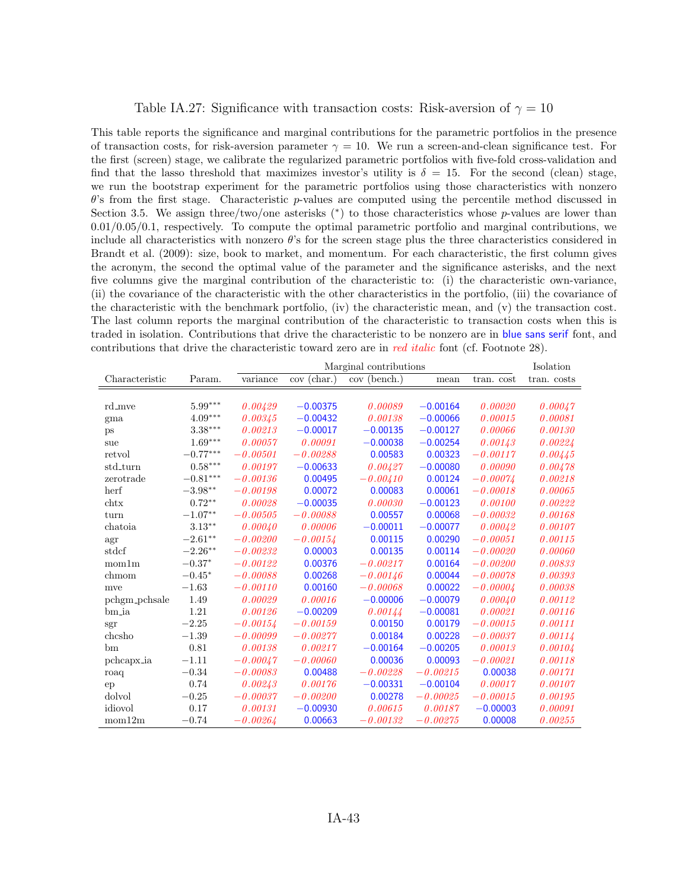## Table IA.27: Significance with transaction costs: Risk-aversion of  $\gamma = 10$

This table reports the significance and marginal contributions for the parametric portfolios in the presence of transaction costs, for risk-aversion parameter  $\gamma = 10$ . We run a screen-and-clean significance test. For the first (screen) stage, we calibrate the regularized parametric portfolios with five-fold cross-validation and find that the lasso threshold that maximizes investor's utility is  $\delta = 15$ . For the second (clean) stage, we run the bootstrap experiment for the parametric portfolios using those characteristics with nonzero  $\theta$ 's from the first stage. Characteristic p-values are computed using the percentile method discussed in Section 3.5. We assign three/two/one asterisks  $(*)$  to those characteristics whose p-values are lower than  $0.01/0.05/0.1$ , respectively. To compute the optimal parametric portfolio and marginal contributions, we include all characteristics with nonzero θ's for the screen stage plus the three characteristics considered in Brandt et al. (2009): size, book to market, and momentum. For each characteristic, the first column gives the acronym, the second the optimal value of the parameter and the significance asterisks, and the next five columns give the marginal contribution of the characteristic to: (i) the characteristic own-variance, (ii) the covariance of the characteristic with the other characteristics in the portfolio, (iii) the covariance of the characteristic with the benchmark portfolio, (iv) the characteristic mean, and (v) the transaction cost. The last column reports the marginal contribution of the characteristic to transaction costs when this is traded in isolation. Contributions that drive the characteristic to be nonzero are in blue sans serif font, and contributions that drive the characteristic toward zero are in *red italic* font (cf. Footnote 28).

|                    |                    |            | Marginal contributions |              |            |            |             |  |
|--------------------|--------------------|------------|------------------------|--------------|------------|------------|-------------|--|
| Characteristic     | Param.             | variance   | $cov$ (char.)          | cov (bench.) | mean       | tran. cost | tran. costs |  |
|                    |                    |            |                        |              |            |            |             |  |
| rd_mve             | $5.99***$          | 0.00429    | $-0.00375$             | 0.00089      | $-0.00164$ | 0.00020    | 0.00047     |  |
| gma                | $4.09***$          | 0.00345    | $-0.00432$             | 0.00138      | $-0.00066$ | 0.00015    | 0.00081     |  |
| $_{\rm{DS}}$       | $3.38***$          | 0.00213    | $-0.00017$             | $-0.00135$   | $-0.00127$ | 0.00066    | 0.00130     |  |
| sue                | $1.69***$          | 0.00057    | 0.00091                | $-0.00038$   | $-0.00254$ | 0.00143    | 0.00224     |  |
| retvol             | $-0.77***$         | $-0.00501$ | $-0.00288$             | 0.00583      | 0.00323    | $-0.00117$ | 0.00445     |  |
| std_turn           | $0.58***$          | 0.00197    | $-0.00633$             | 0.00427      | $-0.00080$ | 0.00090    | 0.00478     |  |
| zerotrade          | $-0.81***$         | $-0.00136$ | 0.00495                | $-0.00410$   | 0.00124    | $-0.00074$ | 0.00218     |  |
| herf               | $-3.98**$          | $-0.00198$ | 0.00072                | 0.00083      | 0.00061    | $-0.00018$ | 0.00065     |  |
| chtx               | $0.72**$           | 0.00028    | $-0.00035$             | 0.00030      | $-0.00123$ | 0.00100    | 0.00222     |  |
| turn               | $-1.07^{\ast\ast}$ | $-0.00505$ | $-0.00088$             | 0.00557      | 0.00068    | $-0.00032$ | 0.00168     |  |
| chatoia            | $3.13***$          | 0.00040    | 0.00006                | $-0.00011$   | $-0.00077$ | 0.00042    | 0.00107     |  |
| agr                | $-2.61**$          | $-0.00200$ | $-0.00154$             | 0.00115      | 0.00290    | $-0.00051$ | 0.00115     |  |
| stdcf              | $-2.26**$          | $-0.00232$ | 0.00003                | 0.00135      | 0.00114    | $-0.00020$ | 0.00060     |  |
| mom <sub>1</sub> m | $-0.37*$           | $-0.00122$ | 0.00376                | $-0.00217$   | 0.00164    | $-0.00200$ | 0.00833     |  |
| chmom              | $-0.45*$           | $-0.00088$ | 0.00268                | $-0.00146$   | 0.00044    | $-0.00078$ | 0.00393     |  |
| mve                | $-1.63$            | $-0.00110$ | 0.00160                | $-0.00068$   | 0.00022    | $-0.00004$ | 0.00038     |  |
| pchgm_pchsale      | 1.49               | 0.00029    | 0.00016                | $-0.00006$   | $-0.00079$ | 0.00040    | 0.00112     |  |
| bm ia              | 1.21               | 0.00126    | $-0.00209$             | 0.00144      | $-0.00081$ | 0.00021    | 0.00116     |  |
| sgr                | $-2.25$            | $-0.00154$ | $-0.00159$             | 0.00150      | 0.00179    | $-0.00015$ | 0.00111     |  |
| chcsho             | $-1.39$            | $-0.00099$ | $-0.00277$             | 0.00184      | 0.00228    | $-0.00037$ | 0.00114     |  |
| $_{\text{bm}}$     | 0.81               | 0.00138    | 0.00217                | $-0.00164$   | $-0.00205$ | 0.00013    | 0.00104     |  |
| pchcapx_ia         | $-1.11$            | $-0.00047$ | $-0.00060$             | 0.00036      | 0.00093    | $-0.00021$ | 0.00118     |  |
| roaq               | $-0.34$            | $-0.00083$ | 0.00488                | $-0.00228$   | $-0.00215$ | 0.00038    | 0.00171     |  |
| ep                 | 0.74               | 0.00243    | 0.00176                | $-0.00331$   | $-0.00104$ | 0.00017    | 0.00107     |  |
| dolvol             | $-0.25$            | $-0.00037$ | $-0.00200$             | 0.00278      | $-0.00025$ | $-0.00015$ | 0.00195     |  |
| idiovol            | 0.17               | 0.00131    | $-0.00930$             | 0.00615      | 0.00187    | $-0.00003$ | 0.00091     |  |
| mom12m             | $-0.74$            | $-0.00264$ | 0.00663                | $-0.00132$   | $-0.00275$ | 0.00008    | 0.00255     |  |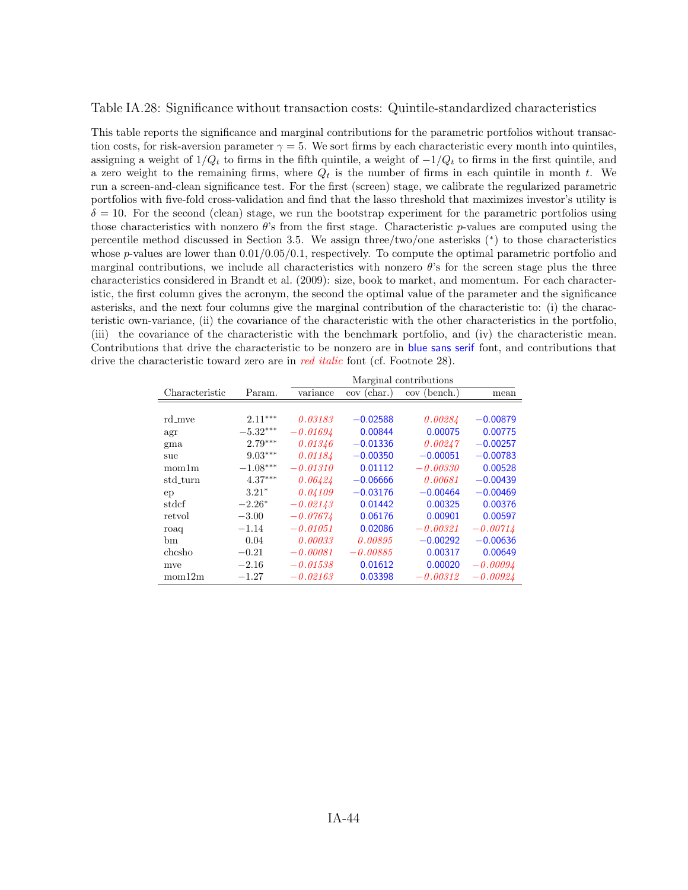#### Table IA.28: Significance without transaction costs: Quintile-standardized characteristics

This table reports the significance and marginal contributions for the parametric portfolios without transaction costs, for risk-aversion parameter  $\gamma = 5$ . We sort firms by each characteristic every month into quintiles, assigning a weight of  $1/Q_t$  to firms in the fifth quintile, a weight of  $-1/Q_t$  to firms in the first quintile, and a zero weight to the remaining firms, where  $Q_t$  is the number of firms in each quintile in month t. We run a screen-and-clean significance test. For the first (screen) stage, we calibrate the regularized parametric portfolios with five-fold cross-validation and find that the lasso threshold that maximizes investor's utility is  $\delta = 10$ . For the second (clean) stage, we run the bootstrap experiment for the parametric portfolios using those characteristics with nonzero  $\theta$ 's from the first stage. Characteristic p-values are computed using the percentile method discussed in Section 3.5. We assign three/two/one asterisks (∗ ) to those characteristics whose p-values are lower than  $0.01/0.05/0.1$ , respectively. To compute the optimal parametric portfolio and marginal contributions, we include all characteristics with nonzero θ's for the screen stage plus the three characteristics considered in Brandt et al. (2009): size, book to market, and momentum. For each characteristic, the first column gives the acronym, the second the optimal value of the parameter and the significance asterisks, and the next four columns give the marginal contribution of the characteristic to: (i) the characteristic own-variance, (ii) the covariance of the characteristic with the other characteristics in the portfolio, (iii) the covariance of the characteristic with the benchmark portfolio, and (iv) the characteristic mean. Contributions that drive the characteristic to be nonzero are in blue sans serif font, and contributions that drive the characteristic toward zero are in *red italic* font (cf. Footnote 28).

|                |            | Marginal contributions |               |              |            |  |  |  |
|----------------|------------|------------------------|---------------|--------------|------------|--|--|--|
| Characteristic | Param.     | variance               | $cov$ (char.) | cov (bench.) | mean       |  |  |  |
|                |            |                        |               |              |            |  |  |  |
| rd_mve         | $2.11***$  | 0.03183                | $-0.02588$    | 0.00284      | $-0.00879$ |  |  |  |
| agr            | $-5.32***$ | $-0.01694$             | 0.00844       | 0.00075      | 0.00775    |  |  |  |
| gma            | $2.79***$  | 0.01346                | $-0.01336$    | 0.00247      | $-0.00257$ |  |  |  |
| sue            | $9.03***$  | 0.01184                | $-0.00350$    | $-0.00051$   | $-0.00783$ |  |  |  |
| mom1m          | $-1.08***$ | $-0.01310$             | 0.01112       | $-0.00330$   | 0.00528    |  |  |  |
| std_turn       | $4.37***$  | 0.06424                | $-0.06666$    | 0.00681      | $-0.00439$ |  |  |  |
| ep             | $3.21*$    | 0.04109                | $-0.03176$    | $-0.00464$   | $-0.00469$ |  |  |  |
| stdcf          | $-2.26*$   | $-0.02143$             | 0.01442       | 0.00325      | 0.00376    |  |  |  |
| retvol         | $-3.00$    | $-0.07674$             | 0.06176       | 0.00901      | 0.00597    |  |  |  |
| roaq           | $-1.14$    | $-0.01051$             | 0.02086       | $-0.00321$   | $-0.00714$ |  |  |  |
| bm.            | 0.04       | 0.00033                | 0.00895       | $-0.00292$   | $-0.00636$ |  |  |  |
| chcsho         | $-0.21$    | $-0.00081$             | $-0.00885$    | 0.00317      | 0.00649    |  |  |  |
| mve            | $^{-2.16}$ | $-0.01538$             | 0.01612       | 0.00020      | $-0.00094$ |  |  |  |
| mom12m         | $-1.27$    | $-0.02163$             | 0.03398       | $-0.00312$   | $-0.00924$ |  |  |  |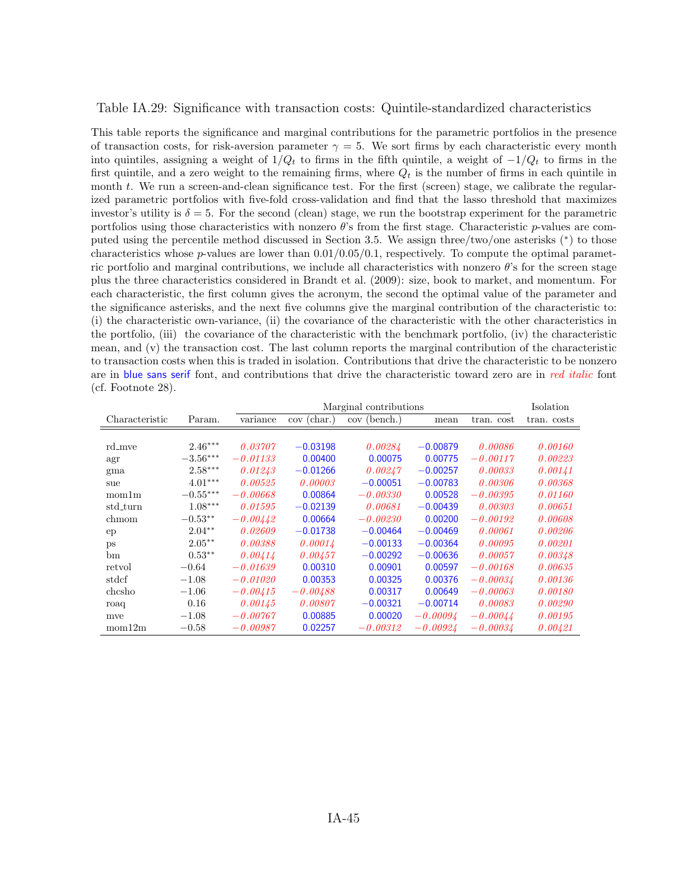#### Table IA.29: Significance with transaction costs: Quintile-standardized characteristics

This table reports the significance and marginal contributions for the parametric portfolios in the presence of transaction costs, for risk-aversion parameter  $\gamma = 5$ . We sort firms by each characteristic every month into quintiles, assigning a weight of  $1/Q_t$  to firms in the fifth quintile, a weight of  $-1/Q_t$  to firms in the first quintile, and a zero weight to the remaining firms, where  $Q_t$  is the number of firms in each quintile in month t. We run a screen-and-clean significance test. For the first (screen) stage, we calibrate the regularized parametric portfolios with five-fold cross-validation and find that the lasso threshold that maximizes investor's utility is  $\delta = 5$ . For the second (clean) stage, we run the bootstrap experiment for the parametric portfolios using those characteristics with nonzero  $\theta$ 's from the first stage. Characteristic p-values are computed using the percentile method discussed in Section 3.5. We assign three/two/one asterisks (\*) to those characteristics whose p-values are lower than  $0.01/0.05/0.1$ , respectively. To compute the optimal parametric portfolio and marginal contributions, we include all characteristics with nonzero  $\theta$ 's for the screen stage plus the three characteristics considered in Brandt et al. (2009): size, book to market, and momentum. For each characteristic, the first column gives the acronym, the second the optimal value of the parameter and the significance asterisks, and the next five columns give the marginal contribution of the characteristic to: (i) the characteristic own-variance, (ii) the covariance of the characteristic with the other characteristics in the portfolio, (iii) the covariance of the characteristic with the benchmark portfolio, (iv) the characteristic mean, and (v) the transaction cost. The last column reports the marginal contribution of the characteristic to transaction costs when this is traded in isolation. Contributions that drive the characteristic to be nonzero are in blue sans serif font, and contributions that drive the characteristic toward zero are in red *italic* font (cf. Footnote 28).

|                |            |                | Marginal contributions |              |            |            |             |  |
|----------------|------------|----------------|------------------------|--------------|------------|------------|-------------|--|
| Characteristic | Param.     | variance       | $cov$ (char.)          | cov (bench.) | mean       | tran. cost | tran. costs |  |
|                |            |                |                        |              |            |            |             |  |
| rd mve         | $2.46***$  | 0.03707        | $-0.03198$             | 0.00284      | $-0.00879$ | 0.00086    | 0.00160     |  |
| agr            | $-3.56***$ | $-0.01133$     | 0.00400                | 0.00075      | 0.00775    | $-0.00117$ | 0.00223     |  |
| gma            | $2.58***$  | 0.01243        | $-0.01266$             | 0.00247      | $-0.00257$ | 0.00033    | 0.00141     |  |
| sue            | $4.01***$  | 0.00525        | 0.00003                | $-0.00051$   | $-0.00783$ | 0.00306    | 0.00368     |  |
| momlm          | $-0.55***$ | $-0.00668$     | 0.00864                | $-0.00330$   | 0.00528    | $-0.00395$ | 0.01160     |  |
| std_turn       | $1.08***$  | 0.01595        | $-0.02139$             | 0.00681      | $-0.00439$ | 0.00303    | 0.00651     |  |
| chmom          | $-0.53**$  | $-0.00442$     | 0.00664                | $-0.00230$   | 0.00200    | $-0.00192$ | 0.00608     |  |
| ep             | $2.04**$   | <i>0.02609</i> | $-0.01738$             | $-0.00464$   | $-0.00469$ | 0.00061    | 0.00206     |  |
| $_{\rm ps}$    | $2.05***$  | 0.00388        | 0.00014                | $-0.00133$   | $-0.00364$ | 0.00095    | 0.00201     |  |
| $_{\rm bm}$    | $0.53***$  | 0.00414        | 0.00457                | $-0.00292$   | $-0.00636$ | 0.00057    | 0.00348     |  |
| retvol         | $-0.64$    | $-0.01639$     | 0.00310                | 0.00901      | 0.00597    | $-0.00168$ | 0.00635     |  |
| stdcf          | $-1.08$    | $-0.01020$     | 0.00353                | 0.00325      | 0.00376    | $-0.00034$ | 0.00136     |  |
| chcsho         | $-1.06$    | $-0.00415$     | $-0.00488$             | 0.00317      | 0.00649    | $-0.00063$ | 0.00180     |  |
| roaq           | 0.16       | 0.00145        | 0.00807                | $-0.00321$   | $-0.00714$ | 0.00083    | 0.00290     |  |
| mve            | $-1.08$    | $-0.00767$     | 0.00885                | 0.00020      | $-0.00094$ | $-0.00044$ | 0.00195     |  |
| mom12m         | $-0.58$    | $-0.00987$     | 0.02257                | $-0.00312$   | $-0.00924$ | $-0.00034$ | 0.00421     |  |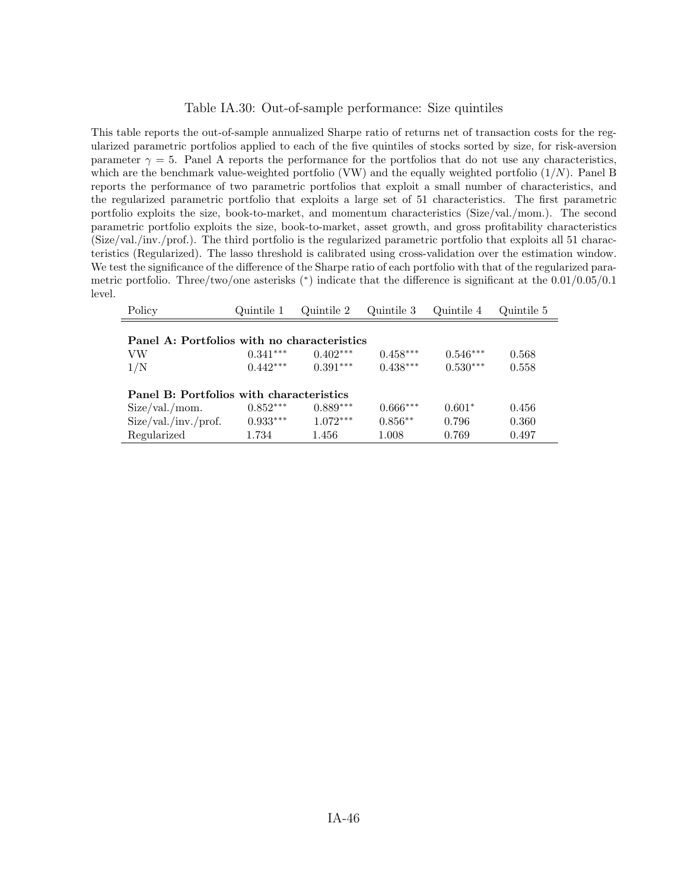## Table IA.30: Out-of-sample performance: Size quintiles

This table reports the out-of-sample annualized Sharpe ratio of returns net of transaction costs for the regularized parametric portfolios applied to each of the five quintiles of stocks sorted by size, for risk-aversion parameter  $\gamma = 5$ . Panel A reports the performance for the portfolios that do not use any characteristics, which are the benchmark value-weighted portfolio (VW) and the equally weighted portfolio  $(1/N)$ . Panel B reports the performance of two parametric portfolios that exploit a small number of characteristics, and the regularized parametric portfolio that exploits a large set of 51 characteristics. The first parametric portfolio exploits the size, book-to-market, and momentum characteristics (Size/val./mom.). The second parametric portfolio exploits the size, book-to-market, asset growth, and gross profitability characteristics (Size/val./inv./prof.). The third portfolio is the regularized parametric portfolio that exploits all 51 characteristics (Regularized). The lasso threshold is calibrated using cross-validation over the estimation window. We test the significance of the difference of the Sharpe ratio of each portfolio with that of the regularized parametric portfolio. Three/two/one asterisks (∗ ) indicate that the difference is significant at the 0.01/0.05/0.1 level.

| Policy                                      | Quintile 1 | Quintile 2 | Quintile 3 | Quintile 4 | Quintile 5 |
|---------------------------------------------|------------|------------|------------|------------|------------|
|                                             |            |            |            |            |            |
| Panel A: Portfolios with no characteristics |            |            |            |            |            |
| VW                                          | $0.341***$ | $0.402***$ | $0.458***$ | $0.546***$ | 0.568      |
| 1/N                                         | $0.442***$ | $0.391***$ | $0.438***$ | $0.530***$ | 0.558      |
| Panel B: Portfolios with characteristics    |            |            |            |            |            |
| Size/val./mom.                              | $0.852***$ | $0.889***$ | $0.666***$ | $0.601*$   | 0.456      |
| Size/val./inv./prof.                        | $0.933***$ | $1.072***$ | $0.856**$  | 0.796      | 0.360      |
| Regularized                                 | 1.734      | 1.456      | 1.008      | 0.769      | 0.497      |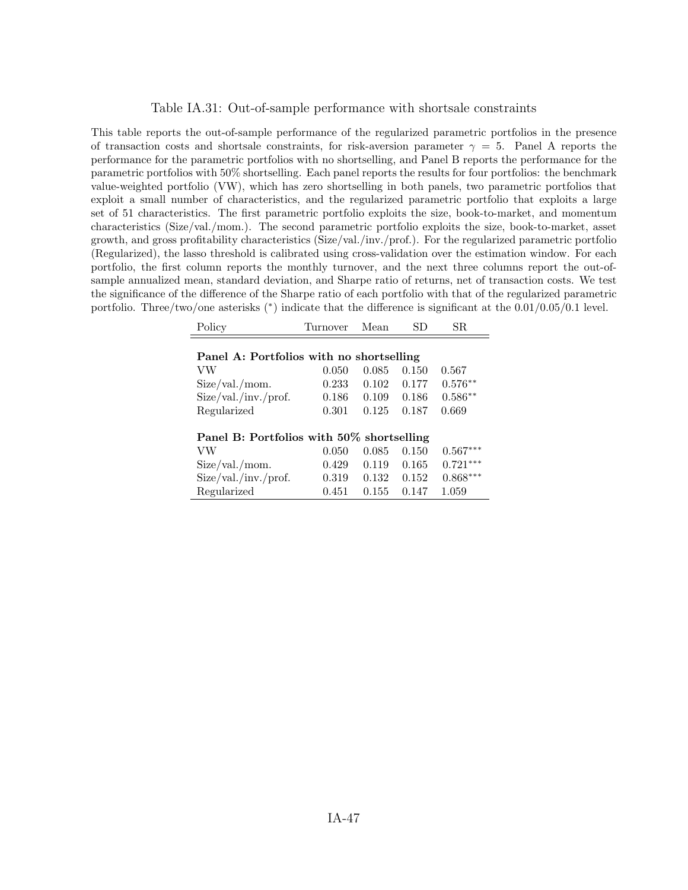### Table IA.31: Out-of-sample performance with shortsale constraints

This table reports the out-of-sample performance of the regularized parametric portfolios in the presence of transaction costs and shortsale constraints, for risk-aversion parameter  $\gamma = 5$ . Panel A reports the performance for the parametric portfolios with no shortselling, and Panel B reports the performance for the parametric portfolios with 50% shortselling. Each panel reports the results for four portfolios: the benchmark value-weighted portfolio (VW), which has zero shortselling in both panels, two parametric portfolios that exploit a small number of characteristics, and the regularized parametric portfolio that exploits a large set of 51 characteristics. The first parametric portfolio exploits the size, book-to-market, and momentum characteristics (Size/val./mom.). The second parametric portfolio exploits the size, book-to-market, asset growth, and gross profitability characteristics (Size/val./inv./prof.). For the regularized parametric portfolio (Regularized), the lasso threshold is calibrated using cross-validation over the estimation window. For each portfolio, the first column reports the monthly turnover, and the next three columns report the out-ofsample annualized mean, standard deviation, and Sharpe ratio of returns, net of transaction costs. We test the significance of the difference of the Sharpe ratio of each portfolio with that of the regularized parametric portfolio. Three/two/one asterisks (\*) indicate that the difference is significant at the  $0.01/0.05/0.1$  level.

| Policy                                    | Turnover | Mean  | SD    | SR.        |  |
|-------------------------------------------|----------|-------|-------|------------|--|
| Panel A: Portfolios with no shortselling  |          |       |       |            |  |
| VW                                        | 0.050    | 0.085 | 0.150 | 0.567      |  |
| Size/val./mom.                            | 0.233    | 0.102 | 0.177 | $0.576**$  |  |
| Size/val./inv./prof.                      | 0.186    | 0.109 | 0.186 | $0.586**$  |  |
| Regularized                               | 0.301    | 0.125 | 0.187 | 0.669      |  |
| Panel B: Portfolios with 50% shortselling |          |       |       |            |  |
| VW                                        | 0.050    | 0.085 | 0.150 | $0.567***$ |  |
| Size/val./mom.                            | 0.429    | 0.119 | 0.165 | $0.721***$ |  |
| Size/val./inv./prof.                      | 0.319    | 0.132 | 0.152 | $0.868***$ |  |
| Regularized                               | 0.451    | 0.155 | 0.147 | 1.059      |  |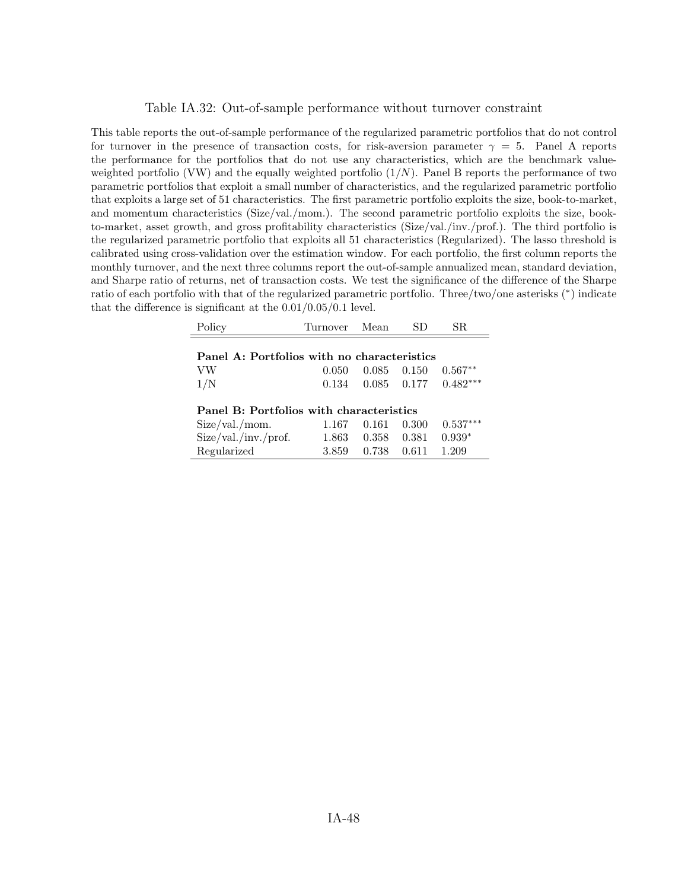### Table IA.32: Out-of-sample performance without turnover constraint

This table reports the out-of-sample performance of the regularized parametric portfolios that do not control for turnover in the presence of transaction costs, for risk-aversion parameter  $\gamma = 5$ . Panel A reports the performance for the portfolios that do not use any characteristics, which are the benchmark valueweighted portfolio (VW) and the equally weighted portfolio  $(1/N)$ . Panel B reports the performance of two parametric portfolios that exploit a small number of characteristics, and the regularized parametric portfolio that exploits a large set of 51 characteristics. The first parametric portfolio exploits the size, book-to-market, and momentum characteristics (Size/val./mom.). The second parametric portfolio exploits the size, bookto-market, asset growth, and gross profitability characteristics (Size/val./inv./prof.). The third portfolio is the regularized parametric portfolio that exploits all 51 characteristics (Regularized). The lasso threshold is calibrated using cross-validation over the estimation window. For each portfolio, the first column reports the monthly turnover, and the next three columns report the out-of-sample annualized mean, standard deviation, and Sharpe ratio of returns, net of transaction costs. We test the significance of the difference of the Sharpe ratio of each portfolio with that of the regularized parametric portfolio. Three/two/one asterisks (∗ ) indicate that the difference is significant at the 0.01/0.05/0.1 level.

| Policy                                      | Turnover | Mean  |       | SR.        |  |
|---------------------------------------------|----------|-------|-------|------------|--|
|                                             |          |       |       |            |  |
| Panel A: Portfolios with no characteristics |          |       |       |            |  |
| VW                                          | 0.050    | 0.085 | 0.150 | $0.567**$  |  |
| 1/N                                         | 0.134    | 0.085 | 0.177 | $0.482***$ |  |
|                                             |          |       |       |            |  |
| Panel B: Portfolios with characteristics    |          |       |       |            |  |
| Size/val./mom.                              | 1.167    | 0.161 | 0.300 | $0.537***$ |  |
| Size/val./inv./prof.                        | 1.863    | 0.358 | 0.381 | $0.939*$   |  |
| Regularized                                 | 3.859    | 0.738 | በ 611 | 1.209      |  |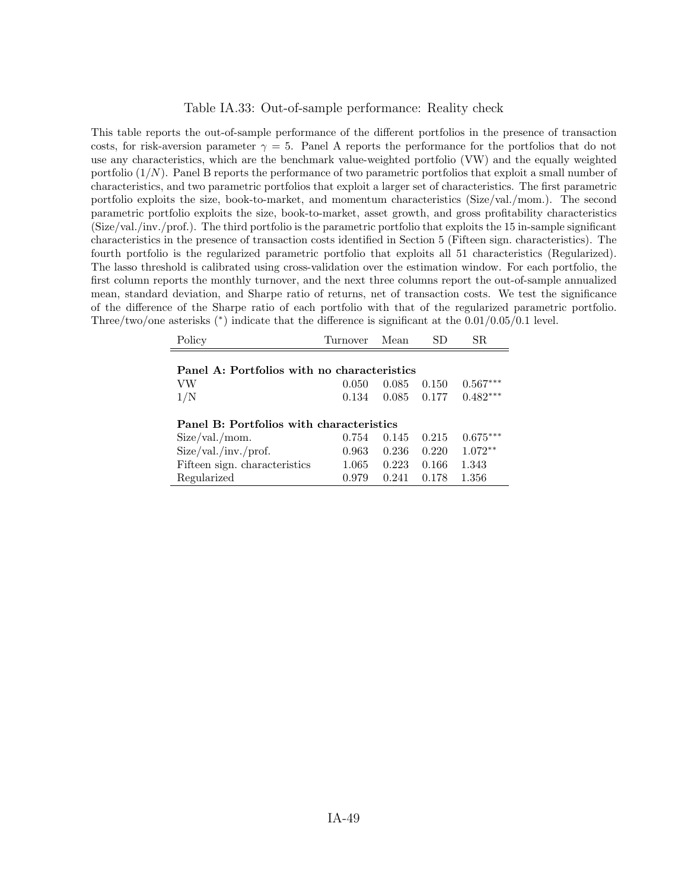### Table IA.33: Out-of-sample performance: Reality check

This table reports the out-of-sample performance of the different portfolios in the presence of transaction costs, for risk-aversion parameter  $\gamma = 5$ . Panel A reports the performance for the portfolios that do not use any characteristics, which are the benchmark value-weighted portfolio (VW) and the equally weighted portfolio  $(1/N)$ . Panel B reports the performance of two parametric portfolios that exploit a small number of characteristics, and two parametric portfolios that exploit a larger set of characteristics. The first parametric portfolio exploits the size, book-to-market, and momentum characteristics (Size/val./mom.). The second parametric portfolio exploits the size, book-to-market, asset growth, and gross profitability characteristics (Size/val./inv./prof.). The third portfolio is the parametric portfolio that exploits the 15 in-sample significant characteristics in the presence of transaction costs identified in Section 5 (Fifteen sign. characteristics). The fourth portfolio is the regularized parametric portfolio that exploits all 51 characteristics (Regularized). The lasso threshold is calibrated using cross-validation over the estimation window. For each portfolio, the first column reports the monthly turnover, and the next three columns report the out-of-sample annualized mean, standard deviation, and Sharpe ratio of returns, net of transaction costs. We test the significance of the difference of the Sharpe ratio of each portfolio with that of the regularized parametric portfolio. Three/two/one asterisks (<sup>∗</sup> ) indicate that the difference is significant at the 0.01/0.05/0.1 level.

| Policy                                      | Turnover | Mean  | SD    | SR.        |  |
|---------------------------------------------|----------|-------|-------|------------|--|
|                                             |          |       |       |            |  |
| Panel A: Portfolios with no characteristics |          |       |       |            |  |
| VW                                          | 0.050    | 0.085 | 0.150 | $0.567***$ |  |
| 1/N                                         | 0.134    | 0.085 | 0.177 | $0.482***$ |  |
|                                             |          |       |       |            |  |
| Panel B: Portfolios with characteristics    |          |       |       |            |  |
| Size/val./mom.                              | 0.754    | 0.145 | 0.215 | $0.675***$ |  |
| Size/val./inv./prof.                        | 0.963    | 0.236 | 0.220 | $1.072**$  |  |
| Fifteen sign. characteristics               | 1.065    | 0.223 | 0.166 | 1.343      |  |
| Regularized                                 | 0.979    | 0.241 | 0.178 | 1.356      |  |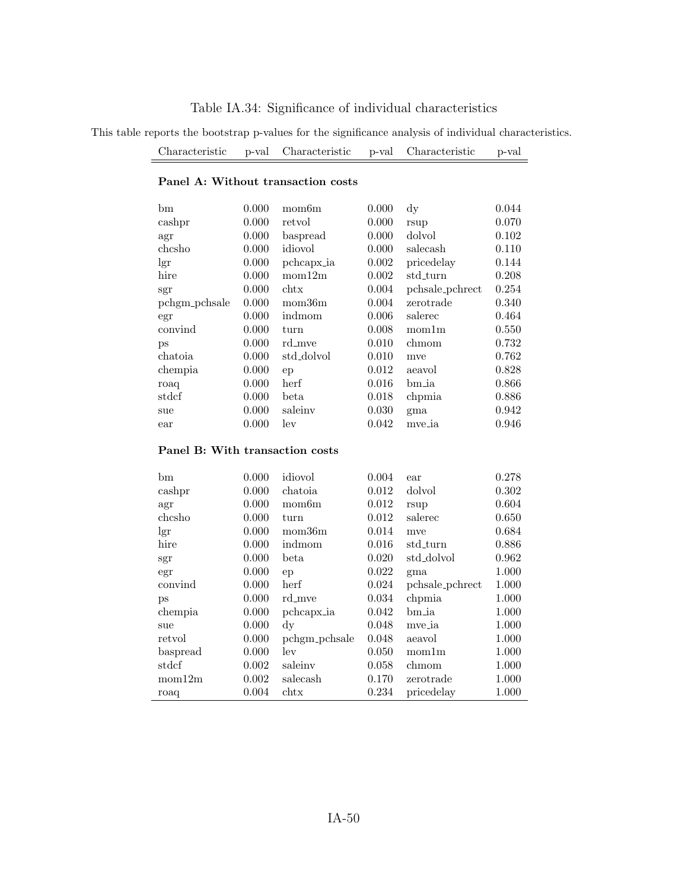# Table IA.34: Significance of individual characteristics

Characteristic p-val Characteristic p-val Characteristic p-val

This table reports the bootstrap p-values for the significance analysis of individual characteristics.

# Panel A: Without transaction costs

# bm 0.000 mom6m 0.000 dy 0.044 cashpr 0.000 retvol 0.000 rsup 0.070 agr 0.000 baspread 0.000 dolvol 0.102 chcsho 0.000 idiovol 0.000 salecash 0.110 lgr 0.000 pchcapx ia 0.002 pricedelay 0.144 hire 0.000 mom12m 0.002 std\_turn 0.208 sgr 0.000 chtx 0.004 pchsale pchrect 0.254 pchgm pchsale 0.000 mom36m 0.004 zerotrade 0.340 egr 0.000 indmom 0.006 salerec 0.464 convind 0.000 turn 0.008 mom1m 0.550 ps 0.000 rd mve 0.010 chmom 0.732 chatoia 0.000 std dolvol 0.010 mve 0.762 chempia 0.000 ep 0.012 aeavol 0.828 roaq 0.000 herf 0.016 bm ia 0.866 stdcf 0.000 beta 0.018 chpmia 0.886 sue 0.000 saleinv 0.030 gma 0.942 ear 0.000 lev 0.042 mve ia 0.946

## Panel B: With transaction costs

| $_{\text{bm}}$ | 0.000 | idiovol                | 0.004 | ear                | 0.278 |
|----------------|-------|------------------------|-------|--------------------|-------|
| cashpr         | 0.000 | chatoia                | 0.012 | dolvol             | 0.302 |
| agr            | 0.000 | mom6m                  | 0.012 | rsup               | 0.604 |
| chcsho         | 0.000 | turn                   | 0.012 | salerec            | 0.650 |
| lgr            | 0.000 | mom36m                 | 0.014 | mve                | 0.684 |
| hire           | 0.000 | indmom                 | 0.016 | $std\_turn$        | 0.886 |
| sgr            | 0.000 | beta                   | 0.020 | std_dolvol         | 0.962 |
| egr            | 0.000 | ep                     | 0.022 | gma                | 1.000 |
| convind        | 0.000 | herf                   | 0.024 | pchsale_pchrect    | 1.000 |
| ps             | 0.000 | rd_mve                 | 0.034 | chpmia             | 1.000 |
| chempia        | 0.000 | pchcapx_ia             | 0.042 | bm_ia              | 1.000 |
| sue            | 0.000 | $\mathrm{d}\mathrm{y}$ | 0.048 | mve_ia             | 1.000 |
| retvol         | 0.000 | pchgm_pchsale          | 0.048 | aeavol             | 1.000 |
| baspread       | 0.000 | lev                    | 0.050 | mom <sub>1</sub> m | 1.000 |
| stdcf          | 0.002 | saleiny                | 0.058 | chmom              | 1.000 |
| mom12m         | 0.002 | salecash               | 0.170 | zerotrade          | 1.000 |
| roaq           | 0.004 | $\text{chtx}$          | 0.234 | pricedelay         | 1.000 |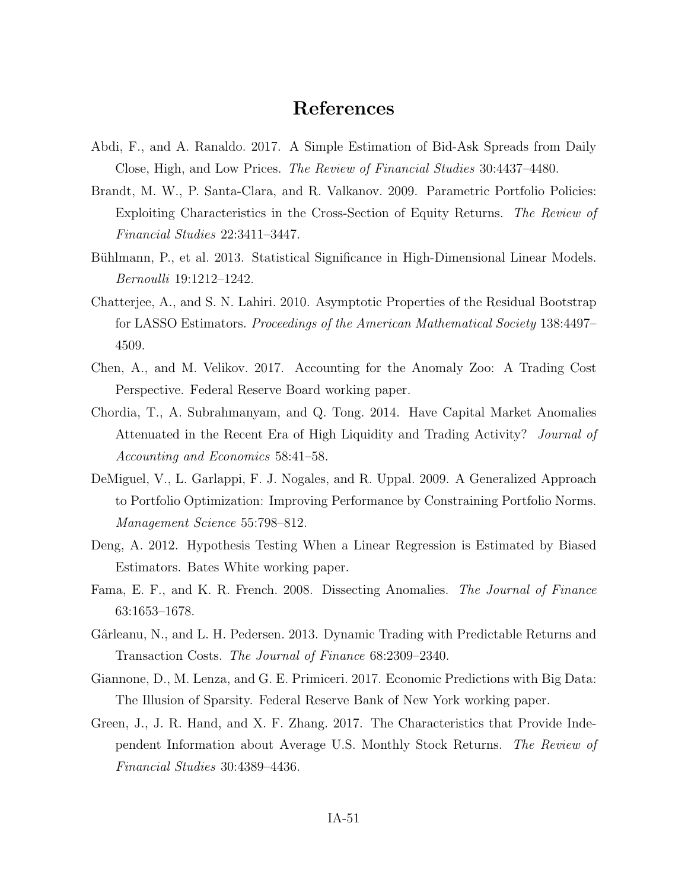# References

- Abdi, F., and A. Ranaldo. 2017. A Simple Estimation of Bid-Ask Spreads from Daily Close, High, and Low Prices. The Review of Financial Studies 30:4437–4480.
- Brandt, M. W., P. Santa-Clara, and R. Valkanov. 2009. Parametric Portfolio Policies: Exploiting Characteristics in the Cross-Section of Equity Returns. The Review of Financial Studies 22:3411–3447.
- Bühlmann, P., et al. 2013. Statistical Significance in High-Dimensional Linear Models. Bernoulli 19:1212–1242.
- Chatterjee, A., and S. N. Lahiri. 2010. Asymptotic Properties of the Residual Bootstrap for LASSO Estimators. Proceedings of the American Mathematical Society 138:4497– 4509.
- Chen, A., and M. Velikov. 2017. Accounting for the Anomaly Zoo: A Trading Cost Perspective. Federal Reserve Board working paper.
- Chordia, T., A. Subrahmanyam, and Q. Tong. 2014. Have Capital Market Anomalies Attenuated in the Recent Era of High Liquidity and Trading Activity? *Journal of* Accounting and Economics 58:41–58.
- DeMiguel, V., L. Garlappi, F. J. Nogales, and R. Uppal. 2009. A Generalized Approach to Portfolio Optimization: Improving Performance by Constraining Portfolio Norms. Management Science 55:798–812.
- Deng, A. 2012. Hypothesis Testing When a Linear Regression is Estimated by Biased Estimators. Bates White working paper.
- Fama, E. F., and K. R. French. 2008. Dissecting Anomalies. The Journal of Finance 63:1653–1678.
- Gârleanu, N., and L. H. Pedersen. 2013. Dynamic Trading with Predictable Returns and Transaction Costs. The Journal of Finance 68:2309–2340.
- Giannone, D., M. Lenza, and G. E. Primiceri. 2017. Economic Predictions with Big Data: The Illusion of Sparsity. Federal Reserve Bank of New York working paper.
- Green, J., J. R. Hand, and X. F. Zhang. 2017. The Characteristics that Provide Independent Information about Average U.S. Monthly Stock Returns. The Review of Financial Studies 30:4389–4436.